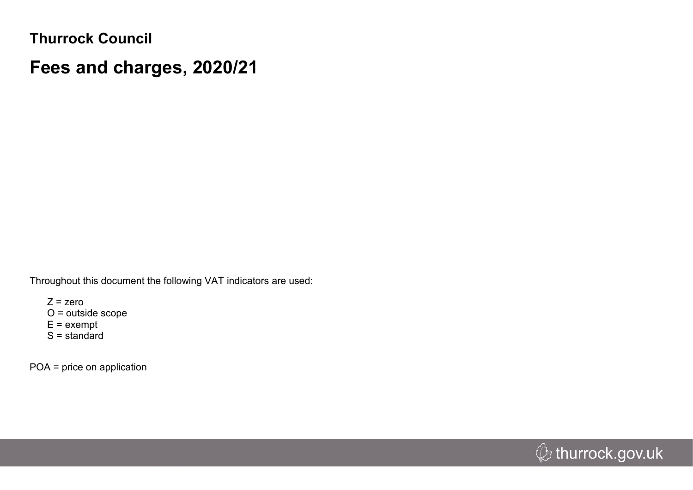**Thurrock Council**

## **Fees and charges, 2020/21**

Throughout this document the following VAT indicators are used:

 $Z = zero$ O = outside scope  $E =$  exempt  $S =$  standard

POA = price on application

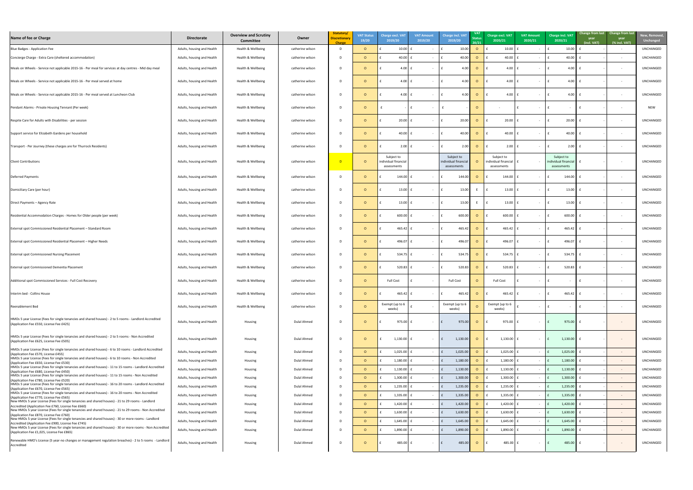| New, Removed,<br><b>Unchanged</b> |
|-----------------------------------|
| UNCHANGED                         |
| UNCHANGED                         |
| UNCHANGED                         |
| UNCHANGED                         |
| UNCHANGED                         |
| <b>NEW</b>                        |
| UNCHANGED                         |
| UNCHANGED                         |
| UNCHANGED                         |
| UNCHANGED                         |
| UNCHANGED                         |
| UNCHANGED                         |
| UNCHANGED                         |
| UNCHANGED                         |
| UNCHANGED                         |
| UNCHANGED                         |
| UNCHANGED                         |
| UNCHANGED                         |
| UNCHANGED                         |
| UNCHANGED                         |
| UNCHANGED                         |
| UNCHANGED                         |
| UNCHANGED                         |
| UNCHANGED                         |
| UNCHANGED                         |
| UNCHANGED                         |
| UNCHANGED                         |
| UNCHANGED                         |
| UNCHANGED                         |
| UNCHANGED<br>UNCHANGED            |
| UNCHANGED                         |
| UNCHANGED                         |
| UNCHANGED                         |

| Name of fee or Charge                                                                                                                                      | <b>Directorate</b>         | <b>Overview and Scrutiny</b><br><b>Committee</b> | Owner            | Statutory/<br><b>Discretionary</b><br><b>Charge</b> | <b>VAT Status</b><br>19/20 | <b>Charge excl. VAT</b><br>2019/20                | <b>VAT Amount</b><br>2019/20 | <b>Charge incl. VAT</b><br>2019/20               | <b>VAT</b><br>20/21 | Charge excl. VAT<br>2020/21                       | <b>VAT Amount</b><br>2020/21 | <b>Charge incl. VAT</b><br>2020/21                        | year<br>(incl. VAT) | Change from last Change from last<br>year<br>(% incl. VAT) | New, Remove<br><b>Unchanged</b> |
|------------------------------------------------------------------------------------------------------------------------------------------------------------|----------------------------|--------------------------------------------------|------------------|-----------------------------------------------------|----------------------------|---------------------------------------------------|------------------------------|--------------------------------------------------|---------------------|---------------------------------------------------|------------------------------|-----------------------------------------------------------|---------------------|------------------------------------------------------------|---------------------------------|
| Blue Badges - Application Fee                                                                                                                              | Adults, housing and Health | Health & Wellbeing                               | catherine wilson |                                                     | $\Omega$                   | 10.00                                             |                              | 10.00                                            | $\Omega$            | 10.00                                             |                              | 10.00                                                     |                     | $\sim$                                                     | <b>UNCHANGED</b>                |
| Concierge Charge - Extra Care (sheltered accommodation)                                                                                                    | Adults, housing and Health | Health & Wellbeing                               | catherine wilson |                                                     | $\Omega$                   | $40.00$ $f$                                       | $\sim$ $-$                   | 40.00                                            | $\circ$             | 40.00                                             |                              | 40.00                                                     |                     | $\sim$ $  \sim$                                            | <b>UNCHANGED</b>                |
| Meals on Wheels - Service not applicable 2015-16 - Per meal for services at day centres - Mid day meal                                                     | Adults, housing and Health | Health & Wellbeing                               | catherine wilson | D.                                                  | $\Omega$                   | 4.00                                              |                              | 4.00                                             | $\circ$             | 4.00                                              |                              | 4.00                                                      |                     | $\sim$                                                     | UNCHANGED                       |
| Meals on Wheels - Service not applicable 2015-16 - Per meal served at home                                                                                 | Adults, housing and Health | Health & Wellbeing                               | catherine wilson | - D                                                 | $\Omega$                   | $4.00$   f                                        |                              | 4.00                                             | $\overline{O}$      | 4.00                                              |                              | 4.00                                                      |                     | $\sim$                                                     | <b>UNCHANGED</b>                |
| Meals on Wheels - Service not applicable 2015-16 - Per meal served at Luncheon Club                                                                        | Adults, housing and Health | Health & Wellbeing                               | catherine wilson |                                                     | $\Omega$                   | 4.00                                              |                              | 4.00                                             | $\overline{O}$      | 4.00                                              |                              | 4.00                                                      |                     | $\sim$                                                     | <b>UNCHANGED</b>                |
| Pendant Alarms - Private Housing Tennant (Per week)                                                                                                        | Adults, housing and Health | Health & Wellbeing                               | catherine wilson | - D                                                 | $\Omega$                   |                                                   |                              |                                                  | $\Omega$            |                                                   |                              |                                                           |                     |                                                            | <b>NEW</b>                      |
| Respite Care for Adults with Disabilities - per session                                                                                                    | Adults, housing and Health | Health & Wellbeing                               | catherine wilson |                                                     | $\Omega$                   | 20.00                                             |                              | 20.00                                            | $\circ$             | 20.00                                             |                              | 20.00                                                     |                     | $\sim$                                                     | <b>UNCHANGED</b>                |
| Support service for Elizabeth Gardens per household                                                                                                        | Adults, housing and Health | Health & Wellbeing                               | catherine wilson |                                                     | $\Omega$                   | 40.00                                             | $\sim$ $-$                   | 40.00                                            | $\circ$             | 40.00                                             |                              | 40.00                                                     |                     | $\sim$                                                     | UNCHANGED                       |
| Transport - Per Journey (these charges are for Thurrock Residents)                                                                                         | Adults, housing and Health | Health & Wellbeing                               | catherine wilson |                                                     | $\Omega$                   | $2.00$   f                                        |                              | 2.00                                             | $\overline{O}$      | 2.00                                              |                              | 2.00                                                      |                     | $\sim$                                                     | UNCHANGED                       |
| <b>Client Contributions</b>                                                                                                                                | Adults, housing and Health | Health & Wellbeing                               | catherine wilson | <b>D</b>                                            | $\Omega$                   | Subject to<br>individual financial<br>assessments |                              | Subject to<br>individual financia<br>assessments |                     | Subject to<br>individual financial<br>assessments |                              | Subject to<br>-   individual financial   £<br>assessments |                     | $\sim$                                                     | <b>UNCHANGED</b>                |
| Deferred Payments                                                                                                                                          | Adults, housing and Health | Health & Wellbeing                               | catherine wilson |                                                     | <sup>O</sup>               | 144.00 $\pm$                                      | $\sim$ $-$                   | 144.00                                           | $\circ$             | 144.00                                            |                              | 144.00                                                    |                     | $\sim$                                                     | UNCHANGED                       |
| Domiciliary Care (per hour)                                                                                                                                | Adults, housing and Health | Health & Wellbeing                               | catherine wilson | D.                                                  | റ                          | 13.00 $\vert$ £                                   |                              |                                                  | 13.00 E             | 13.00                                             |                              | 13.00                                                     | $\mathbf{f}$        |                                                            | UNCHANGED                       |
| Direct Payments - Agency Rate                                                                                                                              | Adults, housing and Health | Health & Wellbeing                               | catherine wilson | - D                                                 | $\Omega$                   | 13.00                                             |                              | 13.00                                            |                     | 13.00                                             |                              | 13.00                                                     |                     | $\sim$                                                     | <b>UNCHANGED</b>                |
| Residential Accommodation Charges - Homes for Older people (per week)                                                                                      | Adults, housing and Health | Health & Wellbeing                               | catherine wilson |                                                     | $\Omega$                   | 600.00                                            |                              | 600.00                                           | $\Omega$            | 600.00                                            |                              | 600.00                                                    |                     | $\sim$                                                     | <b>UNCHANGED</b>                |
| External spot Commissioned Residential Placement - Standard Room                                                                                           | Adults, housing and Health | Health & Wellbeing                               | catherine wilson |                                                     |                            | 465.42                                            |                              | 465.42                                           | $\Omega$            | 465.42                                            |                              | 465.42                                                    |                     | $\sim$                                                     | <b>UNCHANGED</b>                |
| External spot Commissioned Residential Placement - Higher Needs                                                                                            | Adults, housing and Health | Health & Wellbeing                               | catherine wilson |                                                     |                            | 496.07                                            |                              | 496.07                                           | $\Omega$            | 496.07                                            |                              | 496.07                                                    |                     | $\sim$                                                     | <b>UNCHANGED</b>                |
| <b>External spot Commissioned Nursing Placement</b>                                                                                                        | Adults, housing and Health | Health & Wellbeing                               | catherine wilson |                                                     | $\Omega$                   | 534.75                                            |                              | 534.7                                            | $\Omega$            | 534.75                                            |                              | 534.75                                                    |                     | $\sim$                                                     | <b>UNCHANGED</b>                |
| External spot Commissioned Dementia Placement                                                                                                              | Adults, housing and Health | Health & Wellbeing                               | catherine wilson |                                                     | $\Omega$                   | $520.83$ f                                        | $\sim$                       | 520.83                                           | $\circ$             | 520.83                                            |                              | 520.83                                                    |                     | $\sim$                                                     | <b>UNCHANGED</b>                |
| Additional spot Commissioned Services - Full Cost Recovery                                                                                                 | Adults, housing and Health | Health & Wellbeing                               | catherine wilson |                                                     | $\Omega$                   | <b>Full Cost</b>                                  |                              | <b>Full Cost</b>                                 |                     | <b>Full Cost</b>                                  |                              |                                                           |                     |                                                            | <b>UNCHANGED</b>                |
| Interim bed - Collins House                                                                                                                                | Adults, housing and Health | Health & Wellbeing                               | catherine wilson |                                                     |                            | $465.42$ f                                        |                              | 465.4                                            | $\circ$             | 465.42                                            |                              | 465.42                                                    |                     | $\sim$                                                     | <b>UNCHANGED</b>                |
| Reenablement Bed                                                                                                                                           | Adults, housing and Health | Health & Wellbeing                               | catherine wilson |                                                     | $\Omega$                   | Exempt (up to 6<br>weeks)                         |                              | Exempt (up to 6<br>weeks)                        | $\Omega$            | Exempt (up to 6<br>weeks)                         |                              |                                                           |                     | $\sim$                                                     | <b>UNCHANGED</b>                |
| HMOs 5 year License (Fees for single tenancies and shared houses) - 2 to 5 rooms - Landlord Accredited<br>(Application Fee £550, License Fee £425)         | Adults, housing and Health | Housing                                          | Dulal Ahmed      | - D                                                 | $\Omega$                   | 975.00 £                                          | $\sim$ $-$                   | 975.00                                           | $\overline{O}$      | 975.00                                            | $\sim$ $-$                   | 975.00                                                    |                     |                                                            | UNCHANGED                       |
| HMOs 5 year License (Fees for single tenancies and shared houses) - 2 to 5 rooms - Non Accredited<br>(Application Fee £625, License Fee £505)              | Adults, housing and Health | Housing                                          | Dulal Ahmed      | - D                                                 | $\Omega$                   | $1,130.00$ f                                      | $\sim$ $ \sim$               | 1,130.00                                         | $\overline{O}$      | 1,130.00                                          |                              | 1,130.00                                                  |                     |                                                            | UNCHANGED                       |
| HMOs 5 year License (Fees for single tenancies and shared houses) - 6 to 10 rooms - Landlord Accredited<br>(Application Fee £570, License £455)            | Adults, housing and Health | Housing                                          | Dulal Ahmed      |                                                     |                            | $1,025.00$ f                                      |                              | 1,025.00                                         | $\Omega$            | 1,025.00                                          |                              | $1,025.00$ £                                              |                     | $\sim$                                                     | UNCHANGED                       |
| HMOs 5 year License (Fees for single tenancies and shared houses) - 6 to 10 rooms - Non Accredited<br>(Application Fee £650, License Fee £530)             | Adults, housing and Health | Housing                                          | Dulal Ahmed      |                                                     | . O                        | $1,180.00$   f                                    |                              | 1,180.00                                         | $\Omega$            | 1,180.00                                          |                              | 1,180.00                                                  |                     | $\sim 100$                                                 | UNCHANGED                       |
| HMOs 5 year License (Fees for single tenancies and shared houses) - 11 to 15 rooms - Landlord Accredited<br>(Application Fee £680, License Fee £450)       | Adults, housing and Health | Housing                                          | Dulal Ahmed      |                                                     | $\Omega$                   | 1,130.00                                          | $\sim$ $-$                   | 1,130.00                                         | $\circ$             | 1,130.00                                          |                              | 1,130.00                                                  |                     | $\sim 100$                                                 | UNCHANGED                       |
| HMOs 5 year License (Fees for single tenancies and shared houses) - 11 to 15 rooms - Non Accredited<br>(Application Fee £780, License Fee £520)            | Adults, housing and Health | Housing                                          | Dulal Ahmed      |                                                     | $\Omega$                   | $1,300.00$   f                                    |                              | 1,300.00                                         | $\Omega$            | 1,300.00                                          |                              | 1,300.00                                                  |                     | $\sim$ $-$                                                 | <b>UNCHANGED</b>                |
| HMOs 5 year License (Fees for single tenancies and shared houses) - 16 to 20 rooms - Landlord Accredited<br>(Application Fee £670, License Fee £565)       | Adults, housing and Health | Housing                                          | Dulal Ahmed      |                                                     | $\Omega$                   | 1,235.00                                          |                              | 1,235.00                                         | $\Omega$            | 1,235.00                                          |                              | 1,235.00                                                  |                     | $\sim$ $ \sim$                                             | <b>UNCHANGED</b>                |
| HMOs 5 year License (Fees for single tenancies and shared houses) - 16 to 20 rooms - Non Accredited<br>(Application Fee £770, License Fee £565)            | Adults, housing and Health | Housing                                          | Dulal Ahmed      |                                                     | . O                        | $1,335.00$ f                                      |                              | 1,335.00                                         | $\Omega$            | 1,335.00                                          |                              | $1,335.00$ £                                              |                     | $\sim$ $ \sim$                                             | UNCHANGED                       |
| New HMOs 5 year License (Fees for single tenancies and shared houses) - 21 to 29 rooms - Landlord<br>Accredited (Application Fee £760, License Fee £660)   | Adults, housing and Health | Housing                                          | Dulal Ahmed      |                                                     | $\Omega$                   | $1,420.00$ f                                      |                              | 1,420.00                                         | $\Omega$            | 1,420.00                                          |                              | 1,420.00                                                  |                     | $\sim$ $ \sim$                                             | <b>UNCHANGED</b>                |
| New HMOs 5 year License (Fees for single tenancies and shared houses) - 21 to 29 rooms - Non Accredited<br>(Application Fee £870, License Fee £760)        | Adults, housing and Health | Housing                                          | Dulal Ahmed      |                                                     | $\Omega$                   | $1,630.00$   f                                    |                              | 1,630.00                                         | $\Omega$            | 1,630.00                                          |                              | 1,630.00                                                  |                     | $\sim$ $ \sim$                                             | <b>UNCHANGED</b>                |
| New HMOs 5 year License (Fees for single tenancies and shared houses) - 30 or more rooms - Landlord<br>Accredited (Application Fee £900, License Fee £745) | Adults, housing and Health | Housing                                          | Dulal Ahmed      |                                                     | $\Omega$                   | $1,645.00$ f                                      | $\sim$ $-$                   | 1,645.00                                         | $\Omega$            | 1,645.00                                          |                              | 1,645.00                                                  |                     | $\sim$ $ \sim$                                             | <b>UNCHANGED</b>                |
| New HMOs 5 year License (Fees for single tenancies and shared houses) - 30 or more rooms - Non Accredited<br>(Application Fee £1,025, License Fee £865)    | Adults, housing and Health | Housing                                          | Dulal Ahmed      |                                                     |                            | $1,890.00$   £                                    | $\sim$ $-$                   | 1,890.00                                         |                     | 1,890.00                                          |                              | 1,890.00                                                  |                     | $\sim$ $ \sim$                                             | <b>UNCHANGED</b>                |
| Renewable HMO's License (5 year-no changes or management regulation breaches) - 2 to 5 rooms - Landlord<br>Accredited                                      | Adults, housing and Health | Housing                                          | Dulal Ahmed      | - D                                                 | $\Omega$                   | 485.00 £                                          | $\sim$ $ \sim$               | 485.00                                           | $\overline{O}$      | 485.00                                            |                              | 485.00                                                    | £                   | $\sim$                                                     | UNCHANGED                       |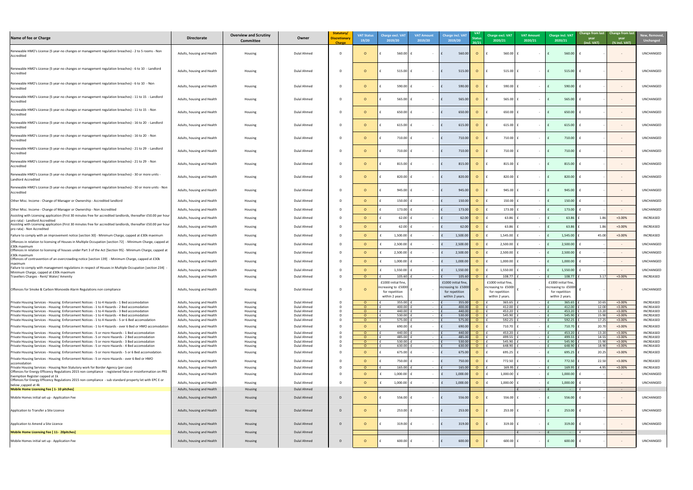| New, Removed,<br><b>Unchanged</b>    |
|--------------------------------------|
| UNCHANGED                            |
| UNCHANGED                            |
| UNCHANGED                            |
| UNCHANGED                            |
| UNCHANGED                            |
| UNCHANGED                            |
| UNCHANGED                            |
| UNCHANGED                            |
| UNCHANGED                            |
| UNCHANGED                            |
| UNCHANGED                            |
| <b>UNCHANGED</b>                     |
| UNCHANGED                            |
| INCREASED                            |
| <b>INCREASED</b>                     |
| <b>INCREASED</b>                     |
| UNCHANGED                            |
| UNCHANGED                            |
| UNCHANGED                            |
| UNCHANGED                            |
| <b>INCREASED</b>                     |
| UNCHANGED                            |
| INCREASED<br>INCREASED               |
| INCREASED<br><b>INCREASED</b>        |
| <b>INCREASED</b>                     |
| <b>INCREASED</b><br>INCREASED        |
| INCREASED<br>INCREASED               |
| INCREASED                            |
| <b>INCREASED</b>                     |
| <b>INCREASED</b><br><b>INCREASED</b> |
| UNCHANGED                            |
| UNCHANGED                            |
|                                      |
| UNCHANGED                            |
| UNCHANGED                            |
|                                      |
| UNCHANGED                            |
|                                      |
|                                      |

| Name of fee or Charge                                                                                                                                                                              | <b>Directorate</b>                                       | <b>Overview and Scrutiny</b><br><b>Committee</b> | Owner                      | Statutory/<br><b>Discretionary</b><br><b>Charge</b> | <b>VAT Status</b><br>19/20 | <b>Charge excl. VAT</b><br>2019/20         | <b>VAT Amount</b><br>2019/20 | <b>Charge incl. VAT</b><br>2019/20         | <b>VAT</b><br><b>Status</b><br>20/21 | <b>Charge excl. VAT</b><br><b>VAT Amount</b><br>2020/21<br>2020/21 | <b>Charge incl. VAT</b><br>2020/21         | year<br>(incl. VAT) | Change from last Change from last<br>year<br>(% incl. VAT) | New, Remove<br><b>Unchanged</b>      |
|----------------------------------------------------------------------------------------------------------------------------------------------------------------------------------------------------|----------------------------------------------------------|--------------------------------------------------|----------------------------|-----------------------------------------------------|----------------------------|--------------------------------------------|------------------------------|--------------------------------------------|--------------------------------------|--------------------------------------------------------------------|--------------------------------------------|---------------------|------------------------------------------------------------|--------------------------------------|
| Renewable HMO's License (5 year-no changes or management regulation breaches) - 2 to 5 rooms - Non<br>Accredited                                                                                   | Adults, housing and Health                               | Housing                                          | Dulal Ahmed                |                                                     | $\Omega$                   | 560.00                                     | $\sim$                       | 560.00                                     | $\Omega$                             | 560.00                                                             | 560.00                                     |                     |                                                            | UNCHANGED                            |
| Renewable HMO's License (5 year-no changes or management regulation breaches) - 6 to 10 - Landlord<br>Accredited                                                                                   | Adults, housing and Health                               | Housing                                          | Dulal Ahmed                |                                                     | $\circ$                    | $515.00$   1                               | $\sim$ $ \sim$               | 515.00                                     | $\Omega$                             | 515.00                                                             | 515.00<br>$\sim$                           |                     | $\sim$                                                     | <b>UNCHANGED</b>                     |
| Renewable HMO's License (5 year-no changes or management regulation breaches) - 6 to 10 - Non<br>Accredited                                                                                        | Adults, housing and Health                               | Housing                                          | Dulal Ahmed                |                                                     | O                          | $590.00$                                   | $\sim$                       | 590.00                                     | $\Omega$                             | 590.00                                                             | 590.00                                     |                     |                                                            | <b>UNCHANGED</b>                     |
| Renewable HMO's License (5 year-no changes or management regulation breaches) - 11 to 15 - Landlord<br>Accredited                                                                                  | Adults, housing and Health                               | Housing                                          | Dulal Ahmed                | D.                                                  | O                          | 565.00                                     | $\sim$                       | 565.00                                     | $\Omega$                             | 565.00                                                             | 565.00                                     |                     |                                                            | <b>UNCHANGED</b>                     |
| Renewable HMO's License (5 year-no changes or management regulation breaches) - 11 to 15 - Non<br>Accredited                                                                                       | Adults, housing and Health                               | Housing                                          | Dulal Ahmed                | D                                                   | $\circ$                    | 650.00                                     | $\sim$                       | 650.00                                     |                                      | 650.00                                                             | 650.00                                     |                     |                                                            | <b>UNCHANGED</b>                     |
| Renewable HMO's License (5 year-no changes or management regulation breaches) - 16 to 20 - Landlord<br>Accredited                                                                                  | Adults, housing and Health                               | Housing                                          | Dulal Ahmed                |                                                     | $\Omega$                   | 615.00                                     | $\sim$                       | 615.00                                     |                                      | 615.00                                                             | 615.00                                     |                     | $\sim$                                                     | <b>UNCHANGED</b>                     |
| Renewable HMO's License (5 year-no changes or management regulation breaches) - 16 to 20 - Non<br>Accredited                                                                                       | Adults, housing and Health                               | Housing                                          | Dulal Ahmed                |                                                     | O                          | 710.00                                     | $\sim$                       | 710.00                                     |                                      | 710.00                                                             | 710.00                                     |                     | $\sim$ $-$                                                 | <b>UNCHANGED</b>                     |
| Renewable HMO's License (5 year-no changes or management regulation breaches) - 21 to 29 - Landlord<br>Accredited                                                                                  | Adults, housing and Health                               | Housing                                          | <b>Dulal Ahmed</b>         |                                                     | O                          | $710.00$ 1                                 | $\sim$ $-$                   | 710.00                                     |                                      | 710.00                                                             | 710.00                                     |                     | $\sim$                                                     | <b>UNCHANGED</b>                     |
| Renewable HMO's License (5 year-no changes or management regulation breaches) - 21 to 29 - Non<br>Accredited                                                                                       | Adults, housing and Health                               | Housing                                          | Dulal Ahmed                |                                                     | $\Omega$                   | $815.00$ f                                 | $\sim$                       | 815.00                                     |                                      | 815.00                                                             | 815.00                                     |                     |                                                            | UNCHANGED                            |
| Renewable HMO's License (5 year-no changes or management regulation breaches) - 30 or more units -<br>Landlord Accredited                                                                          | Adults, housing and Health                               | Housing                                          | <b>Dulal Ahmed</b>         |                                                     | $\Omega$                   | $820.00$ f                                 | $\sim$ $-$                   | 820.00                                     |                                      | 820.00                                                             | 820.00                                     |                     |                                                            | <b>UNCHANGED</b>                     |
| Renewable HMO's License (5 year-no changes or management regulation breaches) - 30 or more units - Non<br>Accredited                                                                               | Adults, housing and Health                               | Housing                                          | Dulal Ahmed                |                                                     | $\Omega$                   | 945.00 $E$                                 |                              | 945.00 $\vert$                             | $\overline{O}$                       | 945.00                                                             | 945.00<br><b>Contract Contract</b>         |                     |                                                            | UNCHANGED                            |
| Other Misc. Income - Change of Manager or Ownership - Accredited landlord                                                                                                                          | Adults, housing and Health                               | Housing                                          | Dulal Ahmed                |                                                     | $\Omega$                   | $150.00$ $E$                               | $\sim$                       | 150.00                                     |                                      | 150.00                                                             | 150.00                                     |                     | $\sim$ $-$                                                 | <b>UNCHANGED</b>                     |
| Other Misc. Income - Change of Manager or Ownership - Non Accredited                                                                                                                               | Adults, housing and Health                               | Housing                                          | <b>Dulal Ahmed</b>         |                                                     | $\Omega$                   | $173.00$ f                                 | $\sim$ $-$                   | 173.00                                     | $\Omega$                             | 173.00                                                             | 173.00<br>$\sim$ $-$                       |                     | $\sim$                                                     | <b>UNCHANGED</b>                     |
| Assisting with Licensing application (First 30 minutes free for accredited landlords, thereafter £50.00 per hou                                                                                    | Adults, housing and Health                               | Housing                                          | <b>Dulal Ahmed</b>         |                                                     | $\Omega$                   | $62.00$ E                                  | $\sim$ $-$                   | 62.00                                      |                                      | 63.86                                                              | 63.86                                      | 1.86                | $+3.00%$                                                   | INCREASED                            |
| pro rata) - Landlord Accredited<br>Assisting with Licensing application (First 30 minutes free for accredited landlords, thereafter £50.00 per hou                                                 | Adults, housing and Health                               | Housing                                          | Dulal Ahmed                | D.                                                  | $\Omega$                   | $62.00$ E                                  | $\sim$ $-$                   | 62.00                                      | $\Omega$                             | 63.86                                                              | 63.86                                      | 1.86                | $+3.00%$                                                   | <b>INCREASED</b>                     |
| pro rata) - Non Accredited<br>Failure to comply with an improvement notice [section 30] - Minimum Charge, capped at £30k maximum                                                                   | Adults, housing and Health                               | Housing                                          | Dulal Ahmed                |                                                     | $\circ$                    | $1,500.00$ f                               | $\sim$ $ \sim$               | 1,500.00                                   | $\circ$                              | 1,545.00                                                           | 1,545.00                                   | 45.00               | $+3.00%$                                                   | <b>INCREASED</b>                     |
| Offences in relation to licensing of Houses in Multiple Occupation [section 72] - Minimum Charge, capped a                                                                                         |                                                          |                                                  |                            |                                                     |                            |                                            |                              |                                            |                                      |                                                                    |                                            |                     |                                                            |                                      |
| £30k maximum<br>Offences in relation to licensing of houses under Part 3 of the Act [Section 95] - Minimum Charge, capped at                                                                       | Adults, housing and Health                               | Housing                                          | Dulal Ahmed                |                                                     | $\Omega$                   | $2,500.00$ f                               | $\sim$ $ \sim$               | 2,500.00                                   | $\Omega$                             | 2,500.00                                                           | 2,500.00<br>$\sim$ $\sim$                  |                     | $\sim$                                                     | UNCHANGED                            |
| £30k maximum<br>Offences of contravention of an overcrowding notice [section 139] - Minimum Charge, capped at £30k                                                                                 | Adults, housing and Health                               | Housing                                          | Dulal Ahmed                |                                                     | $\Omega$                   | $2,500.00$ f                               | $\sim$ $ \sim$               | 2,500.00                                   | $\Omega$                             | 2,500.00                                                           | 2,500.00<br>$\sim$ $\sim$                  |                     | $\sim$ $-$                                                 | <b>UNCHANGED</b>                     |
| maximum                                                                                                                                                                                            | Adults, housing and Health                               | Housing                                          | Dulal Ahmed                |                                                     | $\Omega$                   | $1,000.00$                                 | $\sim$                       | 1,000.00                                   | $\Omega$                             | 1,000.00                                                           | 1,000.00<br>$\sim$ $  \sim$ $ -$           |                     | $\sim$                                                     | <b>UNCHANGED</b>                     |
| Failure to comply with management regulations in respect of Houses in Multiple Occupation [section 234]<br>Minimum Charge, capped at £30k maximum                                                  | Adults, housing and Health                               | Housing                                          | Dulal Ahmed                |                                                     | - 0                        | $1,550.00$ f                               | $\sim$ $ \sim$               | 1,550.00                                   | $\Omega$                             | 1,550.00                                                           | 1,550.00                                   |                     | $\sim$ $-$                                                 | <b>UNCHANGED</b>                     |
| Travellers Charges - Rent/ Water/ Amenity                                                                                                                                                          | Adults, housing and Health                               | Housing                                          | Dulal Ahmed                |                                                     | $\Omega$                   | 105.60                                     | $\sim$                       | 105.60                                     | $\Omega$                             | 108.77<br>$\sim$                                                   | 108.77                                     | 3.17                | +3.00%                                                     | <b>INCREASED</b>                     |
|                                                                                                                                                                                                    |                                                          |                                                  |                            |                                                     |                            | £1000 initial fine,<br>increasing to £5000 |                              | £1000 initial fine,<br>increasing to £5000 |                                      | £1000 initial fine,<br>increasing to £5000                         | £1000 initial fine,<br>increasing to £5000 |                     |                                                            |                                      |
| Offences for Smoke & Carbon Monoxide Alarm Regulations non compliance                                                                                                                              | Adults, housing and Health                               | Housing                                          | <b>Dulal Ahmed</b>         |                                                     | - റ                        | for repetition                             |                              | for repetition                             |                                      | for repetition                                                     | for repetition                             |                     |                                                            | <b>UNCHANGED</b>                     |
| Private Housing Services - Housing Enforcement Notices - 1 to 4 Hazards - 1 Bed accomodation                                                                                                       | Adults, housing and Health                               | Housing                                          | <b>Dulal Ahmed</b>         |                                                     | $\Omega$                   | within 2 years.<br>$355.00$ $\vert$        | $\sim$ $-$                   | within 2 years.<br>355.00                  | $\Omega$                             | within 2 years.<br>365.65                                          | within 2 years.<br>365.65                  | 10.65               | +3.00%                                                     | <b>INCREASED</b>                     |
| Private Housing Services - Housing Enforcement Notices - 1 to 4 Hazards - 2 Bed accomodation                                                                                                       | Adults, housing and Health                               | Housing                                          | <b>Dulal Ahmed</b>         |                                                     | $\Omega$                   | 400.00                                     | $\sim$                       | 400.00                                     |                                      | 412.00                                                             | 412.00                                     | 12.00               | +3.00%                                                     | INCREASED                            |
| Private Housing Services - Housing Enforcement Notices - 1 to 4 Hazards - 3 Bed accomodation                                                                                                       | Adults, housing and Health                               | Housing                                          | <b>Dulal Ahmed</b>         |                                                     | $\Omega$                   | 440.00                                     | $\sim$ $-$                   | 440.00                                     | $\Omega$                             | 453.20                                                             | 453.20<br>$\sim$ $ \sim$                   | 13.20               | +3.00%                                                     | INCREASED                            |
| Private Housing Services - Housing Enforcement Notices - 1 to 4 Hazards - 4 Bed accomodation                                                                                                       | Adults, housing and Health                               | Housing                                          | <b>Dulal Ahmed</b>         |                                                     | $\Omega$<br>$\Omega$       | 530.00                                     | $\sim$ $-$                   | 530.00                                     |                                      | 545.90                                                             | 545.90<br>$\sim$ $ \sim$ $-$               | 15.90               | +3.00%                                                     | INCREASED                            |
| Private Housing Services - Housing Enforcement Notices - 1 to 4 Hazards - 5 or 6 Bed accomodation                                                                                                  | Adults, housing and Health                               | Housing                                          | Dulal Ahmed                |                                                     |                            | 575.00                                     | $\sim 10^{-10}$              | 575.00                                     | $\Omega$                             | 592.25                                                             | 592.25<br>$\sim 10^{-10}$ m $^{-1}$        | 17.25               | +3.00%                                                     | INCREASED                            |
| Private Housing Services - Housing Enforcement Notices - 1 to 4 Hazards - over 6 Bed or HMO accomodation                                                                                           | Adults, housing and Health                               | Housing                                          | <b>Dulal Ahmed</b>         |                                                     | $\Omega$                   | $690.00$ f                                 | $\sim$ $-$                   | 690.00                                     |                                      | 710.70                                                             | 710.70<br>$\sim$ $ \sim$                   | 20.7 <sub>C</sub>   | +3.00%                                                     | <b>INCREASED</b>                     |
| Private Housing Services - Housing Enforcement Notices - 5 or more Hazards - 1 Bed accomodation                                                                                                    | Adults, housing and Health                               | Housing                                          | <b>Dulal Ahmed</b>         |                                                     | $\Omega$                   | 440.00                                     | $\sim 100$                   | 440.00                                     | $\Omega$                             | 453.20                                                             | 453.20<br>$\sim 100$                       | 13.20               | +3.00%                                                     | INCREASED                            |
| Private Housing Services - Housing Enforcement Notices - 5 or more Hazards - 2 Bed accomodation                                                                                                    | Adults, housing and Health                               | Housing                                          | <b>Dulal Ahmed</b>         |                                                     | $\Omega$<br>$\Omega$       | 485.00                                     | $\sim 100$                   | 485.00                                     | $\Omega$<br>$\Omega$                 | 499.55<br>$\sim$ $ \sim$<br>545.90                                 | 499.55                                     | 14.55               | $+3.00%$<br>$+3.00%$                                       | <b>INCREASED</b><br><b>INCREASED</b> |
| Private Housing Services - Housing Enforcement Notices - 5 or more Hazards - 3 Bed accomodation<br>Private Housing Services - Housing Enforcement Notices - 5 or more Hazards - 4 Bed accomodation | Adults, housing and Health<br>Adults, housing and Health | Housing<br>Housing                               | Dulal Ahmed<br>Dulal Ahmed |                                                     | $\Omega$                   | $530.00$   1<br>$630.00$ $E$               | $\sim$ $-$                   | 530.00<br>630.00                           | - റ                                  | 648.90                                                             | 545.90<br>648.90                           | 15.90<br>18.90      | +3.00%                                                     | <b>INCREASED</b>                     |
| Private Housing Services - Housing Enforcement Notices - 5 or more Hazards - 5 or 6 Bed accomodation                                                                                               | Adults, housing and Health                               | Housing                                          | Dulal Ahmed                |                                                     |                            | $675.00$ £                                 |                              | 675.00                                     | $\Omega$                             | 695.25                                                             | $695.25$ f                                 | 20.25               | $+3.00%$                                                   | <b>INCREASED</b>                     |
| Private Housing Services - Housing Enforcement Notices - 5 or more Hazards - over 6 Bed or HMO                                                                                                     |                                                          |                                                  |                            |                                                     |                            |                                            |                              |                                            |                                      |                                                                    |                                            |                     |                                                            |                                      |
| accomodation                                                                                                                                                                                       | Adults, housing and Health                               | Housing                                          | <b>Dulal Ahmed</b>         |                                                     | $\Omega$                   | $750.00$ £                                 | $\sim$ $-$                   | 750.00                                     | $\Omega$                             | 772.50                                                             | 772.50                                     | 22.50               | $+3.00%$                                                   | <b>INCREASED</b>                     |
| Private Housing Services - Housing Non Statutory work for Border Agency (per case)                                                                                                                 | Adults, housing and Health                               | Housing                                          | Dulal Ahmed                |                                                     | $\Omega$                   | $165.00$ f                                 | $\sim$                       | 165.00                                     | $\overline{O}$                       | 169.95                                                             | 169.95                                     | 4.95                | $+3.00%$                                                   | <b>INCREASED</b>                     |
| Offences for Energy Efficency Regulations 2015 non compliance - registered false or misinformation on PRS<br>Exemption Register capped at 1k                                                       | Adults, housing and Health                               | Housing                                          | Dulal Ahmed                |                                                     | $\Omega$                   | $1,000.00$ £                               | $\sim$                       | 1,000.00                                   |                                      | 1,000.00                                                           | 1,000.00                                   |                     | $\sim$                                                     | UNCHANGED                            |
| Offences for Energy Efficency Regulations 2015 non compliance - sub standard property let with EPC E or                                                                                            | Adults, housing and Health                               | Housing                                          | Dulal Ahmed                |                                                     | $\Omega$                   | $1,000.00$ f                               | $\sim$ $-$                   | 1,000.00                                   | $\Omega$                             | 1,000.00                                                           | 1,000.00                                   |                     | $\sim$ $-$                                                 | <b>UNCHANGED</b>                     |
| below, capped at 4k<br>Mobile Home Licensing Fee [ 1- 10 pitches]                                                                                                                                  | Adults, housing and Health                               | Housing                                          | Dulal Ahmed                |                                                     |                            |                                            |                              |                                            |                                      |                                                                    |                                            |                     |                                                            |                                      |
| Mobile Homes initial set up - Application Fee                                                                                                                                                      | Adults, housing and Health                               | Housing                                          | Dulal Ahmed                |                                                     | $\Omega$                   | $556.00$                                   | $\sim$                       | 556.00                                     |                                      | 556.00                                                             | 556.00                                     |                     | $\sim$                                                     | <b>UNCHANGED</b>                     |
| Application to Transfer a Site Licence                                                                                                                                                             | Adults, housing and Health                               | Housing                                          | <b>Dulal Ahmed</b>         |                                                     | $\Omega$                   | $253.00$ f                                 | $\sim$                       | 253.00                                     | $\Omega$                             | 253.00                                                             | 253.00                                     |                     | $\sim$ $-$                                                 | <b>UNCHANGED</b>                     |
| Application to Amend a Site Licence                                                                                                                                                                | Adults, housing and Health                               | Housing                                          | <b>Dulal Ahmed</b>         |                                                     | $\Omega$                   | $319.00$ f                                 | $\sim$                       | 319.00                                     | $\Omega$                             | 319.00                                                             | 319.00                                     |                     | $\sim$ $-$                                                 | <b>UNCHANGED</b>                     |
| Mobile Home Licensing Fee [ 11- 20pitches]                                                                                                                                                         | Adults, housing and Health                               | Housing                                          | Dulal Ahmed                |                                                     |                            |                                            |                              |                                            |                                      |                                                                    |                                            |                     |                                                            |                                      |
| Mobile Homes initial set up - Application Fee                                                                                                                                                      | Adults, housing and Health                               | Housing                                          | <b>Dulal Ahmed</b>         |                                                     |                            | 600.00                                     | $\sim$ $ \sim$               | 600.00                                     | $\Omega$                             | 600.00                                                             | 600.00                                     |                     | $\sim$                                                     | UNCHANGED                            |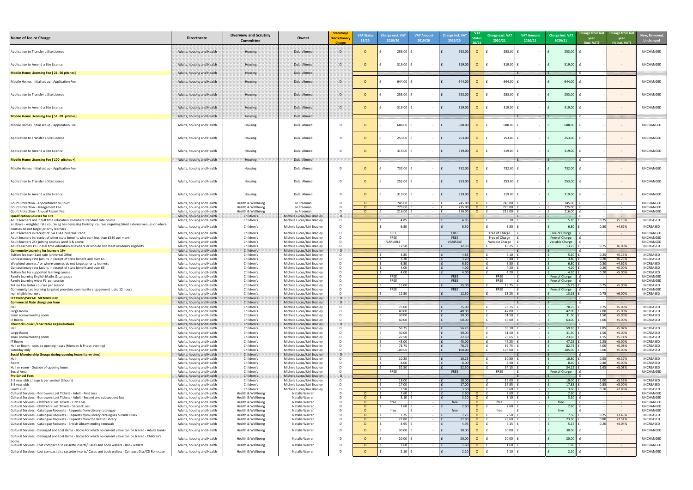| New, Removed,<br>Unchanged           |
|--------------------------------------|
| UNCHANGED                            |
| UNCHANGED                            |
|                                      |
| UNCHANGED                            |
| UNCHANGED                            |
| UNCHANGED                            |
| UNCHANGED                            |
|                                      |
| UNCHANGED                            |
| UNCHANGED                            |
|                                      |
| UNCHANGED                            |
| UNCHANGED                            |
| UNCHANGED                            |
| UNCHANGED<br>UNCHANGED               |
| UNCHANGED<br>INCREASED               |
| INCREASED                            |
| UNCHANGED<br>UNCHANGED               |
| UNCHANGED<br><b>INCREASED</b>        |
| INCREASED<br>INCREASED               |
| <b>INCREASED</b><br><b>INCREASED</b> |
| <b>INCREASED</b><br>UNCHANGED        |
| UNCHANGED<br>INCREASED               |
| UNCHANGED                            |
| INCREASED                            |
| INCREASED                            |
| INCREASED<br>INCREASED               |
| INCREASED<br>INCREASED               |
| INCREASED<br>INCREASED               |
| INCREASED<br>INCREASED               |
| INCREASED                            |
| INCREASED<br>INCREASED               |
| INCREASED<br>UNCHANGED               |
| INCREASED                            |
| <b>INCREASED</b><br>INCREASED        |
| UNCHANGED<br>UNCHANGED               |
| UNCHANGED<br>UNCHANGED               |
| UNCHANGED<br><b>INCREASED</b>        |
| INCREASED<br>INCREASED               |
| UNCHANGED                            |
| UNCHANGED                            |
| UNCHANGED                            |
| UNCHANGED                            |

| Name of fee or Charge                                                                                                                                               | <b>Directorate</b>                                       | <b>Overview and Scrutiny</b><br><b>Committee</b> | Owner                                                    | Statutory/<br><b>Discretionary</b><br><b>Charge</b> | <b>VAT Status</b><br>19/20 | <b>Charge excl. VA1</b><br>2019/20 | <b>VAT Amount</b><br>2019/20 | <b>Charge incl. VAT</b><br>2019/20 | <b>VAT</b><br>20/21 | Charge excl. VAT<br>2020/21 | <b>VAT Amount</b><br>2020/21 | <b>Charge incl. VAT</b><br>2020/21 | Change from last Change from last<br>year<br>year<br>(incl. VAT)<br>(% incl. VAT) | <b>New, Remove</b><br><b>Unchanged</b> |
|---------------------------------------------------------------------------------------------------------------------------------------------------------------------|----------------------------------------------------------|--------------------------------------------------|----------------------------------------------------------|-----------------------------------------------------|----------------------------|------------------------------------|------------------------------|------------------------------------|---------------------|-----------------------------|------------------------------|------------------------------------|-----------------------------------------------------------------------------------|----------------------------------------|
| Application to Transfer a Site Licence                                                                                                                              | Adults, housing and Health                               | Housing                                          | Dulal Ahmed                                              | $\Gamma$                                            |                            | 253.00                             |                              | 253.00                             | $\circ$             | 253.00                      |                              | 253.00                             | $\sim$                                                                            | UNCHANGED                              |
| Application to Amend a Site Licence                                                                                                                                 | Adults, housing and Health                               | Housing                                          | Dulal Ahmed                                              | $\mathbf{D}$                                        |                            | $319.00$ f                         |                              | 319.00                             | $\Omega$            | 319.00                      |                              | 319.00                             | $\sim$ $ \sim$                                                                    | <b>UNCHANGED</b>                       |
| Mobile Home Licensing Fee [ 21- 50 pitches]                                                                                                                         | Adults, housing and Health                               | Housing                                          | Dulal Ahmed                                              |                                                     |                            |                                    |                              |                                    |                     |                             |                              |                                    |                                                                                   |                                        |
| Mobile Homes initial set up - Application Fee                                                                                                                       | Adults, housing and Health                               | Housing                                          | Dulal Ahmed                                              | D                                                   |                            | 644.00                             |                              | 644.00                             | $\circ$             | 644.00                      |                              | 644.00                             | $\sim$                                                                            | UNCHANGED                              |
| Application to Transfer a Site Licence                                                                                                                              | Adults, housing and Health                               | Housing                                          | <b>Dulal Ahmed</b>                                       | D                                                   |                            | 253.00                             |                              | 253.00                             | $\Omega$            | 253.00                      |                              | 253.00                             | $\sim$                                                                            | <b>UNCHANGED</b>                       |
| Application to Amend a Site Licence                                                                                                                                 | Adults, housing and Health                               | Housing                                          | Dulal Ahmed                                              | $\Gamma$                                            |                            | 319.00                             |                              | 319.00                             | $\circ$             | 319.00                      |                              | 319.00                             | $\sim$                                                                            | <b>UNCHANGED</b>                       |
| Mobile Home Licensing Fee [ 51 -99 pitches]                                                                                                                         | Adults, housing and Health                               | Housing                                          | Dulal Ahmed                                              |                                                     |                            |                                    |                              |                                    |                     |                             |                              |                                    |                                                                                   |                                        |
| Mobile Homes initial set up - Application Fee                                                                                                                       | Adults, housing and Health                               | Housing                                          | Dulal Ahmed                                              | - D                                                 |                            | 688.00                             |                              | 688.00                             | $\circ$             | 688.00                      |                              | 688.00                             | $\sim$                                                                            | UNCHANGED                              |
| Application to Transfer a Site Licence                                                                                                                              | Adults, housing and Health                               | Housing                                          | Dulal Ahmed                                              | D                                                   |                            | 253.00                             |                              | 253.00                             | $\circ$             | 253.00                      |                              | 253.00                             | $\sim$                                                                            | UNCHANGED                              |
| Application to Amend a Site Licence                                                                                                                                 | Adults, housing and Health                               | Housing                                          | Dulal Ahmed                                              | D.                                                  |                            | 319.00                             | $\sim$                       | 319.00                             | $\circ$             | 319.00                      |                              | 319.00                             | $\sim$ $-$                                                                        | UNCHANGED                              |
| Mobile Home Licensing Fee [ 100 pitches +]                                                                                                                          | Adults, housing and Health                               | Housing                                          | Dulal Ahmed                                              |                                                     |                            |                                    |                              |                                    |                     |                             |                              |                                    |                                                                                   |                                        |
| Mobile Homes initial set up - Application Fee                                                                                                                       | Adults, housing and Health                               | Housing                                          | Dulal Ahmed                                              | D                                                   |                            | 732.00                             |                              | 732.00                             | $\circ$             | 732.00                      |                              | 732.00                             | $\sim$ $ \sim$                                                                    | UNCHANGED                              |
| Application to Transfer a Site Licence                                                                                                                              | Adults, housing and Health                               | Housing                                          | Dulal Ahmed                                              | D                                                   |                            | $253.00$ $\vert$ :                 |                              | 253.00                             | $\circ$             | 253.00                      |                              | 253.00                             | $\sim$ $ \sim$                                                                    | UNCHANGED                              |
| Application to Amend a Site Licence                                                                                                                                 | Adults, housing and Health                               | Housing                                          | <b>Dulal Ahmed</b>                                       | D.                                                  |                            | $319.00$ f                         |                              | 319.00                             | $\overline{O}$      | $319.00$ 1                  |                              | 319.00                             |                                                                                   | UNCHANGED                              |
| Court Protection - Appointment to Court<br>Court Protection - Mangement Fee                                                                                         | Adults, housing and Health<br>Adults, housing and Health | Health & Wellbeing<br>Health & Wellbeing         | Jo Freeman<br>Jo Freeman                                 | $\mathsf{D}$                                        |                            | 745.00  <br>775.00                 |                              | 745.00<br>775.00                   | $\circ$<br>$\circ$  | 745.00<br>775.00            |                              | 745.00<br>775.00                   | $\sim$ $ \sim$<br>$\sim 10^{-10}$                                                 | UNCHANGED<br>UNCHANGED                 |
| Court Protection - Anuual Report Fee                                                                                                                                | Adults, housing and Health                               | Health & Wellbeing                               | Jo Freeman                                               |                                                     |                            | 216.00                             |                              | 216.00                             | $\overline{O}$      | 216.00                      |                              | 216.00                             | $\sim 10^{-10}$                                                                   | <b>UNCHANGED</b>                       |
| Qualification Courses for 19+<br>Adult learners not in full time education elsewhere standard rate course                                                           | Adults, housing and Health<br>Adults, housing and Health | Children's<br>Children's                         | Michele Lucus/Jaki Bradley<br>Michele Lucus/Jaki Bradley | $\mathbf{D}$<br>D.                                  |                            | 4.85                               |                              | 4.85                               |                     | 5.10                        |                              | $5.10$                             | 0.25<br>$+5.15%$                                                                  | <b>INCREASED</b>                       |
| as above - weighted rate course eg hairderessing floristry, courses requiring hired external venues or where                                                        | Adults, housing and Health                               | Children's                                       | Michele Lucus/Jaki Bradley                               |                                                     |                            | 6.50                               |                              | 6.50                               |                     | 6.80                        |                              | 6.80                               | $+4.62%$                                                                          | <b>INCREASED</b>                       |
| courses do not target priority learners<br>Adult learners in receipt of JSA ESA Universal Credit                                                                    | Adults, housing and Health                               | Children's                                       | Michele Lucus/Jaki Bradley                               |                                                     |                            | FREE                               |                              | FREE                               |                     | Free of Charge              |                              | Free of Charge                     | $\sim$ $ \sim$                                                                    | UNCHANGED                              |
| Adult leraners in receipt of other state benefits who earn less than £330 per month                                                                                 | Adults, housing and Health                               | Children's                                       | Michele Lucus/Jaki Bradley                               |                                                     |                            | FREE                               |                              | <b>FREE</b>                        |                     | Free of Charge              |                              | Free of Charge                     | $\sim$ $ \sim$                                                                    | UNCHANGED                              |
| Adult learners 24+ joining courses Level 3 & above<br>Adult Learners 19+ in full time education elsewhere or who do not meet residency eligibility                  | Adults, housing and Health<br>Adults, housing and Health | Children's<br>Children's                         | Michele Lucus/Jaki Bradley<br>Michele Lucus/Jaki Bradley |                                                     |                            | VARIABLE<br>12.50                  |                              | VARIABLE<br>12.50                  |                     | Variable Charge<br>13.25    |                              | Variable Charge<br>13.25           | $\sim$ $ \sim$<br>$+6.00%$<br>0.75                                                | UNCHANGED<br><b>INCREASED</b>          |
| Community Learning for learners 19+                                                                                                                                 | Adults, housing and Health                               | Children's                                       | Michele Lucus/Jaki Bradley                               | m.                                                  |                            |                                    |                              |                                    |                     |                             |                              |                                    |                                                                                   |                                        |
| Tuition fee statndard rate (universal Offer)<br>Concessionary rate (adults in receipt of state benefit and over 65                                                  | Adults, housing and Health<br>Adults, housing and Health | Children's<br>Children's                         | Michele Lucus/Jaki Bradley<br>Michele Lucus/Jaki Bradley |                                                     |                            | 4.85<br>3.20                       |                              | 4.85<br>3.20                       |                     | 5.10<br>3.40                |                              | 5.10<br>3.40                       | $+5.15%$<br>0.25<br>$+6.25%$<br>0.20                                              | INCREASED<br><b>INCREASED</b>          |
| Weighted courses / or where courses do not target priority learners                                                                                                 | Adults, housing and Health                               | Children's                                       | Michele Lucus/Jaki Bradley                               |                                                     |                            | 6.50                               |                              | 6.50                               |                     | 6.80                        |                              | 6.80                               | $+4.62%$<br>0.30                                                                  | INCREASED                              |
| Concessionary rate (adults in receipt of state benefit and over 65<br>Tuition fee for supported learning course                                                     | Adults, housing and Health<br>Adults, housing and Health | Children's<br>Children's                         | Michele Lucus/Jaki Bradley<br>Michele Lucus/Jaki Bradley |                                                     |                            | 4.00<br>4.00                       |                              | 4.00<br>4.00                       |                     | 4.20<br>4.20                |                              | 4.20<br>4.20                       | +5.00%<br>0.20<br>+5.00%<br>0.20                                                  | INCREASED<br><b>INCREASED</b>          |
| Family Learning English Maths & Language                                                                                                                            | Adults, housing and Health                               | Children's                                       | Michele Lucus/Jaki Bradley                               |                                                     |                            | <b>FREE</b>                        |                              | FREE                               |                     | <b>FREE</b>                 |                              | Free of Charge                     | $\sim$ $ \sim$                                                                    | UNCHANGED                              |
| Family Learning wider FL per session<br>Tution Fee taster courses per session                                                                                       | Adults, housing and Health<br>Adults, housing and Health | Children's<br>Children's                         | Michele Lucus/Jaki Bradley<br>Michele Lucus/Jaki Bradley |                                                     |                            | FREE<br>15.00                      |                              | <b>FREE</b><br>15.00               |                     | <b>FREE</b><br>15.75        |                              | Free of Charge<br>15.75            | $\sim 100$<br>+5.00%<br>0.75                                                      | UNCHANGED<br><b>INCREASED</b>          |
| Community Led learning targeted provsion, community engagement upto 12 hours                                                                                        | Adults, housing and Health                               | Children's                                       | Michele Lucus/Jaki Bradley                               |                                                     |                            | <b>FREE</b>                        |                              | <b>FREE</b>                        |                     | <b>FREE</b>                 |                              | Free of Charge                     | $\sim 100$                                                                        | UNCHANGED                              |
| non eligible learners<br>LETTINGS/SOCIAL MEMBERSHIP                                                                                                                 | Adults, housing and Health<br>Adults, housing and Health | Children's<br>Children's                         | Michele Lucus/Jaki Bradley<br>Michele Lucus/Jaki Bradley |                                                     |                            | 12.50                              |                              | 12.50                              |                     | 13.25                       |                              | 13.25                              | $+6.00%$<br>0.75                                                                  | <b>INCREASED</b>                       |
| Commercial Rate charge per hour                                                                                                                                     | Adults, housing and Health                               | Children's                                       | Michele Lucus/Jaki Bradley                               |                                                     |                            |                                    |                              |                                    |                     |                             |                              |                                    |                                                                                   |                                        |
| Hall                                                                                                                                                                | Adults, housing and Health<br>Adults, housing and Health | Children's<br>Children's                         | Michele Lucus/Jaki Bradley<br>Michele Lucus/Jaki Bradley |                                                     |                            | 75.00<br>40.00                     |                              | 75.00<br>40.00                     |                     | 78.75<br>42.00              |                              | 78.75<br>42.00                     | $+5.00%$<br>3.75<br>2.00<br>+5.00%                                                | <b>INCREASED</b><br><b>INCREASED</b>   |
| Large Room<br>small room/meeting room                                                                                                                               | Adults, housing and Health                               | Children's                                       | Michele Lucus/Jaki Bradley                               |                                                     |                            | 30.00                              |                              | 30.00                              |                     | 31.50                       |                              | 31.50                              | +5.00%<br>1.50                                                                    | <b>INCREASED</b>                       |
| IT Room<br><b>Thurrock Council/Charitable Organisiations</b>                                                                                                        | Adults, housing and Health<br>Adults, housing and Health | Children's<br>Children's                         | Michele Lucus/Jaki Bradley<br>Michele Lucus/Jaki Bradley | $\Gamma$                                            |                            | 60.00                              |                              | 60.00                              |                     | 63.00                       |                              | 63.00                              | +5.00%<br>3.00                                                                    | <b>INCREASED</b>                       |
| Hall                                                                                                                                                                | Adults, housing and Health                               | Children's                                       | Michele Lucus/Jaki Bradley                               |                                                     |                            | 56.25                              |                              | 56.25                              |                     | 59.10                       |                              | 59.10                              | +5.07%<br>2.85                                                                    | <b>INCREASED</b>                       |
| Large Room<br>small room/meeting room                                                                                                                               | Adults, housing and Health<br>Adults, housing and Health | Children's<br>Children's                         | Michele Lucus/Jaki Bradley<br>Michele Lucus/Jaki Bradley |                                                     |                            | 30.00<br>22.50                     |                              | 30.00<br>22.50                     |                     | 31.50<br>23.65              |                              | 31.50<br>23.65                     | 1.50<br>+5.00%<br>1.15<br>$+5.11%$                                                | <b>INCREASED</b><br><b>INCREASED</b>   |
| IT Room                                                                                                                                                             | Adults, housing and Health                               | Children's                                       | Michele Lucus/Jaki Bradley                               |                                                     |                            | 45.00                              |                              | 45.00                              |                     | 47.25                       |                              | 47.25                              | 2.25<br>+5.00%                                                                    | <b>INCREASED</b>                       |
| Hall or Room - outside opening hours (Monday & Friday evening)<br>Saturday only                                                                                     | Adults, housing and Health<br>Adults, housing and Health | Children's<br>Children's                         | Michele Lucus/Jaki Bradley<br>Michele Lucus/Jaki Bradley |                                                     |                            | 78.75<br>100.00                    |                              | 78.75<br>100.00                    |                     | 82.75<br>105.00             |                              | 82.75<br>105.00                    | 4.00<br>+5.08%<br>5.00<br>$+5.00%$                                                | <b>INCREASED</b><br><b>INCREASED</b>   |
| Social Membership Groups during opening hours (term time).                                                                                                          | Adults, housing and Health                               | Children's                                       | Michele Lucus/Jaki Bradley                               |                                                     |                            |                                    |                              |                                    |                     |                             |                              |                                    |                                                                                   |                                        |
| Room                                                                                                                                                                | Adults, housing and Health<br>Adults, housing and Health | Children's<br>Children's                         | Michele Lucus/Jaki Bradley<br>Michele Lucus/Jaki Bradley |                                                     |                            | 10.25<br>8.00                      |                              | 10.25<br>8.00                      |                     | 10.80<br>8.40               |                              | 10.80<br>8.40                      | 0.55<br>+5.37%<br>+5.00%<br>0.40                                                  | INCREASED<br><b>INCREASED</b>          |
| Hall or room - Outside of opening hours                                                                                                                             | Adults, housing and Health                               | Children's                                       | Michele Lucus/Jaki Bradley                               |                                                     |                            | 32.50                              |                              | 32.50                              |                     | 34.15                       |                              | 34.15                              | +5.08%<br>1.65                                                                    | INCREASED                              |
| Social Area<br><b>Pre School Fees</b>                                                                                                                               | Adults, housing and Health<br>Adults, housing and Health | Children's<br>Children's                         | Michele Lucus/Jaki Bradley<br>Michele Lucus/Jaki Bradley | D.                                                  |                            | FREE                               |                              | FREE                               |                     | FREE                        |                              | Free of Charge                     | $\sim$ $ \sim$                                                                    | UNCHANGED                              |
| 2-3 year olds charge is per session (3hours)                                                                                                                        | Adults, housing and Health                               | Children's                                       | Michele Lucus/Jaki Bradley                               |                                                     |                            | 18.00                              |                              | 18.00                              |                     | 19.00                       |                              | 19.00                              | 1.00<br>+5.56%                                                                    | INCREASED                              |
| 3-5 year olds<br>Lunch club                                                                                                                                         | Adults, housing and Health<br>Adults, housing and Health | Children's<br>Children's                         | Michele Lucus/Jaki Bradley<br>Michele Lucus/Jaki Bradley |                                                     |                            | 17.00<br>3.50                      |                              | 17.00<br>3.50                      |                     | 17.85<br>3.60               |                              | 17.85<br>3.60                      | 0.85<br>+5.00%<br>0.10<br>$+2.86%$                                                | INCREASED<br>INCREASED                 |
| Cultural Services - Borrowers Lost Tickets - Adult - First Loss                                                                                                     | Adults, housing and Health                               | Health & Wellbeing                               | Natalie Warren                                           |                                                     |                            | 2.60                               |                              | 2.60                               |                     | 2.60                        |                              | 2.60                               | $\sim 100$                                                                        | UNCHANGED                              |
| Cultural Services - Borrowers Lost Tickets - Adult - Second and subsequent loss<br>Cultural Services - Children's Lost Tickets - First Loss                         | Adults, housing and Health<br>Adults, housing and Health | Health & Wellbeing<br>Health & Wellbeing         | Natalie Warren<br>Natalie Warren                         |                                                     |                            | 3.10<br>free                       |                              | 3.10<br>free                       |                     | 3.10<br>free                |                              | 3.10<br>free                       | $\sim$ $ \sim$<br>$\sim$ $ \sim$                                                  | UNCHANGED<br>UNCHANGED                 |
| Cultural Services - Children's Lost Tickets - Second Loss                                                                                                           | Adults, housing and Health                               | Health & Wellbeing                               | Natalie Warren                                           |                                                     |                            | 2.60                               | $\sim$ $-$                   | 2.60                               | - റ                 | 2.60                        |                              | 2.60                               | $\sim$ $ \sim$                                                                    | UNCHANGED                              |
| Cultural Services - Catalogue Requests - Requests from Library catalogue<br>Cultural Services - Catalogue Requests - Requests from Library catalogues outside Essex | Adults, housing and Health<br>Adults, housing and Health | Health & Wellbeing<br>Health & Wellbeing         | Natalie Warren<br>Natalie Warren                         |                                                     |                            | free<br>7.25                       |                              | free<br>7.25                       | $\Omega$            | free<br>7.50                |                              | free<br>7.50                       | $\sim$ $ \sim$<br>0.25<br>$+3.45%$                                                | UNCHANGED<br>INCREASED                 |
| Cultural Services - Catalogue Requests - Requests from the British Library                                                                                          | Adults, housing and Health                               | Health & Wellbeing                               | Natalie Warren                                           |                                                     |                            | 22.80                              |                              | 22.80                              | - റ                 | 23.60                       |                              | 23.60                              | $+3.51%$<br>0.80                                                                  | INCREASED                              |
| Cultural Services - Catalogue Requests - British Library lending renewals                                                                                           | Adults, housing and Health                               | Health & Wellbeing                               | Natalie Warren                                           | D.                                                  | $\Omega$                   | 4.95                               | $\sim$ $ \sim$               | 4.95                               | $\overline{O}$      | 5.15                        |                              | 5.15                               | $+4.04%$<br>0.20                                                                  | INCREASED                              |
| Cultural Services - Damaged and Lost items - Books for which no current value can be traced - Adults books                                                          | Adults, housing and Health                               | Health & Wellbeing                               | Natalie Warren                                           | D.                                                  |                            | 30.00                              |                              | 30.00                              | <b>O</b>            | 30.00                       |                              | 30.00                              | $\sim$                                                                            | <b>UNCHANGED</b>                       |
| Cultural Services - Damaged and Lost items - Books for which no current value can be traced - Children's                                                            | Adults, housing and Health                               | Health & Wellbeing                               | Natalie Warren                                           | D.                                                  |                            | $20.00$ f                          | $\sim$ $-$                   | 20.00                              | $\circ$             | $20.00$ 1                   |                              | 20.00                              | $\sim$ $ \sim$                                                                    | <b>UNCHANGED</b>                       |
| Cultural Services - Lost compact disc cassette inserts/ Cases and book wallets - Book wallets                                                                       | Adults, housing and Health                               | Health & Wellbeing                               | Natalie Warren                                           |                                                     | $\Omega$                   | 1.60                               |                              | 1.60                               | $\overline{O}$      | 1.60                        |                              | 1.60                               | $\sim 100$ m $^{-1}$                                                              | UNCHANGED                              |
| Cultural Services - Lost compact disc cassette inserts/ Cases and book wallets - Compact Disc/CD Rom case                                                           | Adults, housing and Health                               | Health & Wellbeing                               | Natalie Warren                                           |                                                     |                            | 2.10                               |                              | 2.10                               | $\overline{O}$      | 2.10                        |                              | 2.10                               | $\sim$ $ \sim$                                                                    | UNCHANGED                              |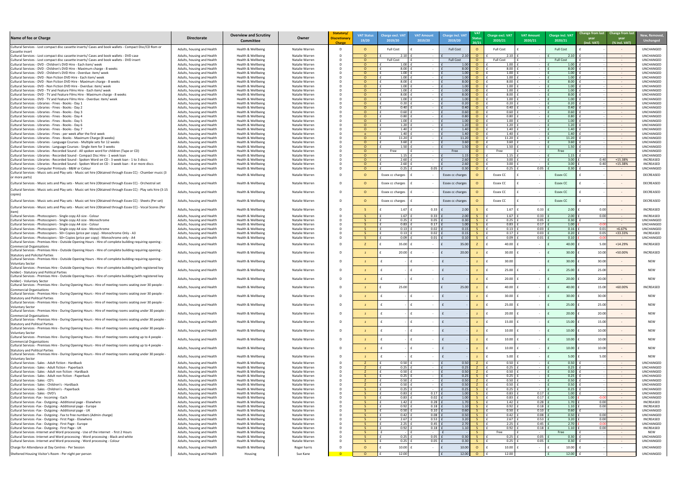| Name of fee or Charge                                                                                                                                                                                 | <b>Directorate</b>                                       | <b>Overview and Scrutiny</b><br><b>Committee</b> | Owner                            | Statutory/<br><b>Discretionary</b><br>Charge | <b>VAT Status</b><br>19/20 | <b>Charge excl. VAT</b><br>2019/20 | <b>VAT Amount</b><br>2019/20           | <b>Charge incl. VAT</b><br>2019/20 | 20/21     | Charge excl. VAT<br>2020/21 | <b>VAT Amount</b><br>2020/21 | Charge incl. VAT<br>2020/21 | Change from last Change from last<br>year<br>(incl. VAT) | year<br>(% incl. VAT)                                | <b>New, Remove</b><br><b>Unchanged</b> |
|-------------------------------------------------------------------------------------------------------------------------------------------------------------------------------------------------------|----------------------------------------------------------|--------------------------------------------------|----------------------------------|----------------------------------------------|----------------------------|------------------------------------|----------------------------------------|------------------------------------|-----------|-----------------------------|------------------------------|-----------------------------|----------------------------------------------------------|------------------------------------------------------|----------------------------------------|
| Cultural Services - Lost compact disc cassette inserts/ Cases and book wallets - Compact Disc/CD Rom or                                                                                               | Adults, housing and Health                               | Health & Wellbeing                               | Natalie Warren                   |                                              |                            | <b>Full Cost</b>                   | $\sim$                                 | <b>Full Cost</b>                   |           | <b>Full Cost</b>            |                              | <b>Full Cost</b>            |                                                          |                                                      | <b>UNCHANGED</b>                       |
| Cassette insert<br>Cultural Services - Lost compact disc cassette inserts/ Cases and book wallets - DVD case                                                                                          | Adults, housing and Health                               | Health & Wellbeing                               | Natalie Warren                   |                                              | $\cap$                     | 2.10                               | $\sim 100$ m $^{-1}$                   | 2.10                               | <u>_റ</u> | 2.10                        | $\sim 100$ m $^{-1}$         |                             |                                                          | $\sim 10^{-10}$                                      | UNCHANGED                              |
| Cultural Services - Lost compact disc cassette inserts/ Cases and book wallets - DVD insert                                                                                                           | Adults, housing and Health                               | Health & Wellbeing                               | Natalie Warren                   |                                              | _റ_                        | <b>Full Cost</b>                   | $\sim$ $ \sim$                         | <b>Full Cost</b>                   |           | <b>Full Cost</b>            |                              | <b>Full Cost</b>            |                                                          | <b>Contract Contract</b>                             | <b>UNCHANGED</b>                       |
| Cultural Services - DVD - Children's DVD Hire - Each item/ week<br>Cultural Services - DVD - Children's DVD Hire - Maximum charge - 8 weeks                                                           | Adults, housing and Health<br>Adults, housing and Health | Health & Wellbeing<br>Health & Wellbeing         | Natalie Warren<br>Natalie Warren |                                              | റ<br>- റ                   | 1.00<br>8.00                       | $\sim 100$<br>$\sim$ $ \sim$           | 1.00<br>8.00                       |           | 1.00<br>8.00                |                              | 1.00<br>8.00                |                                                          | $\sim 100$<br>$\sim 10^{-10}$                        | <b>UNCHANGED</b><br><b>UNCHANGED</b>   |
| Cultural Services - DVD - Children's DVD Hire - Overdue: item/ week                                                                                                                                   | Adults, housing and Health                               | Health & Wellbeing                               | Natalie Warren                   |                                              | - റ                        | 1.00                               | $\sim$ $-$                             | 1.00                               |           | 1.00                        |                              | 1.00                        |                                                          | $\sim 100$                                           | <b>UNCHANGED</b>                       |
| Cultural Services - DVD - Non Fiction DVD Hire - Each item/ week<br>Cultural Services - DVD - Non Fiction DVD Hire - Maximum charge - 8 weeks                                                         | Adults, housing and Health<br>Adults, housing and Health | Health & Wellbeing<br>Health & Wellbeing         | Natalie Warren<br>Natalie Warren |                                              | - റ<br>- റ                 | 1.00<br>8.00                       | $\sim$                                 | 1.00<br>8.00                       |           | 1.00<br>8.00                |                              | 1.00<br>8.00                |                                                          | $\sim$ $ \sim$<br>$\sim 100$                         | <b>UNCHANGED</b><br><b>UNCHANGED</b>   |
| Cultural Services - DVD - Non Fiction DVD Hire - Overdue: item/ week                                                                                                                                  | Adults, housing and Health                               | Health & Wellbeing                               | Natalie Warren                   |                                              | ം                          | 1.00                               | $\sim$                                 | 1.00                               |           | 1.00                        |                              | 1.00                        |                                                          | $\sim 100$                                           | <b>UNCHANGED</b>                       |
| Cultural Services - DVD - TV and Feature Films Hire - Each item/ week<br>Cultural Services - DVD - TV and Feature Films Hire - Maximum charge - 8 weeks                                               | Adults, housing and Health<br>Adults, housing and Health | Health & Wellbeing<br>Health & Wellbeing         | Natalie Warren<br>Natalie Warren |                                              | <u>ി</u><br>റ              | 1.00<br>8.00                       | $\sim$<br>$\sim$ $-$                   | 1.00<br>8.00                       |           | 1.00<br>8.00                |                              | 1.00<br>8.00                |                                                          | $\sim$ $ \sim$<br>$\sim$ $ \sim$                     | <b>UNCHANGED</b><br><b>UNCHANGED</b>   |
| Cultural Services - DVD - TV and Feature Films Hire - Overdue: item/ week                                                                                                                             | Adults, housing and Health                               | Health & Wellbeing                               | Natalie Warren                   |                                              |                            | 1.00                               | $\sim$ $-$                             | 1.00                               |           | 1.00                        | $\sim$ $-$                   | 1.00                        |                                                          | $\sim 100$                                           | <b>UNCHANGED</b>                       |
| Cultural Services - Libraries - Fines - Books - Day 1<br>Cultural Services - Libraries - Fines - Books - Day 2                                                                                        | Adults, housing and Health<br>Adults, housing and Health | Health & Wellbeing<br>Health & Wellbeing         | Natalie Warren<br>Natalie Warren |                                              | റ                          | 0.20<br>0.40                       | $\sim 100$ m $^{-1}$<br>$\sim$ $-$     | 0.20<br>0.40                       |           | 0.20<br>0.40                | $\sim$                       | 0.20<br>0.40                |                                                          | $\sim 100$<br>$\sim$ $ \sim$                         | <b>UNCHANGED</b><br><b>UNCHANGED</b>   |
| Cultural Services - Libraries - Fines - Books - Day 3                                                                                                                                                 | Adults, housing and Health                               | Health & Wellbeing                               | Natalie Warren                   |                                              |                            | 0.60                               | $\sim$ $-$                             | 0.60                               |           | 0.60                        | $\sim$ $-$                   | 0.60                        |                                                          | $\sim 100$                                           | <b>UNCHANGED</b>                       |
| Cultural Services - Libraries - Fines - Books - Day 4<br>Cultural Services - Libraries - Fines - Books - Day 5                                                                                        | Adults, housing and Health<br>Adults, housing and Health | Health & Wellbeing<br>Health & Wellbeing         | Natalie Warren<br>Natalie Warren |                                              |                            | 0.80<br>1.00                       | $\sim 100$ m $^{-1}$<br>$\sim$ $ \sim$ | 0.80<br>1.00                       |           | 0.80<br>1.00                | $\sim$ $-$<br>$\sim$ $-$     | 0.80<br>1.00                |                                                          | $\sim 100$ m $^{-1}$<br><b>Contract Contract</b>     | <b>UNCHANGED</b><br><b>UNCHANGED</b>   |
| Cultural Services - Libraries - Fines - Books - Day 6                                                                                                                                                 | Adults, housing and Health                               | Health & Wellbeing                               | Natalie Warren                   |                                              | റ                          | 1.20                               | $\sim$ $ \sim$                         | 1.20                               |           | 1.20                        |                              | 1.20                        |                                                          | $\sim 100$                                           | <b>UNCHANGED</b>                       |
| Cultural Services - Libraries - Fines - Books - Day 7<br>Cultural Services - Libraries - Fines - per week after the first week                                                                        | Adults, housing and Health<br>Adults, housing and Health | Health & Wellbeing<br>Health & Wellbeing         | Natalie Warren<br>Natalie Warren |                                              | $\cap$<br>- 0              | 1.40<br>1.40                       | $\sim 100$<br>$\sim$                   | 1.40<br>1.40                       |           | 1.40<br>1.40                |                              | 1.40<br>1.40                |                                                          | $\sim 100$<br>$\sim 100$                             | <b>UNCHANGED</b><br><b>UNCHANGED</b>   |
| Cultural Services - Libraries - Fines - Books - Maximum Charge (8 weeks)                                                                                                                              | Adults, housing and Health                               | Health & Wellbeing                               | Natalie Warren                   |                                              |                            | 11.20                              | $\sim$ $-$                             | 11.20                              |           | 11.20                       |                              | 11.20                       |                                                          | $\sim 10^{-10}$                                      | <b>UNCHANGED</b>                       |
| Cultural Services - Libraries - Language Courses - Multiple sets for 12 weeks                                                                                                                         | Adults, housing and Health                               | Health & Wellbeing                               | Natalie Warren<br>Natalie Warren |                                              | റ                          | 3.60<br>1.50                       | $\sim$<br>$\sim$ $-$                   | 3.60<br>1.50                       |           | 3.60<br>1.50                |                              | 3.60<br>1.50                |                                                          | $\sim$ $ \sim$                                       | <b>UNCHANGED</b><br><b>UNCHANGED</b>   |
| Cultural Services - Libraries - Language Courses - Single item for 3 weeks<br>Cultural Services - Libraries - Recorded Sound - All spoken word for children (Tape or CD)                              | Adults, housing and Health<br>Adults, housing and Health | Health & Wellbeing<br>Health & Wellbeing         | Natalie Warren                   |                                              |                            | Free                               | $\sim$ $-$                             | Free                               |           | Free                        | $\sim$ $-$                   | Free                        |                                                          | $\sim 100$<br><b>Contract Contract</b>               | <b>UNCHANGED</b>                       |
| Cultural Services - Libraries - Recorded Sound - Compact Disc Hire - 1 week loan                                                                                                                      | Adults, housing and Health                               | Health & Wellbeing                               | Natalie Warren                   |                                              |                            | 1.15                               | $\sim$                                 | 1.15                               |           | 1.15                        |                              | 1.15                        |                                                          | <b>Contract Contract</b>                             | UNCHANGED                              |
| Cultural Services - Libraries - Recorded Sound - Spoken Word on CD - 3 week loan - 1 to 3 discs<br>Cultural Services - Libraries - Recorded Sound - Spoken Word on CD - 3 week loan - 4 or more discs | Adults, housing and Health<br>Adults, housing and Health | Health & Wellbeing<br>Health & Wellbeing         | Natalie Warren<br>Natalie Warren |                                              |                            | 2.60<br>2.60                       | $\sim$ $-$<br>$\sim$ $-$               | 2.60<br>2.60                       |           | 3.00<br>3.00                | $\sim$ $-$<br>$\sim$         | 3.00<br>3.00                | 0.40<br>0.40                                             | +15.38%<br>$+15.38%$                                 | INCREASED<br><b>INCREASED</b>          |
| Cultural Services - Computer Printouts - B&W or Colour                                                                                                                                                | Adults, housing and Health                               | Health & Wellbeing                               | Natalie Warren                   |                                              |                            | 0.25                               | 0.05                                   | 0.30                               | - റ       | 0.25                        | 0.05                         | 0.30                        |                                                          | $\sim 100$ m $^{-1}$                                 | <b>UNCHANGED</b>                       |
| Cultural Services - Music sets and Play sets - Music set hire (Obtained through Essex CC) - Chamber music (3<br>or more parts)                                                                        | Adults, housing and Health                               | Health & Wellbeing                               | Natalie Warren                   |                                              |                            | Essex cc charges                   |                                        | Essex cc charges                   |           | Essex CC                    |                              | <b>Essex CC</b>             |                                                          | $\sim$                                               | DECREASED                              |
| Cultural Services - Music sets and Play sets - Music set hire (Obtained through Essex CC) - Orchestral set                                                                                            | Adults, housing and Health                               | Health & Wellbeing                               | Natalie Warren                   |                                              |                            | Essex cc charges                   |                                        | Essex cc charges                   |           | Essex CC                    |                              | <b>Essex CC</b>             |                                                          |                                                      | DECREASED                              |
| Cultural Services - Music sets and Play sets - Music set hire (Obtained through Essex CC) - Play sets hire (3-15                                                                                      |                                                          |                                                  |                                  |                                              |                            |                                    |                                        |                                    |           |                             |                              |                             |                                                          |                                                      |                                        |
| copies)                                                                                                                                                                                               | Adults, housing and Health                               | Health & Wellbeing                               | Natalie Warren                   |                                              |                            | Essex cc charges $\parallel$ f     |                                        | Essex cc charges                   |           | <b>Essex CC</b>             |                              | Essex CC                    |                                                          |                                                      | DECREASED                              |
| Cultural Services - Music sets and Play sets - Music set hire (Obtained through Essex CC) - Sheets (Per set)                                                                                          | Adults, housing and Health                               | Health & Wellbeing                               | Natalie Warren                   |                                              |                            | Essex cc charges                   |                                        | Essex cc charges                   |           | Essex CC                    |                              | <b>Essex CC</b>             |                                                          | $\sim$ $\sim$                                        | DECREASED                              |
| Cultural Services - Music sets and Play sets - Music set hire (Obtained through Essex CC) - Vocal Scores (Per                                                                                         | Adults, housing and Health                               | Health & Wellbeing                               | Natalie Warren                   |                                              |                            | 1.67                               | $0.33$ $E$                             | 2.00                               |           | 1.67                        | 0.33                         | 2.00                        | 0.00                                                     | $\sim$                                               | <b>INCREASED</b>                       |
| item).<br>Cultural Services - Photocopiers - Single copy A3 size - Colour                                                                                                                             | Adults, housing and Health                               | Health & Wellbeing                               | Natalie Warren                   |                                              |                            | 1.67                               | $0.33$ $E$                             | 2.00                               |           | 1.67                        | 0.33                         | 2.00                        | 0.00                                                     | <b>Contract Contract Contract</b>                    | <b>INCREASED</b>                       |
| Cultural Services - Photocopiers - Single copy A3 size - Monochrome                                                                                                                                   | Adults, housing and Health                               | Health & Wellbeing                               | Natalie Warren                   |                                              |                            | 0.25                               | $0.05$ $E$                             | 0.30                               |           | 0.25                        | 0.05                         | 0.30                        |                                                          | <b>Contract Contract Contract</b>                    | <b>UNCHANGED</b>                       |
| Cultural Services - Photocopiers - Single copy A4 size - Colour<br>Cultural Services - Photocopiers - Single copy A4 size - Monochrome                                                                | Adults, housing and Health<br>Adults, housing and Health | Health & Wellbeing<br>Health & Wellbeing         | Natalie Warren<br>Natalie Warren |                                              |                            | 0.83<br>0.13                       | $0.17$ $f$<br>$0.02$ $f$               | 1.00<br>0.15                       |           | 0.83<br>0.13                | 0.17<br>0.03                 | 1.00<br>0.16                | 0.01                                                     | $\sim 100$ m $^{-1}$<br>$+6.67%$                     | <b>UNCHANGED</b><br><b>UNCHANGED</b>   |
| Cultural Services - Photocopiers - 50+ Copies (price per copy) - Monochrome Only - A3                                                                                                                 | Adults, housing and Health                               | Health & Wellbeing                               | Natalie Warren                   |                                              |                            | 0.13                               | $0.02$   £                             | 0.15                               |           | 0.17                        | 0.03                         | 0.20                        | 0.05                                                     | +33.33%                                              | <b>INCREASED</b>                       |
| Cultural Services - Photocopiers - 50+ Copies (price per copy) - Monochrome only - A4<br>- Cultural Services - Premises Hire - Outside Opening Hours - Hire of complete building requiring opening    | Adults, housing and Health                               | Health & Wellbeing                               | Natalie Warren                   |                                              |                            | 0.09                               | $0.01$ E                               | 0.10                               |           | 0.09                        | 0.01                         | 0.10                        | $-0.00$                                                  | $\sim 100$ m $^{-1}$                                 | <b>UNCHANGED</b>                       |
| <b>Commercial Organisations</b>                                                                                                                                                                       | Adults, housing and Health                               | Health & Wellbeing                               | Natalie Warren                   |                                              |                            | 35.00                              |                                        | 35.00                              |           | 40.00                       |                              | 40.00                       | 5.00                                                     | $+14.29%$                                            | INCREASED                              |
| Cultural Services - Premises Hire - Outside Opening Hours - Hire of complete building requiring opening                                                                                               | Adults, housing and Health                               | Health & Wellbeing                               | Natalie Warren                   |                                              |                            | 20.00                              | $\sim$ $-$                             | 20.00                              |           | 30.00                       |                              | 30.00                       | 10.00                                                    | +50.00%                                              | INCREASED                              |
| <b>Statutory and Policital Parties</b><br>Cultural Services - Premises Hire - Outside Opening Hours - Hire of complete building requiring opening                                                     |                                                          |                                                  |                                  |                                              |                            |                                    |                                        |                                    |           |                             |                              |                             |                                                          |                                                      |                                        |
| <b>Voluntary Sector</b>                                                                                                                                                                               | Adults, housing and Health                               | Health & Wellbeing                               | Natalie Warren                   |                                              |                            |                                    |                                        |                                    |           | 30.00                       |                              | 30.00                       | 30.00                                                    |                                                      | <b>NEW</b>                             |
| Cultural Services - Premises Hire - Outside Opening Hours - Hire of complete building (with registered key<br>holder) - Statutory and Political Parties                                               | Adults, housing and Health                               | Health & Wellbeing                               | Natalie Warren                   |                                              |                            |                                    |                                        |                                    |           | 25.00                       |                              | 25.00                       | 25.00                                                    |                                                      | NEW                                    |
| Cultural Services - Premises Hire - Outside Opening Hours - Hire of complete building (with registered key                                                                                            | Adults, housing and Health                               | Health & Wellbeing                               | Natalie Warren                   |                                              |                            |                                    |                                        |                                    |           | 20.00                       |                              | 20.00                       | 20.00                                                    |                                                      | NEW                                    |
| holder) - Voluntary Sector<br>Cultural Services - Premises Hire - During Opening Hours - Hire of meeting rooms seating over 30 people -                                                               |                                                          |                                                  |                                  |                                              |                            |                                    |                                        |                                    |           |                             |                              |                             |                                                          |                                                      |                                        |
| <b>Commercial Organisations</b>                                                                                                                                                                       | Adults, housing and Health                               | Health & Wellbeing                               | Natalie Warren                   |                                              |                            | 25.00                              |                                        | 25.00                              |           | 40.00                       |                              | 40.00                       | 15.00                                                    | +60.00%                                              | INCREASED                              |
| Cultural Services - Premises Hire - During Opening Hours - Hire of meeting rooms seating over 30 people -<br><b>Statutory and Political Parties</b>                                                   | Adults, housing and Health                               | Health & Wellbeing                               | Natalie Warren                   |                                              |                            |                                    |                                        |                                    |           | 30.00                       |                              | 30.00                       | 30.00                                                    |                                                      | <b>NEW</b>                             |
| Cultural Services - Premises Hire - During Opening Hours - Hire of meeting rooms seating over 30 people -                                                                                             | Adults, housing and Health                               | Health & Wellbeing                               | Natalie Warren                   |                                              |                            |                                    |                                        |                                    |           | 25.00                       |                              | 25.00                       | 25.00                                                    |                                                      | <b>NEW</b>                             |
| <b>Voluntary Sector</b><br>Cultural Services - Premises Hire - During Opening Hours - Hire of meeting rooms seating under 30 people -                                                                 |                                                          |                                                  |                                  |                                              |                            |                                    |                                        |                                    |           |                             |                              |                             |                                                          |                                                      |                                        |
| <b>Commercial Organisations</b>                                                                                                                                                                       | Adults, housing and Health                               | Health & Wellbeing                               | Natalie Warren                   |                                              |                            |                                    |                                        |                                    |           | 20.00                       |                              | 20.00                       | 20.00                                                    |                                                      | <b>NEW</b>                             |
| Cultural Services - Premises Hire - During Opening Hours - Hire of meeting rooms seating under 30 people -<br><b>Statutory and Political Parties</b>                                                  | Adults, housing and Health                               | Health & Wellbeing                               | Natalie Warren                   |                                              |                            |                                    | $\sim$                                 |                                    |           | 15.00                       |                              | 15.00                       | 15.00                                                    |                                                      | <b>NEW</b>                             |
| Cultural Services - Premises Hire - During Opening Hours - Hire of meeting rooms seating under 30 people -                                                                                            | Adults, housing and Health                               | Health & Wellbeing                               | Natalie Warren                   |                                              |                            |                                    |                                        |                                    |           | 10.00                       |                              | 10.00                       | 10.00                                                    |                                                      | <b>NEW</b>                             |
| <b>Voluntary Sector</b><br>Cultural Services - Premises Hire - During Opening Hours - Hire of meeting rooms seating up to 4 people -                                                                  |                                                          |                                                  |                                  |                                              |                            |                                    |                                        |                                    |           |                             |                              |                             |                                                          |                                                      |                                        |
| <b>Commercial Organisations</b>                                                                                                                                                                       | Adults, housing and Health                               | Health & Wellbeing                               | Natalie Warren                   |                                              |                            |                                    |                                        |                                    |           | 10.00                       |                              | 10.00                       | 10.00                                                    |                                                      | <b>NEW</b>                             |
| Cultural Services - Premises Hire - During Opening Hours - Hire of meeting rooms seating up to 4 people -<br><b>Statutory and Political Parties</b>                                                   | Adults, housing and Health                               | Health & Wellbeing                               | Natalie Warren                   |                                              |                            |                                    |                                        |                                    |           | 10.00                       |                              | $10.00$                     | 10.00                                                    |                                                      | <b>NEW</b>                             |
| Cultural Services - Premises Hire - During Opening Hours - Hire of meeting rooms seating under 30 people -                                                                                            | Adults, housing and Health                               | Health & Wellbeing                               | Natalie Warren                   |                                              |                            |                                    | $\sim$                                 |                                    |           | 5.00                        | $\sim$ $\sim$                | 5.00                        | 5.00                                                     |                                                      | NEW                                    |
| <b>Voluntary Sector</b><br>Cultural Services - Sales - Adult fiction - Hardback                                                                                                                       | Adults, housing and Health                               | Health & Wellbeing                               | Natalie Warren                   |                                              |                            | 0.50                               | $\sim$ $-$                             | 0.50                               |           | 0.50                        | $\sim$                       | 0.50                        |                                                          | $\sim$ $ \sim$                                       | <b>UNCHANGED</b>                       |
| Cultural Services - Sales - Adult fiction - Paperback                                                                                                                                                 | Adults, housing and Health                               | Health & Wellbeing                               | Natalie Warren                   |                                              |                            | 0.25                               | $\sim$ $ \sim$                         | 0.25                               |           | 0.25                        | $\sim$ $-$                   | 0.25                        |                                                          | $\sim$ $ \sim$                                       | <b>UNCHANGED</b>                       |
| Cultural Services - Sales - Adult non fiction - Hardback                                                                                                                                              | Adults, housing and Health                               | Health & Wellbeing                               | Natalie Warren                   |                                              |                            | 0.50<br>0.25                       | $\sim 100$                             | 0.50                               |           | 0.50                        | $\sim$                       | 0.50                        |                                                          | $\sim 100$ m $^{-1}$                                 | <b>UNCHANGED</b><br><b>UNCHANGED</b>   |
| Cultural Services - Sales - Adult non fiction - Paperback<br>Cultural Services - Sales - CD's                                                                                                         | Adults, housing and Health<br>Adults, housing and Health | Health & Wellbeing<br>Health & Wellbeing         | Natalie Warren<br>Natalie Warren |                                              |                            | 0.50                               | $\sim$ $ \sim$<br>$\sim$ $ \sim$       | 0.25<br>0.50                       |           | 0.25<br>0.50                | $\sim$<br>$\sim$             | 0.25<br>0.50                |                                                          | $\sim 100$<br>$\sim 100$                             | <b>UNCHANGED</b>                       |
| Cultural Services - Sales - Children's - Hardback                                                                                                                                                     | Adults, housing and Health                               | Health & Wellbeing                               | Natalie Warren                   |                                              |                            | 0.50                               | $\sim$ $ \sim$                         | 0.50                               |           | 0.50                        |                              | 0.50                        |                                                          | $\sim 100$                                           | <b>UNCHANGED</b>                       |
| Cultural Services - Sales - Children's - Paperback<br>Cultural Services - Sales - DVD's                                                                                                               | Adults, housing and Health<br>Adults, housing and Health | Health & Wellbeing<br>Health & Wellbeing         | Natalie Warren<br>Natalie Warren |                                              |                            | 0.25<br>0.83                       | $\sim$ $-$<br>$0.17$ $E$               | 0.25<br>1.00                       |           | 0.25<br>0.83                | $\sim$<br>0.17               | 0.25<br>1.00                |                                                          | $\sim$ $ \sim$ $-$<br>$\sim$ $ \sim$                 | <b>UNCHANGED</b><br><b>UNCHANGED</b>   |
| Cultural Services - Fax - Incoming - Each                                                                                                                                                             | Adults, housing and Health                               | Health & Wellbeing                               | Natalie Warren                   |                                              |                            | 0.83                               | $0.02$ $E$                             | 1.00                               |           | 0.83                        | 0.17                         | 1.00                        |                                                          | $\sim$ $ \sim$                                       | UNCHANGED                              |
| Cultural Services - Fax - Outgoing - Additional page - Elsewhere<br>Cultural Services - Fax - Outgoing - Additional page - Europe                                                                     | Adults, housing and Health<br>Adults, housing and Health | Health & Wellbeing<br>Health & Wellbeing         | Natalie Warren<br>Natalie Warren |                                              |                            | 1.42<br>0.92                       | $0.28$ $f$<br>$0.18$ $E$               | 1.70<br>1.10                       |           | 1.42<br>0.92                | 0.28<br>0.18                 | 1.70<br>1.10                | 0.00<br>0.00                                             | <b>Contract</b><br><b>Contract</b>                   | <b>INCREASED</b><br><b>INCREASED</b>   |
| Cultural Services - Fax - Outgoing - Additional page - UK                                                                                                                                             | Adults, housing and Health                               | Health & Wellbeing                               | Natalie Warren                   |                                              |                            | 0.50                               | $0.10$ $E$                             | 0.60                               |           | 0.50                        | 0.10                         | 0.60                        |                                                          | <b>Contract Contract</b>                             | <b>UNCHANGED</b>                       |
| Cultural Services - Fax - Outgoing - Fax to free numbers (Admin charge)<br>Cultural Services - Fax - Outgoing - First Page - Elsewhere                                                                | Adults, housing and Health<br>Adults, housing and Health | Health & Wellbeing<br>Health & Wellbeing         | Natalie Warren<br>Natalie Warren |                                              |                            | 0.42<br>2.67                       | $0.08$ $E$<br>$0.53$ $E$               | 0.50<br>3.20                       |           | 0.42<br>2.67                | 0.08<br>0.53                 | 0.50<br>3.20                | 0.00<br>0.00                                             | $\sim$ $ \sim$<br><b>Contract</b>                    | UNCHANGED<br><b>INCREASED</b>          |
| Cultural Services - Fax - Outgoing - First Page - Europe                                                                                                                                              | Adults, housing and Health                               | Health & Wellbeing                               | Natalie Warren                   |                                              |                            | 2.25                               | $0.45$ $E$                             | 2.70                               |           | 2.25                        | 0.45                         | 2.70                        | $-0.00$                                                  | $\sim$ $ \sim$                                       | UNCHANGED                              |
| Cultural Services - Fax - Outgoing - First Page - UK<br>Cultural Services -Internet and Word processing - Use of the internet - first 2 Hours                                                         | Adults, housing and Health<br>Adults, housing and Health | Health & Wellbeing<br>Health & Wellbeing         | Natalie Warren<br>Natalie Warren |                                              |                            | 0.92                               | $0.18$ $E$<br>$\sim$ $ \sim$           | 1.10                               |           | 0.92<br>free                | 0.18<br>$\sim$ $ \sim$       | 1.10<br>Free                | 0.00                                                     | <b>Contract Contract</b><br><b>Contract Contract</b> | INCREASED<br>NEW                       |
| Cultural Services -Internet and Word processing - Word processing - Black and white                                                                                                                   | Adults, housing and Health                               | Health & Wellbeing                               | Natalie Warren                   |                                              |                            | 0.25                               | 0.05                                   | 0.30                               |           | 0.25                        | 0.05                         | 0.30                        |                                                          | $\sim 100$                                           | <b>UNCHANGED</b>                       |
| Cultural Services -Internet and Word processing - Word processing - Colour                                                                                                                            | Adults, housing and Health                               | Health & Wellbeing                               | Natalie Warren                   |                                              |                            | 0.25                               | $0.05$ $E$                             | 0.30                               |           | 0.25                        | 0.05                         | 0.30                        |                                                          | $\sim 1000$ km s $^{-1}$                             | UNCHANGED                              |
| Charge for Attendance at Day Centres - Per Session                                                                                                                                                    | Adults, housing and Health                               | Health & Wellbeing                               | Roger harris                     |                                              |                            | $10.00$   f                        | $\sim$ $-$                             | 10.00                              |           | 10.00                       |                              | $10.00$ f                   |                                                          | $\sim$                                               | UNCHANGED                              |
| Sheltered Housing Visitor's Room - Per night per person                                                                                                                                               | Adults, housing and Health                               | Housing                                          | Sue Kane                         |                                              | $\Omega$                   | 12.00                              |                                        | 12.00                              | $\Omega$  | 12.00                       |                              | $12.00$ $E$                 |                                                          |                                                      | UNCHANGED                              |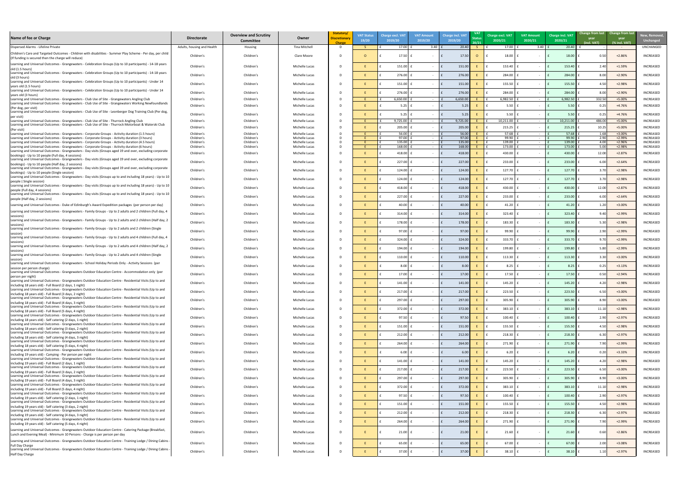| New, Removed,<br><b>Unchanged</b> |  |
|-----------------------------------|--|
| UNCHANGED                         |  |
| INCREASED                         |  |
| <b>INCREASED</b>                  |  |
| <b>INCREASED</b>                  |  |
| INCREASED                         |  |
| INCREASED                         |  |
| INCREASED                         |  |
| <b>INCREASED</b>                  |  |
| INCREASED                         |  |
| INCREASED<br>INCREASED            |  |
| <b>INCREASED</b>                  |  |
| INCREASED                         |  |
| INCREASED<br>INCREASED            |  |
| <b>INCREASED</b>                  |  |
| INCREASED                         |  |
| <b>INCREASED</b>                  |  |
| <b>INCREASED</b>                  |  |
| INCREASED                         |  |
| INCREASED                         |  |
| <b>INCREASED</b>                  |  |
| INCREASED                         |  |
| INCREASED                         |  |
| INCREASED<br>INCREASED            |  |
| INCREASED                         |  |
| INCREASED                         |  |
| INCREASED                         |  |
| INCREASED                         |  |
| <b>INCREASED</b>                  |  |
| INCREASED                         |  |
| <b>INCREASED</b>                  |  |
| <b>INCREASED</b>                  |  |
| <b>INCREASED</b>                  |  |
| <b>INCREASED</b>                  |  |
| <b>INCREASED</b>                  |  |
| <b>INCREASED</b>                  |  |
| INCREASED                         |  |
| <b>INCREASED</b>                  |  |
| INCREASED                         |  |
| INCREASED<br>INCREASED            |  |
| INCREASED                         |  |
| INCREASED                         |  |
| INCREASED                         |  |
| INCREASED                         |  |
| <b>INCREASED</b>                  |  |
| <b>INCREASED</b>                  |  |
| <b>INCREASED</b>                  |  |

| Name of fee or Charge                                                                                                                                                                                        | <b>Directorate</b>         | <b>Overview and Scrutiny</b><br><b>Committee</b> | Owner                            | Statutory<br><b>Discretionary</b><br>Charge | <b>VAT Status</b><br>19/20 | Charge excl. VA1<br>2019/20 | <b>VAT Amount</b><br>2019/20 | <b>Charge incl. VAT</b><br>2019/20 |          | Charge excl. VAT<br>2020/21 | <b>VAT Amount</b><br>2020/21 | Charge incl. VAT<br>2020/21 | Change from last Change from last<br><b>year</b><br>(incl. VAT) | year<br>(% incl. VAT) | New, Remove<br><b>Unchanged</b>      |
|--------------------------------------------------------------------------------------------------------------------------------------------------------------------------------------------------------------|----------------------------|--------------------------------------------------|----------------------------------|---------------------------------------------|----------------------------|-----------------------------|------------------------------|------------------------------------|----------|-----------------------------|------------------------------|-----------------------------|-----------------------------------------------------------------|-----------------------|--------------------------------------|
| Dispersed Alarms - Lifeline Private                                                                                                                                                                          | Adults, housing and Health | Housing                                          | Tina Mitchell                    | - D                                         |                            | 17.00                       | $3.40$ $\vert$               | 20.40                              |          | 17.00                       | 3.40                         | 20.40                       |                                                                 | $\sim 100$ m $^{-1}$  | UNCHANGED                            |
| Children's Care and Targeted Outcomes - Children with disabilities - Summer Play Scheme - Per day, per child<br>(If funding is secured then the charge will reduce)                                          | Children's                 | Children's                                       | Clare Moore                      |                                             |                            | 17.50                       |                              | 17.50                              | $\Omega$ | 18.00                       |                              | 18.00                       | 0.50                                                            | $+2.86%$              | <b>INCREASED</b>                     |
| Learning and Universal Outcomes - Grangewaters - Celebration Groups (Up to 10 participants) - 14-18 years<br>old (1.5 hours)                                                                                 | Children's                 | Children's                                       | Michelle Lucas                   |                                             |                            | $151.00$ $f$                |                              | 151.00                             |          | 153.40                      |                              | 153.40                      | 2.40                                                            | $+1.59%$              | INCREASED                            |
| Learning and Universal Outcomes - Grangewaters - Celebration Groups (Up to 10 participants) - 14-18 years                                                                                                    | Children's                 | Children's                                       | Michelle Lucas                   |                                             |                            | $276.00$ f                  |                              | 276.00                             |          | 284.00                      |                              | 284.00                      | 8.00                                                            | $+2.90%$              | INCREASED                            |
| old (3 hours)<br>Learning and Universal Outcomes - Grangewaters - Celebration Groups (Up to 10 participants) - Under 14<br>years old (1.5 hours)                                                             | Children's                 | Children's                                       | Michelle Lucas                   |                                             |                            | 151.00                      |                              | 151.00                             |          | 155.50                      |                              | 155.50                      | 4.50                                                            | $+2.98%$              | INCREASED                            |
| Learning and Universal Outcomes - Grangewaters - Celebration Groups (Up to 10 participants) - Under 14                                                                                                       | Children's                 | Children's                                       | Michelle Lucas                   |                                             |                            | $276.00$   1                |                              | 276.00                             |          | 284.00                      |                              | 284.00                      | 8.00                                                            | $+2.90%$              | <b>INCREASED</b>                     |
| years old (3 hours)<br>Learning and Universal Outcomes - Grangewaters - Club Use of Site - Grangewaters Angling Club                                                                                         | Children's                 | Children's                                       | Michelle Lucas                   |                                             |                            | 6,650.00                    | $\sim$                       | 6,650.00                           |          | 6,982.50                    |                              | 6,982.50                    | 332.50                                                          | +5.00%                | INCREASED                            |
| Learning and Universal Outcomes - Grangewaters - Club Use of Site - Grangewaters Working Newfoundlands<br>(Per dog, per visit)                                                                               | Children's                 | Children's                                       | Michelle Lucas                   |                                             |                            | 5.25                        |                              | 5.25                               |          | 5.50                        |                              | 5.50                        | 0.25                                                            | $+4.76%$              | INCREASED                            |
| Learning and Universal Outcomes - Grangewaters - Club Use of Site - Leonberger Dog Training Club (Per dog,<br>per visit)                                                                                     | Children's                 | Children's                                       | Michelle Lucas                   |                                             |                            | 5.25                        |                              | 5.25                               |          | 5.50                        |                              | 5.50                        | 0.25                                                            | +4.76%                | INCREASED                            |
| Learning and Universal Outcomes - Grangewaters - Club Use of Site - Thurrock Angling Club<br>Learning and Universal Outcomes - Grangewaters - Club Use of Site - Thurrock Motorboat & Waterski Club          | Children's                 | Children's                                       | Michelle Lucas                   |                                             |                            | 9,725.00                    | $\sim$ $ \sim$               | 9,725.00                           |          | 10,211.00                   | $\sim$ 100 $\sim$            | 10,211.00                   | 486.00                                                          | +5.00%                | <b>INCREASED</b>                     |
| (Per visit)                                                                                                                                                                                                  | Children's                 | Children's                                       | Michelle Lucas                   |                                             |                            | $205.00$   f                |                              | 205.00                             |          | 215.25                      |                              | 215.25                      | 10.25                                                           | +5.00%                | INCREASED                            |
| Learning and Universal Outcomes - Grangewaters - Corporate Groups - Activity duration (1.5 hours)<br>Learning and Universal Outcomes - Grangewaters - Corporate Groups - Activity duration (3 hours)         | Children's<br>Children's   | Children's<br>Children's                         | Michelle Lucas<br>Michelle Lucas |                                             |                            | 56.00<br>97.00              |                              | 56.00<br>97.00                     |          | 57.68<br>99.90              |                              | 57.68<br>99.90              | 1.68<br>2.90                                                    | +3.00%<br>$+2.99%$    | <b>INCREASED</b><br><b>INCREASED</b> |
| Learning and Universal Outcomes - Grangewaters - Corporate Groups - Activity duration (4.5 hours)                                                                                                            | Children's                 | Children's                                       | Michelle Lucas                   |                                             |                            | 135.00                      |                              | 135.00                             |          | 139.00                      |                              | 139.00                      | 4.00                                                            | $+2.96%$              | INCREASED                            |
| Learning and Universal Outcomes - Grangewaters - Corporate Groups - Activity duration (6 hours)<br>Learning and Universal Outcomes - Grangewaters - Day visits (Groups aged 19 and over, excluding corporate | Children's                 | Children's                                       | Michelle Lucas                   |                                             |                            | 168.00                      |                              | 168.00                             |          | 173.00                      |                              | 173.00                      | 5.00                                                            | $+2.98%$              | INCREASED                            |
| bookings) - Up to 10 people (Full day, 4 sessions)                                                                                                                                                           | Children's                 | Children's                                       | Michelle Lucas                   |                                             |                            | $418.00$   1                |                              | 418.00                             |          | 430.00                      |                              | 430.00                      | 12.00                                                           | $+2.87%$              | <b>INCREASED</b>                     |
| Learning and Universal Outcomes - Grangewaters - Day visits (Groups aged 19 and over, excluding corporate<br>bookings) - Up to 10 people (Half day, 2 sessions)                                              | Children's                 | Children's                                       | Michelle Lucas                   |                                             |                            | $227.00$ f                  |                              | 227.00                             |          | 233.00                      |                              | 233.00                      | 6.00                                                            | $+2.64%$              | <b>INCREASED</b>                     |
| Learning and Universal Outcomes - Grangewaters - Day visits (Groups aged 19 and over, excluding corporate<br>bookings) - Up to 10 people (Single session)                                                    | Children's                 | Children's                                       | Michelle Lucas                   |                                             |                            | $124.00$ $\pm$              |                              | 124.00                             |          | 127.70                      |                              | 127.70                      | 3.70                                                            | +2.98%                | INCREASED                            |
| Learning and Universal Outcomes - Grangewaters - Day visits (Groups up to and including 18 years) - Up to 10<br>people (Single session)                                                                      | Children's                 | Children's                                       | Michelle Lucas                   |                                             |                            | $124.00$ f                  |                              | 124.00                             |          | 127.70                      |                              | 127.70                      | 3.70                                                            | +2.98%                | INCREASED                            |
| Learning and Universal Outcomes - Grangewaters - Day visits (Groups up to and including 18 years) - Up to 10<br>people (Full day, 4 sessions)                                                                | Children's                 | Children's                                       | Michelle Lucas                   |                                             |                            | 418.00 $\pm$                |                              | 418.00                             |          | 430.00                      |                              | 430.00                      | 12.00                                                           | $+2.87%$              | INCREASED                            |
| Learning and Universal Outcomes - Grangewaters - Day visits (Groups up to and including 18 years) - Up to 10<br>people (Half day, 2 sessions)                                                                | Children's                 | Children's                                       | Michelle Lucas                   |                                             |                            | $227.00$ £                  |                              | 227.00                             |          | 233.00                      |                              | 233.00                      | 6.00                                                            | $+2.64%$              | INCREASED                            |
| Learning and Universal Outcomes - Duke of Edinburgh's Award Expedition packages (per person per day)                                                                                                         | Children's                 | Children's                                       | Michelle Lucas                   |                                             |                            | 40.00                       |                              | 40.00                              |          | 41.20                       |                              | 41.20                       | 1.20                                                            | +3.00%                | INCREASED                            |
| Learning and Universal Outcomes - Grangewaters - Family Groups - Up to 2 adults and 2 children (Full day, 4<br>sessions)                                                                                     | Children's                 | Children's                                       | Michelle Lucas                   |                                             |                            | $314.00$   f                |                              | 314.00                             |          | 323.40                      |                              | 323.40                      | 9.40                                                            | $+2.99%$              | INCREASED                            |
| Learning and Universal Outcomes - Grangewaters - Family Groups - Up to 2 adults and 2 children (Half day, 2<br>sessions)                                                                                     | Children's                 | Children's                                       | Michelle Lucas                   |                                             |                            | 178.00                      |                              | 178.00                             |          | 183.30                      |                              | 183.30                      | 5.30                                                            | $+2.98%$              | INCREASED                            |
| Learning and Universal Outcomes - Grangewaters - Family Groups - Up to 2 adults and 2 children (Single<br>session)                                                                                           | Children's                 | Children's                                       | Michelle Lucas                   |                                             |                            | 97.00                       |                              | 97.00                              |          | 99.90                       |                              | 99.90                       | 2.90                                                            | +2.99%                | INCREASED                            |
| Learning and Universal Outcomes - Grangewaters - Family Groups - Up to 2 adults and 4 children (Full day, 4<br>sessions)                                                                                     | Children's                 | Children's                                       | Michelle Lucas                   |                                             |                            | 324.00                      |                              | 324.00                             |          | 333.70                      |                              | 333.70                      | 9.70                                                            | $+2.99%$              | INCREASED                            |
| Learning and Universal Outcomes - Grangewaters - Family Groups - Up to 2 adults and 4 children (Half day, 2<br>sessions)                                                                                     | Children's                 | Children's                                       | Michelle Lucas                   |                                             |                            | 194.00                      |                              | 194.00                             |          | 199.80                      |                              | 199.80                      |                                                                 | $+2.99%$              | INCREASED                            |
| Learning and Universal Outcomes - Grangewaters - Family Groups - Up to 2 adults and 4 children (Single<br>session)                                                                                           | Children's                 | Children's                                       | Michelle Lucas                   |                                             |                            | 110.00                      |                              | 110.00                             |          | 113.30                      |                              | 113.30                      | 3.30                                                            | +3.00%                | INCREASED                            |
| Learning and Universal Outcomes - Grangewaters - School Holiday Periods Only - Activity Sessions (per<br>session per person charge)                                                                          | Children's                 | Children's                                       | Michelle Lucas                   |                                             |                            | 8.00                        |                              | 8.00                               |          | 8.25                        |                              | 8.25                        | 0.25                                                            | $+3.13%$              | INCREASED                            |
| Learning and Universal Outcomes - Grangewaters Outdoor Education Centre - Accommodation only (per<br>person per night)                                                                                       | Children's                 | Children's                                       | Michelle Lucas                   |                                             |                            | 17.00                       |                              | 17.00                              |          | 17.50                       |                              | 17.50                       | 0.50                                                            | $+2.94%$              | INCREASED                            |
| Learning and Universal Outcomes - Grangewaters Outdoor Education Centre - Residential Visits (Up to and<br>including 18 years old) - Full Board (2 days, 1 night)                                            | Children's                 | Children's                                       | Michelle Lucas                   |                                             |                            | $141.00$ f                  |                              | 141.00                             |          | 145.20                      |                              | 145.20                      | 4.20                                                            | +2.98%                | INCREASED                            |
| Learning and Universal Outcomes - Grangewaters Outdoor Education Centre - Residential Visits (Up to and                                                                                                      | Children's                 | Children's                                       | Michelle Lucas                   |                                             |                            | $217.00$ f                  |                              | 217.00                             |          | 223.50                      |                              | 223.50                      | 6.50                                                            | +3.00%                | INCREASED                            |
| including 18 years old) - Full Board (3 days, 2 night)<br>Learning and Universal Outcomes - Grangewaters Outdoor Education Centre - Residential Visits (Up to and                                            | Children's                 | Children's                                       | Michelle Lucas                   |                                             |                            | $297.00$ $f$                |                              | 297.00                             |          | 305.90                      |                              | 305.90                      | 8.90                                                            | +3.00%                | INCREASED                            |
| including 18 years old) - Full Board (4 days, 3 night)<br>Learning and Universal Outcomes - Grangewaters Outdoor Education Centre - Residential Visits (Up to and                                            | Children's                 | Children's                                       | Michelle Lucas                   |                                             |                            | $372.00$ $f$                | $\sim$ $-$                   | 372.00                             |          | 383.10                      |                              | 383.10                      | 11.10                                                           | +2.98%                | INCREASED                            |
| including 18 years old) - Full Board (5 days, 4 night)<br>Learning and Universal Outcomes - Grangewaters Outdoor Education Centre - Residential Visits (Up to and                                            | Children's                 | Children's                                       | Michelle Lucas                   |                                             |                            | $97.50$ $f$                 |                              | 97.50                              |          | 100.40                      |                              | 100.40                      | 2.90                                                            | $+2.97%$              | INCREASED                            |
| including 18 years old) - Self catering (2 days, 1 night)<br>Learning and Universal Outcomes - Grangewaters Outdoor Education Centre - Residential Visits (Up to and                                         | Children's                 | Children's                                       | Michelle Lucas                   |                                             |                            | $151.00$ $f$                |                              | 151.00                             |          | 155.50                      |                              | 155.50                      | 4.50                                                            | $+2.98%$              | INCREASED                            |
| including 18 years old) - Self catering (3 days, 2 night)<br>Learning and Universal Outcomes - Grangewaters Outdoor Education Centre - Residential Visits (Up to and                                         |                            |                                                  |                                  |                                             |                            |                             |                              |                                    |          |                             |                              |                             |                                                                 |                       |                                      |
| including 18 years old) - Self catering (4 days, 3 night)<br>Learning and Universal Outcomes - Grangewaters Outdoor Education Centre - Residential Visits (Up to and                                         | Children's                 | Children's                                       | Michelle Lucas                   |                                             |                            | $212.00$ f                  |                              | 212.00                             |          | 218.30                      |                              | 218.30                      | 6.30                                                            | $+2.97%$              | INCREASED                            |
| including 18 years old) - Self catering (5 days, 4 night)<br>Learning and Universal Outcomes - Grangewaters Outdoor Education Centre - Residential Visits (Up to and                                         | Children's                 | Children's                                       | Michelle Lucas                   |                                             |                            | 264.00                      |                              | 264.00                             |          | 271.90                      |                              | 271.90                      | 7.90                                                            | $+2.99%$              | INCREASED                            |
| including 19 years old) - Camping - Per person per night<br>Learning and Universal Outcomes - Grangewaters Outdoor Education Centre - Residential Visits (Up to and                                          | Children's                 | Children's                                       | Michelle Lucas                   |                                             |                            | 6.00                        |                              | 6.00                               |          | 6.20                        |                              | 6.20                        | 0.20                                                            | $+3.33%$              | INCREASED                            |
| including 19 years old) - Full Board (2 days, 1 night)<br>Learning and Universal Outcomes - Grangewaters Outdoor Education Centre - Residential Visits (Up to and                                            | Children's                 | Children's                                       | Michelle Lucas                   |                                             |                            | $141.00$ $f$                |                              | 141.00                             |          | 145.20                      |                              | 145.20                      | 4.20                                                            | $+2.98%$              | INCREASED                            |
| including 19 years old) - Full Board (3 days, 2 night)<br>Learning and Universal Outcomes - Grangewaters Outdoor Education Centre - Residential Visits (Up to and                                            | Children's                 | Children's                                       | Michelle Lucas                   |                                             |                            | $217.00$ f                  |                              | 217.00                             |          | 223.50                      |                              | 223.50                      | 6.50                                                            | +3.00%                | INCREASED                            |
| including 19 years old) - Full Board (4 days, 3 night)                                                                                                                                                       | Children's                 | Children's                                       | Michelle Lucas                   |                                             |                            | $297.00$ £                  |                              | 297.00                             |          | 305.90                      |                              | 305.90                      | 8.90                                                            | $+3.00%$              | INCREASED                            |
| Learning and Universal Outcomes - Grangewaters Outdoor Education Centre - Residential Visits (Up to and<br>including 19 years old) - Full Board (5 days, 4 night)                                            | Children's                 | Children's                                       | Michelle Lucas                   |                                             |                            | $372.00$ $f$                |                              | 372.00                             |          | 383.10                      |                              | 383.10                      | 11.10                                                           | $+2.98%$              | INCREASED                            |
| Learning and Universal Outcomes - Grangewaters Outdoor Education Centre - Residential Visits (Up to and<br>including 19 years old) - Self catering (2 days, 1 night)                                         | Children's                 | Children's                                       | Michelle Lucas                   |                                             |                            | 97.50 $\vert$ f             |                              | 97.50                              |          | 100.40                      |                              | 100.40                      | 2.90                                                            | $+2.97%$              | INCREASED                            |
| Learning and Universal Outcomes - Grangewaters Outdoor Education Centre - Residential Visits (Up to and<br>including 19 years old) - Self catering (3 days, 2 night)                                         | Children's                 | Children's                                       | Michelle Lucas                   |                                             |                            | $151.00$ $f$                |                              | 151.00                             |          | 155.50                      |                              | 155.50                      | 4.50                                                            | $+2.98%$              | INCREASED                            |
| Learning and Universal Outcomes - Grangewaters Outdoor Education Centre - Residential Visits (Up to and<br>including 19 years old) - Self catering (4 days, 3 night)                                         | Children's                 | Children's                                       | Michelle Lucas                   |                                             |                            | $212.00$ $f$                |                              | 212.00                             |          | 218.30                      |                              | 218.30                      | 6.30                                                            | $+2.97%$              | INCREASED                            |
| Learning and Universal Outcomes - Grangewaters Outdoor Education Centre - Residential Visits (Up to and<br>including 19 years old) - Self catering (5 days, 4 night)                                         | Children's                 | Children's                                       | Michelle Lucas                   |                                             |                            | $264.00$ $f$                |                              | 264.00                             |          | 271.90                      |                              | 271.90                      | 7.90                                                            | $+2.99%$              | INCREASED                            |
| Learning and Universal Outcomes - Grangewaters Outdoor Education Centre - Catering Package (Breakfast,<br>Lunch and Evening Meal) - Minimum 10 Persons - Charge is per person per day                        | Children's                 | Children's                                       | Michelle Lucas                   |                                             |                            | $21.00$   f                 | $\sim$ $-$                   | 21.00                              |          | 21.60                       |                              | 21.60                       | 0.60                                                            | $+2.86%$              | INCREASED                            |
| Learning and Universal Outcomes - Grangewaters Outdoor Education Centre - Training Lodge / Dining Cabins -<br>Full Day Charge                                                                                | Children's                 | Children's                                       | Michelle Lucas                   |                                             |                            | $65.00$ $f$                 |                              | 65.00                              |          | 67.00                       |                              | 67.00                       | 2.00                                                            | +3.08%                | INCREASED                            |
| Learning and Universal Outcomes - Grangewaters Outdoor Education Centre - Training Lodge / Dining Cabins -<br>Half Day Charge                                                                                | Children's                 | Children's                                       | Michelle Lucas                   |                                             |                            | $37.00$ f                   |                              | 37.00                              |          | 38.10                       |                              | 38.10                       | 1.10                                                            | $+2.97%$              | INCREASED                            |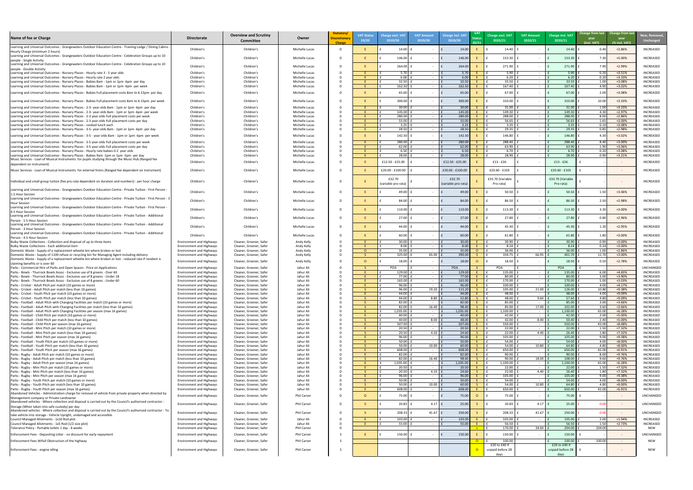| New, Removed,<br><b>Unchanged</b>    |  |
|--------------------------------------|--|
| INCREASED                            |  |
| <b>INCREASED</b>                     |  |
| INCREASED                            |  |
| INCREASED                            |  |
| <b>INCREASED</b>                     |  |
| <b>INCREASED</b><br><b>INCREASED</b> |  |
| <b>INCREASED</b>                     |  |
| INCREASED                            |  |
| <b>INCREASED</b>                     |  |
| INCREASED<br><b>INCREASED</b>        |  |
| <b>INCREASED</b>                     |  |
| <b>INCREASED</b><br><b>INCREASED</b> |  |
| INCREASED                            |  |
| INCREASED                            |  |
| INCREASED                            |  |
| INCREASED<br>INCREASED               |  |
| <b>INCREASED</b>                     |  |
| INCREASED                            |  |
|                                      |  |
| INCREASED                            |  |
| INCREASED                            |  |
| INCREASED                            |  |
| INCREASED                            |  |
| INCREASED                            |  |
| INCREASED                            |  |
| INCREASED                            |  |
| INCREASED<br>INCREASED               |  |
| INCREASED                            |  |
| <b>INCREASED</b>                     |  |
| INCREASED                            |  |
| UNCHANGED<br>INCREASED               |  |
| INCREASED                            |  |
| INCREASED<br>INCREASED               |  |
| INCREASED                            |  |
| INCREASED<br>INCREASED               |  |
| INCREASED                            |  |
| INCREASED<br>INCREASED               |  |
| INCREASED                            |  |
| INCREASED<br>INCREASED               |  |
| INCREASED                            |  |
| INCREASED<br>INCREASED               |  |
| INCREASED                            |  |
| INCREASED<br><b>INCREASED</b>        |  |
| <b>INCREASED</b>                     |  |
| <b>INCREASED</b><br><b>INCREASED</b> |  |
| <b>INCREASED</b>                     |  |
| <b>INCREASED</b><br>INCREASED        |  |
| <b>INCREASED</b>                     |  |
| INCREASED<br><b>INCREASED</b>        |  |
| UNCHANGED                            |  |
| UNCHANGED                            |  |
| UNCHANGED                            |  |
| INCREASED                            |  |
| INCREASED<br>NEW                     |  |
| UNCHANGED                            |  |
| <b>NEW</b>                           |  |
| <b>NEW</b>                           |  |

| Name of fee or Charge                                                                                                                                                                                    | <b>Directorate</b>                                                 | <b>Overview and Scrutiny</b><br><b>Committee</b>   | Owner                             | Statutory/<br><b>Discretionary</b><br><b>Charge</b> | <b>VAT Status</b><br>19/20 | Charge excl. VA<br>2019/20    | <b>VAT Amount</b><br>2019/20 | <b>Charge incl. VAT</b><br>2019/20 | 20/21          | Charge excl. VAT<br>2020/21                 | <b>VAT Amount</b><br>2020/21 | <b>Charge incl. VAT</b><br>2020/21          | Change from last Change from last<br>year<br>year<br>(% incl. VAT)<br>(incl. VAT) | New, Remove<br><b>Unchanged</b>      |
|----------------------------------------------------------------------------------------------------------------------------------------------------------------------------------------------------------|--------------------------------------------------------------------|----------------------------------------------------|-----------------------------------|-----------------------------------------------------|----------------------------|-------------------------------|------------------------------|------------------------------------|----------------|---------------------------------------------|------------------------------|---------------------------------------------|-----------------------------------------------------------------------------------|--------------------------------------|
| Learning and Universal Outcomes - Grangewaters Outdoor Education Centre - Training Lodge / Dining Cabins                                                                                                 | Children's                                                         | Children's                                         | Michelle Lucas                    |                                                     |                            | 14.00                         |                              | 14.00                              |                | 14.40                                       |                              | 14.40                                       | $+2.86%$<br>0.40                                                                  | INCREASED                            |
| Hourly Charge (minimum 2 hours)<br>Learning and Universal Outcomes - Grangewaters Outdoor Education Centre - Celebration Groups up to 10                                                                 | Children's                                                         | Children's                                         | Michelle Lucas                    |                                                     |                            | $146.00$                      |                              | 146.00                             |                | 153.30                                      |                              | 153.30                                      | $+5.00%$<br>7.30                                                                  | <b>INCREASED</b>                     |
| people - Single Activity<br>Learning and Universal Outcomes - Grangewaters Outdoor Education Centre - Celebration Groups up to 10                                                                        |                                                                    |                                                    |                                   |                                                     |                            |                               |                              |                                    |                |                                             |                              |                                             |                                                                                   |                                      |
| Ipeople - Double Activity                                                                                                                                                                                | Children's                                                         | Children's                                         | Michelle Lucas                    |                                                     |                            | $264.00$ f                    | $\sim$                       | 264.00                             |                | 271.90                                      |                              | 271.90                                      | +2.99%<br>7.90                                                                    | <b>INCREASED</b>                     |
| Learning and Universal Outcomes - Nursery Places - Hourly rate 3 - 5 year olds<br>Learning and Universal Outcomes - Nursery Places - Hourly rate 2 year olds                                             | Children's<br>Children's                                           | Children's<br>Children's                           | Michelle Lucas<br>Michelle Lucas  | D                                                   |                            | 5.70<br>6.00                  |                              | 5.70<br>6.00                       |                | 5.90<br>6.20                                |                              | 5.90<br>6.20                                | 0.20<br>$+3.51%$<br>0.20<br>$+3.33%$                                              | <b>INCREASED</b><br><b>INCREASED</b> |
| Learning and Universal Outcomes - Nursery Places - Babies 8am - 1pm or 1pm -6pm -per day                                                                                                                 | Children's                                                         | Children's                                         | Michelle Lucas                    |                                                     |                            | 32.50                         |                              | 32.50                              |                | 33.50                                       |                              | 33.50                                       | 1.00<br>+3.08%                                                                    | <b>INCREASED</b>                     |
| Learning and Universal Outcomes - Nursery Places - Babies 8am - 1pm or 1pm -6pm -per week                                                                                                                | Children's                                                         | Children's                                         | Michelle Lucas                    | D                                                   |                            | 162.50                        | $\sim$ $-$                   | 162.50                             |                | 167.40                                      |                              | 167.40                                      | 4.90<br>$+3.02%$                                                                  | INCREASED                            |
| Learning and Universal Outcomes - Nursery Places - Babies Full placement costs 8am to 6.15pm- per day                                                                                                    | Children's                                                         | Children's                                         | Michelle Lucas                    |                                                     |                            | 65.00                         |                              | 65.00                              |                | 67.00                                       |                              | 67.00                                       | +3.08%<br>2.00                                                                    | <b>INCREASED</b>                     |
| Learning and Universal Outcomes - Nursery Places - Babies Full placement costs 8am to 6.15pm- per week                                                                                                   | Children's                                                         | Children's                                         | Michelle Lucas                    |                                                     |                            | 300.00                        | $\sim$ $-$                   | 300.00                             |                | 310.00                                      |                              | 310.00                                      | $+3.33%$<br>10.00                                                                 | <b>INCREASED</b>                     |
| Learning and Universal Outcomes - Nursery Places - 2-3- year-olds 8am - 1pm or 1pm -6pm -per day                                                                                                         | Children's                                                         | Children's                                         | Michelle Lucas                    |                                                     |                            | 30.00                         | $\sim$                       | 30.00                              |                | 31.00                                       |                              | 31.00                                       | 1.00<br>$+3.33%$                                                                  | <b>INCREASED</b>                     |
| Learning and Universal Outcomes - Nursery Places - 2-3- year-olds 8am - 1pm or 1pm -6pm -per week<br>Learning and Universal Outcomes - Nursery Places - 2-3 year-olds Full placement costs per week      | Children's<br>Children's                                           | Children's<br>Children's                           | Michelle Lucas<br>Michelle Lucas  |                                                     |                            | 145.00<br>280.00              | $\sim$ $-$<br>$\sim$ $ \sim$ | 145.00<br>280.00                   |                | 149.30<br>288.00                            |                              | 149.30<br>288.00                            | 4.30<br>$+2.97%$<br>$+2.86%$<br>8.00                                              | <b>INCREASED</b><br><b>INCREASED</b> |
| Learning and Universal Outcomes - Nursery Places - 2-3 year-olds Full placement costs per day                                                                                                            | Children's                                                         | Children's                                         | Michelle Lucas                    |                                                     |                            | 55.00                         | $\sim$                       | 55.00                              |                | 56.65                                       |                              | 56.65                                       | 1.65<br>$+3.00%$                                                                  | <b>INCREASED</b>                     |
| Learning and Universal Outcomes - Nursery Places - cooked lunch each<br>Learning and Universal Outcomes - Nursery Places - 3-5- year-olds 8am - 1pm or 1pm -6pm -per day                                 | Children's<br>Children's                                           | Children's<br>Children's                           | Michelle Lucas<br>Michelle Lucas  |                                                     |                            | 3.25<br>28.50                 |                              | 3.25<br>28.50                      |                | 3.35<br>29.35                               |                              | 3.35<br>29.35                               | +3.08%<br>0.10<br>0.85<br>$+2.98%$                                                | <b>INCREASED</b><br><b>INCREASED</b> |
| Learning and Universal Outcomes - Nursery Places - 3-5 - year-olds 8am - 1pm or 1pm -6pm -per week                                                                                                       | Children's                                                         | Children's                                         | Michelle Lucas                    |                                                     |                            | $142.50$ $\vert$              |                              | 142.50                             |                | 146.80                                      |                              | 146.80                                      | $+3.02%$<br>4.3 <sub>0</sub>                                                      | <b>INCREASED</b>                     |
| Learning and Universal Outcomes - Nursery Places - 3-5 year-olds Full placement costs per week                                                                                                           | Children's                                                         | Children's                                         | Michelle Lucas                    |                                                     |                            | 280.00                        |                              | 280.00                             |                | 288.40                                      |                              | 288.40                                      | $+3.00%$<br>8.40                                                                  | <b>INCREASED</b>                     |
| Learning and Universal Outcomes - Nursery Places - 3-5 year-olds Full placement costs per day                                                                                                            | Children's                                                         | Children's                                         | Michelle Lucas                    |                                                     |                            | 62.00                         |                              | 62.00                              |                | 63.90                                       |                              | 63.90                                       | 1.90<br>+3.06%                                                                    | <b>INCREASED</b>                     |
| Learning and Universal Outcomes - Nursery Places - Hourly rate babies 0-2 year olds                                                                                                                      | Children's                                                         | Children's                                         | Michelle Lucas                    |                                                     |                            | 6.50<br>28.00                 |                              | 6.50<br>28.00                      |                | 6.70<br>28.90                               |                              | 6.70<br>28.90                               | 0.20<br>+3.08%<br>0.90<br>$+3.21%$                                                | <b>INCREASED</b><br><b>INCREASED</b> |
| Learning and Universal Outcomes - Nursery Places - Babies 9am -1pm or 1pm -5pm -per day<br>Music Services - Loan of Musical Instruments for pupils studying through the Music Hub (Ranged fee            | Children's                                                         | Children's<br>Children's                           | Michelle Lucas                    |                                                     |                            | £12.50 - £25.00               | $\sim$                       |                                    |                | $£13 - £26$                                 |                              |                                             |                                                                                   | <b>INCREASED</b>                     |
| dependent on instrument)                                                                                                                                                                                 | Children's                                                         |                                                    | Michelle Lucas                    |                                                     |                            |                               |                              | £12.50 - £25.00                    |                |                                             |                              | $£13 - £26$                                 | $\sim$ $ \sim$                                                                    |                                      |
| Music Services - Loan of Musical Instruments for external hirers (Ranged fee dependent on instrument)                                                                                                    | Children's                                                         | Children's                                         | Michelle Lucas                    |                                                     |                            | £20.00 - £100.00              |                              | £20.00 - £100.00                   |                | £20.60 - £103                               |                              | £20.60 - £103                               | $\sim$ $ \sim$                                                                    | <b>INCREASED</b>                     |
| Individual and small group tuition (fee pro-rata dependent on duration and numbers) - per hour charge                                                                                                    | Children's                                                         | Children's                                         | Michelle Lucas                    |                                                     |                            | £32.70<br>(variable pro-rata) |                              | £32.70<br>(variable pro-rata)      |                | £33.70 (Variable<br>Pro-rata)               |                              | £33.70 (Variable<br>Pro-rata)               |                                                                                   | INCREASED                            |
| - Learning and Universal Outcomes - Grangewaters Outdoor Education Centre - Private Tuition - First Person<br>1.5 Hour Session                                                                           | Children's                                                         | Children's                                         | Michelle Lucas                    |                                                     |                            | $49.00$   1                   |                              | 49.00                              |                | 50.50                                       |                              | 50.50                                       | 1.50<br>+3.06%                                                                    | <b>INCREASED</b>                     |
| Learning and Universal Outcomes - Grangewaters Outdoor Education Centre - Private Tuition - First Person - 3<br>Hour Session                                                                             | Children's                                                         | Children's                                         | Michelle Lucas                    |                                                     |                            | 84.00                         |                              | 84.00                              |                | 86.50                                       |                              | 86.50                                       | $+2.98%$<br>2.50                                                                  | <b>INCREASED</b>                     |
| Learning and Universal Outcomes - Grangewaters Outdoor Education Centre - Private Tuition - First Person -                                                                                               | Children's                                                         | Children's                                         | Michelle Lucas                    |                                                     |                            | $110.00$                      |                              | 110.00                             |                | 113.30                                      |                              | 113.30                                      | $+3.00%$<br>3.30                                                                  | INCREASED                            |
| 4.5 Hour Session<br>Learning and Universal Outcomes - Grangewaters Outdoor Education Centre - Private Tuition - Additional                                                                               | Children's                                                         | Children's                                         | Michelle Lucas                    |                                                     |                            | 27.00                         |                              | 27.00                              |                | 27.80                                       |                              | 27.80                                       | +2.96%<br>0.80                                                                    | INCREASED                            |
| Person - 1.5 Hour Session<br>Learning and Universal Outcomes - Grangewaters Outdoor Education Centre - Private Tuition - Additional                                                                      | Children's                                                         | Children's                                         | Michelle Lucas                    |                                                     |                            | 44.00                         |                              | 44.00                              |                | 45.30                                       |                              | 45.30                                       | $+2.95%$<br>1.30                                                                  | INCREASED                            |
| Person - 3 Hour Session<br>Learning and Universal Outcomes - Grangewaters Outdoor Education Centre - Private Tuition - Additional                                                                        |                                                                    |                                                    |                                   |                                                     |                            |                               |                              |                                    |                |                                             |                              |                                             |                                                                                   |                                      |
| Person - 4.5 Hour Session                                                                                                                                                                                | Children's                                                         | Children's                                         | Michelle Lucas                    |                                                     |                            | 60.00                         |                              | 60.00                              |                | 61.80                                       |                              | 61.80                                       | $+3.00%$                                                                          | <b>INCREASED</b>                     |
| Bulky Waste Collections - Collection and disposal of up to three items<br>Bulky Waste Collections - Each additional item                                                                                 | <b>Environment and Highways</b><br><b>Environment and Highways</b> | Cleaner, Greener, Safer<br>Cleaner, Greener, Safer | Andy Kelly<br>Andy Kelly          |                                                     |                            | 30.00<br>8.00                 | $\sim$ $-$<br>$\sim$         | 30.00<br>8.00                      |                | 30.90<br>8.24                               |                              | 30.90<br>8.24                               | $+3.00%$<br>0.90<br>$+3.00%$<br>0.24                                              | <b>INCREASED</b><br><b>INCREASED</b> |
| Domestic Waste - Supply of a replacement wheelie bin where broken or lost                                                                                                                                | <b>Environment and Highways</b>                                    | Cleaner, Greener, Safer                            | Andy Kelly                        |                                                     |                            | 35.00                         | $\sim$ $ \sim$               | 35.00                              |                | 36.00                                       |                              | 36.00                                       | $+2.86%$<br>1.00                                                                  | <b>INCREASED</b>                     |
| Domestic Waste - Supply of 1100 refuse or recycling bin for Managing Agent including delivery<br>Domestic Waste - Supply of a replacement wheelie bin where broken or lost - reduced rate if resident is | <b>Environment and Highways</b>                                    | Cleaner, Greener, Safer                            | Andy Kelly                        |                                                     |                            | 325.00                        | 65.00                        | 390.00                             |                | 334.75                                      | 66.95                        | 401.70                                      | $+3.00%$<br>11.70                                                                 | <b>INCREASED</b>                     |
| claiming benefits or is over 60                                                                                                                                                                          | <b>Environment and Highways</b>                                    | Cleaner, Greener, Safer                            | Andy Kelly                        |                                                     |                            | 18.00                         |                              | 18.00                              |                | 18.50                                       |                              | 18.50                                       | $+2.78%$<br>0.50                                                                  | <b>INCREASED</b>                     |
| Parks - Commercial Hire of Parks and Open Spaces - Price on Applications<br>Parks - Bowls - Thurrock Bowls Assoc - Exclusive use of 8 greens - Over 60                                                   | <b>Environment and Highways</b><br><b>Environment and Highways</b> | Cleaner, Greener, Safer<br>Cleaner, Greener, Safer | Jahur Ali<br>Jahur Ali            |                                                     |                            | POA<br>129.00                 | $\sim$<br>$\sim$ $-$         | POA<br>129.00                      |                | POA<br>135.00                               |                              | POA<br>135.00                               | $\sim$ $ \sim$<br>$+4.65%$<br>6.00                                                | <b>UNCHANGED</b><br><b>INCREASED</b> |
| Parks - Bowls - Thurrock Bowls Assoc - Exclusive use of 8 greens - Under 18                                                                                                                              | <b>Environment and Highways</b>                                    | Cleaner, Greener, Safer                            | Jahur Ali                         |                                                     |                            | 77.00                         | $\sim$ $-$                   | 77.00                              |                | 80.00                                       |                              | 80.00                                       | +3.90%<br>3.00                                                                    | <b>INCREASED</b>                     |
| Parks - Bowls - Thurrock Bowls Assoc - Exclusive use of 8 greens - Under 60<br>Parks - Cricket - Adult Pitch per match (10 games or more)                                                                | Environment and Highways<br><b>Environment and Highways</b>        | Cleaner, Greener, Safer<br>Cleaner, Greener, Safer | Jahur Ali<br>Jahur Ali            |                                                     |                            | 165.00<br>96.00               | $\sim$<br>$\sim$             | 165.00<br>96.00                    |                | 170.00<br>100.00                            | $\sim$ 100 $\sim$            | 170.00<br>100.00                            | 5.00<br>$+3.03%$<br>4.00<br>$+4.17%$                                              | <b>INCREASED</b><br><b>INCREASED</b> |
| Parks - Cricket - Adult Pitch per match (less than 10 games)                                                                                                                                             | <b>Environment and Highways</b>                                    | Cleaner, Greener, Safer                            | Jahur Ali                         |                                                     |                            | 96.00                         | 19.20                        | 115.20                             |                | 105.00                                      | 21.00                        | 126.00                                      | 10.80<br>+9.38%                                                                   | <b>INCREASED</b>                     |
| Parks - Cricket - Youth Pitch per match (10 games or more)<br>Parks - Cricket - Youth Pitch per match (less than 10 games)                                                                               | <b>Environment and Highways</b><br><b>Environment and Highways</b> | Cleaner, Greener, Safer<br>Cleaner, Greener, Safer | Jahur Ali<br>Jahur Ali            |                                                     |                            | 44.00<br>44.00                | $\sim$<br>8.80               | 44.00<br>52.80                     |                | 48.00<br>48.00                              | 9.60                         | 48.00<br>57.60                              | 4.00<br>+9.09%<br>+9.09%<br>4.80                                                  | <b>INCREASED</b><br><b>INCREASED</b> |
| Parks - Football - Adult Pitch with Changing Facilities per match (10 games or more)                                                                                                                     | <b>Environment and Highways</b>                                    | Cleaner, Greener, Safer                            | Jahur Ali                         |                                                     |                            | 82.00                         | $\sim$                       | 82.00                              |                | 85.00                                       |                              | 85.00                                       | 3.00<br>+3.66%                                                                    | <b>INCREASED</b>                     |
| Parks - Football - Adult Pitch with Changing Facilities per match (less than 10 games)<br>Parks - Football - Adult Pitch with Changing Facilities per season (max 16 games)                              | <b>Environment and Highways</b><br><b>Environment and Highways</b> | Cleaner, Greener, Safer<br>Cleaner, Greener, Safer | Jahur Ali<br>Jahur Ali            |                                                     |                            | 82.00<br>1,035.00             | 16.40                        | 98.4<br>1,035.00                   |                | 85.00<br>1,100.00                           | 17.00                        | 102.00<br>1,100.00                          | +3.66%<br>3.60<br>65.00<br>$+6.28%$                                               | <b>INCREASED</b><br><b>INCREASED</b> |
| Parks - Football - Child Pitch per match (10 games or more)                                                                                                                                              | <b>Environment and Highways</b>                                    | Cleaner, Greener, Safer                            | Jahur Ali                         |                                                     |                            | 40.00                         |                              | 40.00                              |                | 42.00                                       |                              | 42.00                                       | $+5.00%$<br>2.00                                                                  | <b>INCREASED</b>                     |
| Parks - Football - Child Pitch per match (less than 10 games)<br>Parks - Football - Child Pitch per season (max 16 games)                                                                                | <b>Environment and Highways</b>                                    | Cleaner, Greener, Safer<br>Cleaner, Greener, Safer | Jahur Ali<br>Jahur Ali            |                                                     |                            | 40.00<br>$507.00$   1         | 8.00                         | 48.00<br>507.00                    |                | 42.00<br>550.00                             | 8.40                         | 50.40<br>550.00                             | 2.40<br>+5.00%<br>43.00<br>$+8.48%$                                               | <b>INCREASED</b><br><b>INCREASED</b> |
| Parks - Football - Mini Pitch per match (10 games or more)                                                                                                                                               | Environment and Highways<br><b>Environment and Highways</b>        | Cleaner, Greener, Safer                            | Jahur Ali                         |                                                     |                            | 20.50                         |                              | 20.50                              |                | 22.00                                       |                              | 22.00                                       | $+7.32%$<br>1.50                                                                  | <b>INCREASED</b>                     |
| Parks - Football - Mini Pitch per match (less than 10 games)                                                                                                                                             | <b>Environment and Highways</b>                                    | Cleaner, Greener, Safer<br>Cleaner, Greener, Safer | Jahur Ali<br>Jahur Ali            |                                                     |                            | 20.50<br>96.00                | $4.10$ f                     | 24.60                              |                | 22.00<br>105.00                             | 4.40                         | 26.40<br>105.00                             | 1.80<br>$+7.32%$<br>9.00<br>+9.38%                                                | <b>INCREASED</b><br><b>INCREASED</b> |
| Parks - Football - Mini Pitch per season (max 16 games)<br>Parks - Football - Youth Pitch per match (10 games or more)                                                                                   | <b>Environment and Highways</b><br>Environment and Highways        | Cleaner, Greener, Safer                            | Jahur Ali                         |                                                     |                            | 50.00                         |                              | 96.00<br>50.00                     |                | 54.00                                       |                              | 54.00                                       | 4.00<br>+8.00%                                                                    | <b>INCREASED</b>                     |
| Parks - Football - Youth Pitch per match (less than 10 games)                                                                                                                                            | <b>Environment and Highways</b>                                    | Cleaner, Greener, Safer                            | Jahur Ali                         |                                                     |                            | 50.00                         | 10.00                        | 60.00                              |                | 54.00                                       | 10.80                        | 64.80                                       | $+8.00%$<br>4.80                                                                  | INCREASED                            |
| Parks - Football - Youth Pitch per season (max 16 games)<br>Parks - Rugby - Adult Pitch per match (10 games or more)                                                                                     | <b>Environment and Highways</b><br><b>Environment and Highways</b> | Cleaner, Greener, Safer<br>Cleaner, Greener, Safer | Jahur Ali<br>Jahur Ali            |                                                     |                            | 608.00<br>82.00               | $\sim$                       | 608.00<br>82.00                    |                | 650.00<br>90.00                             |                              | 650.00<br>90.00                             | $+6.91%$<br>42.00<br>8.00<br>+9.76%                                               | INCREASED<br>INCREASED               |
| Parks - Rugby - Adult Pitch per match (less than 10 games)                                                                                                                                               | <b>Environment and Highways</b>                                    | Cleaner, Greener, Safer                            | Jahur Ali                         |                                                     |                            | 82.00                         | 16.40                        | 98.40                              |                | 90.00                                       | 18.00                        | 108.00                                      | 9.60<br>+9.76%                                                                    | INCREASED                            |
| Parks - Rugby - Adult Pitch per season (max 16 games)<br>Parks - Rugby - Mini Pitch per match (10 games or more)                                                                                         | <b>Environment and Highways</b><br><b>Environment and Highways</b> | Cleaner, Greener, Safer<br>Cleaner, Greener, Safer | Jahur Ali<br>Jahur Ali            |                                                     |                            | 1,035.00<br>20.50             | $\sim$ $-$                   | 1,035.00<br>20.50                  |                | 1,100.00<br>22.00                           |                              | 1,100.00<br>22.00                           | 65.00<br>$+6.28%$<br>$+7.32%$<br>1.50                                             | INCREASED<br>INCREASED               |
| Parks - Rugby - Mini Pitch per match (less than 10 games)                                                                                                                                                | <b>Environment and Highways</b>                                    | Cleaner, Greener, Safer                            | Jahur Ali                         |                                                     |                            | 20.50                         | 4.10                         | 24.60                              |                | 22.00                                       | 4.40                         | 26.40                                       | $+7.32%$<br>1.80                                                                  | INCREASED                            |
| Parks - Rugby - Mini Pitch per season (max 16 game)<br>Parks - Rugby - Youth Pitch per match (10 games or more)                                                                                          | <b>Environment and Highways</b><br><b>Environment and Highways</b> | Cleaner, Greener, Safer<br>Cleaner, Greener, Safer | Jahur Ali<br>Jahur Ali            |                                                     |                            | 96.00<br>50.00                |                              | 96.00<br>50.00                     |                | 105.00<br>54.00                             |                              | 105.00<br>54.00                             | 9.00<br>+9.38%<br>4.00<br>+8.00%                                                  | INCREASED<br>INCREASED               |
| Parks - Rugby - Youth Pitch per match (less than 10 games)                                                                                                                                               | <b>Environment and Highways</b>                                    | Cleaner, Greener, Safer                            | Jahur Ali                         |                                                     |                            | 50.00                         | 10.00                        | 60.00                              |                | 54.00                                       | 10.80                        | 64.80                                       | $+8.00%$<br>4.80                                                                  | INCREASED                            |
| Parks - Rugby - Youth Pitch per season (max 16 games)<br>Abandoned Vehicles - Administration charge for removal of vehicle from private property when directed by                                        | <b>Environment and Highways</b>                                    | Cleaner, Greener, Safer                            | Jahur Ali                         |                                                     |                            | 608.00                        |                              | 608.00                             |                | 650.00                                      |                              | 650.00                                      | $+6.91%$<br>42.00                                                                 | INCREASED                            |
| Management company or Private Landowner<br>Abandoned vehicles - Where collection and disposal is carried out by the Council's authorised contractor -                                                    | <b>Environment and Highways</b>                                    | Cleaner, Greener, Safer                            | Phil Carver                       |                                                     |                            | $75.00$ f                     |                              | 75.00                              |                | 75.00                                       |                              | 75.00                                       |                                                                                   | UNCHANGED                            |
| Storage (When taken into safe custody) per day<br>Abandoned vehicles - Where collection and disposal is carried out by the Council's authorised contractor - To                                          | <b>Environment and Highways</b>                                    | Cleaner, Greener, Safer                            | Phil Carver                       |                                                     |                            | 20.83                         | 4.17                         | 25.00                              |                | 20.83                                       | $4.17$   1                   | 25.00                                       | $\sim$ $ \sim$                                                                    | UNCHANGED                            |
| take vehicle into storage - Vehicle Upright, undamaged and accessible.                                                                                                                                   | <b>Environment and Highways</b>                                    | Cleaner, Greener, Safer                            | <b>Phil Carver</b>                |                                                     |                            | 208.33                        | $41.67$ f                    | 250.00                             |                | 208.33                                      | 41.67                        | 250.00                                      | $-0.00$<br>$\sim$ $ \sim$                                                         | UNCHANGED                            |
| Council Managed Allotments - 1x10 Rod plot<br>Council Managed Allotments - 1x5 Rod (1/2 size plot)                                                                                                       | <b>Environment and Highways</b><br><b>Environment and Highways</b> | Cleaner, Greener, Safer<br>Cleaner, Greener, Safer | Jahur Ali<br>Jahur Ali            |                                                     |                            | 103.00<br>55.00               | $\sim$ $-$                   | 103.00<br>55.00                    |                | 105.00<br>56.50                             |                              | 105.00<br>56.50                             | 2.00<br>$+1.94%$<br>$+2.73%$                                                      | <b>INCREASED</b><br>INCREASED        |
| Tolerance Policy - Portable toilets 1 day - 4 weeks                                                                                                                                                      | <b>Environment and Highways</b>                                    | Cleaner, Greener, Safer                            | Phil Carver                       |                                                     |                            |                               |                              |                                    |                | 170.00                                      | 34.00                        | 204.00                                      | 204.00<br>$\sim 100$                                                              | NEW                                  |
| Enforcement Fees - Depositing Litter - no discount for early repayment                                                                                                                                   | <b>Environment and Highways</b>                                    | Cleaner, Greener, Safer                            | <b>Phil Carver</b>                |                                                     |                            | $150.00$                      |                              | 150.00                             |                | 150.00                                      |                              | 150.00                                      | $\sim$ $ \sim$                                                                    | UNCHANGED                            |
| Enforcement Fees Wifull Obstruction of the highway<br>Enforcement Fees - engine idling                                                                                                                   | <b>Environment and Highways</b><br><b>Environment and Highways</b> | Cleaner, Greener, Safer<br>Cleaner, Greener, Safer | <b>Phil Carver</b><br>Phil Carver |                                                     |                            |                               |                              |                                    | $\overline{O}$ | 100.00<br>£20 to £40 if<br>unpaid before 28 |                              | 100.00<br>£20 to £40 if<br>unpaid before 28 | 100.00<br>$\sim$ $ \sim$                                                          | <b>NEW</b><br>NEW                    |
|                                                                                                                                                                                                          |                                                                    |                                                    |                                   |                                                     |                            |                               |                              |                                    |                | davs                                        |                              | days                                        |                                                                                   |                                      |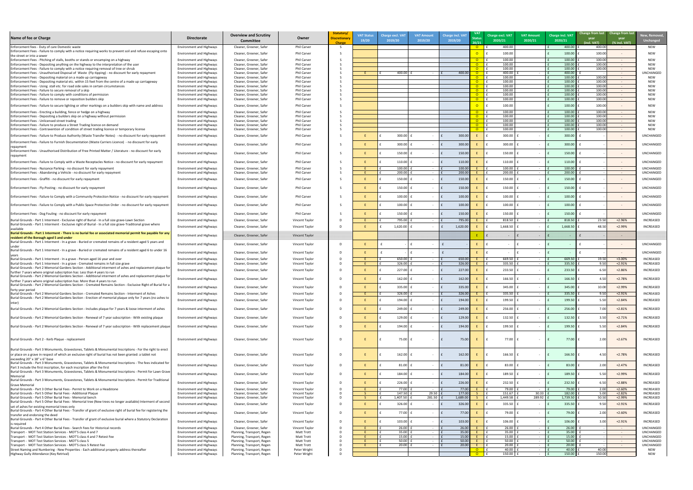| t | New, Removed,<br><b>Unchanged</b>    |
|---|--------------------------------------|
|   | <b>NEW</b>                           |
|   | NEW                                  |
|   | <b>NEW</b><br><b>NEW</b>             |
|   | <b>NEW</b><br>UNCHANGED              |
|   | <b>NEW</b><br><b>NEW</b>             |
|   | <b>NEW</b>                           |
|   | <b>NEW</b><br><b>NEW</b>             |
|   | <b>NEW</b><br><b>NEW</b>             |
|   | NEW                                  |
|   | NEW<br>NEW                           |
|   | <b>NEW</b><br><b>NEW</b>             |
|   | UNCHANGED                            |
|   | UNCHANGED                            |
|   |                                      |
|   | UNCHANGED                            |
|   | UNCHANGED<br>UNCHANGED               |
|   | UNCHANGED                            |
|   | UNCHANGED                            |
|   | UNCHANGED                            |
|   | UNCHANGED                            |
|   | UNCHANGED                            |
|   | UNCHANGED                            |
|   | <b>INCREASED</b>                     |
|   | INCREASED                            |
|   |                                      |
|   | UNCHANGED                            |
|   | UNCHANGED                            |
|   | <b>INCREASED</b><br>INCREASED        |
|   | <b>INCREASED</b>                     |
|   | INCREASED                            |
|   | INCREASED                            |
|   | INCREASED                            |
|   | <b>INCREASED</b>                     |
|   | <b>INCREASED</b>                     |
|   | <b>INCREASED</b>                     |
|   | <b>INCREASED</b>                     |
|   | <b>INCREASED</b>                     |
|   |                                      |
|   | <b>INCREASED</b>                     |
|   |                                      |
|   | INCREASED                            |
|   | INCREASED                            |
|   | INCREASED                            |
|   | INCREASED<br>INCREASED               |
|   | <b>INCREASED</b><br><b>INCREASED</b> |
|   |                                      |
|   | INCREASED                            |
|   | INCREASED<br>UNCHANGED               |
|   | UNCHANGED                            |
|   | UNCHANGED<br>UNCHANGED               |
|   | UNCHANGED<br>NEW                     |
|   | <b>NEW</b>                           |

| Name of fee or Charge                                                                                                                                                                                                 | <b>Directorate</b>                                                 | <b>Overview and Scrutiny</b><br>Committee                | Owner                                   | Statutory/<br><b>Discretionary</b><br><b>Charge</b> | <b>VAT Status</b><br>19/20 | <b>Charge excl. VAT</b><br>2019/20 | <b>VAT Amount</b><br>2019/20          | <b>Charge incl. VAT</b><br>2019/20 | <b>VAT</b><br><b>Status</b><br>20/21 | Charge excl. VAT<br>2020/21 | <b>VAT Amount</b><br>2020/21 | <b>Charge incl. VAT</b><br>2020/21 | Change from last Change from last<br>year<br>(incl. VAT) | year<br>(% incl. VAT)            | New, Remove<br><b>Unchanged</b>      |
|-----------------------------------------------------------------------------------------------------------------------------------------------------------------------------------------------------------------------|--------------------------------------------------------------------|----------------------------------------------------------|-----------------------------------------|-----------------------------------------------------|----------------------------|------------------------------------|---------------------------------------|------------------------------------|--------------------------------------|-----------------------------|------------------------------|------------------------------------|----------------------------------------------------------|----------------------------------|--------------------------------------|
| Enforcement fees - Duty of care Domestic waste                                                                                                                                                                        | <b>Environment and Highways</b>                                    | Cleaner, Greener, Safer                                  | Phil Carver                             |                                                     |                            |                                    |                                       |                                    | $\overline{O}$                       | 400.00                      |                              | 400.00                             | 400.00                                                   |                                  | <b>NEW</b>                           |
| Enforcement Fees - Failure to comply with a notice requiring works to prevent soil and refuse escaping onto<br>the street or into a sewer                                                                             | <b>Environment and Highways</b>                                    | Cleaner, Greener, Safer                                  | Phil Carver                             |                                                     |                            |                                    |                                       |                                    |                                      | 100.00                      |                              | 100.00                             | 100.00                                                   |                                  | <b>NEW</b>                           |
| Enforcement Fees - Pitching of stalls, booths or stands or encamping on a highway                                                                                                                                     | <b>Environment and Highways</b>                                    | Cleaner, Greener, Safer                                  | Phil Carver                             |                                                     |                            |                                    |                                       |                                    | $\Omega$                             | 100.00                      |                              | 100.00                             | 100.00                                                   |                                  | <b>NEW</b>                           |
| Enforcement Fees - Depositing anything on the highway to the interpretation of the user<br>Enforcement Fees - Failure to comply with a notice requiring removal of tree or shrub                                      | <b>Environment and Highways</b><br><b>Environment and Highways</b> | Cleaner, Greener, Safer<br>Cleaner, Greener, Safer       | Phil Carver<br>Phil Carver              |                                                     |                            |                                    |                                       |                                    | $\Omega$                             | 100.00<br>100.00            |                              | 100.00<br>100.00                   | 100.00<br>100.00                                         | $\sim$ $ \sim$                   | <b>NEW</b><br><b>NEW</b>             |
| Enforcement Fees - Unauthorised Disposal of Waste (Fly-tipping) - no discount for early repayment                                                                                                                     | <b>Environment and Highways</b>                                    | Cleaner, Greener, Safer                                  | Phil Carver                             |                                                     |                            | 400.00                             |                                       | 400.00                             | $\Omega$                             | 400.00                      |                              | 400.00                             |                                                          | $\sim$ $ \sim$                   | <b>UNCHANGED</b>                     |
| Enforcement Fees - Depositing material on a made up carriageway<br>Enforcement Fees - Depositing material etc. within 15 feet from the centre of a made up carriageway                                                | <b>Environment and Highways</b><br><b>Environment and Highways</b> | Cleaner, Greener, Safer<br>Cleaner, Greener, Safer       | Phil Carver<br>Phil Carver              |                                                     |                            |                                    |                                       |                                    | $\Omega$                             | 100.00<br>100.00            |                              | 100.00<br>100.00                   | 100.00<br>100.00                                         | $\sim$ $ \sim$                   | <b>NEW</b><br><b>NEW</b>             |
| Enforcement Fees - Using stall etc. for road side sales in certain circumstances                                                                                                                                      | <b>Environment and Highways</b>                                    | Cleaner, Greener, Safer                                  | Phil Carver                             |                                                     |                            |                                    |                                       |                                    |                                      | 100.00                      |                              | 100.00                             | 100.00                                                   |                                  | <b>NEW</b>                           |
| Enforcement Fees - Failure to secure removal of a skip<br>Enforcement Fees - Failure to comply with conditions of permission                                                                                          | <b>Environment and Highways</b><br><b>Environment and Highways</b> | Cleaner, Greener, Safer<br>Cleaner, Greener, Safer       | Phil Carver<br>Phil Carver              |                                                     |                            |                                    |                                       |                                    | $\Omega$                             | 100.00<br>100.00            |                              | 100.00<br>100.00                   | 100.00<br>100.00                                         |                                  | <b>NEW</b><br><b>NEW</b>             |
| Enforcement Fees - Failure to remove or reposition builders skip                                                                                                                                                      | <b>Environment and Highways</b>                                    | Cleaner, Greener, Safer                                  | Phil Carver                             |                                                     |                            |                                    |                                       |                                    | $\Omega$                             | 100.00                      |                              | 100.00                             | 100.00                                                   |                                  | <b>NEW</b>                           |
| Enforcement Fees - Failure to secure lighting or other markings on a builders skip with name and address                                                                                                              | <b>Environment and Highways</b>                                    | Cleaner, Greener, Safer                                  | Phil Carver                             |                                                     |                            |                                    |                                       |                                    |                                      | 100.00                      |                              | 100.00                             | 100.00                                                   |                                  | <b>NEW</b>                           |
| Enforcement Fees - Erecting a building, fence or hedge on a highway<br>Enforcement Fees - Depositing a builders skip on a highway without permission                                                                  | <b>Environment and Highways</b><br><b>Environment and Highways</b> | Cleaner, Greener, Safer<br>Cleaner, Greener, Safer       | Phil Carver<br>Phil Carver              |                                                     |                            |                                    |                                       |                                    |                                      | 100.00<br>100.00            |                              | 100.00<br>100.00                   | 100.00<br>100.00                                         |                                  | <b>NEW</b><br><b>NEW</b>             |
| Enforcement Fees - Unlicensed street trading                                                                                                                                                                          | <b>Environment and Highways</b>                                    | Cleaner, Greener, Safer                                  | Phil Carver                             |                                                     |                            |                                    |                                       |                                    |                                      | 100.00                      |                              | 100.00                             | 100.00                                                   |                                  | <b>NEW</b>                           |
| Enforcement Fees - Failure to produce a Street Trading licence on demand<br>Enforcement Fees - Contravention of condition of street trading licence or temporary license                                              | <b>Environment and Highways</b><br><b>Environment and Highways</b> | Cleaner, Greener, Safer<br>Cleaner, Greener, Safer       | Phil Carver<br>Phil Carver              |                                                     |                            |                                    |                                       |                                    | $\Omega$                             | 100.00<br>100.00            |                              | 100.00<br>100.00                   | 100.00<br>100.00                                         |                                  | <b>NEW</b><br><b>NEW</b>             |
| Enforcement Fees - Failure to Produce Authority (Waste Transfer Notes) - no discount for early repayment                                                                                                              | <b>Environment and Highways</b>                                    | Cleaner, Greener, Safer                                  | Phil Carver                             |                                                     |                            | 300.00                             |                                       | 300.00                             |                                      | 300.00                      |                              | 300.00                             |                                                          |                                  | UNCHANGED                            |
| Enforcement Fees - Failure to Furnish Documentation (Waste Carriers Licence) - no discount for early                                                                                                                  |                                                                    |                                                          |                                         |                                                     |                            |                                    |                                       |                                    |                                      |                             |                              |                                    |                                                          |                                  |                                      |
| repayment                                                                                                                                                                                                             | <b>Environment and Highways</b>                                    | Cleaner, Greener, Safer                                  | Phil Carver                             |                                                     |                            | 300.00                             | $\sim$                                | 300.00                             |                                      | 300.00                      |                              | 300.00                             |                                                          | $\sim$ $ \sim$                   | <b>UNCHANGED</b>                     |
| Enforcement Fees - Unauthorised Distribution of Free Printed Matter / Literature - no discount for early<br>repayment                                                                                                 | <b>Environment and Highways</b>                                    | Cleaner, Greener, Safer                                  | Phil Carver                             |                                                     |                            | 150.00                             | $\sim$                                | 150.00                             |                                      | 150.00                      |                              | 150.00                             |                                                          | $\sim$ $ \sim$                   | <b>UNCHANGED</b>                     |
| Enforcement Fees - Failure to Comply with a Waste Receptacles Notice - no discount for early repayment                                                                                                                | <b>Environment and Highways</b>                                    | Cleaner, Greener, Safer                                  | Phil Carver                             |                                                     |                            | 110.00                             | $\sim$                                | 110.00                             |                                      | 110.00                      |                              | 110.00                             |                                                          | $\sim$ $-$                       | <b>UNCHANGED</b>                     |
| Enforcement Fees - Nuisance Parking - no discount for early repayment<br>Enforcement Fees - Abandoning a Vehicle - no discount for early repayment                                                                    | <b>Environment and Highways</b><br><b>Environment and Highways</b> | Cleaner, Greener, Safer<br>Cleaner, Greener, Safer       | Phil Carver<br>Phil Carver              |                                                     |                            | 100.00<br>200.00                   | $\sim$ $ \sim$<br>$\sim$ $ \sim$      | 100.00<br>200.00                   |                                      | 100.00<br>200.00            | $\sim$ $-$<br>$\sim$ $ \sim$ | 100.00<br>200.00                   |                                                          | $\sim$ $ \sim$<br>$\sim$ $ \sim$ | <b>UNCHANGED</b><br><b>UNCHANGED</b> |
| Enforcement Fees - Graffiti - no discount for early repayment                                                                                                                                                         | <b>Environment and Highways</b>                                    | Cleaner, Greener, Safer                                  | Phil Carver                             |                                                     |                            | $150.00$                           | $\sim$ $ \sim$                        | 150.00                             |                                      | 150.00                      |                              | 150.00                             |                                                          | $\sim$ $-$                       | <b>UNCHANGED</b>                     |
| Enforcement Fees - Fly-Posting - no discount for early repayment                                                                                                                                                      | <b>Environment and Highways</b>                                    | Cleaner, Greener, Safer                                  | Phil Carver                             |                                                     |                            | $150.00$                           |                                       | 150.00                             |                                      | 150.00                      |                              | 150.00                             |                                                          |                                  | <b>UNCHANGED</b>                     |
| Enforcement Fees - Failure to Comply with a Community Protection Notice - no discount for early repayment                                                                                                             | <b>Environment and Highways</b>                                    | Cleaner, Greener, Safer                                  | Phil Carver                             |                                                     |                            | 100.00                             |                                       | 100.00                             |                                      | 100.00                      |                              | 100.00                             |                                                          |                                  | UNCHANGED                            |
| Enforcement Fees - Failure to Comply with a Public Space Protection Order - no discount for early repayment                                                                                                           | <b>Environment and Highways</b>                                    | Cleaner, Greener, Safer                                  | Phil Carver                             |                                                     |                            | 100.00                             | $\sim$ $ \sim$                        | 100.00                             |                                      | 100.00                      |                              | 100.00                             |                                                          | $\sim$ $ \sim$                   | UNCHANGED                            |
| Enforcement Fees - Dog Fouling - no discount for early repayment                                                                                                                                                      | <b>Environment and Highways</b>                                    | Cleaner, Greener, Safer                                  | Phil Carver                             |                                                     |                            | 150.00                             | $\sim$ $ \sim$                        | 150.00                             |                                      | 150.00                      |                              | 150.00                             |                                                          | $\sim$ $ \sim$                   | <b>UNCHANGED</b>                     |
| Burial Grounds - Part 1 Interment - Exclusive right of Burial - In a full size grave-Lawn Section                                                                                                                     | <b>Environment and Highways</b>                                    | Cleaner, Greener, Safer                                  | Vincent Taylor                          |                                                     |                            | 795.00                             | $\sim$ $-$                            | 795.00                             |                                      | 818.50                      |                              | 818.50                             | 23.50                                                    | $+2.96%$                         | INCREASED                            |
| Burial Grounds - Part 1 Interment - Exclusive right of Burial - In a full size grave-Traditional grave where                                                                                                          | <b>Environment and Highways</b>                                    | Cleaner, Greener, Safer                                  | Vincent Taylor                          |                                                     |                            | $1,620.00$                         | $\sim$ $ \sim$                        | 1,620.00                           |                                      | 1,668.50                    |                              | 1,668.50                           | 48.50                                                    | +2.99%                           | INCREASED                            |
| available<br>Burial Grounds - Part 1 Interment - There is no burial fee or associated memorial permit fee payable for any                                                                                             |                                                                    |                                                          |                                         |                                                     |                            |                                    |                                       |                                    |                                      |                             |                              |                                    |                                                          |                                  |                                      |
| resident of the Borough aged 5 and under<br>Burial Grounds - Part 1 Interment - In a grave - Buried or cremated remains of a resident aged 5 years and                                                                | <b>Environment and Highways</b><br><b>Environment and Highways</b> | Cleaner, Greener, Safer<br>Cleaner, Greener, Safer       | <b>Vincent Taylor</b><br>Vincent Taylor |                                                     |                            |                                    | $\sim$                                |                                    |                                      |                             |                              |                                    |                                                          | $\sim$ $ \sim$                   | <b>UNCHANGED</b>                     |
| lunder<br>Burial Grounds - Part 1 Interment - In a grave - Buried or cremated remains of a resident aged 6 to under 16                                                                                                |                                                                    |                                                          |                                         |                                                     |                            |                                    |                                       |                                    |                                      |                             |                              |                                    |                                                          |                                  |                                      |
|                                                                                                                                                                                                                       | <b>Environment and Highways</b>                                    | Cleaner, Greener, Safer                                  | Vincent Taylor                          |                                                     |                            |                                    | $\sim$ $ \sim$                        |                                    |                                      |                             |                              |                                    |                                                          | $\sim$ $ \sim$                   | <b>UNCHANGED</b>                     |
| Burial Grounds - Part 1 Interment - In a grave - Person aged 16 year and over<br>Burial Grounds - Part 1 Interment - In a grave - Cremated remains in full size grave                                                 | <b>Environment and Highways</b><br><b>Environment and Highways</b> | Cleaner, Greener, Safer<br>Cleaner, Greener, Safer       | Vincent Taylor<br>Vincent Taylor        |                                                     |                            | 650.00<br>326.00                   | $\sim$ $ \sim$<br>$\sim 100$          | 650.00<br>326.00                   |                                      | 669.50<br>335.50            | $\sim$ $-$<br>$\sim$ $-$     | 669.50<br>335.50                   | 19.50<br>9.50                                            | +3.00%<br>$+2.91%$               | INCREASED<br>INCREASED               |
| Burial Grounds - Part 2 Memorial Gardens Section - Additional interment of ashes and replacement plaque fo                                                                                                            | <b>Environment and Highways</b>                                    | Cleaner, Greener, Safer                                  | Vincent Taylor                          |                                                     |                            | 227.00                             | $\sim 100$                            | 227.00                             |                                      | 233.50                      |                              | 233.50                             |                                                          | $+2.86%$                         | INCREASED                            |
| further 7 years where original subscription has: Less than 4 years to run<br>Burial Grounds - Part 2 Memorial Gardens Section - Additional interment of ashes and replacement plaque for                              |                                                                    |                                                          |                                         |                                                     |                            |                                    |                                       |                                    |                                      |                             |                              |                                    |                                                          |                                  |                                      |
| further 7 years where original subscription has: More than 4 years to run                                                                                                                                             | <b>Environment and Highways</b>                                    | Cleaner, Greener, Safer                                  | Vincent Taylor                          |                                                     |                            | 162.00                             | $\sim$ $ \sim$                        | 162.00                             |                                      | 166.50                      |                              | 166.50                             | 4.50                                                     | $+2.78%$                         | <b>INCREASED</b>                     |
| Burial Grounds - Part 2 Memorial Gardens Section - Cremated Remains Section - Exclusive Right of Burial for a                                                                                                         | <b>Environment and Highways</b>                                    | Cleaner, Greener, Safer                                  | Vincent Taylor                          |                                                     |                            | 335.00                             | $\sim$                                | 335.00                             |                                      | 345.00                      |                              | 345.00                             | 10.00                                                    | +2.99%                           | INCREASED                            |
| forty year period<br>Burial Grounds - Part 2 Memorial Gardens Section - Cremated Remains Section - Interment of Ashes                                                                                                 | <b>Environment and Highways</b>                                    | Cleaner, Greener, Safer                                  | Vincent Taylor                          |                                                     |                            | 326.00                             | $\sim$                                | 326.00                             |                                      | 335.50                      | $\sim$                       | 335.50                             | 9.50                                                     | $+2.91%$                         | INCREASED                            |
| Burial Grounds - Part 2 Memorial Gardens Section - Erection of memorial plaque only for 7 years (no ashes to                                                                                                          | <b>Environment and Highways</b>                                    | Cleaner, Greener, Safer                                  | Vincent Taylor                          |                                                     |                            | 194.00                             | $\sim$                                | 194.00                             |                                      | 199.50                      |                              | 199.50                             |                                                          | $+2.84%$                         | INCREASED                            |
| nter)<br>Burial Grounds - Part 2 Memorial Gardens Section - Includes plaque for 7 years & loose interment of ashes                                                                                                    | <b>Environment and Highways</b>                                    | Cleaner, Greener, Safer                                  | Vincent Taylor                          |                                                     |                            | 249.00                             | $\sim$ $ \sim$                        | 249.00                             |                                      | 256.00                      |                              | 256.00                             | 7.00                                                     | $+2.81%$                         | INCREASED                            |
| Burial Grounds - Part 2 Memorial Gardens Section - Renewal of 7 year subscription - With existing plaque                                                                                                              | <b>Environment and Highways</b>                                    | Cleaner, Greener, Safer                                  | Vincent Taylor                          |                                                     |                            | 129.00                             | $\sim$ $ \sim$                        | 129.00                             |                                      | 132.50                      |                              | 132.50                             |                                                          | $+2.71%$                         | <b>INCREASED</b>                     |
| Burial Grounds - Part 2 Memorial Gardens Section - Renewal of 7 year subscription - With replacement plaque                                                                                                           | <b>Environment and Highways</b>                                    | Cleaner, Greener, Safer                                  | Vincent Taylor                          |                                                     |                            | 194.00                             | $\sim$ $ \sim$                        | 194.00                             |                                      | 199.50                      |                              | 199.50                             | 5.50                                                     | $+2.84%$                         | INCREASED                            |
|                                                                                                                                                                                                                       |                                                                    |                                                          |                                         |                                                     |                            |                                    |                                       |                                    |                                      |                             |                              |                                    |                                                          |                                  |                                      |
| Burial Grounds - Part 2 - Kerb Plaque - replacement                                                                                                                                                                   | <b>Environment and Highways</b>                                    | Cleaner, Greener, Safer                                  | Vincent Taylor                          |                                                     |                            | 75.00                              | $\sim$ $ \sim$                        | 75.00                              |                                      | 77.00                       |                              | 77.00                              | 2.00                                                     | $+2.67%$                         | <b>INCREASED</b>                     |
| Burial Grounds - Part 3 Monuments, Gravestones, Tablets & Monumental Inscriptions - For the right to erect<br>or place on a grave in respect of which an exclusive right of burial has not been granted: a tablet not | <b>Environment and Highways</b>                                    | Cleaner, Greener, Safer                                  | Vincent Taylor                          |                                                     |                            | $162.00$                           | $\sim$ $ \sim$                        | 162.00                             |                                      | 166.50                      |                              | 166.50                             | 4.50                                                     | $+2.78%$                         | <b>INCREASED</b>                     |
| exceeding $20'' \times 18'' \times 6''$ base<br>Burial Grounds - Part 3 Monuments, Gravestones, Tablets & Monumental Inscriptions - The fees indicated for                                                            | <b>Environment and Highways</b>                                    |                                                          |                                         |                                                     |                            | 81.00                              |                                       |                                    |                                      | 83.00                       |                              |                                    |                                                          | $+2.47%$                         | INCREASED                            |
| Part 3 include the first inscription, for each inscription after the first<br>Burial Grounds - Part 3 Monuments, Gravestones, Tablets & Monumental Inscriptions - Permit for Lawn Grave                               |                                                                    | Cleaner, Greener, Safer                                  | Vincent Taylor                          |                                                     |                            |                                    | $\sim$ $ \sim$                        | 81.00                              |                                      |                             |                              | 83.00                              | 2.00                                                     |                                  |                                      |
| Memorial<br>Burial Grounds - Part 3 Monuments, Gravestones, Tablets & Monumental Inscriptions - Permit for Traditiona                                                                                                 | <b>Environment and Highways</b>                                    | Cleaner, Greener, Safer                                  | Vincent Taylor                          |                                                     |                            | $184.00$                           | $\sim$ $ \sim$                        | 184.00                             |                                      | 189.50                      |                              | 189.50                             | 5.50                                                     | +2.99%                           | INCREASED                            |
| <b>Grave Memorial</b>                                                                                                                                                                                                 | <b>Environment and Highways</b>                                    | Cleaner, Greener, Safer                                  | Vincent Taylor                          |                                                     |                            | 226.00                             | $\sim$ $ \sim$                        | 226.00                             |                                      | 232.50                      |                              | 232.50                             | 6.50                                                     | $+2.88%$                         | INCREASED                            |
| Burial Grounds - Part 3 Other Burial Fees - Permit to Work on a Headstone<br>Burial Grounds - Part 5 Other Burial Fees - Additional Plaque                                                                            | <b>Environment and Highways</b><br><b>Environment and Highways</b> | Cleaner, Greener, Safer<br>Cleaner, Greener, Safer       | Vincent Taylor<br>Vincent Taylor        |                                                     |                            | 77.00<br>147.50                    | $\sim$ $ \sim$<br>29.50 $\frac{1}{2}$ | 77.00<br>177.00                    |                                      | 79.00<br>151.67             | 30.33                        | 79.00<br>182.00                    | 2.00<br>5.00                                             | $+2.60%$<br>$+2.82%$             | INCREASED<br>INCREASED               |
| Burial Grounds - Part 5 Other Burial Fees - Memorial bench                                                                                                                                                            | <b>Environment and Highways</b>                                    | Cleaner, Greener, Safer                                  | Vincent Taylor                          |                                                     |                            | $1,407.50$   1                     | $281.50$ $f$                          | 1,689.00                           |                                      | 1,449.58                    | 289.92                       | 1,739.50                           | 50.50                                                    | +2.99%                           | INCREASED                            |
| Burial Grounds - Part 5 Other Burial Fees - Memorial tree (New trees no longer available) Interment of second<br>set of ashes for existing memorial trees only                                                        | <b>Environment and Highways</b>                                    | Cleaner, Greener, Safer                                  | Vincent Taylor                          |                                                     |                            | 326.00                             | $\sim$ $ \sim$                        | 326.00                             |                                      | 335.50                      |                              | 335.50                             | 9.50                                                     | $+2.91%$                         | INCREASED                            |
| Burial Grounds - Part 4 Other Burial Fees - Transfer of grant of exclusive right of burial fee for registering the<br>transfer and endorsing the deed                                                                 | <b>Environment and Highways</b>                                    | Cleaner, Greener, Safer                                  | Vincent Taylor                          |                                                     |                            | 77.00                              | $\sim$ $ \sim$                        | 77.00                              |                                      | 79.00                       |                              | 79.00                              | 2.00                                                     | $+2.60%$                         | INCREASED                            |
| Burial Grounds - Part 4 Other Burial Fees - Transfer of grant of exclusive burial where a Statutory Declaration                                                                                                       | <b>Environment and Highways</b>                                    | Cleaner, Greener, Safer                                  | Vincent Taylor                          |                                                     |                            | $103.00$                           | $\sim$ $ \sim$                        | 103.00                             |                                      | 106.00                      |                              | 106.00                             | 3.00                                                     | $+2.91%$                         | INCREASED                            |
| is reguired<br>Burial Grounds - Part 4 Other Burial Fees - Search Fees for Historical records                                                                                                                         | <b>Environment and Highways</b>                                    | Cleaner, Greener, Safer                                  | Vincent Taylor                          |                                                     |                            | 26.00                              | $\sim$                                | 26.00                              |                                      | 26.00                       |                              | 26.00                              |                                                          | $\sim$ $ \sim$                   | <b>UNCHANGED</b>                     |
| Transport - MOT Test Station Services - MOT'S class 4 and 7<br>Transport - MOT Test Station Services - MOT'S class 4 and 7 Retest Fee                                                                                 | <b>Environment and Highways</b><br><b>Environment and Highways</b> | Planning, Transport, Regen<br>Planning, Transport, Regen | <b>Matt Trott</b><br>Matt Trott         |                                                     |                            | 35.00<br>15.00                     | $\sim$ $ \sim$<br>$\sim$ $ \sim$      | 35.00<br>15.00                     |                                      | 35.00<br>15.00              | $\sim$ $-$<br>$\sim$ $-$     | 35.00<br>15.00                     |                                                          | $\sim$ $ \sim$<br>$\sim$ $ \sim$ | <b>UNCHANGED</b><br><b>UNCHANGED</b> |
| Transport - MOT Test Station Services - MOT'S class 5                                                                                                                                                                 | <b>Environment and Highways</b>                                    | Planning, Transport, Regen                               | <b>Matt Trott</b>                       |                                                     |                            | 50.00                              | $\sim$ $ \sim$                        | 50.00                              |                                      | 50.00                       | $\sim$ $-$                   | 50.00                              |                                                          | $\sim 100$                       | <b>UNCHANGED</b>                     |
| Transport - MOT Test Station Services - MOT'S class 5 Retest Fee<br>Street Naming and Numbering - New Properties - Each additional property address thereafter                                                        | <b>Environment and Highways</b><br>Environment and Highways        | Planning, Transport, Regen<br>Planning, Transport, Regen | Matt Trott<br>Peter Wright              |                                                     |                            | 20.00                              | $\sim$ $ \sim$                        | 20.00                              | <u>റ</u>                             | 20.00<br>40.00              | $\sim$ $-$<br>$\sim 100$     | 20.00<br>40.00                     | 40.00                                                    | $\sim$ $ \sim$                   | UNCHANGED<br>NEW                     |
| Highway Gully Attendance (Key Retrival)                                                                                                                                                                               | <b>Environment and Highways</b>                                    | Planning, Transport, Regen                               | Peter Wright                            |                                                     |                            |                                    |                                       |                                    | $\overline{0}$                       | 150.00                      | $\sim$ $-$                   | 150.00                             | 150.00                                                   |                                  | NEW                                  |
|                                                                                                                                                                                                                       |                                                                    |                                                          |                                         |                                                     |                            |                                    |                                       |                                    |                                      |                             |                              |                                    |                                                          |                                  |                                      |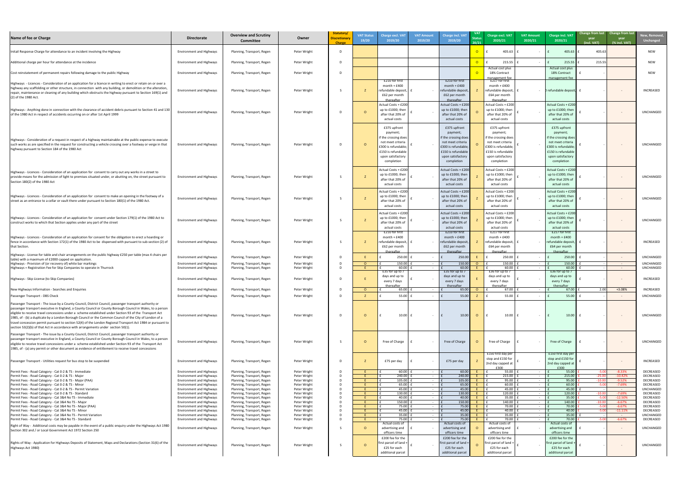| New, Removed,<br><b>Unchanged</b>                                                                                                                                                                 |  |
|---------------------------------------------------------------------------------------------------------------------------------------------------------------------------------------------------|--|
| <b>NEW</b>                                                                                                                                                                                        |  |
| <b>NEW</b>                                                                                                                                                                                        |  |
| NEW                                                                                                                                                                                               |  |
| <b>INCREASED</b>                                                                                                                                                                                  |  |
| UNCHANGED                                                                                                                                                                                         |  |
| UNCHANGED                                                                                                                                                                                         |  |
| UNCHANGED                                                                                                                                                                                         |  |
| UNCHANGED                                                                                                                                                                                         |  |
| UNCHANGED                                                                                                                                                                                         |  |
| INCREASED                                                                                                                                                                                         |  |
| <b>UNCHANGED</b>                                                                                                                                                                                  |  |
| UNCHANGED<br>UNCHANGED                                                                                                                                                                            |  |
| INCREASED                                                                                                                                                                                         |  |
| <b>INCREASED</b><br>UNCHANGED                                                                                                                                                                     |  |
| UNCHANGED                                                                                                                                                                                         |  |
| UNCHANGED                                                                                                                                                                                         |  |
| INCREASED                                                                                                                                                                                         |  |
| <b>DECREASED</b><br>DECREASED<br>DECREASED<br>DECREASED<br>UNCHANGED<br>DECREASED<br>DECREASED<br><b>DECREASED</b><br><b>DECREASED</b><br><b>DECREASED</b><br>UNCHANGED<br>DECREASED<br>UNCHANGED |  |
| UNCHANGED                                                                                                                                                                                         |  |

| Name of fee or Charge                                                                                                                                                                                                                                                                                                                                                                                                                                                                                                                                                                                                                           | <b>Directorate</b>                                                 | <b>Overview and Scrutiny</b><br><b>Committee</b>         | Owner                        | Statutory/<br><b>Discretionary</b><br><b>Charge</b> | <b>VAT Status</b><br>19/20 | <b>Charge excl. VAT</b><br>2019/20                                                                                                                   | <b>VAT Amount</b><br>2019/20     | <b>Charge incl. VAT</b><br>2019/20                                                                                                                   | <b>VAT</b><br>20/21 | Charge excl. VAT<br>2020/21                                                                                                                           | <b>VAT Amount</b><br>2020/21 | <b>Charge incl. VAT</b><br>2020/21                                                                                                                    | Change from last Change from last<br>year<br>(incl. VAT) | year<br>(% incl. VAT)        | New, Remove<br><b>Unchanged</b> |
|-------------------------------------------------------------------------------------------------------------------------------------------------------------------------------------------------------------------------------------------------------------------------------------------------------------------------------------------------------------------------------------------------------------------------------------------------------------------------------------------------------------------------------------------------------------------------------------------------------------------------------------------------|--------------------------------------------------------------------|----------------------------------------------------------|------------------------------|-----------------------------------------------------|----------------------------|------------------------------------------------------------------------------------------------------------------------------------------------------|----------------------------------|------------------------------------------------------------------------------------------------------------------------------------------------------|---------------------|-------------------------------------------------------------------------------------------------------------------------------------------------------|------------------------------|-------------------------------------------------------------------------------------------------------------------------------------------------------|----------------------------------------------------------|------------------------------|---------------------------------|
| Initail Response Charge for attendance to an incident involving the Highway                                                                                                                                                                                                                                                                                                                                                                                                                                                                                                                                                                     | <b>Environment and Highways</b>                                    | Planning, Transport, Regen                               | Peter Wright                 |                                                     |                            |                                                                                                                                                      |                                  |                                                                                                                                                      |                     | 405.63                                                                                                                                                |                              | 405.63                                                                                                                                                | 405.63                                                   |                              | <b>NEW</b>                      |
| Additional charge per hour for attendance at the incidence                                                                                                                                                                                                                                                                                                                                                                                                                                                                                                                                                                                      | <b>Environment and Highways</b>                                    | Planning, Transport, Regen                               | Peter Wright                 |                                                     |                            |                                                                                                                                                      |                                  |                                                                                                                                                      | $\overline{O}$      | 215.55                                                                                                                                                |                              | 215.55                                                                                                                                                | 215.55                                                   |                              | <b>NEW</b>                      |
| Cost reinstatement of permanent repairs following damage to the public Highway                                                                                                                                                                                                                                                                                                                                                                                                                                                                                                                                                                  | <b>Environment and Highways</b>                                    | Planning, Transport, Regen                               | Peter Wright                 |                                                     |                            |                                                                                                                                                      |                                  |                                                                                                                                                      |                     | Actual cost plus<br>18% Contract                                                                                                                      |                              | Actual cost plus<br>18% Contract                                                                                                                      |                                                          |                              | <b>NEW</b>                      |
| Highways - Licences - Consideration of an application for a licence in writing to erect or retain on or over a<br>highway any scaffolding or other structure, in connection with any building, or demolition or the alteration,<br>repair, maintenance or cleaning of any building which obstructs the highway pursuant to Section 169(1) and<br>(2) of the 1980 Act.                                                                                                                                                                                                                                                                           | <b>Environment and Highways</b>                                    | Planning, Transport, Regen                               | Peter Wright                 |                                                     |                            | £210 for first<br>$month + £400$<br>refundable deposit,<br>£62 per month<br>thereafter                                                               |                                  | £210 for first<br>$month + £400$<br>refundable deposi<br>£62 per month<br>thereafter                                                                 |                     | management fee<br>£217 for first<br>$month + £400$<br>refundable deposit,<br>£64 per month<br>thereafter                                              |                              | management fee<br>- D refundable deposit, f                                                                                                           |                                                          |                              | INCREASED                       |
| Highways - Anything done in connection with the clearance of accident debris pursuant to Section 41 and 130<br>of the 1980 Act in respect of accidents occurring on or after 1st April 1999                                                                                                                                                                                                                                                                                                                                                                                                                                                     | <b>Environment and Highways</b>                                    | Planning, Transport, Regen                               | Peter Wright                 |                                                     |                            | Actual Costs + £200<br>up to £1000; then<br>after that 20% of<br>actual costs                                                                        |                                  | Actual Costs + £200<br>up to £1000; then<br>after that 20% of<br>actual costs                                                                        |                     | Actual Costs + £200<br>up to £1000; then<br>after that 20% of<br>actual costs                                                                         |                              | Actual Costs + £200<br>up to £1000; then<br>after that 20% of<br>actual costs                                                                         |                                                          | $\sim$                       | UNCHANGED                       |
| Highways - Consideration of a request in respect of a highway maintainable at the public expense to execute<br>such works as are specified in the request for constructing a vehicle crossing over a footway or verge in that<br>highway pursuant to Section 184 of the 1980 Act                                                                                                                                                                                                                                                                                                                                                                | <b>Environment and Highways</b>                                    | Planning, Transport, Regen                               | Peter Wright                 |                                                     |                            | £375 upfront<br>payment;<br>if the crossing does<br>not meet criteria<br>£300 is refundable<br>£150 is refundable<br>upon satisfactory<br>completion |                                  | £375 upfront<br>payment;<br>if the crossing does<br>not meet criteria<br>£300 is refundable<br>£150 is refundable<br>upon satisfactory<br>completion |                     | £375 upfront<br>payment;<br>if the crossing does<br>not meet criteria<br>£300 is refundable;<br>£150 is refundable<br>upon satisfactory<br>completion |                              | £375 upfront<br>payment;<br>if the crossing does<br>not meet criteria<br>£300 is refundable;<br>£150 is refundable<br>upon satisfactory<br>completion |                                                          | $\sim$ $ \sim$               | UNCHANGED                       |
| Highways - Licences - Consideration of an application for consent to carry out any works in a street to<br>provide means for the admission of light to premises situated under, or abutting on, the street pursuant to<br>Section 180(2) of the 1980 Act                                                                                                                                                                                                                                                                                                                                                                                        | <b>Environment and Highways</b>                                    | Planning, Transport, Regen                               | Peter Wright                 |                                                     |                            | Actual Costs + £200<br>up to £1000; then<br>after that 20% of<br>actual costs                                                                        |                                  | Actual Costs + £200<br>up to £1000; then<br>after that 20% of<br>actual costs                                                                        |                     | Actual Costs + £200<br>up to £1000; then<br>after that 20% of<br>actual costs                                                                         |                              | Actual Costs + £20<br>up to £1000; then<br>after that 20% of<br>actual costs                                                                          |                                                          |                              | UNCHANGED                       |
| Highways - Licences - Consideration of an application for consent to make an opening in the footway of a<br>street as an entrance to a cellar or vault there under pursuant to Section 180(1) of the 1980 Act.                                                                                                                                                                                                                                                                                                                                                                                                                                  | <b>Environment and Highways</b>                                    | Planning, Transport, Regen                               | Peter Wright                 |                                                     |                            | Actual Costs + £200<br>up to £1000; then<br>after that 20% of<br>actual costs                                                                        |                                  | Actual Costs + £200<br>up to £1000; then<br>after that 20% of<br>actual costs                                                                        |                     | Actual Costs + £200<br>up to £1000; then<br>after that 20% of<br>actual costs                                                                         |                              | Actual Costs + £200<br>up to £1000; then<br>after that 20% of<br>actual costs                                                                         |                                                          |                              | UNCHANGED                       |
| Highways - Licences - Consideration of an application for consent under Section 179(1) of the 1980 Act to<br>construct works to which that Section applies under any part of the street                                                                                                                                                                                                                                                                                                                                                                                                                                                         | <b>Environment and Highways</b>                                    | Planning, Transport, Regen                               | Peter Wright                 |                                                     |                            | Actual Costs + £200<br>up to £1000; then<br>after that 20% of<br>actual costs<br>£210 for first                                                      |                                  | Actual Costs + £200<br>up to £1000; then<br>after that 20% of<br>actual costs<br>£210 for first                                                      |                     | Actual Costs + £200<br>up to £1000; then<br>after that 20% of<br>actual costs<br>£217 for first                                                       |                              | Actual Costs + £20<br>up to £1000; then<br>after that 20% of<br>actual costs<br>£217 for first                                                        |                                                          |                              | UNCHANGED                       |
| Highways - Licences - Consideration of an application for consent for the obligation to erect a hoarding or<br>fence in accordance with Section 172(1) of the 1980 Act to be dispensed with pursuant to sub-section (2) of<br>that Section.                                                                                                                                                                                                                                                                                                                                                                                                     | <b>Environment and Highways</b>                                    | Planning, Transport, Regen                               | Peter Wright                 |                                                     |                            | $month + £400$<br>refundable deposit,<br>£62 per month<br>thereafter                                                                                 |                                  | $month + £400$<br>refundable deposit<br>£62 per month<br>thereafter                                                                                  |                     | $month + £400$<br>refundable deposit,<br>£64 per month<br>thereafter                                                                                  |                              | $month + £400$<br>refundable deposit,<br>£64 per month<br>thereafter                                                                                  |                                                          |                              | INCREASED                       |
| Highways - License for table and chair arrangements on the public highway £250 per table (max 4 chairs per<br>table) with a maximum of £2000 capped on application.                                                                                                                                                                                                                                                                                                                                                                                                                                                                             | <b>Environment and Highways</b>                                    | Planning, Transport, Regen                               | Peter Wright                 |                                                     |                            | $250.00$   f                                                                                                                                         |                                  | 250.00                                                                                                                                               |                     | 250.00                                                                                                                                                |                              | 250.00                                                                                                                                                |                                                          | $\sim$ $-$                   | UNCHANGED                       |
| Highways - Provision of (or recovery of) white bar markings<br>Highways = Registration Fee for Skip Companies to operate in Thurrock                                                                                                                                                                                                                                                                                                                                                                                                                                                                                                            | <b>Environment and Highways</b><br><b>Environment and Highways</b> | Planning, Transport, Regen<br>Planning, Transport, Regen | Peter Wright<br>Peter Wright |                                                     |                            | 150.00<br>60.00<br>£35 for up to 7                                                                                                                   |                                  | 150.00<br>60.0<br>£35 for up to 7                                                                                                                    |                     | 150.00<br>60.00<br>£36 for up to 7                                                                                                                    |                              | 150.00<br>60.00<br>£36 for up to 7                                                                                                                    |                                                          | $\sim$ $ \sim$<br>$\sim$ $-$ | UNCHANGED<br>UNCHANGED          |
| Highways - Skip License (to Skip Companies)                                                                                                                                                                                                                                                                                                                                                                                                                                                                                                                                                                                                     | <b>Environment and Highways</b>                                    | Planning, Transport, Regen                               | Peter Wright                 |                                                     |                            | days and up to<br>every 7 days                                                                                                                       |                                  | days and up to<br>every 7 days                                                                                                                       |                     | days and up to<br>every 7 days                                                                                                                        |                              | days and up to<br>every 7 days                                                                                                                        |                                                          |                              | <b>INCREASED</b>                |
| New Highways Information - Searches and Enquiries                                                                                                                                                                                                                                                                                                                                                                                                                                                                                                                                                                                               | <b>Environment and Highways</b>                                    | Planning, Transport, Regen                               | Peter Wright                 |                                                     | $\Omega$                   | thereafter<br>65.00                                                                                                                                  | $\sim$ 100 $\sim$                | thereafter<br>65.00                                                                                                                                  | <u>റ</u>            | thereafter<br>67.00                                                                                                                                   | $\sim$ $-$                   | thereafter<br>67.00                                                                                                                                   | 2.00                                                     | +3.08%                       | INCREASED                       |
| Passenger Transport - DBS Check                                                                                                                                                                                                                                                                                                                                                                                                                                                                                                                                                                                                                 | <b>Environment and Highways</b>                                    | Planning, Transport, Regen                               | Peter Wright                 |                                                     |                            | 55.00                                                                                                                                                |                                  | 55.00                                                                                                                                                |                     | 55.00                                                                                                                                                 |                              | 55.00                                                                                                                                                 |                                                          | $\sim$ $ \sim$               | UNCHANGED                       |
| Passenger Transport - The issue by a County Council, District Council, passenger transport authority or<br>passenger transport executive in England, a County Council or County Borough Council in Wales, to a person<br>eligible to receive travel concessions under a scheme established under Section 93 of the Transport Act<br>1985, of - (b) a duplicate by a London Borough Council or the Common Council of the City of London of a<br>travel concession permit pursuant to section 52(4) of the London Regional Transport Act 1984 or pursuant to<br>section 53(2)(b) of that Act in accordance with arrangements under section 50(1). | <b>Environment and Highways</b>                                    | Planning, Transport, Regen                               | Peter Wright                 |                                                     |                            | $10.00$ $f$                                                                                                                                          |                                  | 10.00                                                                                                                                                | $\circ$             | 10.00                                                                                                                                                 |                              | 10.00                                                                                                                                                 |                                                          |                              | UNCHANGED                       |
| Passenger Transport - The issue by a County Council, District Council, passenger transport authority or<br>passenger transport executive in England, a County Council or County Borough Council in Wales, to a person<br>eligible to receive travel concessions under a scheme established under Section 93 of the Transport Act<br>1985, of - (a) any permit or other document as evidence of entitlement to receive travel concessions                                                                                                                                                                                                        | <b>Environment and Highways</b>                                    | Planning, Transport, Regen                               | Peter Wright                 |                                                     | $\Omega$                   | Free of Charge                                                                                                                                       |                                  | Free of Charge                                                                                                                                       |                     | Free of Charge<br>£150 first day per                                                                                                                  |                              | Free of Charge<br>£150 first day per                                                                                                                  |                                                          |                              | <b>UNCHANGED</b>                |
| Passenger Transport - Utilities request for bus stop to be suspended                                                                                                                                                                                                                                                                                                                                                                                                                                                                                                                                                                            | <b>Environment and Highways</b>                                    | Planning, Transport, Regen                               | Peter Wright                 |                                                     |                            | £75 per day                                                                                                                                          |                                  | £75 per day                                                                                                                                          |                     | stop and £150 for<br>2nd day capped at                                                                                                                |                              | stop and £150 for<br>2nd day capped at<br>£300                                                                                                        |                                                          | $\sim$ $ \sim$               | <b>INCREASED</b>                |
| Permit Fees - Road Category - Cat 0-2 & TS - Immediate                                                                                                                                                                                                                                                                                                                                                                                                                                                                                                                                                                                          | <b>Environment and Highways</b>                                    | Planning, Transport, Regen                               | Peter Wright                 |                                                     |                            | 60.00                                                                                                                                                | $\sim$ $ \sim$                   | 60.00                                                                                                                                                |                     | 55.00                                                                                                                                                 |                              | 55.00                                                                                                                                                 | $-5.00$                                                  | $-8.33%$                     | <b>DECREASED</b>                |
| Permit Fees - Road Category - Cat 0-2 & TS - Major<br>Permit Fees - Road Category - Cat 0-2 & TS - Major (PAA)                                                                                                                                                                                                                                                                                                                                                                                                                                                                                                                                  | <b>Environment and Highways</b><br><b>Environment and Highways</b> | Planning, Transport, Regen<br>Planning, Transport, Regen | Peter Wright<br>Peter Wright |                                                     |                            | 240.00<br>105.00                                                                                                                                     | $\sim$ $ \sim$<br>$\sim$ $ \sim$ | 240.00<br>105.00                                                                                                                                     |                     | 215.00<br>95.00                                                                                                                                       |                              | 215.00<br>95.00                                                                                                                                       | $-25.00$<br>$-10.00$                                     | $-10.42%$<br>$-9.52%$        | DECREASED<br><b>DECREASED</b>   |
| Permit Fees - Road Category - Cat 0-2 & TS - Minor                                                                                                                                                                                                                                                                                                                                                                                                                                                                                                                                                                                              | <b>Environment and Highways</b>                                    | Planning, Transport, Regen                               | Peter Wright                 |                                                     |                            | 65.00                                                                                                                                                | $\sim$ $ \sim$                   | 65.00                                                                                                                                                |                     | 60.00                                                                                                                                                 |                              | 60.00                                                                                                                                                 |                                                          | $-7.69%$                     | DECREASED                       |
| Permit Fees - Road Category - Cat 0-2 & TS - Permit Variation<br>Permit Fees - Road Category - Cat 0-2 & TS - Standard                                                                                                                                                                                                                                                                                                                                                                                                                                                                                                                          | <b>Environment and Highways</b><br><b>Environment and Highways</b> | Planning, Transport, Regen<br>Planning, Transport, Regen | Peter Wright<br>Peter Wright |                                                     |                            | 45.00<br>$130.00$   f                                                                                                                                | $\sim$ $-$                       | 45.00<br>130.00                                                                                                                                      |                     | 45.00<br>120.00                                                                                                                                       |                              | 45.00<br>120.00                                                                                                                                       | $-10.00$                                                 | $\sim$ $ \sim$<br>$-7.69%$   | UNCHANGED<br>DECREASED          |
| Permit Fees - Road Category - Cat 3&4 No TS - Immediate                                                                                                                                                                                                                                                                                                                                                                                                                                                                                                                                                                                         | <b>Environment and Highways</b>                                    | Planning, Transport, Regen                               | Peter Wright                 |                                                     |                            | 40.00                                                                                                                                                |                                  | 40.00                                                                                                                                                |                     | 35.00                                                                                                                                                 |                              | 35.00                                                                                                                                                 |                                                          | $-12.50%$                    | DECREASED                       |
| Permit Fees - Road Category - Cat 3&4 No TS - Major<br>Permit Fees - Road Category - Cat 3&4 No TS - Major (PAA)                                                                                                                                                                                                                                                                                                                                                                                                                                                                                                                                | <b>Environment and Highways</b>                                    | Planning, Transport, Regen                               | Peter Wright                 |                                                     |                            | $150.00$ f<br>$75.00$ f                                                                                                                              |                                  | 150.00<br>75.00                                                                                                                                      |                     | 140.00<br>70.00                                                                                                                                       |                              | 140.00<br>70.00                                                                                                                                       | $-10.00$                                                 | $-6.67%$<br>$-6.67%$         | <b>DECREASED</b><br>DECREASED   |
| Permit Fees - Road Category - Cat 3&4 No TS - Minor                                                                                                                                                                                                                                                                                                                                                                                                                                                                                                                                                                                             | <b>Environment and Highways</b><br><b>Environment and Highways</b> | Planning, Transport, Regen<br>Planning, Transport, Regen | Peter Wright<br>Peter Wright |                                                     |                            | 45.00                                                                                                                                                |                                  | 45.00                                                                                                                                                |                     | 40.00                                                                                                                                                 |                              | 40.00                                                                                                                                                 | $-5.0$                                                   | $-11.11%$                    | DECREASED                       |
| Permit Fees - Road Category - Cat 3&4 No TS - Permit Variation                                                                                                                                                                                                                                                                                                                                                                                                                                                                                                                                                                                  | <b>Environment and Highways</b>                                    | Planning, Transport, Regen                               | Peter Wright                 |                                                     |                            | 35.00                                                                                                                                                |                                  | 35.00                                                                                                                                                |                     | 35.00                                                                                                                                                 |                              | 35.00                                                                                                                                                 |                                                          | $\sim$ $ \sim$               | UNCHANGED                       |
| Permit Fees - Road Category - Cat 3&4 No TS - Standard                                                                                                                                                                                                                                                                                                                                                                                                                                                                                                                                                                                          | <b>Environment and Highways</b>                                    | Planning, Transport, Regen                               | Peter Wright                 |                                                     |                            | 75.00<br>Actual costs of                                                                                                                             |                                  | 75.00<br>Actual costs of                                                                                                                             |                     | 70.00<br>Actual costs of                                                                                                                              |                              | 70.00<br>Actual costs of                                                                                                                              | $-5.00$                                                  | $-6.67%$                     | DECREASED                       |
| Right of Way - Additional costs may be payable in the event of a public enquiry under the Highways Act 1980<br>Section 302 and / or Local Government Act 1972 Section 250                                                                                                                                                                                                                                                                                                                                                                                                                                                                       | <b>Environment and Highways</b>                                    | Planning, Transport, Regen                               | Peter Wright                 |                                                     |                            | advertising and<br>officers time                                                                                                                     | $\sim$ $-$                       | advertising and<br>officers time                                                                                                                     |                     | advertising and<br>officers time                                                                                                                      |                              | advertising and<br>officers time                                                                                                                      |                                                          | $\sim$                       | UNCHANGED                       |
| Rights of Way - Application for Highways Deposits of Statement, Maps and Declarations (Section 31(6) of the<br>Highways Act 1980)                                                                                                                                                                                                                                                                                                                                                                                                                                                                                                               | <b>Environment and Highways</b>                                    | Planning, Transport, Regen                               | Peter Wright                 |                                                     | $\overline{O}$             | £200 fee for the<br>irst parcel of land +<br>£25 for each<br>additional parcel                                                                       |                                  | £200 fee for the<br>first parcel of land<br>£25 for each<br>additional parcel                                                                        |                     | £200 fee for the<br>irst parcel of land +<br>£25 for each<br>additional parcel                                                                        |                              | £200 fee for the<br>first parcel of land -<br>£25 for each<br>additional parcel                                                                       |                                                          | $\sim$                       | UNCHANGED                       |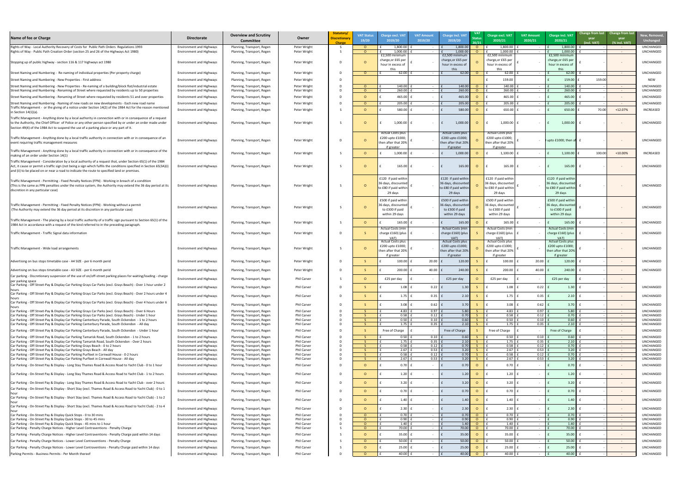| New, Removed,<br>Unchanged |
|----------------------------|
|                            |
| UNCHANGED<br>UNCHANGED     |
| UNCHANGED                  |
| UNCHANGED<br><b>NEW</b>    |
|                            |
| UNCHANGED<br>UNCHANGED     |
|                            |
| UNCHANGED                  |
| UNCHANGED                  |
| INCREASED                  |
| UNCHANGED                  |
| UNCHANGED                  |
| INCREASED                  |
| UNCHANGED                  |
| UNCHANGED                  |
|                            |
|                            |
| UNCHANGED                  |
| UNCHANGED                  |
| UNCHANGED                  |
| UNCHANGED                  |
| UNCHANGED                  |
| UNCHANGED                  |
| UNCHANGED                  |
| UNCHANGED                  |
| UNCHANGED                  |
| UNCHANGED                  |
| UNCHANGED                  |
| UNCHANGED                  |
| UNCHANGED                  |
| UNCHANGED                  |
| UNCHANGED                  |
| UNCHANGED                  |
| UNCHANGED<br>UNCHANGED     |
| UNCHANGED                  |
| UNCHANGED                  |
| UNCHANGED                  |
| UNCHANGED                  |
| UNCHANGED                  |
| UNCHANGED                  |
| UNCHANGED<br>UNCHANGED     |
| UNCHANGED                  |
| UNCHANGED                  |
| UNCHANGED                  |
| UNCHANGED                  |
| UNCHANGED                  |
| UNCHANGED                  |
| UNCHANGED                  |
| UNCHANGED                  |

| Name of fee or Charge                                                                                                                                                                                                                                                                                                            | <b>Directorate</b>                                                 | <b>Overview and Scrutiny</b><br><b>Committee</b>         | Owner                             | Statutory/<br><b>Discretionary</b><br><b>Charge</b> | <b>VAT Status</b><br>19/20 | <b>Charge excl. VAT</b><br>2019/20                                             | <b>VAT Amount</b><br>2019/20 | <b>Charge incl. VAT</b><br>2019/20                                                 | <b>VAT</b><br><b>Status</b><br>20/21 | Charge excl. VAT<br>2020/21                                                     | <b>VAT Amount</b><br>2020/21 | <b>Charge incl. VAT</b><br>2020/21                                                 | Change from last Change from last<br>year<br>(incl. VAT) | year<br>(% incl. VAT)                  | New, Remove<br><b>Unchanged</b>      |
|----------------------------------------------------------------------------------------------------------------------------------------------------------------------------------------------------------------------------------------------------------------------------------------------------------------------------------|--------------------------------------------------------------------|----------------------------------------------------------|-----------------------------------|-----------------------------------------------------|----------------------------|--------------------------------------------------------------------------------|------------------------------|------------------------------------------------------------------------------------|--------------------------------------|---------------------------------------------------------------------------------|------------------------------|------------------------------------------------------------------------------------|----------------------------------------------------------|----------------------------------------|--------------------------------------|
| Rights of Way - Local Authority Recovery of Costs for Public Path Orders Regulations 1993<br>Rights of Way - Public Path Creation Order (section 25 and 26 of the Highways Act 1980)                                                                                                                                             | <b>Environment and Highways</b><br><b>Environment and Highways</b> | Planning, Transport, Regen<br>Planning, Transport, Regen | Peter Wright<br>Peter Wright      |                                                     |                            | 1,800.00<br>1,000.00                                                           | $\sim$<br>$\sim$             | 1,800.0<br>1,000.0                                                                 | $\Omega$                             | 1,800.00<br>1,000.00                                                            |                              | 1,800.00<br>1.000.00                                                               |                                                          | $\sim$ $ \sim$<br>$\sim 100$           | UNCHANGED<br><b>UNCHANGED</b>        |
|                                                                                                                                                                                                                                                                                                                                  |                                                                    |                                                          |                                   |                                                     |                            | $E2,500$ minimum                                                               |                              | £2,500 minimur                                                                     |                                      | $E2,500$ minimum                                                                |                              | £2,500 minimun                                                                     |                                                          |                                        |                                      |
| Stopping up of public highway - section 116 & 117 highways act 1980                                                                                                                                                                                                                                                              | <b>Environment and Highways</b>                                    | Planning, Transport, Regen                               | Peter Wright                      |                                                     | - 0                        | charge, or £65 per<br>hour in excess of                                        |                              | charge, or £65 pe<br>hour in excess of<br>this.                                    |                                      | charge, or £65 per<br>hour in excess of                                         |                              | charge, or £65 per<br>hour in excess of                                            |                                                          |                                        | UNCHANGED                            |
| Street Naming and Numbering - Re-naming of individual properties (Per property charge)                                                                                                                                                                                                                                           | <b>Environment and Highways</b>                                    | Planning, Transport, Regen                               | Peter Wright                      |                                                     | $\Omega$                   | $62.00$ f                                                                      | $\sim$ $-$                   | 62.00                                                                              | $\Omega$                             | 62.00                                                                           |                              | 62.00                                                                              |                                                          | $\sim$ $ \sim$                         | <b>UNCHANGED</b>                     |
| Street Naming and Numbering - New Properties - First address                                                                                                                                                                                                                                                                     | <b>Environment and Highways</b>                                    | Planning, Transport, Regen                               | Peter Wright                      |                                                     |                            |                                                                                |                              |                                                                                    |                                      | 159.00                                                                          |                              | 159.00                                                                             | 159.00                                                   |                                        | <b>NEW</b>                           |
| Street Naming and Numbering - New Properties - Re-naming of a building/block flat/industrial estate                                                                                                                                                                                                                              | <b>Environment and Highways</b>                                    | Planning, Transport, Regen                               | Peter Wright                      |                                                     | $\Omega$                   | $140.00$                                                                       |                              | 140.00                                                                             |                                      | 140.00                                                                          |                              | 140.00                                                                             |                                                          | $\sim$ $ \sim$                         | <b>UNCHANGED</b>                     |
| Street Naming and Numbering - Renaming of Street where requested by residents up to 50 properties                                                                                                                                                                                                                                | <b>Environment and Highways</b>                                    | Planning, Transport, Regen                               | Peter Wright                      |                                                     | $\Omega$                   | 260.00                                                                         |                              | 260.00                                                                             | $\Omega$                             | 260.00                                                                          |                              | 260.00                                                                             |                                                          | $\sim$ $ \sim$                         | <b>UNCHANGED</b>                     |
| Street Naming and Numbering - Renaming of Street where requested by residents 51 and over properties                                                                                                                                                                                                                             | <b>Environment and Highways</b>                                    | Planning, Transport, Regen                               | Peter Wright                      |                                                     | $\Omega$                   | $465.00$                                                                       | $\sim$ $-$                   | 465.00                                                                             |                                      | 465.00                                                                          |                              | 465.00                                                                             |                                                          | $\sim$ $ \sim$                         | <b>UNCHANGED</b>                     |
| Street Naming and Numbering - Naming of new roads on new developments - Each new road name<br>Traffic Management - or the giving of a notice under Section 14(2) of the 1984 Act for the reason mentioned                                                                                                                        | <b>Environment and Highways</b>                                    | Planning, Transport, Regen                               | Peter Wright                      |                                                     | $\Omega$                   | 205.00                                                                         | $\sim$ $ \sim$               | 205.00                                                                             | $\Omega$                             | 205.00                                                                          |                              | 205.00                                                                             |                                                          | $\sim$ $ \sim$                         | <b>UNCHANGED</b>                     |
| in Section 14(1)(a).                                                                                                                                                                                                                                                                                                             | <b>Environment and Highways</b>                                    | Planning, Transport, Regen                               | Peter Wright                      |                                                     | $\Omega$                   | 580.00                                                                         | $\sim 100$                   | 580.00                                                                             |                                      | 650.00                                                                          |                              | 650.00                                                                             | 70.00                                                    | $+12.07%$                              | <b>INCREASED</b>                     |
| Traffic Management - Anything done by a local authority in connection with or in consequence of a request<br>to the Authority, the Chief Officer of Police or any other person specified by or under an order made under<br>Section 49(4) of the 1984 Act to suspend the use of a parking place or any part of it.               | <b>Environment and Highways</b>                                    | Planning, Transport, Regen                               | Peter Wright                      |                                                     |                            | $1,000.00$ f<br><b>Actual Costs plus</b>                                       | $\sim$ $ \sim$               | 1,000.00<br><b>Actual Costs plus</b>                                               | $\Omega$                             | 1,000.00<br><b>Actual Costs plus</b>                                            |                              | 1,000.00                                                                           |                                                          |                                        | <b>UNCHANGED</b>                     |
| Traffic Management - Anything done by a local traffic authority in connection with or in consequence of an                                                                                                                                                                                                                       | <b>Environment and Highways</b>                                    | Planning, Transport, Regen                               | Peter Wright                      |                                                     |                            | £200 upto £1000;                                                               |                              | £200 upto £1000;                                                                   |                                      | £200 upto £1000;                                                                |                              | $-$ 0 upto £1000; then af                                                          |                                                          |                                        | <b>UNCHANGED</b>                     |
| event requiring traffic management measures                                                                                                                                                                                                                                                                                      |                                                                    |                                                          |                                   |                                                     |                            | hen after that 20%<br>if greater                                               |                              | then after that 209<br>if greater                                                  |                                      | then after that 20%<br>if greater                                               |                              |                                                                                    |                                                          |                                        |                                      |
| Traffic Management - Anything done by a local traffic authority in connection with or in consequence of the<br>making of an order under Section 14(1)                                                                                                                                                                            | <b>Environment and Highways</b>                                    | Planning, Transport, Regen                               | Peter Wright                      |                                                     | $\Omega$                   | $1,000.00$                                                                     |                              | 1,000.0                                                                            |                                      | 1,100.00                                                                        |                              | 1,100.00                                                                           | 100.00                                                   | $+10.00%$                              | INCREASED                            |
| Traffic Management - Consideration by a local authority of a request that, under Section 65(1) of the 1984<br>Act, it cause or permit a traffic sign (not being a sign which fulfils the conditions specified in Section 65(3A)(<br>and (ii) to be placed on or near a road to indicate the route to specified land or premises. | <b>Environment and Highways</b>                                    | Planning, Transport, Regen                               | Peter Wright                      |                                                     |                            | 165.00                                                                         | $\sim$ $ \sim$               | 165.00                                                                             |                                      | 165.00                                                                          |                              | 165.00                                                                             |                                                          |                                        | <b>UNCHANGED</b>                     |
| Traffic Management - Permitting - Fixed Penalty Notices (FPN) - Working in breach of a condition<br>(This is the same as FPN penalties under the notice system, the Authority may extend the 36 day period at its<br>discretion in any particular case)                                                                          | <b>Environment and Highways</b>                                    | Planning, Transport, Regen                               | Peter Wright                      |                                                     |                            | £120 if paid within<br>36 days, discounted<br>to £80 if paid within<br>29 days |                              | £120 if paid withir<br>36 days, discounted<br>to £80 if paid within<br>29 days     |                                      | £120 if paid within<br>36 days, discounted <br>to £80 if paid within<br>29 days |                              | £120 if paid withir<br>36 days, discounted<br>to £80 if paid within<br>29 days     |                                                          |                                        | <b>UNCHANGED</b>                     |
| Traffic Management - Permitting - Fixed Penalty Notices (FPN) - Working without a permit<br>(The Authority may extend the 36 day period at its discretion in any particular case)                                                                                                                                                | <b>Environment and Highways</b>                                    | Planning, Transport, Regen                               | Peter Wright                      |                                                     | - 0                        | £500 if paid within<br>6 days, discounted<br>to £300 if paid<br>within 29 days |                              | £500 if paid withi<br>36 days, discounter<br>to £300 if paid<br>within 29 days     |                                      | £500 if paid within<br>6 days, discounted<br>to £300 if paid<br>within 29 days  |                              | £500 if paid withi<br>36 days, discounted<br>to £300 if paid<br>within 29 days     |                                                          |                                        | UNCHANGED                            |
| Traffic Management - The placing by a local traffic authority of a traffic sign pursuant to Section 65(1) of the<br>1984 Act in accordance with a request of the kind referred to in the preceding paragraph.                                                                                                                    | <b>Environment and Highways</b>                                    | Planning, Transport, Regen                               | Peter Wright                      |                                                     | - റ                        | 165.00                                                                         | $\sim$ $ \sim$               | 165.00                                                                             | $\Omega$                             | 165.00                                                                          |                              | 165.00                                                                             |                                                          | $\sim$ $ \sim$                         | <b>UNCHANGED</b>                     |
| Traffic Management - Traffic Signal data information                                                                                                                                                                                                                                                                             | <b>Environment and Highways</b>                                    | Planning, Transport, Regen                               | Peter Wright                      |                                                     |                            | Actual Costs (min<br>charge £160) (plus<br>VAT)<br><b>Actual Costs plus</b>    |                              | <b>Actual Costs (mir</b><br>charge £160) (plus<br>VAT)<br><b>Actual Costs plus</b> |                                      | Actual Costs (min<br>charge £160) (plus<br>VAT)<br><b>Actual Costs plus</b>     |                              | <b>Actual Costs (min</b><br>charge £160) (plus<br>VAT)<br><b>Actual Costs plus</b> |                                                          |                                        | <b>UNCHANGED</b>                     |
| Traffic Management - Wide load arrangements                                                                                                                                                                                                                                                                                      | <b>Environment and Highways</b>                                    | Planning, Transport, Regen                               | Peter Wright                      |                                                     |                            | £200 upto £1000;<br>:hen after that 20% $ $<br>if greater                      |                              | £200 upto £1000;<br>then after that 20%<br>if greater                              |                                      | £200 upto £1000;<br>then after that 20%<br>if greater                           |                              | £200 upto £1000;<br>then after that 20%<br>if greater                              |                                                          |                                        | <b>UNCHANGED</b>                     |
| Advertising on bus stops timetable case - A4 SIZE - per 6 month perid                                                                                                                                                                                                                                                            | <b>Environment and Highways</b>                                    | Planning, Transport, Regen                               | Peter Wright                      |                                                     |                            | 100.00                                                                         | $20.00$ £                    | 120.00                                                                             |                                      | 100.00                                                                          | $20.00$ $f$                  | 120.00                                                                             |                                                          |                                        | <b>UNCHANGED</b>                     |
| Advertising on bus stops timetable case - A3 SIZE - per 6 month perid                                                                                                                                                                                                                                                            | <b>Environment and Highways</b>                                    | Planning, Transport, Regen                               | Peter Wright                      |                                                     |                            | 200.00                                                                         | $40.00$ £                    | 240.00                                                                             |                                      | 200.00                                                                          | $40.00$ f                    | 240.00                                                                             |                                                          |                                        | <b>UNCHANGED</b>                     |
| Car parking - Discretionary suspension of the use of on/off-street parking places for waiting/loading - charge<br>per parking space                                                                                                                                                                                              | <b>Environment and Highways</b>                                    | Planning, Transport, Regen                               | <b>Phil Carver</b>                |                                                     | $\Omega$                   | £25 per day                                                                    | $\sim$                       | £25 per day                                                                        |                                      | £25 per day                                                                     |                              | £25 per day                                                                        |                                                          |                                        |                                      |
| Car Parking - Off Street-Pay & Display Car Parking Grays Car Parks (excl. Grays Beach) - Over 1 hour under 2                                                                                                                                                                                                                     | <b>Environment and Highways</b>                                    | Planning, Transport, Regen                               | Phil Carver                       |                                                     |                            | $1.08$ $E$                                                                     | $0.22$ f                     | 1.30                                                                               |                                      | 1.08                                                                            | $0.22$ f                     | 1.30                                                                               |                                                          |                                        | <b>UNCHANGED</b>                     |
| Car Parking - Off Street-Pay & Display Car Parking Grays Car Parks (excl. Grays Beach) - Over 2 hours under 4                                                                                                                                                                                                                    | <b>Environment and Highways</b>                                    | Planning, Transport, Regen                               | <b>Phil Carver</b>                |                                                     |                            | $1.75$ $E$                                                                     | $0.35$ $f$                   | 2.10                                                                               |                                      | 1.75                                                                            | $0.35$ $E$                   | 2.10                                                                               |                                                          | $\sim$ $ \sim$                         | <b>UNCHANGED</b>                     |
| Car Parking - Off Street-Pay & Display Car Parking Grays Car Parks (excl. Grays Beach) - Over 4 hours under 6                                                                                                                                                                                                                    | <b>Environment and Highways</b>                                    | Planning, Transport, Regen                               | <b>Phil Carver</b>                |                                                     |                            | $3.08$ $E$                                                                     | $0.62$ £                     | 3.70                                                                               |                                      | 3.08                                                                            | $0.62$ $E$                   | 3.70                                                                               |                                                          | $\sim$ $ \sim$                         | <b>UNCHANGED</b>                     |
| Car Parking - Off Street-Pay & Display Car Parking Grays Car Parks (excl. Grays Beach) - Over 6 Hours                                                                                                                                                                                                                            | <b>Environment and Highways</b>                                    | Planning, Transport, Regen                               | <b>Phil Carver</b>                |                                                     |                            | 4.83                                                                           | 0.97                         | 5.80                                                                               |                                      | 4.83                                                                            | 0.97                         | 5.80                                                                               |                                                          | $\sim 100$ m $^{-1}$                   | <b>UNCHANGED</b>                     |
| Car Parking - Off Street-Pay & Display Car Parking Grays Car Parks (excl. Grays Beach) - Under 1 hour                                                                                                                                                                                                                            | <b>Environment and Highways</b>                                    | Planning, Transport, Regen                               | <b>Phil Carver</b>                |                                                     |                            | 0.58                                                                           | $0.12$ f                     | 0.70                                                                               |                                      | 0.58                                                                            | 0.12                         | 0.70                                                                               |                                                          | $\sim 100$                             | <b>UNCHANGED</b>                     |
| Car Parking - Off-Street Pay & Display Car Parking Canterbury Parade, South Ockendon - 1 to 2 hours<br>Car Parking - Off-Street Pay & Display Car Parking Canterbury Parade, South Ockendon - All day                                                                                                                            | <b>Environment and Highways</b><br><b>Environment and Highways</b> | Planning, Transport, Regen<br>Planning, Transport, Regen | Phil Carver<br><b>Phil Carver</b> |                                                     |                            | 0.50<br>1.75                                                                   | $0.10$ f<br>$0.35$ $f$       | 0.60<br>2.10                                                                       |                                      | 0.50<br>1.75                                                                    | 0.10<br>0.35                 | 0.60<br>2.10                                                                       |                                                          | $\sim 100$<br>$\sim 100$ m $^{-1}$     | <b>UNCHANGED</b><br><b>UNCHANGED</b> |
|                                                                                                                                                                                                                                                                                                                                  |                                                                    |                                                          |                                   |                                                     |                            |                                                                                |                              |                                                                                    |                                      |                                                                                 |                              |                                                                                    |                                                          |                                        |                                      |
| Car Parking - Off-Street Pay & Display Car Parking Canterbury Parade, South Ockendon - Under 1 hour                                                                                                                                                                                                                              | <b>Environment and Highways</b>                                    | Planning, Transport, Regen                               | <b>Phil Carver</b>                |                                                     |                            | Free of Charge                                                                 | $\sim$ $-$                   | Free of Charge                                                                     |                                      | Free of Charge                                                                  |                              | Free of Charge                                                                     |                                                          | $\sim$ $ \sim$                         | UNCHANGED                            |
| Car Parking - Off-Street Pay & Display Car Parking Tamarisk Road, South Ockendon - 1 to 2 hours<br>Car Parking - Off-Street Pay & Display Car Parking Tamarisk Road, South Ockendon - Over 2 hours                                                                                                                               | <b>Environment and Highways</b><br><b>Environment and Highways</b> | Planning, Transport, Regen<br>Planning, Transport, Regen | <b>Phil Carver</b><br>Phil Carver |                                                     |                            | $0.50$   1<br>$1.75$ f                                                         | $0.10$ $f$<br>$0.35$ $f$     | 0.60<br>2.10                                                                       |                                      | 0.50<br>1.75                                                                    | 0.10<br>0.35                 | 0.60<br>2.10                                                                       |                                                          | $\sim 100$ m $^{-1}$<br>$\sim$ $ \sim$ | <b>UNCHANGED</b><br><b>UNCHANGED</b> |
| Car Parking - Off-Street Pay & Display Car Parking Grays Beach - 0 to 2 hours                                                                                                                                                                                                                                                    | <b>Environment and Highways</b>                                    | Planning, Transport, Regen                               | Phil Carver                       |                                                     |                            | $0.58$ f                                                                       | $0.12$ $f$                   | 0.70                                                                               |                                      | 0.58                                                                            | 0.12                         | 0.70                                                                               |                                                          | $\sim 100$ m $^{-1}$                   | UNCHANGED                            |
| Car Parking - Off-Street Pay & Display Car Parking Grays Beach - All day                                                                                                                                                                                                                                                         | <b>Environment and Highways</b>                                    | Planning, Transport, Regen                               | Phil Carver                       |                                                     |                            | 2.67                                                                           | $0.53$ $f$                   | 3.20                                                                               |                                      | 2.67                                                                            | 0.53                         | 3.20                                                                               |                                                          |                                        | <b>UNCHANGED</b>                     |
| Car Parking - Off-Street Pay & Display Car Parking Purfleet in Cornwall House - 0-2 hours<br>Car Parking - Off-Street Pay & Display Car Parking Purfleet in Cornwall House - All day                                                                                                                                             | <b>Environment and Highways</b><br><b>Environment and Highways</b> | Planning, Transport, Regen<br>Planning, Transport, Regen | Phil Carver<br>Phil Carver        |                                                     |                            | $0.58$ $E$<br>$2.67$ £                                                         | $0.12$ $f$<br>$0.53$ $E$     | 0.70<br>3.20                                                                       |                                      | 0.58<br>2.67                                                                    | 0.12<br>$0.53$ f             | 0.70<br>3.20                                                                       |                                                          | $\sim$ $ \sim$<br>$\sim$ $ \sim$       | UNCHANGED<br>UNCHANGED               |
| Car Parking - On-Street Pay & Display - Long Stay Thames Road & Access Road to Yacht Club - 0 to 1 hour                                                                                                                                                                                                                          | <b>Environment and Highways</b>                                    | Planning, Transport, Regen                               | Phil Carver                       |                                                     | $\Omega$                   | $0.70$ $E$                                                                     | $\sim$ $ \sim$               | 0.70                                                                               | $\Omega$                             | 0.70                                                                            |                              | 0.70                                                                               |                                                          | $\sim$ $ \sim$                         | UNCHANGED                            |
| Car Parking - On-Street Pay & Display - Long Stay Thames Road & Access Road to Yacht Club - 1 to 2 hours                                                                                                                                                                                                                         | <b>Environment and Highways</b>                                    | Planning, Transport, Regen                               | Phil Carver                       |                                                     | $\Omega$                   | $1.20$ $E$                                                                     | $\sim$ $ \sim$               | 1.20                                                                               |                                      | 1.20                                                                            |                              | 1.20                                                                               |                                                          | $\sim$ $ \sim$                         | <b>UNCHANGED</b>                     |
| Car Parking - On-Street Pay & Display - Long Stay Thames Road & Access Road to Yacht Club - over 2 hours                                                                                                                                                                                                                         | <b>Environment and Highways</b>                                    | Planning, Transport, Regen                               | Phil Carver                       |                                                     | $\Omega$                   | $3.20$ $E$                                                                     | $\sim$ $ \sim$               | 3.20                                                                               | $\Omega$                             | 3.20                                                                            |                              | 3.20                                                                               |                                                          | $\sim$ $-$                             | UNCHANGED                            |
| Car Parking - On-Street Pay & Display - Short Stay (excl. Thames Road & Access Road to Yacht Club) - 0 to 1                                                                                                                                                                                                                      | <b>Environment and Highways</b>                                    | Planning, Transport, Regen                               | Phil Carver                       |                                                     | $\Omega$                   | $0.70$ £                                                                       | $\sim$ $ \sim$               | 0.70                                                                               |                                      | 0.70                                                                            |                              | 0.70                                                                               |                                                          | $\sim$ $ \sim$                         | UNCHANGED                            |
| Car Parking - On-Street Pay & Display - Short Stay (excl. Thames Road & Access Road to Yacht Club) - 1 to 2                                                                                                                                                                                                                      | <b>Environment and Highways</b>                                    | Planning, Transport, Regen                               | Phil Carver                       |                                                     | $\Omega$                   | $1.40 \mid f$                                                                  | $\sim$ $ \sim$               | 1.40                                                                               |                                      | 1.40                                                                            |                              | 1.40                                                                               |                                                          | $\sim$ $ \sim$                         | UNCHANGED                            |
| Car Parking - On-Street Pay & Display - Short Stay (excl. Thames Road & Access Road to Yacht Club) - 2 to 4                                                                                                                                                                                                                      | <b>Environment and Highways</b>                                    | Planning, Transport, Regen                               | Phil Carver                       |                                                     | $\Omega$                   | $2.30$ $E$                                                                     |                              | 2.30                                                                               |                                      | 2.30                                                                            |                              | 2.30                                                                               |                                                          | $\sim$ $ \sim$                         | UNCHANGED                            |
| Car Parking - On-Street Pay & Display Quick Stops - 0 to 30 mins                                                                                                                                                                                                                                                                 | <b>Environment and Highways</b>                                    | Planning, Transport, Regen                               | Phil Carver                       |                                                     | $\Omega$                   | $0.70$ £                                                                       |                              | 0.70                                                                               |                                      | 0.70                                                                            |                              | 0.70                                                                               |                                                          | $\sim$ $ \sim$                         | UNCHANGED                            |
| Car Parking - On-Street Pay & Display Quick Stops - 30 to 45 mins                                                                                                                                                                                                                                                                | <b>Environment and Highways</b>                                    | Planning, Transport, Regen                               | Phil Carver                       |                                                     | $\Omega$                   | 0.90                                                                           |                              | 0.90                                                                               |                                      | 0.90                                                                            |                              | 0.90                                                                               |                                                          | $\sim$ $ \sim$                         | UNCHANGED                            |
| Car Parking - On-Street Pay & Display Quick Stops - 45 mins to 1 hour                                                                                                                                                                                                                                                            | <b>Environment and Highways</b>                                    | Planning, Transport, Regen                               | Phil Carver                       |                                                     | $\circ$                    | $1.40$ f                                                                       |                              | 1.40                                                                               |                                      | 1.40                                                                            |                              | 1.40                                                                               |                                                          | $\sim$ $ \sim$                         | UNCHANGED                            |
| Car Parking - Penalty Charge Notices - Higher Level Contraventions - Penalty Charge                                                                                                                                                                                                                                              | <b>Environment and Highways</b>                                    | Planning, Transport, Regen                               | <b>Phil Carver</b>                |                                                     | $\Omega$                   | 70.00                                                                          | $\sim$ $ \sim$               | 70.00                                                                              |                                      | 70.00                                                                           | $\sim$ $ \sim$ $-$           | 70.00                                                                              |                                                          | $\sim 100$ m $^{-1}$                   | UNCHANGED                            |
| Car Parking - Penalty Charge Notices - Higher Level Contraventions - Penalty Charge paid within 14 days                                                                                                                                                                                                                          | <b>Environment and Highways</b>                                    | Planning, Transport, Regen                               | Phil Carver                       |                                                     | $\Omega$                   | $35.00$ $E$                                                                    | $\sim$ $ \sim$               | 35.00                                                                              |                                      | 35.00                                                                           |                              | 35.00                                                                              |                                                          | $\sim$ $ \sim$                         | <b>UNCHANGED</b>                     |
| Car Parking - Penalty Charge Notices - Lower Level Contraventions - Penalty Charge                                                                                                                                                                                                                                               | <b>Environment and Highways</b>                                    | Planning, Transport, Regen                               | Phil Carver                       |                                                     | $\overline{O}$             | $50.00$ $\vert$                                                                | $\sim$ $ \sim$               | 50.00                                                                              | $\Omega$                             | 50.00                                                                           |                              | 50.00                                                                              |                                                          | $\sim 100$ m $^{-1}$                   | UNCHANGED                            |
| Car Parking - Penalty Charge Notices - Lower Level Contraventions - Penalty Charge paid within 14 days                                                                                                                                                                                                                           | <b>Environment and Highways</b>                                    | Planning, Transport, Regen                               | Phil Carver                       |                                                     |                            | $25.00$ £                                                                      | $\sim$ $ \sim$               | 25.00                                                                              |                                      | 25.00                                                                           |                              | 25.00                                                                              |                                                          | $\sim$ $ \sim$                         | UNCHANGED                            |
| Parking Permits - Business Permits - Per Month thereof                                                                                                                                                                                                                                                                           | <b>Environment and Highways</b>                                    | Planning, Transport, Regen                               | Phil Carver                       |                                                     | $\Omega$                   | 40.00 $E$                                                                      | $\sim$ $ \sim$               | 40.00                                                                              | $\circ$                              | 40.00                                                                           |                              | $40.00$ £                                                                          |                                                          | $\sim 100$ m $^{-1}$                   | UNCHANGED                            |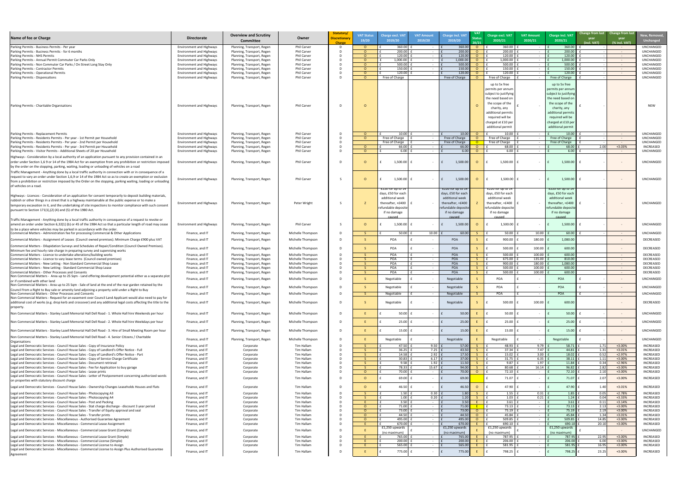| t | New, Removed,<br><b>Unchanged</b>                                                                                                                                                                                     |
|---|-----------------------------------------------------------------------------------------------------------------------------------------------------------------------------------------------------------------------|
|   | UNCHANGED<br>UNCHANGED<br><b>UNCHANGED</b><br>UNCHANGED<br>UNCHANGED<br>UNCHANGED<br><b>UNCHANGED</b><br><b>UNCHANGED</b>                                                                                             |
|   | NEW                                                                                                                                                                                                                   |
|   | UNCHANGED<br>UNCHANGED<br>UNCHANGED<br>INCREASED<br>UNCHANGED<br>UNCHANGED                                                                                                                                            |
|   | UNCHANGED                                                                                                                                                                                                             |
|   | UNCHANGED                                                                                                                                                                                                             |
|   | UNCHANGED<br>UNCHANGED<br>DECREASED<br>DECREASED<br>DECREASED<br>DECREASED<br>DECREASED<br>DECREASED<br>DECREASED<br><b>UNCHANGED</b><br>UNCHANGED<br>UNCHANGED<br>DECREASED                                          |
|   | UNCHANGED<br>UNCHANGED<br>UNCHANGED<br>UNCHANGED<br>INCREASED<br>INCREASED<br>INCREASED<br>INCREASED<br>INCREASED<br>INCREASED<br>INCREASED<br><b>INCREASED</b>                                                       |
|   | <b>INCREASED</b><br>INCREASED<br>INCREASED<br><b>INCREASED</b><br>INCREASED<br>INCREASED<br>INCREASED<br>INCREASED<br>INCREASED<br>UNCHANGED<br>INCREASED<br><b>INCREASED</b><br><b>INCREASED</b><br><b>INCREASED</b> |

| Name of fee or Charge                                                                                                                                                                                                     | <b>Directorate</b>                                                 | <b>Overview and Scrutiny</b>                             | Owner                                  | Statutory/<br><b>Discretionary</b> | <b>VAT Status</b>    | <b>Charge excl. VAT</b>             | <b>VAT Amount</b>                | <b>Charge incl. VAT</b>            | <b>VAT</b>     | Charge excl. VAT                       | <b>VAT Amount</b>        | <b>Charge incl. VAT</b>                | Change from last Change from last            | New, Remove                          |
|---------------------------------------------------------------------------------------------------------------------------------------------------------------------------------------------------------------------------|--------------------------------------------------------------------|----------------------------------------------------------|----------------------------------------|------------------------------------|----------------------|-------------------------------------|----------------------------------|------------------------------------|----------------|----------------------------------------|--------------------------|----------------------------------------|----------------------------------------------|--------------------------------------|
|                                                                                                                                                                                                                           |                                                                    | <b>Committee</b>                                         |                                        | <b>Charge</b>                      | 19/20                | 2019/20                             | 2019/20                          | 2019/20                            |                | 2020/21                                | 2020/21                  | 2020/21                                | year<br>year<br>(incl. VAT)<br>(% incl. VAT) | <b>Unchanged</b>                     |
| Parking Permits - Business Permits - Per year                                                                                                                                                                             | <b>Environment and Highways</b>                                    | Planning, Transport, Regen                               | Phil Carver                            |                                    | n.                   | 360.00                              | $\sim$                           | 360.00                             | $\circ$        | 360.00                                 |                          | 360.00                                 | $\sim 100$                                   | <b>UNCHANGED</b>                     |
| Parking Permits - Business Permits - for 6 months                                                                                                                                                                         | <b>Environment and Highways</b>                                    | Planning, Transport, Regen                               | Phil Carver                            |                                    | $\cap$               | 200.00                              | $\sim$ $ \sim$                   | 200.00                             | - റ            | 200.00                                 |                          | 200.00                                 | $\sim 100$ m $^{-1}$                         | UNCHANGED                            |
| Parking Permits - NHS Permits<br>Parking Permits - Annual Permit Commuter Car Parks Only                                                                                                                                  | <b>Environment and Highways</b><br><b>Environment and Highways</b> | Planning, Transport, Regen<br>Planning, Transport, Regen | Phil Carver<br>Phil Carver             |                                    |                      | 120.00<br>1,000.00                  | $\sim$ $ \sim$<br>$\sim$ $ \sim$ | 120.00<br>1,000.00                 | - റ            | 120.00<br>1,000.00                     | $\sim$ $-$               | 120.00<br>1,000.00                     | $\sim 100$<br>$\sim 100$                     | UNCHANGED<br>UNCHANGED               |
| Parking Permits - Non Commuter Car Parks / On Street Long Stay Only                                                                                                                                                       | <b>Environment and Highways</b>                                    | Planning, Transport, Regen                               | Phil Carver                            |                                    |                      | 500.00                              | $\sim 100$                       | 500.00                             |                | 500.00                                 |                          | 500.00                                 | $\sim 100$                                   | UNCHANGED                            |
| Parking Permits - Contractor Permits                                                                                                                                                                                      | <b>Environment and Highways</b>                                    | Planning, Transport, Regen                               | Phil Carver                            |                                    |                      | 150.00                              |                                  | 150.00                             |                | 150.00                                 |                          | 150.00                                 | $\sim 100$ m $^{-1}$                         | UNCHANGED                            |
| Parking Permits - Operational Permits<br>Parking Permits - Dispensations                                                                                                                                                  | <b>Environment and Highways</b><br><b>Environment and Highways</b> | Planning, Transport, Regen<br>Planning, Transport, Regen | Phil Carver<br>Phil Carver             |                                    | $\cap$<br>$\cap$     | 120.00<br>Free of Charge            | $\sim$                           | 120.00<br>Free of Charge           |                | 120.00<br>Free of Charge               |                          | 120.00<br>Free of Charge               | $\sim 100$                                   | UNCHANGED<br><b>UNCHANGED</b>        |
|                                                                                                                                                                                                                           |                                                                    |                                                          |                                        |                                    |                      |                                     |                                  |                                    |                |                                        |                          |                                        |                                              |                                      |
|                                                                                                                                                                                                                           |                                                                    |                                                          |                                        |                                    |                      |                                     |                                  |                                    |                | up to 5x free<br>permits per annum     |                          | up to 5x free<br>permits per annum     |                                              |                                      |
|                                                                                                                                                                                                                           |                                                                    |                                                          |                                        |                                    |                      |                                     |                                  |                                    |                | subject to justifying                  |                          | subject to justifying                  |                                              |                                      |
|                                                                                                                                                                                                                           |                                                                    |                                                          |                                        |                                    |                      |                                     |                                  |                                    |                | the need based on                      |                          | the need based on                      |                                              |                                      |
| Parking Permits - Charitable Organisations                                                                                                                                                                                | <b>Environment and Highways</b>                                    | Planning, Transport, Regen                               | <b>Phil Carver</b>                     |                                    |                      |                                     |                                  |                                    |                | the scope of the                       |                          | the scope of the                       |                                              | <b>NEW</b>                           |
|                                                                                                                                                                                                                           |                                                                    |                                                          |                                        |                                    |                      |                                     |                                  |                                    |                | charity, any                           |                          | charity, any                           |                                              |                                      |
|                                                                                                                                                                                                                           |                                                                    |                                                          |                                        |                                    |                      |                                     |                                  |                                    |                | additional permits                     |                          | additional permits<br>required will be |                                              |                                      |
|                                                                                                                                                                                                                           |                                                                    |                                                          |                                        |                                    |                      |                                     |                                  |                                    |                | required will be<br>charged at £10 per |                          | charged at £10 per                     |                                              |                                      |
|                                                                                                                                                                                                                           |                                                                    |                                                          |                                        |                                    |                      |                                     |                                  |                                    |                | additional permit                      |                          | additional permit                      |                                              |                                      |
| Parking Permits - Replacement Permits                                                                                                                                                                                     | <b>Environment and Highways</b>                                    | Planning, Transport, Regen                               | <b>Phil Carver</b>                     |                                    | $\Omega$             | 10.00                               |                                  | 10.00                              |                | 10.00                                  |                          | 10.00                                  | $\sim$ $ \sim$                               | UNCHANGED                            |
| Parking Permits - Residents Permits - Per year - 1st Permit per Household                                                                                                                                                 | <b>Environment and Highways</b>                                    | Planning, Transport, Regen                               | <b>Phil Carver</b>                     |                                    | $\cap$               | Free of Charge                      |                                  | Free of Charge                     |                | Free of Charge                         |                          | Free of Charge                         | $\sim$ $ \sim$                               | UNCHANGED                            |
| Parking Permits - Residents Permits - Per year - 2nd Permit per Household                                                                                                                                                 | <b>Environment and Highways</b>                                    | Planning, Transport, Regen                               | Phil Carver                            |                                    |                      | Free of Charge                      |                                  | Free of Charge                     |                | Free of Charge                         |                          | Free of Charge                         | $\sim$ $ \sim$                               | UNCHANGED                            |
| Parking Permits - Residents Permits - Per year - 3rd Permit per Household<br>Parking Permits - Visitor Permits - Additional Sheets of 20 per Household                                                                    | <b>Environment and Highways</b><br><b>Environment and Highways</b> | Planning, Transport, Regen<br>Planning, Transport, Regen | Phil Carver<br>Phil Carver             |                                    | $\Omega$<br>$\Omega$ | 66.00<br>6.00                       |                                  | 66.00<br>6.00                      | $\Omega$       | 68.00<br>6.00                          |                          | 68.00<br>6.00                          | $+3.03%$<br>2.00                             | <b>INCREASED</b><br>UNCHANGED        |
|                                                                                                                                                                                                                           |                                                                    |                                                          |                                        |                                    |                      |                                     |                                  |                                    |                |                                        |                          |                                        | $\sim 100$                                   |                                      |
| Highways - Consideration by a local authority of an application pursuant to any provision contained in an<br>order under Section 1,6 9 or 14 of the 1984 Act for an exemption from any prohibition or restriction imposed | <b>Environment and Highways</b>                                    | Planning, Transport, Regen                               | Phil Carver                            | - D                                |                      | 1,500.00                            |                                  | 1,500.00                           | $\Omega$       | 1,500.00                               |                          | 1,500.00                               |                                              | UNCHANGED                            |
| by the order on the stopping, parking, waiting, loading or unloading of vehicles on a road                                                                                                                                |                                                                    |                                                          |                                        |                                    |                      |                                     |                                  |                                    |                |                                        |                          |                                        |                                              |                                      |
| Traffic Management - Anything done by a local traffic authority in connection with or in consequence of a                                                                                                                 |                                                                    |                                                          |                                        |                                    |                      |                                     |                                  |                                    |                |                                        |                          |                                        |                                              |                                      |
| request to vary an order under Section 1,6,9 or 14 of the 1984 Act so as to create an exemption or exclusion                                                                                                              |                                                                    |                                                          |                                        |                                    |                      |                                     |                                  |                                    |                |                                        |                          |                                        |                                              |                                      |
| from a prohibition or restriction imposed by the Order on the stopping, parking waiting, loading or unloading                                                                                                             | <b>Environment and Highways</b>                                    | Planning, Transport, Regen                               | Phil Carver                            |                                    |                      | $1,500.00$ f                        | $\sim$ $ \sim$                   | 1,500.00                           | $\overline{O}$ | 1,500.00                               |                          | 1,500.00                               |                                              | UNCHANGED                            |
| of vehicles on a road.                                                                                                                                                                                                    |                                                                    |                                                          |                                        |                                    |                      | E220 for up to 14                   |                                  | $\frac{1}{2220}$ for up to 14      |                | $E220$ for up to $14$                  |                          | E220 for up to 14                      |                                              |                                      |
|                                                                                                                                                                                                                           |                                                                    |                                                          |                                        |                                    |                      | days, £50 for each                  |                                  | days, £50 for each                 |                | days, £50 for each                     |                          | days, £50 for each                     |                                              |                                      |
| Highways - Licences - Consideration of an application for consent temporarily to deposit building materials,<br>rubbish or other things in a street that is a highway maintainable at the public expense or to make a     |                                                                    |                                                          |                                        |                                    |                      | additional week                     |                                  | additional week                    |                | additional week                        |                          | additional week                        |                                              |                                      |
| temporary excavation in it, and the undertaking of site inspections to monitor compliance with such consent                                                                                                               | <b>Environment and Highways</b>                                    | Planning, Transport, Regen                               | Peter Wright                           |                                    |                      | thereafter, +£400                   |                                  | thereafter, +£400                  |                | thereafter, +£400                      |                          | thereafter, +£400                      |                                              | UNCHANGED                            |
| pursuant to Section 171(1), (2) (4) and (5) of the 1980 Act.                                                                                                                                                              |                                                                    |                                                          |                                        |                                    |                      | refundable deposite<br>if no damage |                                  | refundable deposit<br>if no damage |                | refundable deposite<br>if no damage    |                          | refundable deposit                     |                                              |                                      |
|                                                                                                                                                                                                                           |                                                                    |                                                          |                                        |                                    |                      | caused                              |                                  | caused                             |                | <u>caused</u>                          |                          | if no damage<br>caused                 |                                              |                                      |
| Traffic Management - Anything done by a local traffic authority in consequence of a request to revoke or                                                                                                                  |                                                                    |                                                          |                                        |                                    |                      |                                     |                                  |                                    |                |                                        |                          |                                        |                                              |                                      |
| amend an order under Section 6,32(1) (b) or 45 of the 1984 Act so that a particular length of road may cease                                                                                                              | <b>Environment and Highways</b>                                    | Planning, Transport, Regen                               | Phil Carver                            |                                    |                      | 1,500.00                            | $\sim$                           | 1,500.00                           | $\Omega$       | 1,500.00                               |                          | 1,500.00                               |                                              | UNCHANGED                            |
| to be a place where vehicles may be parked in accordance with the order.<br>Commercial Matters - Administration fee for processing Commercial & Other Applications                                                        | Finance, and IT                                                    | Planning, Transport, Regen                               | Michelle Thompson                      |                                    |                      | 50.00                               | 10.00                            | 60.00                              |                | 50.00                                  | 10.00                    | 60.00                                  | $\sim 100$                                   | UNCHANGED                            |
| Commercial Matters - Assignment of Leases (Council owned premises). Minimum Charge £900 plus VAT                                                                                                                          | Finance, and IT                                                    | Planning, Transport, Regen                               | Michelle Thompson                      |                                    |                      | POA                                 |                                  | POA                                |                | 900.00                                 | 180.00                   | 1,080.00                               | $\sim$ $-$                                   | <b>DECREASED</b>                     |
| Commercial Matters - Dilapidation Surveys and Schedules of Repair/Condition (Council Owned Premises).                                                                                                                     |                                                                    |                                                          |                                        |                                    |                      |                                     |                                  |                                    |                |                                        |                          |                                        |                                              |                                      |
| Minimum fee and hourly rate charge in preparing survey and supervising works                                                                                                                                              | Finance, and IT                                                    | Planning, Transport, Regen                               | Michelle Thompson                      |                                    |                      | POA                                 |                                  | <b>POA</b>                         |                | 500.00                                 | 100.00                   | 600.00                                 | $\sim$ $ \sim$                               | <b>DECREASED</b>                     |
| Commercial Matters - Licence to undertake alterations/building works                                                                                                                                                      | Finance, and IT                                                    | Planning, Transport, Regen                               | Michelle Thompson                      |                                    |                      | POA                                 | $\sim$                           | POA                                |                | 500.00                                 | 100.00                   | 600.00                                 | $\sim 100$                                   | <b>DECREASED</b>                     |
| Commercial Matters - Licence to vary lease terms (Council owned premises)                                                                                                                                                 | Finance, and IT                                                    | Planning, Transport, Regen                               | Michelle Thompson                      |                                    |                      | <b>POA</b>                          | $\sim$ $-$                       | POA                                |                | 675.00                                 | 135.00                   | 810.00                                 | $\sim 100$                                   | <b>DECREASED</b>                     |
| Commercial Matters - New Letting - Non Standard Commercial Shop Lease<br>Commercial Matters - New Letting - Standard Commercial Shop Lease                                                                                | Finance, and IT<br>Finance, and IT                                 | Planning, Transport, Regen<br>Planning, Transport, Regen | Michelle Thompson<br>Michelle Thompson |                                    |                      | <b>POA</b><br>POA                   |                                  | <b>POA</b><br><b>POA</b>           |                | 900.00<br>500.00                       | 180.00<br>100.00         | 1,080.00<br>600.00                     | $\sim$ $ \sim$<br>$\sim$ $ \sim$             | <b>DECREASED</b><br><b>DECREASED</b> |
| Commercial Matters - Other Processes and Consents                                                                                                                                                                         | Finance, and IT                                                    | Planning, Transport, Regen                               | Michelle Thompson                      |                                    |                      | POA                                 |                                  | POA                                |                | 500.00                                 | 100.00                   | 600.00                                 | $\sim 100$                                   | DECREASED                            |
| Non Commercial Matters - Area up to 25 Sqm - Land offering development potential either as a separate plot                                                                                                                | Finance, and IT                                                    | Planning, Transport, Regen                               | Michelle Thompson                      |                                    |                      | Negotiable                          |                                  | Negotiable                         |                | POA                                    |                          | POA                                    | $\sim$ $ \sim$                               | UNCHANGED                            |
| or if combined with other land<br>Non Commercial Matters - Area up to 25 Sqm - Sale of land at the end of the rear garden retained by the                                                                                 |                                                                    |                                                          |                                        |                                    |                      |                                     |                                  |                                    |                |                                        |                          |                                        |                                              |                                      |
| Council from a Right to Buy sale or amenity land adjoining a property sold under a Right to Buy                                                                                                                           | Finance, and IT                                                    | Planning, Transport, Regen                               | Michelle Thompson                      |                                    |                      | Negotiable                          |                                  | Negotiable                         |                | POA                                    |                          | POA                                    | $\sim$ $ \sim$                               | UNCHANGED                            |
| Non Commercial Matters - Other Processes and Consents                                                                                                                                                                     | Finance, and IT                                                    | Planning, Transport, Regen                               | Michelle Thompson                      |                                    |                      | Negotiable                          | $\sim$                           | Negotiable                         |                | POA                                    |                          | POA                                    | $\sim$ $ \sim$                               | UNCHANGED                            |
| Non Commercial Matters - Request for an easement over Council Land Applicant would also need to pay for                                                                                                                   |                                                                    |                                                          | Michelle Thompson                      |                                    |                      | Negotiable                          |                                  | Negotiable                         |                | 500.00                                 | 100.00                   | 600.00                                 |                                              | DECREASED                            |
| additional cost of works (e.g. drop kerb and crossover) and any additional legal costs affecting the title to the<br>property.                                                                                            | Finance, and IT                                                    | Planning, Transport, Regen                               |                                        |                                    |                      |                                     |                                  |                                    |                |                                        |                          |                                        | $\sim$ $-$                                   |                                      |
| Non Commercial Matters - Stanley Lazell Memorial Hall Dell Road - 1. Whole Hall hire Weekends per hour                                                                                                                    | Finance, and IT                                                    | Planning, Transport, Regen                               | Michelle Thompson                      |                                    |                      | 50.00                               |                                  | 50.00                              |                | 50.00                                  |                          | 50.00                                  |                                              | UNCHANGED                            |
|                                                                                                                                                                                                                           |                                                                    |                                                          |                                        |                                    |                      |                                     |                                  |                                    |                |                                        |                          |                                        |                                              |                                      |
| Non Commercial Matters - Stanley Lazell Memorial Hall Dell Road - 2. Whole Hall hire Weekdays per hour                                                                                                                    | Finance, and IT                                                    | Planning, Transport, Regen                               | Michelle Thompson                      |                                    |                      | $25.00$ f                           |                                  | 25.00                              |                | 25.00                                  |                          | 25.00                                  |                                              | UNCHANGED                            |
| Non Commercial Matters - Stanley Lazell Memorial Hall Dell Road - 3. Hire of Small Meeting Room per hour                                                                                                                  |                                                                    |                                                          | Michelle Thompson                      |                                    |                      | $15.00$ f                           |                                  | 15.00                              |                | 15.00                                  |                          | 15.00                                  |                                              | UNCHANGED                            |
|                                                                                                                                                                                                                           | Finance, and IT                                                    | Planning, Transport, Regen                               |                                        |                                    |                      |                                     |                                  |                                    |                |                                        |                          |                                        |                                              |                                      |
| Non Commercial Matters - Stanley Lazell Memorial Hall Dell Road - 4. Senior Citizens / Charitable<br>Organisations                                                                                                        | Finance, and IT                                                    | Planning, Transport, Regen                               | Michelle Thompson                      |                                    |                      | Negotiable                          |                                  | Negotiable                         |                | Negotiable                             |                          | Negotiable                             |                                              | UNCHANGED                            |
| Legal and Democratic Services - Council House Sales - Copy of Insurance Policy                                                                                                                                            | Finance, and IT                                                    | Corporate                                                | Tim Hallam                             |                                    |                      | 47.50 $\vert$ f                     | $9.50 \mid f$                    | 57.00                              |                | 48.93                                  | $9.79$ £                 | 58.71                                  | $+3.00%$<br>1.71                             | INCREASED                            |
| Legal and Democratic Services - Council House Sales - Copy of Landlord's Offer Notice - Full                                                                                                                              | Finance, and IT                                                    | Corporate                                                | Tim Hallam                             |                                    |                      | 36.25                               | $7.25$   1                       | 43.50                              |                | 37.34                                  | 7.47                     | 44.81                                  | 1.31<br>+3.01%                               | INCREASED                            |
| Legal and Democratic Services - Council House Sales - Copy of Landlord's Offer Notice - Part                                                                                                                              | Finance, and IT<br>Finance, and IT                                 | Corporate                                                | Tim Hallam<br>Tim Hallam               |                                    |                      | 14.58                               | $2.92$ f<br>$6.17$   1           | 17.50<br>37.00                     |                | 15.02<br>31.75                         | 3.00<br>6.35             | 18.02<br>38.11                         | 0.52<br>$+2.97%$<br>$+3.00%$                 | INCREASED<br>INCREASED               |
| Legal and Democratic Services - Council House Sales - Copy of Service Charge Certificate<br>Legal and Democratic Services - Council House Sales - Document retrieval                                                      | Finance, and IT                                                    | Corporate<br>Corporate                                   | Tim Hallam                             |                                    |                      | 30.83<br>9.58                       | 1.92                             | 11.50                              |                | 9.87                                   | 1.97                     | 11.84                                  | 1.11<br>0.34<br>+2.96%                       | INCREASED                            |
| Legal and Democratic Services - Council House Sales - Fee for Application to buy garage                                                                                                                                   | Finance, and IT                                                    | Corporate                                                | Tim Hallam                             |                                    |                      | 78.33                               | 15.67                            | 94.00                              |                | 80.68                                  | 16.14                    | 96.82                                  | 2.82<br>+3.00%                               | INCREASED                            |
| Legal and Democratic Services - Council House Sales - Lease prints                                                                                                                                                        | Finance, and IT                                                    | Corporate                                                | Tim Hallam                             |                                    | <u>റ</u>             | 70.00                               | $\sim$ $-$                       | 70.00                              | $\circ$        | 72.10                                  | $\sim$ $-$               | 72.10                                  | 2.10<br>$+3.00%$                             | INCREASED                            |
| Legal and Democratic Services - Council House Sales - Letter of Postponement concerning authorized words<br>on properties with statutory discount charge                                                                  | Finance, and IT                                                    | Corporate                                                | Tim Hallam                             |                                    |                      | $69.00$   1                         |                                  | 69.00                              |                | 71.07                                  |                          | 71.07                                  | 2.07<br>+3.00%                               | INCREASED                            |
| Legal and Democratic Services - Council House Sales - Ownership Changes Leaseholds Houses and Flats                                                                                                                       |                                                                    |                                                          | Tim Hallam                             |                                    | $\Omega$             | 46.50 $E$                           |                                  | 46.50                              | $\circ$        | 47.90                                  |                          | 47.90                                  | $+3.01%$<br>1.40                             | INCREASED                            |
|                                                                                                                                                                                                                           | Finance, and IT                                                    | Corporate                                                |                                        |                                    |                      |                                     | $\sim$ $-$                       |                                    |                |                                        |                          |                                        |                                              |                                      |
| Legal and Democratic Services - Council House Sales - Photocopying A3<br>Legal and Democratic Services - Council House Sales - Photocopying A4                                                                            | Finance, and IT<br>Finance, and IT                                 | Corporate<br>Corporate                                   | Tim Hallam<br>Tim Hallam               |                                    |                      | $1.50$   1<br>$1.00$   1            | $0.30$ f<br>$0.20$   £           | 1.80<br>1.20                       |                | 1.55<br>1.03                           | $0.31$   1<br>$0.21$   1 | 1.85<br>1.24                           | 0.05<br>$+2.78%$<br>$+3.33%$<br>0.04         | <b>INCREASED</b><br><b>INCREASED</b> |
| Legal and Democratic Services - Council House Sales - Post and Packing                                                                                                                                                    | Finance, and IT                                                    | Corporate                                                | Tim Hallam                             |                                    |                      | $3.50$ f                            |                                  | 3.50                               |                | 3.61                                   |                          | 3.61                                   | 0.11<br>$+3.14%$                             | <b>INCREASED</b>                     |
| Legal and Democratic Services - Council House Sales - Stat charge discharge - discount 3 year period                                                                                                                      | Finance, and IT                                                    | Corporate                                                | Tim Hallam                             |                                    | $\Omega$             | $71.00$ f                           |                                  | 71.00                              |                | 73.13                                  |                          | 73.13                                  | 2.13<br>+3.00%                               | <b>INCREASED</b>                     |
| Legal and Democratic Services - Council House Sales - Transfer of Equity approval and seal<br>Legal and Democratic Services - Council House Sales - Transfer prints                                                       | Finance, and IT<br>Finance, and IT                                 | Corporate<br>Corporate                                   | Tim Hallam<br>Tim Hallam               |                                    | $\Omega$             | 73.00<br>44.50                      |                                  | 73.00<br>44.50                     | - റ<br>- റ     | 75.19<br>45.84                         |                          | 75.19<br>45.84                         | 2.19<br>+3.00%<br>1.34<br>$+3.01%$           | <b>INCREASED</b><br><b>INCREASED</b> |
| Legal and Democratic Services - Miscellaneous - Authorised Guarantee Agreement                                                                                                                                            | Finance, and IT                                                    | Corporate                                                | Tim Hallam                             |                                    | $\Omega$             | 495.00                              |                                  | 495.00                             | $\Omega$       | 509.85                                 |                          | 509.85                                 | 14.85<br>+3.00%                              | <b>INCREASED</b>                     |
| Legal and Democratic Services - Miscellaneous - Commercial Lease Assignment                                                                                                                                               | Finance, and IT                                                    | Corporate                                                | Tim Hallam                             |                                    |                      | $670.00$ f                          | $\sim$                           | 670.00                             |                | 690.10                                 |                          | 690.10                                 | 20.10<br>+3.00%                              | INCREASED                            |
| Legal and Democratic Services - Miscellaneous - Commercial Lease Grant (Complex)                                                                                                                                          | Finance, and IT                                                    | Corporate                                                | Tim Hallam                             |                                    |                      | £1,250 upwards                      |                                  | £1,250 upwards                     |                | £1,250 upwards                         |                          | £1,250 upwards                         | $\sim$ $ \sim$                               | UNCHANGED                            |
| Legal and Democratic Services - Miscellaneous - Commercial Lease Grant (Simple)                                                                                                                                           | Finance, and IT                                                    | Corporate                                                | Tim Hallam                             |                                    |                      | (no maximum)<br>765.00              | $\sim$                           | (no maximum)<br>765.00             |                | (no maximum)<br>787.95                 |                          | (no maximum)<br>787.95                 | 22.95<br>+3.00%                              | INCREASED                            |
| Legal and Democratic Services - Miscellaneous - Commercial License (Simple)                                                                                                                                               | Finance, and IT                                                    | Corporate                                                | Tim Hallam                             |                                    |                      | 200.00                              | $\sim$ $ \sim$                   | 200.00                             |                | 206.00                                 |                          | 206.00                                 | 6.00<br>+3.00%                               | INCREASED                            |
| Legal and Democratic Services - Miscellaneous - Commercial License to Assign                                                                                                                                              | Finance, and IT                                                    | Corporate                                                | Tim Hallam                             |                                    |                      | 565.00                              | $\sim$ $ \sim$                   | 565.00                             |                | 581.95                                 |                          | 581.95                                 | 16.95<br>+3.00%                              | INCREASED                            |
| Legal and Democratic Services - Miscellaneous - Commercial License to Assign Plus Authorised Guarantee                                                                                                                    | Finance, and IT                                                    | Corporate                                                | Tim Hallam                             |                                    |                      | 775.00 f                            |                                  | 775.00                             |                | 798.25                                 |                          | 798.25                                 | +3.00%<br>23.25                              | INCREASED                            |
| Agreement                                                                                                                                                                                                                 |                                                                    |                                                          |                                        |                                    |                      |                                     |                                  |                                    |                |                                        |                          |                                        |                                              |                                      |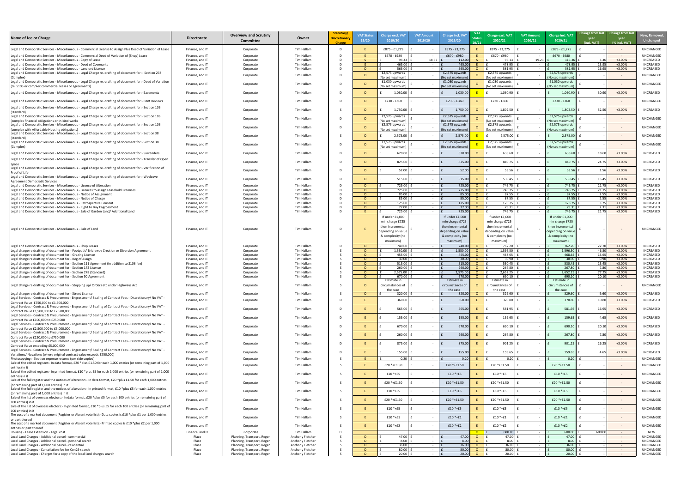| <u>New, Removed,</u><br><b>Unchanged</b> |
|------------------------------------------|
| UNCHANGED                                |
| UNCHANGED<br>INCREASED                   |
| <b>INCREASED</b><br><b>INCREASED</b>     |
| UNCHANGED                                |
| UNCHANGED                                |
| INCREASED                                |
|                                          |
| UNCHANGED                                |
| <b>INCREASED</b>                         |
| UNCHANGED                                |
| UNCHANGED                                |
| UNCHANGED                                |
| UNCHANGED                                |
| INCREASED                                |
| INCREASED                                |
| INCREASED                                |
| INCREASED                                |
| INCREASED                                |
| INCREASED<br>INCREASED                   |
| INCREASED<br>INCREASED                   |
| <b>INCREASED</b>                         |
| <b>INCREASED</b>                         |
| UNCHANGED                                |
|                                          |
|                                          |
| INCREASED<br>INCREASED                   |
| INCREASED<br>INCREASED                   |
| INCREASED                                |
| INCREASED<br>INCREASED                   |
| INCREASED                                |
| UNCHANGED                                |
| INCREASED                                |
| INCREASED                                |
| INCREASED                                |
| INCREASED                                |
| INCREASED                                |
| INCREASED                                |
| INCREASED                                |
| <b>INCREASED</b>                         |
| UNCHANGED                                |
| UNCHANGED                                |
| UNCHANGED                                |
| UNCHANGED                                |
| UNCHANGED                                |
| UNCHANGED                                |
| UNCHANGED                                |
| UNCHANGED                                |
| UNCHANGED                                |
| <b>NEW</b><br>UNCHANGED                  |
| UNCHANGED<br>UNCHANGED                   |
| UNCHANGED<br>UNCHANGED                   |

| £875 - £1,275<br>£875 - £1,275<br>Tim Hallam<br>£875 - £1,275<br>£875 - £1,275<br>Legal and Democratic Services - Miscellaneous - Commercial License to Assign Plus Deed of Variation of Lease<br>Finance, and IT<br>Corporate<br>£670 - £980<br>£670 - £980<br><b>UNCHANGED</b><br>£670 - £980<br>£670 - £980<br>Legal and Democratic Services - Miscellaneous - Commercial Deed of Variation of (Shop) Lease<br>Tim Hallam<br>Finance, and IT<br>Corporate<br>$\sim 100$ m $^{-1}$<br>$\sim 100$<br>$\sim$ $-$<br>Tim Hallam<br>18.67<br>19.23<br>112.00<br>3.36<br>$+3.00%$<br>Legal and Democratic Services - Miscellaneous - Copy of Lease<br>Finance, and IT<br>Corporate<br>93.33<br>96.13<br>115.36<br><b>INCREASED</b><br>egal and Democratic Services - Miscellaneous - Deed of Covenants<br>Tim Hallam<br>465.00<br>465.00<br>478.95<br>478.95<br>13.95<br>$+3.00%$<br>Finance, and IT<br>Corporate<br>$\sim$<br>581.95<br><b>INCREASED</b><br>Legal and Democratic Services - Miscellaneous - Landlord Licence<br>Tim Hallam<br>565.00<br>565.00<br>581.95<br>16.95<br>$+3.00%$<br>Finance, and IT<br>Corporate<br>$\Omega$<br>£2,575 upwards<br>£2,575 upwards<br>Legal and Democratic Services - Miscellaneous - Legal Charge re. drafting of document for:- Section 278<br>£2,575 upwards<br>£2,575 upwards<br><b>UNCHANGED</b><br>Tim Hallam<br>Finance, and IT<br>Corporate<br>(No set maximum)<br>(No set maximum<br>(No set maximum)<br>(No set maximum<br>(Complex)<br>Legal and Democratic Services - Miscellaneous - Legal Charge re. drafting of document for:- Deed of Variation<br>£1,030 upwards<br>£1,030 upwards<br>£1,030 upwards<br>£1,030 upwards<br><b>UNCHANGED</b><br>Finance, and IT<br>Tim Hallam<br>Corporate<br>(re. S106 or complex commercial leases or agreements)<br>(No set maximum)<br>(No set maximum)<br>(No set maximum)<br>(No set maximum<br>30.90<br>$+3.00%$<br>1,030.00<br>1,060.90<br>Tim Hallam<br>1,030.0<br>1,060.90<br>Finance, and IT<br>Corporate<br>$\sim$<br>£230 - £360<br>£230 - £360<br>£230 - £360<br>Tim Hallam<br>£230 - £360<br>Finance, and IT<br>Corporate<br>$\sim$<br>$\sim$ $ \sim$<br>Legal and Democratic Services - Miscellaneous - Legal Charge re. drafting of document for:- Section 106<br>$+3.00%$<br>$1,750.00$  <br>1,750.00<br>1,802.50<br>1,802.50<br>52.50<br>Tim Hallam<br>$\Omega$<br>Finance, and IT<br>Corporate<br>$\sim$ $ \sim$<br>(Standard)<br>£2,575 upwards<br>Legal and Democratic Services - Miscellaneous - Legal Charge re. drafting of document for:- Section 106<br>£2,575 upwards<br>£2,575 upwards<br>£2,575 upwards<br>UNCHANGED<br>Finance, and IT<br>Tim Hallam<br>Corporate<br>$\sim$ $ \sim$<br>(No set maximum)<br>(No set maximum)<br>(No set maximum)<br>(No set maximum<br>Legal and Democratic Services - Miscellaneous - Legal Charge re. drafting of document for:- Section 106<br>£2,575 upwards<br>£2,575 upwards<br>£2,575 upwards<br>£2,575 upwards<br>UNCHANGED<br>Tim Hallam<br>Finance, and IT<br>Corporate<br>$\sim$ $ \sim$<br>(No set maximum)<br>(No set maximum<br>(No set maximum)<br>(No set maximum<br>Legal and Democratic Services - Miscellaneous - Legal Charge re. drafting of document for:- Section 38<br>$2,575.00$   1<br>2,575.00<br>2,575.00<br>2,575.00<br>Tim Hallam<br>Finance, and IT<br>Corporate<br>$\Omega$<br>$\sim$ $ \sim$<br>$\sim$ $ \sim$<br>(Standard)<br>Legal and Democratic Services - Miscellaneous - Legal Charge re. drafting of document for:- Section 38<br>£2,575 upwards<br>£2,575 upwards<br>£2,575 upwards<br>£2,575 upwards<br>Finance, and IT<br>Tim Hallam<br>Corporate<br>$\sim$ $ \sim$<br>(No set maximum)<br>(No set maximum)<br>(No set maximum)<br>(No set maximum<br>(Complex)<br>$+3.00%$<br>Legal and Democratic Services - Miscellaneous - Legal Charge re. drafting of document for:- Surrenders<br>Tim Hallam<br>620.00<br>620.00<br>638.60<br>638.60<br>18.60<br>Finance, and IT<br>Corporate<br>$\Omega$<br>$\sim$ $-$<br>825.00<br>849.75<br>$+3.00%$<br>INCREASED<br>Tim Hallam<br>825.00<br>849.75<br>24.75<br>Finance, and IT<br>$\Omega$<br>$\Omega$<br>Corporate<br>$\sim$<br>Legal and Democratic Services - Miscellaneous - Legal Charge re. drafting of document for:- Verification of<br>52.00<br>52.00<br>53.56<br>53.56<br>+3.00%<br>INCREASED<br>Tim Hallam<br>1.56<br>Finance, and IT<br>$\circ$<br>Corporate<br>$\Omega$<br>$\sim$<br>Legal and Democratic Services - Miscellaneous - Legal Charge re. drafting of document for:- Wayleave<br>515.00<br>$+3.00%$<br>515.00<br>530.45<br>530.45<br>15.45<br>Tim Hallam<br>$\Omega$<br>Finance, and IT<br>Corporate<br>$\Omega$<br>$\sim$ $ \sim$<br><b>Agreement Democratic Services</b><br>746.75<br>725.00<br>725.00<br>746.75<br>21.75<br>$+3.00%$<br>Legal and Democratic Services - Miscellaneous - Licence of Alteration<br>Tim Hallam<br>Finance, and IT<br>Corporate<br>$\sim$ $-$<br>725.00<br>Legal and Democratic Services - Miscellaneous - Licences to assign Leasehold Premises<br><b>INCREASED</b><br>Tim Hallam<br>746.75<br>746.75<br>725.00<br>21.75<br>$+3.00%$<br>Finance, and IT<br>Corporate<br>85.00<br>85.00<br>87.55<br>87.55<br>2.55<br>$+3.00%$<br>egal and Democratic Services - Miscellaneous - Notice of Assignment<br>Tim Hallam<br><b>INCREASED</b><br>$\Omega$<br>Finance, and IT<br>Corporate<br>$\Omega$<br>$\sim$ $-$<br>85.00<br>85.00<br>87.55<br>87.55<br>2.55<br>$+3.00%$<br>Legal and Democratic Services - Miscellaneous - Notice of Charge<br>Tim Hallam<br>Finance, and IT<br>Corporate<br>$\Omega$<br>$\sim$<br>125.00<br>125.00<br>128.75<br>128.75<br>3.75<br>$+3.00%$<br>Tim Hallam<br>Legal and Democratic Services - Miscellaneous - Retrospective Consent<br>Finance, and IT<br>Corporate<br>$\Omega$<br>$\sim$<br>79.31<br>77.00<br>79.31<br>77.00<br>2.31<br>$+3.00%$<br><b>INCREASED</b><br>Legal and Democratic Services - Miscellaneous - Right to Buy Engrossment<br>Tim Hallam<br>Corporate<br>Finance, and IT<br>$\Omega$<br>725.00<br>746.75<br>746.75<br>21.75<br>$+3.00%$<br>725.00<br><b>INCREASED</b><br>Tim Hallam<br>Legal and Democratic Services - Miscellaneous - Sale of Garden Land/ Additional Land<br>Finance, and IT<br>Corporate<br>If under £1,000<br>If under £1,000<br>If under £1,000<br>If under £1,000<br>min charge £725<br>min charge £725<br>min charge £725<br>min charge £725<br>then incremental<br>then incremental<br>then incrementa<br>then incremental<br>Tim Hallam<br><b>UNCHANGED</b><br>Legal and Democratic Services - Miscellaneous - Sale of Land<br>Finance, and IT<br>Corporate<br>$\sim$<br>depending on value<br>depending on value<br>depending on value<br>depending on value<br>& complexity (no<br>& complexity (no<br>& complexity (no<br>& complexity (no<br>maximum)<br>maximum)<br>maximum)<br>maximum)<br>740.00<br>762.20<br><b>INCREASED</b><br>740.00<br>762.20<br>22.20<br>+3.00%<br>Tim Hallam<br>Legal and Democratic Services - Miscellaneous - Shop Leases<br>$\Omega$<br>Finance, and IT<br>Corporate<br>$\Omega$<br>$\sim 100$<br>$\sim 100$<br>1,550.00<br>1,550.00<br>1,596.50<br>1,596.50<br>$+3.00%$<br>Tim Hallam<br>46.50<br><b>INCREASED</b><br>Legal charge re drafting of document for:- Footpath/ Bridleway Creation or Diversion Agreement<br>Finance, and IT<br>Corporate<br>$\Omega$<br>$\Omega$<br>$\sim 100$<br>$\sim 100$<br>468.65<br>$+3.00%$<br>Tim Hallam<br>455.00<br>455.00<br>468.65<br>Finance, and IT<br>Corporate<br>13.65<br>$\Omega$<br>$\sim$ $ \sim$<br>30.00<br>30.00<br>$+3.00%$<br>Tim Hallam<br>30.90<br>30.90<br>0.90<br>Finance, and IT<br>Corporate<br>$\Omega$<br>$\Omega$<br>$\sim$ $ \sim$<br>515.00<br>530.45<br><b>INCREASED</b><br>Tim Hallam<br>515.00<br>530.45<br>15.45<br>$+3.00%$<br>Legal charge re drafting of document for:- Section 111 Agreement (in addition to S106 fee)<br>Finance, and IT<br>Corporate<br>$\Omega$<br>$\sim$<br>260.00<br>260.00<br>267.80<br>267.80<br>$+3.00%$<br><b>INCREASED</b><br>Tim Hallam<br>7.80<br>Legal charge re drafting of document for:- Section 142 Licence<br>Finance, and IT<br>Corporate<br>$\Omega$<br>$\sim$<br>$2,575.00$ £<br>2,575.00<br>2,652.25<br>2,652.25<br>77.25<br>$+3.00%$<br><b>Tim Hallam</b><br>Legal charge re drafting of document for:- Section 278 (Standard)<br>Finance, and IT<br>Corporate<br>$\Omega$<br>$\circ$<br>$\sim$<br>670.00<br>690.10<br>690.10<br>20.10<br>+3.00%<br>$670.00$ :<br>$\overline{O}$<br>Legal charge re drafting of document for:- Section 50 Agreement<br><b>Tim Hallam</b><br>Finance, and IT<br>$\Omega$<br>Corporate<br>Estimate in<br>Estimate in<br>Estimate in<br>Estimate in<br>Legal charge re drafting of document for:- Stopping up/ Orders etc under Highways Act<br><b>Tim Hallam</b><br>Finance, and IT<br>Corporate<br>circumstances of<br>circumstances of<br>circumstances of<br>circumstances of<br>$\sim$<br>$\sim$ $-$<br>the case<br>the case<br>the case<br>the case<br>9.60<br>$+3.00%$<br>Tim Hallam<br>320.00<br>320.00<br>329.60<br>329.60<br>Legal charge re drafting of document for:- Street License<br>$\circ$<br>Finance, and IT<br>Corporate<br>$\Omega$<br>$\sim$ $-$<br>$\sim$ $-$<br>- Legal Services - Contract & Procurement - Engrossment/ Sealing of Contract Fees - Discretionary/ No VAT<br>$+3.00%$<br>360.00<br>360.00<br>370.80<br>370.80<br>10.80<br>Tim Hallam<br>Finance, and IT<br>Corporate<br>$\sim$ $-$<br>Contract Value £750,000 to £1,500,000<br>- Legal Services - Contract & Procurement - Engrossment/ Sealing of Contract Fees - Discretionary/ No VAT<br>565.00<br>565.00<br>$+3.00%$<br>581.95<br>581.95<br>16.95<br>INCREASED<br>Tim Hallam<br>Finance, and IT<br>Corporate<br>$\sim$ $ \sim$<br>- Legal Services - Contract & Procurement - Engrossment/ Sealing of Contract Fees - Discretionary/ No VAT<br>155.00<br>155.00<br>159.65<br>159.65<br>+3.00%<br>INCREASED<br>Tim Hallam<br>Finance, and IT<br>4.65<br>Corporate<br>$\sim$ $ \sim$<br>Contract Value £100,000 to £250,000<br>Legal Services - Contract & Procurement - Engrossment/ Sealing of Contract Fees - Discretionary/ No VAT -<br>670.00<br>670.00<br>690.10<br>690.10<br>20.10<br>+3.00%<br>Tim Hallam<br>Finance, and IT<br>Corporate<br>$\sim$ $-$<br>Contract Value £2,500,000 to £5,000,000<br>- egal Services - Contract & Procurement - Engrossment/ Sealing of Contract Fees - Discretionary/ No VAT<br>260.00<br>260.00<br>267.80<br>267.80<br>$+3.00%$<br>Tim Hallam<br>7.80<br>Finance, and IT<br>Corporate<br>$\sim$<br>Contract Value £250,000 to £750,000<br>- egal Services - Contract & Procurement - Engrossment/ Sealing of Contract Fees - Discretionary/ No VAT<br>901.25<br>$+3.00%$<br>875.00<br>875.00<br>901.25<br>26.25<br>INCREASED<br>Tim Hallam<br>Finance, and IT<br>Corporate<br>Legal Services - Contract & Procurement - Engrossment/ Sealing of Contract Fees - Discretionary/ No VAT -<br>155.00<br>155.00<br>159.65<br>159.65<br>4.65<br>+3.00%<br>INCREASED<br>Tim Hallam<br>Finance, and IT<br>Corporate<br>$\sim$ $ \sim$<br>0.20<br>0.20<br><b>UNCHANGED</b><br>Photocopying:- Election expense returns (per side copied)<br>0.20<br>0.20<br>Tim Hallam<br>Finance, and IT<br>Corporate<br>$\sim 100$<br>$\sim$ $ \sim$<br>$\sim$ $-$<br>Sale of the edited register:- In data format, £20 *plus £1.50 for each 1,000 entries (or remaining part of 1,000<br><b>UNCHANGED</b><br>Tim Hallam<br>£20 *+£1.50<br>£20 *+£1.50<br>£20 *+£1.50<br>£20 $*+£1.50$<br>Finance, and IT<br>Corporate<br>$\sim$ $ \sim$<br>$\sim$ $ \sim$<br>Sale of the edited register:- In printed format, £10 *plus £5 for each 1,000 entries (or remaining part of 1,000<br>$£10 * + E5$<br>£10 *+£5<br>$£10 * + E5$<br>Finance, and IT<br>Tim Hallam<br>£10 *+£5<br>Corporate<br>$\sim$<br>$\sim$ $ \sim$<br>£20 *+£1.50<br>£20 *+£1.50<br>£20 *+£1.50<br>£20 *+£1.50<br>Finance, and IT<br>Tim Hallam<br>Corporate<br>$\sim$ $-$<br>$\sim$ $ \sim$<br>(or remaining part of 1,000 entries) in it<br>$£10 * + E5$<br>$£10*+£5$<br>$£10 * + £5$<br>£10 *+£5<br><b>UNCHANGED</b><br>Finance, and IT<br>Tim Hallam<br>Corporate<br>$\sim$ $ \sim$<br>$\sim$ $ \sim$<br>Sale of the list of overseas electors:- In data format, £20 *plus £5 for each 100 entries (or remaining part of<br>$£20 * + £1.50$<br>$£20 * + £1.50$<br>£20 *+£1.50<br><b>UNCHANGED</b><br>£20 *+£1.50<br>Finance, and IT<br>Tim Hallam<br>Corporate<br>$\sim$ $-$<br>$\sim$ $ \sim$<br>Sale of the list of overseas electors:- In printed format, £10 *plus £5 for each 100 entries (or remaining part of<br>$£10 * + E5$<br>$£10*+£5$<br>£10 *+£5<br>£10 *+£5<br>Finance, and IT<br>Tim Hallam<br>Corporate<br>$\sim$<br>$\sim$ $ \sim$<br>100 entries) in it<br>The cost of a marked document (Register or Absent vote list):- Data copies is £10 *plus £1 per 1,000 entries<br>$£10 * + £1$<br>$£10*+£1$<br>$£10 * + £1$<br>$£10*+£1$<br>Finance, and IT<br>Tim Hallam<br>Corporate<br>$\sim$ $-$<br>$\sim$ $ \sim$<br>or part thereof<br>The cost of a marked document (Register or Absent vote list):- Printed copies is £10 *plus £2 per 1,000<br>$£10 * + £2$<br>$£10 * + £2$<br>$£10 * + £2$<br>$£10 * + £2$<br><b>UNCHANGED</b><br>Finance, and IT<br>Tim Hallam<br>Corporate<br>$\sim$<br>$\sim$ $ \sim$<br>600.00<br>600.00<br>600.00<br>$\overline{O}$<br>Housing - Lease Extension - Legal cost<br>Finance, and IT<br>Tim Hallam<br><b>NEW</b><br>Corporate<br>$\sim$ $ \sim$<br>$\sim$ $ \sim$<br>47.00<br>47.00<br>47.00<br>47.00<br>Place<br>Planning, Transport, Regen<br>Anthony Fletcher<br>$\Omega$<br>$\circ$<br>$\sim$ $-$<br>$\sim$ $ \sim$<br>$\sim$<br>8.00<br>8.00<br>8.00<br>8.00<br>Local Land Charges - Additional parcel - personal search<br>Anthony Fletcher<br>Place<br>Planning, Transport, Regen<br>$\Omega$<br>$\sim$ $ \sim$<br>$\sim 100$<br>36.00<br>36.00<br>36.00<br>36.00<br>Local Land Charges - Additional parcel - residential<br>Place<br>Planning, Transport, Regen<br>Anthony Fletcher<br>$\Omega$<br>$\circ$<br>$\sim$ $-$<br>$\sim 100$<br>80.00<br>80.00<br>80.00<br>Local Land Charges - Cancellation fee for Con29 search<br>Place<br>80.00<br><b>UNCHANGED</b><br>Planning, Transport, Regen<br>Anthony Fletcher<br>$\circ$<br>$\sim$ $-$<br>$\sim 100$<br>20.00<br>$20.00$ £<br>$20.00$ f<br>$\Omega$<br>$\sim$ $ \sim$ | Name of fee or Charge                                                                                            | <b>Directorate</b> | <b>Overview and Scrutiny</b><br><b>Committee</b> | Owner            | Statutory/<br><b>Discretionary</b><br><b>Charge</b> | <b>VAT Status</b><br>19/20 | <b>Charge excl. VAT</b><br>2019/20 | <b>VAT Amount</b><br>2019/20 | <b>Charge incl. VAT</b><br>2019/20 | <b>Status</b> | Charge excl. VAT<br>2020/21 | <b>VAT Amount</b><br>2020/21 | <b>Charge incl. VAT</b><br>2020/21 | Change from last Change from last<br>year<br>(incl. VAT) | year<br>(% incl. VAT) | New, Remove<br><b>Unchanged</b> |
|-----------------------------------------------------------------------------------------------------------------------------------------------------------------------------------------------------------------------------------------------------------------------------------------------------------------------------------------------------------------------------------------------------------------------------------------------------------------------------------------------------------------------------------------------------------------------------------------------------------------------------------------------------------------------------------------------------------------------------------------------------------------------------------------------------------------------------------------------------------------------------------------------------------------------------------------------------------------------------------------------------------------------------------------------------------------------------------------------------------------------------------------------------------------------------------------------------------------------------------------------------------------------------------------------------------------------------------------------------------------------------------------------------------------------------------------------------------------------------------------------------------------------------------------------------------------------------------------------------------------------------------------------------------------------------------------------------------------------------------------------------------------------------------------------------------------------------------------------------------------------------------------------------------------------------------------------------------------------------------------------------------------------------------------------------------------------------------------------------------------------------------------------------------------------------------------------------------------------------------------------------------------------------------------------------------------------------------------------------------------------------------------------------------------------------------------------------------------------------------------------------------------------------------------------------------------------------------------------------------------------------------------------------------------------------------------------------------------------------------------------------------------------------------------------------------------------------------------------------------------------------------------------------------------------------------------------------------------------------------------------------------------------------------------------------------------------------------------------------------------------------------------------------------------------------------------------------------------------------------------------------------------------------------------------------------------------------------------------------------------------------------------------------------------------------------------------------------------------------------------------------------------------------------------------------------------------------------------------------------------------------------------------------------------------------------------------------------------------------------------------------------------------------------------------------------------------------------------------------------------------------------------------------------------------------------------------------------------------------------------------------------------------------------------------------------------------------------------------------------------------------------------------------------------------------------------------------------------------------------------------------------------------------------------------------------------------------------------------------------------------------------------------------------------------------------------------------------------------------------------------------------------------------------------------------------------------------------------------------------------------------------------------------------------------------------------------------------------------------------------------------------------------------------------------------------------------------------------------------------------------------------------------------------------------------------------------------------------------------------------------------------------------------------------------------------------------------------------------------------------------------------------------------------------------------------------------------------------------------------------------------------------------------------------------------------------------------------------------------------------------------------------------------------------------------------------------------------------------------------------------------------------------------------------------------------------------------------------------------------------------------------------------------------------------------------------------------------------------------------------------------------------------------------------------------------------------------------------------------------------------------------------------------------------------------------------------------------------------------------------------------------------------------------------------------------------------------------------------------------------------------------------------------------------------------------------------------------------------------------------------------------------------------------------------------------------------------------------------------------------------------------------------------------------------------------------------------------------------------------------------------------------------------------------------------------------------------------------------------------------------------------------------------------------------------------------------------------------------------------------------------------------------------------------------------------------------------------------------------------------------------------------------------------------------------------------------------------------------------------------------------------------------------------------------------------------------------------------------------------------------------------------------------------------------------------------------------------------------------------------------------------------------------------------------------------------------------------------------------------------------------------------------------------------------------------------------------------------------------------------------------------------------------------------------------------------------------------------------------------------------------------------------------------------------------------------------------------------------------------------------------------------------------------------------------------------------------------------------------------------------------------------------------------------------------------------------------------------------------------------------------------------------------------------------------------------------------------------------------------------------------------------------------------------------------------------------------------------------------------------------------------------------------------------------------------------------------------------------------------------------------------------------------------------------------------------------------------------------------------------------------------------------------------------------------------------------------------------------------------------------------------------------------------------------------------------------------------------------------------------------------------------------------------------------------------------------------------------------------------------------------------------------------------------------------------------------------------------------------------------------------------------------------------------------------------------------------------------------------------------------------------------------------------------------------------------------------------------------------------------------------------------------------------------------------------------------------------------------------------------------------------------------------------------------------------------------------------------------------------------------------------------------------------------------------------------------------------------------------------------------------------------------------------------------------------------------------------------------------------------------------------------------------------------------------------------------------------------------------------------------------------------------------------------------------------------------------------------------------------------------------------------------------------------------------------------------------------------------------------------------------------------------------------------------------------------------------------------------------------------------------------------------------------------------------------------------------------------------------------------------------------------------------------------------------------------------------------------------------------------------------------------------------------------------------------------------------------------------------------------------------------------------------------------------------------------------------------------------------------------------------------------------------------------------------------------------------------------------------------------------------------------------------------------------------------------------------------------------------------------------------------------------------------------------------------------------------------------------------------------------------------------------------------------------------------------------------------------------------------------------------------------------------------------------------------------------------------------------------------------------------------------------------------------------------------------------------------------------------------------------------------------------------------------------------------------------------------------------------------------------------------------------------------------------------------------------------------------------------------------------------------------------------------------------------------------------------------------------------------------------------------------------------------------------------------------------------------------------------------------------------------------------------------------------------------------------------------------------------------------------------------------------------------------------------------------------------------------------------------------------------------------------------------------------------------------------------------------------------------------------------------------------------------------------------------------------------------------------------------------------------------------------------------------------------------------------------------------------------------------------------------------------------------------------------------------------------------------------------------------------------------------------------------------------------------------------------------------------------------------------------------------------------------------------------------------------------------------------------------------------------------------------------------------------------------------------------------------------------------------------------------------------------------------------------------------------------------------------------------------------------------------------------------------------------------------------------------------------------------------------------------------------------------------------------------------------------------------------------------------------------------------------------------------------------------------------------------------------------------------------------------------------------------------------------------------------------------------------------------------------------------------------------------------------------------------------------------------------------------------------------------------------------------------------------------------------------------------------------------------------------------------------------------------------------------------------------------------------------------------------------------------------------------------------------------------------------------------------------------------------------------------------------------------------------------------------------------------------------------------------------------------------------------------------------------------|------------------------------------------------------------------------------------------------------------------|--------------------|--------------------------------------------------|------------------|-----------------------------------------------------|----------------------------|------------------------------------|------------------------------|------------------------------------|---------------|-----------------------------|------------------------------|------------------------------------|----------------------------------------------------------|-----------------------|---------------------------------|
|                                                                                                                                                                                                                                                                                                                                                                                                                                                                                                                                                                                                                                                                                                                                                                                                                                                                                                                                                                                                                                                                                                                                                                                                                                                                                                                                                                                                                                                                                                                                                                                                                                                                                                                                                                                                                                                                                                                                                                                                                                                                                                                                                                                                                                                                                                                                                                                                                                                                                                                                                                                                                                                                                                                                                                                                                                                                                                                                                                                                                                                                                                                                                                                                                                                                                                                                                                                                                                                                                                                                                                                                                                                                                                                                                                                                                                                                                                                                                                                                                                                                                                                                                                                                                                                                                                                                                                                                                                                                                                                                                                                                                                                                                                                                                                                                                                                                                                                                                                                                                                                                                                                                                                                                                                                                                                                                                                                                                                                                                                                                                                                                                                                                                                                                                                                                                                                                                                                                                                                                                                                                                                                                                                                                                                                                                                                                                                                                                                                                                                                                                                                                                                                                                                                                                                                                                                                                                                                                                                                                                                                                                                                                                                                                                                                                                                                                                                                                                                                                                                                                                                                                                                                                                                                                                                                                                                                                                                                                                                                                                                                                                                                                                                                                                                                                                                                                                                                                                                                                                                                                                                                                                                                                                                                                                                                                                                                                                                                                                                                                                                                                                                                                                                                                                                                                                                                                                                                                                                                                                                                                                                                                                                                                                                                                                                                                                                                                                                                                                                                                                                                                                                                                                                                                                                                                                                                                                                                                                                                                                                                                                                                                                                                                                                                                                                                                                                                                                                                                                                                                                                                                                                                                                                                                                                                                                                                                                                                                                                                                                                                                                                                                                                                                                                                                                                                                                                                                                                                                                                                                                                                                                                                                                                                                                                                                                                                                                                                                                                                                                                                                                                                                                                                                                                                                                                                                                                                                                                                                                                                                                                                                                                                                                                                                                                                                                                                                                                                                                                                                                                                                                                                                                                                                                                                                                                                                                                                                                                                                                                                                                                                                                                                                                                                                                                                                                                                                                                                                                                         |                                                                                                                  |                    |                                                  |                  |                                                     |                            |                                    |                              |                                    |               |                             |                              |                                    |                                                          |                       | <b>UNCHANGED</b>                |
|                                                                                                                                                                                                                                                                                                                                                                                                                                                                                                                                                                                                                                                                                                                                                                                                                                                                                                                                                                                                                                                                                                                                                                                                                                                                                                                                                                                                                                                                                                                                                                                                                                                                                                                                                                                                                                                                                                                                                                                                                                                                                                                                                                                                                                                                                                                                                                                                                                                                                                                                                                                                                                                                                                                                                                                                                                                                                                                                                                                                                                                                                                                                                                                                                                                                                                                                                                                                                                                                                                                                                                                                                                                                                                                                                                                                                                                                                                                                                                                                                                                                                                                                                                                                                                                                                                                                                                                                                                                                                                                                                                                                                                                                                                                                                                                                                                                                                                                                                                                                                                                                                                                                                                                                                                                                                                                                                                                                                                                                                                                                                                                                                                                                                                                                                                                                                                                                                                                                                                                                                                                                                                                                                                                                                                                                                                                                                                                                                                                                                                                                                                                                                                                                                                                                                                                                                                                                                                                                                                                                                                                                                                                                                                                                                                                                                                                                                                                                                                                                                                                                                                                                                                                                                                                                                                                                                                                                                                                                                                                                                                                                                                                                                                                                                                                                                                                                                                                                                                                                                                                                                                                                                                                                                                                                                                                                                                                                                                                                                                                                                                                                                                                                                                                                                                                                                                                                                                                                                                                                                                                                                                                                                                                                                                                                                                                                                                                                                                                                                                                                                                                                                                                                                                                                                                                                                                                                                                                                                                                                                                                                                                                                                                                                                                                                                                                                                                                                                                                                                                                                                                                                                                                                                                                                                                                                                                                                                                                                                                                                                                                                                                                                                                                                                                                                                                                                                                                                                                                                                                                                                                                                                                                                                                                                                                                                                                                                                                                                                                                                                                                                                                                                                                                                                                                                                                                                                                                                                                                                                                                                                                                                                                                                                                                                                                                                                                                                                                                                                                                                                                                                                                                                                                                                                                                                                                                                                                                                                                                                                                                                                                                                                                                                                                                                                                                                                                                                                                                                                                         |                                                                                                                  |                    |                                                  |                  |                                                     |                            |                                    |                              |                                    |               |                             |                              |                                    |                                                          |                       |                                 |
|                                                                                                                                                                                                                                                                                                                                                                                                                                                                                                                                                                                                                                                                                                                                                                                                                                                                                                                                                                                                                                                                                                                                                                                                                                                                                                                                                                                                                                                                                                                                                                                                                                                                                                                                                                                                                                                                                                                                                                                                                                                                                                                                                                                                                                                                                                                                                                                                                                                                                                                                                                                                                                                                                                                                                                                                                                                                                                                                                                                                                                                                                                                                                                                                                                                                                                                                                                                                                                                                                                                                                                                                                                                                                                                                                                                                                                                                                                                                                                                                                                                                                                                                                                                                                                                                                                                                                                                                                                                                                                                                                                                                                                                                                                                                                                                                                                                                                                                                                                                                                                                                                                                                                                                                                                                                                                                                                                                                                                                                                                                                                                                                                                                                                                                                                                                                                                                                                                                                                                                                                                                                                                                                                                                                                                                                                                                                                                                                                                                                                                                                                                                                                                                                                                                                                                                                                                                                                                                                                                                                                                                                                                                                                                                                                                                                                                                                                                                                                                                                                                                                                                                                                                                                                                                                                                                                                                                                                                                                                                                                                                                                                                                                                                                                                                                                                                                                                                                                                                                                                                                                                                                                                                                                                                                                                                                                                                                                                                                                                                                                                                                                                                                                                                                                                                                                                                                                                                                                                                                                                                                                                                                                                                                                                                                                                                                                                                                                                                                                                                                                                                                                                                                                                                                                                                                                                                                                                                                                                                                                                                                                                                                                                                                                                                                                                                                                                                                                                                                                                                                                                                                                                                                                                                                                                                                                                                                                                                                                                                                                                                                                                                                                                                                                                                                                                                                                                                                                                                                                                                                                                                                                                                                                                                                                                                                                                                                                                                                                                                                                                                                                                                                                                                                                                                                                                                                                                                                                                                                                                                                                                                                                                                                                                                                                                                                                                                                                                                                                                                                                                                                                                                                                                                                                                                                                                                                                                                                                                                                                                                                                                                                                                                                                                                                                                                                                                                                                                                                                                                         |                                                                                                                  |                    |                                                  |                  |                                                     |                            |                                    |                              |                                    |               |                             |                              |                                    |                                                          |                       | <b>INCREASED</b>                |
|                                                                                                                                                                                                                                                                                                                                                                                                                                                                                                                                                                                                                                                                                                                                                                                                                                                                                                                                                                                                                                                                                                                                                                                                                                                                                                                                                                                                                                                                                                                                                                                                                                                                                                                                                                                                                                                                                                                                                                                                                                                                                                                                                                                                                                                                                                                                                                                                                                                                                                                                                                                                                                                                                                                                                                                                                                                                                                                                                                                                                                                                                                                                                                                                                                                                                                                                                                                                                                                                                                                                                                                                                                                                                                                                                                                                                                                                                                                                                                                                                                                                                                                                                                                                                                                                                                                                                                                                                                                                                                                                                                                                                                                                                                                                                                                                                                                                                                                                                                                                                                                                                                                                                                                                                                                                                                                                                                                                                                                                                                                                                                                                                                                                                                                                                                                                                                                                                                                                                                                                                                                                                                                                                                                                                                                                                                                                                                                                                                                                                                                                                                                                                                                                                                                                                                                                                                                                                                                                                                                                                                                                                                                                                                                                                                                                                                                                                                                                                                                                                                                                                                                                                                                                                                                                                                                                                                                                                                                                                                                                                                                                                                                                                                                                                                                                                                                                                                                                                                                                                                                                                                                                                                                                                                                                                                                                                                                                                                                                                                                                                                                                                                                                                                                                                                                                                                                                                                                                                                                                                                                                                                                                                                                                                                                                                                                                                                                                                                                                                                                                                                                                                                                                                                                                                                                                                                                                                                                                                                                                                                                                                                                                                                                                                                                                                                                                                                                                                                                                                                                                                                                                                                                                                                                                                                                                                                                                                                                                                                                                                                                                                                                                                                                                                                                                                                                                                                                                                                                                                                                                                                                                                                                                                                                                                                                                                                                                                                                                                                                                                                                                                                                                                                                                                                                                                                                                                                                                                                                                                                                                                                                                                                                                                                                                                                                                                                                                                                                                                                                                                                                                                                                                                                                                                                                                                                                                                                                                                                                                                                                                                                                                                                                                                                                                                                                                                                                                                                                                                                         |                                                                                                                  |                    |                                                  |                  |                                                     |                            |                                    |                              |                                    |               |                             |                              |                                    |                                                          |                       |                                 |
|                                                                                                                                                                                                                                                                                                                                                                                                                                                                                                                                                                                                                                                                                                                                                                                                                                                                                                                                                                                                                                                                                                                                                                                                                                                                                                                                                                                                                                                                                                                                                                                                                                                                                                                                                                                                                                                                                                                                                                                                                                                                                                                                                                                                                                                                                                                                                                                                                                                                                                                                                                                                                                                                                                                                                                                                                                                                                                                                                                                                                                                                                                                                                                                                                                                                                                                                                                                                                                                                                                                                                                                                                                                                                                                                                                                                                                                                                                                                                                                                                                                                                                                                                                                                                                                                                                                                                                                                                                                                                                                                                                                                                                                                                                                                                                                                                                                                                                                                                                                                                                                                                                                                                                                                                                                                                                                                                                                                                                                                                                                                                                                                                                                                                                                                                                                                                                                                                                                                                                                                                                                                                                                                                                                                                                                                                                                                                                                                                                                                                                                                                                                                                                                                                                                                                                                                                                                                                                                                                                                                                                                                                                                                                                                                                                                                                                                                                                                                                                                                                                                                                                                                                                                                                                                                                                                                                                                                                                                                                                                                                                                                                                                                                                                                                                                                                                                                                                                                                                                                                                                                                                                                                                                                                                                                                                                                                                                                                                                                                                                                                                                                                                                                                                                                                                                                                                                                                                                                                                                                                                                                                                                                                                                                                                                                                                                                                                                                                                                                                                                                                                                                                                                                                                                                                                                                                                                                                                                                                                                                                                                                                                                                                                                                                                                                                                                                                                                                                                                                                                                                                                                                                                                                                                                                                                                                                                                                                                                                                                                                                                                                                                                                                                                                                                                                                                                                                                                                                                                                                                                                                                                                                                                                                                                                                                                                                                                                                                                                                                                                                                                                                                                                                                                                                                                                                                                                                                                                                                                                                                                                                                                                                                                                                                                                                                                                                                                                                                                                                                                                                                                                                                                                                                                                                                                                                                                                                                                                                                                                                                                                                                                                                                                                                                                                                                                                                                                                                                                                                                         |                                                                                                                  |                    |                                                  |                  |                                                     |                            |                                    |                              |                                    |               |                             |                              |                                    |                                                          |                       |                                 |
|                                                                                                                                                                                                                                                                                                                                                                                                                                                                                                                                                                                                                                                                                                                                                                                                                                                                                                                                                                                                                                                                                                                                                                                                                                                                                                                                                                                                                                                                                                                                                                                                                                                                                                                                                                                                                                                                                                                                                                                                                                                                                                                                                                                                                                                                                                                                                                                                                                                                                                                                                                                                                                                                                                                                                                                                                                                                                                                                                                                                                                                                                                                                                                                                                                                                                                                                                                                                                                                                                                                                                                                                                                                                                                                                                                                                                                                                                                                                                                                                                                                                                                                                                                                                                                                                                                                                                                                                                                                                                                                                                                                                                                                                                                                                                                                                                                                                                                                                                                                                                                                                                                                                                                                                                                                                                                                                                                                                                                                                                                                                                                                                                                                                                                                                                                                                                                                                                                                                                                                                                                                                                                                                                                                                                                                                                                                                                                                                                                                                                                                                                                                                                                                                                                                                                                                                                                                                                                                                                                                                                                                                                                                                                                                                                                                                                                                                                                                                                                                                                                                                                                                                                                                                                                                                                                                                                                                                                                                                                                                                                                                                                                                                                                                                                                                                                                                                                                                                                                                                                                                                                                                                                                                                                                                                                                                                                                                                                                                                                                                                                                                                                                                                                                                                                                                                                                                                                                                                                                                                                                                                                                                                                                                                                                                                                                                                                                                                                                                                                                                                                                                                                                                                                                                                                                                                                                                                                                                                                                                                                                                                                                                                                                                                                                                                                                                                                                                                                                                                                                                                                                                                                                                                                                                                                                                                                                                                                                                                                                                                                                                                                                                                                                                                                                                                                                                                                                                                                                                                                                                                                                                                                                                                                                                                                                                                                                                                                                                                                                                                                                                                                                                                                                                                                                                                                                                                                                                                                                                                                                                                                                                                                                                                                                                                                                                                                                                                                                                                                                                                                                                                                                                                                                                                                                                                                                                                                                                                                                                                                                                                                                                                                                                                                                                                                                                                                                                                                                                                                                         |                                                                                                                  |                    |                                                  |                  |                                                     |                            |                                    |                              |                                    |               |                             |                              |                                    |                                                          |                       |                                 |
|                                                                                                                                                                                                                                                                                                                                                                                                                                                                                                                                                                                                                                                                                                                                                                                                                                                                                                                                                                                                                                                                                                                                                                                                                                                                                                                                                                                                                                                                                                                                                                                                                                                                                                                                                                                                                                                                                                                                                                                                                                                                                                                                                                                                                                                                                                                                                                                                                                                                                                                                                                                                                                                                                                                                                                                                                                                                                                                                                                                                                                                                                                                                                                                                                                                                                                                                                                                                                                                                                                                                                                                                                                                                                                                                                                                                                                                                                                                                                                                                                                                                                                                                                                                                                                                                                                                                                                                                                                                                                                                                                                                                                                                                                                                                                                                                                                                                                                                                                                                                                                                                                                                                                                                                                                                                                                                                                                                                                                                                                                                                                                                                                                                                                                                                                                                                                                                                                                                                                                                                                                                                                                                                                                                                                                                                                                                                                                                                                                                                                                                                                                                                                                                                                                                                                                                                                                                                                                                                                                                                                                                                                                                                                                                                                                                                                                                                                                                                                                                                                                                                                                                                                                                                                                                                                                                                                                                                                                                                                                                                                                                                                                                                                                                                                                                                                                                                                                                                                                                                                                                                                                                                                                                                                                                                                                                                                                                                                                                                                                                                                                                                                                                                                                                                                                                                                                                                                                                                                                                                                                                                                                                                                                                                                                                                                                                                                                                                                                                                                                                                                                                                                                                                                                                                                                                                                                                                                                                                                                                                                                                                                                                                                                                                                                                                                                                                                                                                                                                                                                                                                                                                                                                                                                                                                                                                                                                                                                                                                                                                                                                                                                                                                                                                                                                                                                                                                                                                                                                                                                                                                                                                                                                                                                                                                                                                                                                                                                                                                                                                                                                                                                                                                                                                                                                                                                                                                                                                                                                                                                                                                                                                                                                                                                                                                                                                                                                                                                                                                                                                                                                                                                                                                                                                                                                                                                                                                                                                                                                                                                                                                                                                                                                                                                                                                                                                                                                                                                                                                                         |                                                                                                                  |                    |                                                  |                  |                                                     |                            |                                    |                              |                                    |               |                             |                              |                                    |                                                          |                       |                                 |
|                                                                                                                                                                                                                                                                                                                                                                                                                                                                                                                                                                                                                                                                                                                                                                                                                                                                                                                                                                                                                                                                                                                                                                                                                                                                                                                                                                                                                                                                                                                                                                                                                                                                                                                                                                                                                                                                                                                                                                                                                                                                                                                                                                                                                                                                                                                                                                                                                                                                                                                                                                                                                                                                                                                                                                                                                                                                                                                                                                                                                                                                                                                                                                                                                                                                                                                                                                                                                                                                                                                                                                                                                                                                                                                                                                                                                                                                                                                                                                                                                                                                                                                                                                                                                                                                                                                                                                                                                                                                                                                                                                                                                                                                                                                                                                                                                                                                                                                                                                                                                                                                                                                                                                                                                                                                                                                                                                                                                                                                                                                                                                                                                                                                                                                                                                                                                                                                                                                                                                                                                                                                                                                                                                                                                                                                                                                                                                                                                                                                                                                                                                                                                                                                                                                                                                                                                                                                                                                                                                                                                                                                                                                                                                                                                                                                                                                                                                                                                                                                                                                                                                                                                                                                                                                                                                                                                                                                                                                                                                                                                                                                                                                                                                                                                                                                                                                                                                                                                                                                                                                                                                                                                                                                                                                                                                                                                                                                                                                                                                                                                                                                                                                                                                                                                                                                                                                                                                                                                                                                                                                                                                                                                                                                                                                                                                                                                                                                                                                                                                                                                                                                                                                                                                                                                                                                                                                                                                                                                                                                                                                                                                                                                                                                                                                                                                                                                                                                                                                                                                                                                                                                                                                                                                                                                                                                                                                                                                                                                                                                                                                                                                                                                                                                                                                                                                                                                                                                                                                                                                                                                                                                                                                                                                                                                                                                                                                                                                                                                                                                                                                                                                                                                                                                                                                                                                                                                                                                                                                                                                                                                                                                                                                                                                                                                                                                                                                                                                                                                                                                                                                                                                                                                                                                                                                                                                                                                                                                                                                                                                                                                                                                                                                                                                                                                                                                                                                                                                                                                                         | Legal and Democratic Services - Miscellaneous - Legal Charge re. drafting of document for:- Easements            |                    |                                                  |                  |                                                     |                            |                                    |                              |                                    |               |                             |                              |                                    |                                                          |                       | <b>INCREASED</b>                |
|                                                                                                                                                                                                                                                                                                                                                                                                                                                                                                                                                                                                                                                                                                                                                                                                                                                                                                                                                                                                                                                                                                                                                                                                                                                                                                                                                                                                                                                                                                                                                                                                                                                                                                                                                                                                                                                                                                                                                                                                                                                                                                                                                                                                                                                                                                                                                                                                                                                                                                                                                                                                                                                                                                                                                                                                                                                                                                                                                                                                                                                                                                                                                                                                                                                                                                                                                                                                                                                                                                                                                                                                                                                                                                                                                                                                                                                                                                                                                                                                                                                                                                                                                                                                                                                                                                                                                                                                                                                                                                                                                                                                                                                                                                                                                                                                                                                                                                                                                                                                                                                                                                                                                                                                                                                                                                                                                                                                                                                                                                                                                                                                                                                                                                                                                                                                                                                                                                                                                                                                                                                                                                                                                                                                                                                                                                                                                                                                                                                                                                                                                                                                                                                                                                                                                                                                                                                                                                                                                                                                                                                                                                                                                                                                                                                                                                                                                                                                                                                                                                                                                                                                                                                                                                                                                                                                                                                                                                                                                                                                                                                                                                                                                                                                                                                                                                                                                                                                                                                                                                                                                                                                                                                                                                                                                                                                                                                                                                                                                                                                                                                                                                                                                                                                                                                                                                                                                                                                                                                                                                                                                                                                                                                                                                                                                                                                                                                                                                                                                                                                                                                                                                                                                                                                                                                                                                                                                                                                                                                                                                                                                                                                                                                                                                                                                                                                                                                                                                                                                                                                                                                                                                                                                                                                                                                                                                                                                                                                                                                                                                                                                                                                                                                                                                                                                                                                                                                                                                                                                                                                                                                                                                                                                                                                                                                                                                                                                                                                                                                                                                                                                                                                                                                                                                                                                                                                                                                                                                                                                                                                                                                                                                                                                                                                                                                                                                                                                                                                                                                                                                                                                                                                                                                                                                                                                                                                                                                                                                                                                                                                                                                                                                                                                                                                                                                                                                                                                                                                                                         | Legal and Democratic Services - Miscellaneous - Legal Charge re. drafting of document for:- Rent Reviews         |                    |                                                  |                  |                                                     |                            |                                    |                              |                                    |               |                             |                              |                                    |                                                          |                       | <b>UNCHANGED</b>                |
|                                                                                                                                                                                                                                                                                                                                                                                                                                                                                                                                                                                                                                                                                                                                                                                                                                                                                                                                                                                                                                                                                                                                                                                                                                                                                                                                                                                                                                                                                                                                                                                                                                                                                                                                                                                                                                                                                                                                                                                                                                                                                                                                                                                                                                                                                                                                                                                                                                                                                                                                                                                                                                                                                                                                                                                                                                                                                                                                                                                                                                                                                                                                                                                                                                                                                                                                                                                                                                                                                                                                                                                                                                                                                                                                                                                                                                                                                                                                                                                                                                                                                                                                                                                                                                                                                                                                                                                                                                                                                                                                                                                                                                                                                                                                                                                                                                                                                                                                                                                                                                                                                                                                                                                                                                                                                                                                                                                                                                                                                                                                                                                                                                                                                                                                                                                                                                                                                                                                                                                                                                                                                                                                                                                                                                                                                                                                                                                                                                                                                                                                                                                                                                                                                                                                                                                                                                                                                                                                                                                                                                                                                                                                                                                                                                                                                                                                                                                                                                                                                                                                                                                                                                                                                                                                                                                                                                                                                                                                                                                                                                                                                                                                                                                                                                                                                                                                                                                                                                                                                                                                                                                                                                                                                                                                                                                                                                                                                                                                                                                                                                                                                                                                                                                                                                                                                                                                                                                                                                                                                                                                                                                                                                                                                                                                                                                                                                                                                                                                                                                                                                                                                                                                                                                                                                                                                                                                                                                                                                                                                                                                                                                                                                                                                                                                                                                                                                                                                                                                                                                                                                                                                                                                                                                                                                                                                                                                                                                                                                                                                                                                                                                                                                                                                                                                                                                                                                                                                                                                                                                                                                                                                                                                                                                                                                                                                                                                                                                                                                                                                                                                                                                                                                                                                                                                                                                                                                                                                                                                                                                                                                                                                                                                                                                                                                                                                                                                                                                                                                                                                                                                                                                                                                                                                                                                                                                                                                                                                                                                                                                                                                                                                                                                                                                                                                                                                                                                                                                                                                         |                                                                                                                  |                    |                                                  |                  |                                                     |                            |                                    |                              |                                    |               |                             |                              |                                    |                                                          |                       | INCREASED                       |
|                                                                                                                                                                                                                                                                                                                                                                                                                                                                                                                                                                                                                                                                                                                                                                                                                                                                                                                                                                                                                                                                                                                                                                                                                                                                                                                                                                                                                                                                                                                                                                                                                                                                                                                                                                                                                                                                                                                                                                                                                                                                                                                                                                                                                                                                                                                                                                                                                                                                                                                                                                                                                                                                                                                                                                                                                                                                                                                                                                                                                                                                                                                                                                                                                                                                                                                                                                                                                                                                                                                                                                                                                                                                                                                                                                                                                                                                                                                                                                                                                                                                                                                                                                                                                                                                                                                                                                                                                                                                                                                                                                                                                                                                                                                                                                                                                                                                                                                                                                                                                                                                                                                                                                                                                                                                                                                                                                                                                                                                                                                                                                                                                                                                                                                                                                                                                                                                                                                                                                                                                                                                                                                                                                                                                                                                                                                                                                                                                                                                                                                                                                                                                                                                                                                                                                                                                                                                                                                                                                                                                                                                                                                                                                                                                                                                                                                                                                                                                                                                                                                                                                                                                                                                                                                                                                                                                                                                                                                                                                                                                                                                                                                                                                                                                                                                                                                                                                                                                                                                                                                                                                                                                                                                                                                                                                                                                                                                                                                                                                                                                                                                                                                                                                                                                                                                                                                                                                                                                                                                                                                                                                                                                                                                                                                                                                                                                                                                                                                                                                                                                                                                                                                                                                                                                                                                                                                                                                                                                                                                                                                                                                                                                                                                                                                                                                                                                                                                                                                                                                                                                                                                                                                                                                                                                                                                                                                                                                                                                                                                                                                                                                                                                                                                                                                                                                                                                                                                                                                                                                                                                                                                                                                                                                                                                                                                                                                                                                                                                                                                                                                                                                                                                                                                                                                                                                                                                                                                                                                                                                                                                                                                                                                                                                                                                                                                                                                                                                                                                                                                                                                                                                                                                                                                                                                                                                                                                                                                                                                                                                                                                                                                                                                                                                                                                                                                                                                                                                                                                                         |                                                                                                                  |                    |                                                  |                  |                                                     |                            |                                    |                              |                                    |               |                             |                              |                                    |                                                          |                       |                                 |
|                                                                                                                                                                                                                                                                                                                                                                                                                                                                                                                                                                                                                                                                                                                                                                                                                                                                                                                                                                                                                                                                                                                                                                                                                                                                                                                                                                                                                                                                                                                                                                                                                                                                                                                                                                                                                                                                                                                                                                                                                                                                                                                                                                                                                                                                                                                                                                                                                                                                                                                                                                                                                                                                                                                                                                                                                                                                                                                                                                                                                                                                                                                                                                                                                                                                                                                                                                                                                                                                                                                                                                                                                                                                                                                                                                                                                                                                                                                                                                                                                                                                                                                                                                                                                                                                                                                                                                                                                                                                                                                                                                                                                                                                                                                                                                                                                                                                                                                                                                                                                                                                                                                                                                                                                                                                                                                                                                                                                                                                                                                                                                                                                                                                                                                                                                                                                                                                                                                                                                                                                                                                                                                                                                                                                                                                                                                                                                                                                                                                                                                                                                                                                                                                                                                                                                                                                                                                                                                                                                                                                                                                                                                                                                                                                                                                                                                                                                                                                                                                                                                                                                                                                                                                                                                                                                                                                                                                                                                                                                                                                                                                                                                                                                                                                                                                                                                                                                                                                                                                                                                                                                                                                                                                                                                                                                                                                                                                                                                                                                                                                                                                                                                                                                                                                                                                                                                                                                                                                                                                                                                                                                                                                                                                                                                                                                                                                                                                                                                                                                                                                                                                                                                                                                                                                                                                                                                                                                                                                                                                                                                                                                                                                                                                                                                                                                                                                                                                                                                                                                                                                                                                                                                                                                                                                                                                                                                                                                                                                                                                                                                                                                                                                                                                                                                                                                                                                                                                                                                                                                                                                                                                                                                                                                                                                                                                                                                                                                                                                                                                                                                                                                                                                                                                                                                                                                                                                                                                                                                                                                                                                                                                                                                                                                                                                                                                                                                                                                                                                                                                                                                                                                                                                                                                                                                                                                                                                                                                                                                                                                                                                                                                                                                                                                                                                                                                                                                                                                                                                                         | (complex financial obligations or in-kind works                                                                  |                    |                                                  |                  |                                                     |                            |                                    |                              |                                    |               |                             |                              |                                    |                                                          |                       |                                 |
|                                                                                                                                                                                                                                                                                                                                                                                                                                                                                                                                                                                                                                                                                                                                                                                                                                                                                                                                                                                                                                                                                                                                                                                                                                                                                                                                                                                                                                                                                                                                                                                                                                                                                                                                                                                                                                                                                                                                                                                                                                                                                                                                                                                                                                                                                                                                                                                                                                                                                                                                                                                                                                                                                                                                                                                                                                                                                                                                                                                                                                                                                                                                                                                                                                                                                                                                                                                                                                                                                                                                                                                                                                                                                                                                                                                                                                                                                                                                                                                                                                                                                                                                                                                                                                                                                                                                                                                                                                                                                                                                                                                                                                                                                                                                                                                                                                                                                                                                                                                                                                                                                                                                                                                                                                                                                                                                                                                                                                                                                                                                                                                                                                                                                                                                                                                                                                                                                                                                                                                                                                                                                                                                                                                                                                                                                                                                                                                                                                                                                                                                                                                                                                                                                                                                                                                                                                                                                                                                                                                                                                                                                                                                                                                                                                                                                                                                                                                                                                                                                                                                                                                                                                                                                                                                                                                                                                                                                                                                                                                                                                                                                                                                                                                                                                                                                                                                                                                                                                                                                                                                                                                                                                                                                                                                                                                                                                                                                                                                                                                                                                                                                                                                                                                                                                                                                                                                                                                                                                                                                                                                                                                                                                                                                                                                                                                                                                                                                                                                                                                                                                                                                                                                                                                                                                                                                                                                                                                                                                                                                                                                                                                                                                                                                                                                                                                                                                                                                                                                                                                                                                                                                                                                                                                                                                                                                                                                                                                                                                                                                                                                                                                                                                                                                                                                                                                                                                                                                                                                                                                                                                                                                                                                                                                                                                                                                                                                                                                                                                                                                                                                                                                                                                                                                                                                                                                                                                                                                                                                                                                                                                                                                                                                                                                                                                                                                                                                                                                                                                                                                                                                                                                                                                                                                                                                                                                                                                                                                                                                                                                                                                                                                                                                                                                                                                                                                                                                                                                                                                         | (complex with Affordable Housing obligations)                                                                    |                    |                                                  |                  |                                                     |                            |                                    |                              |                                    |               |                             |                              |                                    |                                                          |                       |                                 |
|                                                                                                                                                                                                                                                                                                                                                                                                                                                                                                                                                                                                                                                                                                                                                                                                                                                                                                                                                                                                                                                                                                                                                                                                                                                                                                                                                                                                                                                                                                                                                                                                                                                                                                                                                                                                                                                                                                                                                                                                                                                                                                                                                                                                                                                                                                                                                                                                                                                                                                                                                                                                                                                                                                                                                                                                                                                                                                                                                                                                                                                                                                                                                                                                                                                                                                                                                                                                                                                                                                                                                                                                                                                                                                                                                                                                                                                                                                                                                                                                                                                                                                                                                                                                                                                                                                                                                                                                                                                                                                                                                                                                                                                                                                                                                                                                                                                                                                                                                                                                                                                                                                                                                                                                                                                                                                                                                                                                                                                                                                                                                                                                                                                                                                                                                                                                                                                                                                                                                                                                                                                                                                                                                                                                                                                                                                                                                                                                                                                                                                                                                                                                                                                                                                                                                                                                                                                                                                                                                                                                                                                                                                                                                                                                                                                                                                                                                                                                                                                                                                                                                                                                                                                                                                                                                                                                                                                                                                                                                                                                                                                                                                                                                                                                                                                                                                                                                                                                                                                                                                                                                                                                                                                                                                                                                                                                                                                                                                                                                                                                                                                                                                                                                                                                                                                                                                                                                                                                                                                                                                                                                                                                                                                                                                                                                                                                                                                                                                                                                                                                                                                                                                                                                                                                                                                                                                                                                                                                                                                                                                                                                                                                                                                                                                                                                                                                                                                                                                                                                                                                                                                                                                                                                                                                                                                                                                                                                                                                                                                                                                                                                                                                                                                                                                                                                                                                                                                                                                                                                                                                                                                                                                                                                                                                                                                                                                                                                                                                                                                                                                                                                                                                                                                                                                                                                                                                                                                                                                                                                                                                                                                                                                                                                                                                                                                                                                                                                                                                                                                                                                                                                                                                                                                                                                                                                                                                                                                                                                                                                                                                                                                                                                                                                                                                                                                                                                                                                                                                                                         |                                                                                                                  |                    |                                                  |                  |                                                     |                            |                                    |                              |                                    |               |                             |                              |                                    |                                                          |                       | UNCHANGED                       |
|                                                                                                                                                                                                                                                                                                                                                                                                                                                                                                                                                                                                                                                                                                                                                                                                                                                                                                                                                                                                                                                                                                                                                                                                                                                                                                                                                                                                                                                                                                                                                                                                                                                                                                                                                                                                                                                                                                                                                                                                                                                                                                                                                                                                                                                                                                                                                                                                                                                                                                                                                                                                                                                                                                                                                                                                                                                                                                                                                                                                                                                                                                                                                                                                                                                                                                                                                                                                                                                                                                                                                                                                                                                                                                                                                                                                                                                                                                                                                                                                                                                                                                                                                                                                                                                                                                                                                                                                                                                                                                                                                                                                                                                                                                                                                                                                                                                                                                                                                                                                                                                                                                                                                                                                                                                                                                                                                                                                                                                                                                                                                                                                                                                                                                                                                                                                                                                                                                                                                                                                                                                                                                                                                                                                                                                                                                                                                                                                                                                                                                                                                                                                                                                                                                                                                                                                                                                                                                                                                                                                                                                                                                                                                                                                                                                                                                                                                                                                                                                                                                                                                                                                                                                                                                                                                                                                                                                                                                                                                                                                                                                                                                                                                                                                                                                                                                                                                                                                                                                                                                                                                                                                                                                                                                                                                                                                                                                                                                                                                                                                                                                                                                                                                                                                                                                                                                                                                                                                                                                                                                                                                                                                                                                                                                                                                                                                                                                                                                                                                                                                                                                                                                                                                                                                                                                                                                                                                                                                                                                                                                                                                                                                                                                                                                                                                                                                                                                                                                                                                                                                                                                                                                                                                                                                                                                                                                                                                                                                                                                                                                                                                                                                                                                                                                                                                                                                                                                                                                                                                                                                                                                                                                                                                                                                                                                                                                                                                                                                                                                                                                                                                                                                                                                                                                                                                                                                                                                                                                                                                                                                                                                                                                                                                                                                                                                                                                                                                                                                                                                                                                                                                                                                                                                                                                                                                                                                                                                                                                                                                                                                                                                                                                                                                                                                                                                                                                                                                                                                                                         |                                                                                                                  |                    |                                                  |                  |                                                     |                            |                                    |                              |                                    |               |                             |                              |                                    |                                                          |                       | <b>UNCHANGED</b>                |
|                                                                                                                                                                                                                                                                                                                                                                                                                                                                                                                                                                                                                                                                                                                                                                                                                                                                                                                                                                                                                                                                                                                                                                                                                                                                                                                                                                                                                                                                                                                                                                                                                                                                                                                                                                                                                                                                                                                                                                                                                                                                                                                                                                                                                                                                                                                                                                                                                                                                                                                                                                                                                                                                                                                                                                                                                                                                                                                                                                                                                                                                                                                                                                                                                                                                                                                                                                                                                                                                                                                                                                                                                                                                                                                                                                                                                                                                                                                                                                                                                                                                                                                                                                                                                                                                                                                                                                                                                                                                                                                                                                                                                                                                                                                                                                                                                                                                                                                                                                                                                                                                                                                                                                                                                                                                                                                                                                                                                                                                                                                                                                                                                                                                                                                                                                                                                                                                                                                                                                                                                                                                                                                                                                                                                                                                                                                                                                                                                                                                                                                                                                                                                                                                                                                                                                                                                                                                                                                                                                                                                                                                                                                                                                                                                                                                                                                                                                                                                                                                                                                                                                                                                                                                                                                                                                                                                                                                                                                                                                                                                                                                                                                                                                                                                                                                                                                                                                                                                                                                                                                                                                                                                                                                                                                                                                                                                                                                                                                                                                                                                                                                                                                                                                                                                                                                                                                                                                                                                                                                                                                                                                                                                                                                                                                                                                                                                                                                                                                                                                                                                                                                                                                                                                                                                                                                                                                                                                                                                                                                                                                                                                                                                                                                                                                                                                                                                                                                                                                                                                                                                                                                                                                                                                                                                                                                                                                                                                                                                                                                                                                                                                                                                                                                                                                                                                                                                                                                                                                                                                                                                                                                                                                                                                                                                                                                                                                                                                                                                                                                                                                                                                                                                                                                                                                                                                                                                                                                                                                                                                                                                                                                                                                                                                                                                                                                                                                                                                                                                                                                                                                                                                                                                                                                                                                                                                                                                                                                                                                                                                                                                                                                                                                                                                                                                                                                                                                                                                                                                                         |                                                                                                                  |                    |                                                  |                  |                                                     |                            |                                    |                              |                                    |               |                             |                              |                                    |                                                          |                       | <b>INCREASED</b>                |
|                                                                                                                                                                                                                                                                                                                                                                                                                                                                                                                                                                                                                                                                                                                                                                                                                                                                                                                                                                                                                                                                                                                                                                                                                                                                                                                                                                                                                                                                                                                                                                                                                                                                                                                                                                                                                                                                                                                                                                                                                                                                                                                                                                                                                                                                                                                                                                                                                                                                                                                                                                                                                                                                                                                                                                                                                                                                                                                                                                                                                                                                                                                                                                                                                                                                                                                                                                                                                                                                                                                                                                                                                                                                                                                                                                                                                                                                                                                                                                                                                                                                                                                                                                                                                                                                                                                                                                                                                                                                                                                                                                                                                                                                                                                                                                                                                                                                                                                                                                                                                                                                                                                                                                                                                                                                                                                                                                                                                                                                                                                                                                                                                                                                                                                                                                                                                                                                                                                                                                                                                                                                                                                                                                                                                                                                                                                                                                                                                                                                                                                                                                                                                                                                                                                                                                                                                                                                                                                                                                                                                                                                                                                                                                                                                                                                                                                                                                                                                                                                                                                                                                                                                                                                                                                                                                                                                                                                                                                                                                                                                                                                                                                                                                                                                                                                                                                                                                                                                                                                                                                                                                                                                                                                                                                                                                                                                                                                                                                                                                                                                                                                                                                                                                                                                                                                                                                                                                                                                                                                                                                                                                                                                                                                                                                                                                                                                                                                                                                                                                                                                                                                                                                                                                                                                                                                                                                                                                                                                                                                                                                                                                                                                                                                                                                                                                                                                                                                                                                                                                                                                                                                                                                                                                                                                                                                                                                                                                                                                                                                                                                                                                                                                                                                                                                                                                                                                                                                                                                                                                                                                                                                                                                                                                                                                                                                                                                                                                                                                                                                                                                                                                                                                                                                                                                                                                                                                                                                                                                                                                                                                                                                                                                                                                                                                                                                                                                                                                                                                                                                                                                                                                                                                                                                                                                                                                                                                                                                                                                                                                                                                                                                                                                                                                                                                                                                                                                                                                                                                                         | Legal and Democratic Services - Miscellaneous - Legal Charge re. drafting of document for:- Transfer of Open     |                    |                                                  |                  |                                                     |                            |                                    |                              |                                    |               |                             |                              |                                    |                                                          |                       |                                 |
|                                                                                                                                                                                                                                                                                                                                                                                                                                                                                                                                                                                                                                                                                                                                                                                                                                                                                                                                                                                                                                                                                                                                                                                                                                                                                                                                                                                                                                                                                                                                                                                                                                                                                                                                                                                                                                                                                                                                                                                                                                                                                                                                                                                                                                                                                                                                                                                                                                                                                                                                                                                                                                                                                                                                                                                                                                                                                                                                                                                                                                                                                                                                                                                                                                                                                                                                                                                                                                                                                                                                                                                                                                                                                                                                                                                                                                                                                                                                                                                                                                                                                                                                                                                                                                                                                                                                                                                                                                                                                                                                                                                                                                                                                                                                                                                                                                                                                                                                                                                                                                                                                                                                                                                                                                                                                                                                                                                                                                                                                                                                                                                                                                                                                                                                                                                                                                                                                                                                                                                                                                                                                                                                                                                                                                                                                                                                                                                                                                                                                                                                                                                                                                                                                                                                                                                                                                                                                                                                                                                                                                                                                                                                                                                                                                                                                                                                                                                                                                                                                                                                                                                                                                                                                                                                                                                                                                                                                                                                                                                                                                                                                                                                                                                                                                                                                                                                                                                                                                                                                                                                                                                                                                                                                                                                                                                                                                                                                                                                                                                                                                                                                                                                                                                                                                                                                                                                                                                                                                                                                                                                                                                                                                                                                                                                                                                                                                                                                                                                                                                                                                                                                                                                                                                                                                                                                                                                                                                                                                                                                                                                                                                                                                                                                                                                                                                                                                                                                                                                                                                                                                                                                                                                                                                                                                                                                                                                                                                                                                                                                                                                                                                                                                                                                                                                                                                                                                                                                                                                                                                                                                                                                                                                                                                                                                                                                                                                                                                                                                                                                                                                                                                                                                                                                                                                                                                                                                                                                                                                                                                                                                                                                                                                                                                                                                                                                                                                                                                                                                                                                                                                                                                                                                                                                                                                                                                                                                                                                                                                                                                                                                                                                                                                                                                                                                                                                                                                                                                                                                         |                                                                                                                  |                    |                                                  |                  |                                                     |                            |                                    |                              |                                    |               |                             |                              |                                    |                                                          |                       |                                 |
|                                                                                                                                                                                                                                                                                                                                                                                                                                                                                                                                                                                                                                                                                                                                                                                                                                                                                                                                                                                                                                                                                                                                                                                                                                                                                                                                                                                                                                                                                                                                                                                                                                                                                                                                                                                                                                                                                                                                                                                                                                                                                                                                                                                                                                                                                                                                                                                                                                                                                                                                                                                                                                                                                                                                                                                                                                                                                                                                                                                                                                                                                                                                                                                                                                                                                                                                                                                                                                                                                                                                                                                                                                                                                                                                                                                                                                                                                                                                                                                                                                                                                                                                                                                                                                                                                                                                                                                                                                                                                                                                                                                                                                                                                                                                                                                                                                                                                                                                                                                                                                                                                                                                                                                                                                                                                                                                                                                                                                                                                                                                                                                                                                                                                                                                                                                                                                                                                                                                                                                                                                                                                                                                                                                                                                                                                                                                                                                                                                                                                                                                                                                                                                                                                                                                                                                                                                                                                                                                                                                                                                                                                                                                                                                                                                                                                                                                                                                                                                                                                                                                                                                                                                                                                                                                                                                                                                                                                                                                                                                                                                                                                                                                                                                                                                                                                                                                                                                                                                                                                                                                                                                                                                                                                                                                                                                                                                                                                                                                                                                                                                                                                                                                                                                                                                                                                                                                                                                                                                                                                                                                                                                                                                                                                                                                                                                                                                                                                                                                                                                                                                                                                                                                                                                                                                                                                                                                                                                                                                                                                                                                                                                                                                                                                                                                                                                                                                                                                                                                                                                                                                                                                                                                                                                                                                                                                                                                                                                                                                                                                                                                                                                                                                                                                                                                                                                                                                                                                                                                                                                                                                                                                                                                                                                                                                                                                                                                                                                                                                                                                                                                                                                                                                                                                                                                                                                                                                                                                                                                                                                                                                                                                                                                                                                                                                                                                                                                                                                                                                                                                                                                                                                                                                                                                                                                                                                                                                                                                                                                                                                                                                                                                                                                                                                                                                                                                                                                                                                                                                         | <b>Proof of Life</b>                                                                                             |                    |                                                  |                  |                                                     |                            |                                    |                              |                                    |               |                             |                              |                                    |                                                          |                       |                                 |
|                                                                                                                                                                                                                                                                                                                                                                                                                                                                                                                                                                                                                                                                                                                                                                                                                                                                                                                                                                                                                                                                                                                                                                                                                                                                                                                                                                                                                                                                                                                                                                                                                                                                                                                                                                                                                                                                                                                                                                                                                                                                                                                                                                                                                                                                                                                                                                                                                                                                                                                                                                                                                                                                                                                                                                                                                                                                                                                                                                                                                                                                                                                                                                                                                                                                                                                                                                                                                                                                                                                                                                                                                                                                                                                                                                                                                                                                                                                                                                                                                                                                                                                                                                                                                                                                                                                                                                                                                                                                                                                                                                                                                                                                                                                                                                                                                                                                                                                                                                                                                                                                                                                                                                                                                                                                                                                                                                                                                                                                                                                                                                                                                                                                                                                                                                                                                                                                                                                                                                                                                                                                                                                                                                                                                                                                                                                                                                                                                                                                                                                                                                                                                                                                                                                                                                                                                                                                                                                                                                                                                                                                                                                                                                                                                                                                                                                                                                                                                                                                                                                                                                                                                                                                                                                                                                                                                                                                                                                                                                                                                                                                                                                                                                                                                                                                                                                                                                                                                                                                                                                                                                                                                                                                                                                                                                                                                                                                                                                                                                                                                                                                                                                                                                                                                                                                                                                                                                                                                                                                                                                                                                                                                                                                                                                                                                                                                                                                                                                                                                                                                                                                                                                                                                                                                                                                                                                                                                                                                                                                                                                                                                                                                                                                                                                                                                                                                                                                                                                                                                                                                                                                                                                                                                                                                                                                                                                                                                                                                                                                                                                                                                                                                                                                                                                                                                                                                                                                                                                                                                                                                                                                                                                                                                                                                                                                                                                                                                                                                                                                                                                                                                                                                                                                                                                                                                                                                                                                                                                                                                                                                                                                                                                                                                                                                                                                                                                                                                                                                                                                                                                                                                                                                                                                                                                                                                                                                                                                                                                                                                                                                                                                                                                                                                                                                                                                                                                                                                                                                                         |                                                                                                                  |                    |                                                  |                  |                                                     |                            |                                    |                              |                                    |               |                             |                              |                                    |                                                          |                       | INCREASED                       |
|                                                                                                                                                                                                                                                                                                                                                                                                                                                                                                                                                                                                                                                                                                                                                                                                                                                                                                                                                                                                                                                                                                                                                                                                                                                                                                                                                                                                                                                                                                                                                                                                                                                                                                                                                                                                                                                                                                                                                                                                                                                                                                                                                                                                                                                                                                                                                                                                                                                                                                                                                                                                                                                                                                                                                                                                                                                                                                                                                                                                                                                                                                                                                                                                                                                                                                                                                                                                                                                                                                                                                                                                                                                                                                                                                                                                                                                                                                                                                                                                                                                                                                                                                                                                                                                                                                                                                                                                                                                                                                                                                                                                                                                                                                                                                                                                                                                                                                                                                                                                                                                                                                                                                                                                                                                                                                                                                                                                                                                                                                                                                                                                                                                                                                                                                                                                                                                                                                                                                                                                                                                                                                                                                                                                                                                                                                                                                                                                                                                                                                                                                                                                                                                                                                                                                                                                                                                                                                                                                                                                                                                                                                                                                                                                                                                                                                                                                                                                                                                                                                                                                                                                                                                                                                                                                                                                                                                                                                                                                                                                                                                                                                                                                                                                                                                                                                                                                                                                                                                                                                                                                                                                                                                                                                                                                                                                                                                                                                                                                                                                                                                                                                                                                                                                                                                                                                                                                                                                                                                                                                                                                                                                                                                                                                                                                                                                                                                                                                                                                                                                                                                                                                                                                                                                                                                                                                                                                                                                                                                                                                                                                                                                                                                                                                                                                                                                                                                                                                                                                                                                                                                                                                                                                                                                                                                                                                                                                                                                                                                                                                                                                                                                                                                                                                                                                                                                                                                                                                                                                                                                                                                                                                                                                                                                                                                                                                                                                                                                                                                                                                                                                                                                                                                                                                                                                                                                                                                                                                                                                                                                                                                                                                                                                                                                                                                                                                                                                                                                                                                                                                                                                                                                                                                                                                                                                                                                                                                                                                                                                                                                                                                                                                                                                                                                                                                                                                                                                                                                                                         |                                                                                                                  |                    |                                                  |                  |                                                     |                            |                                    |                              |                                    |               |                             |                              |                                    |                                                          |                       | INCREASED                       |
|                                                                                                                                                                                                                                                                                                                                                                                                                                                                                                                                                                                                                                                                                                                                                                                                                                                                                                                                                                                                                                                                                                                                                                                                                                                                                                                                                                                                                                                                                                                                                                                                                                                                                                                                                                                                                                                                                                                                                                                                                                                                                                                                                                                                                                                                                                                                                                                                                                                                                                                                                                                                                                                                                                                                                                                                                                                                                                                                                                                                                                                                                                                                                                                                                                                                                                                                                                                                                                                                                                                                                                                                                                                                                                                                                                                                                                                                                                                                                                                                                                                                                                                                                                                                                                                                                                                                                                                                                                                                                                                                                                                                                                                                                                                                                                                                                                                                                                                                                                                                                                                                                                                                                                                                                                                                                                                                                                                                                                                                                                                                                                                                                                                                                                                                                                                                                                                                                                                                                                                                                                                                                                                                                                                                                                                                                                                                                                                                                                                                                                                                                                                                                                                                                                                                                                                                                                                                                                                                                                                                                                                                                                                                                                                                                                                                                                                                                                                                                                                                                                                                                                                                                                                                                                                                                                                                                                                                                                                                                                                                                                                                                                                                                                                                                                                                                                                                                                                                                                                                                                                                                                                                                                                                                                                                                                                                                                                                                                                                                                                                                                                                                                                                                                                                                                                                                                                                                                                                                                                                                                                                                                                                                                                                                                                                                                                                                                                                                                                                                                                                                                                                                                                                                                                                                                                                                                                                                                                                                                                                                                                                                                                                                                                                                                                                                                                                                                                                                                                                                                                                                                                                                                                                                                                                                                                                                                                                                                                                                                                                                                                                                                                                                                                                                                                                                                                                                                                                                                                                                                                                                                                                                                                                                                                                                                                                                                                                                                                                                                                                                                                                                                                                                                                                                                                                                                                                                                                                                                                                                                                                                                                                                                                                                                                                                                                                                                                                                                                                                                                                                                                                                                                                                                                                                                                                                                                                                                                                                                                                                                                                                                                                                                                                                                                                                                                                                                                                                                                                                                         |                                                                                                                  |                    |                                                  |                  |                                                     |                            |                                    |                              |                                    |               |                             |                              |                                    |                                                          |                       |                                 |
|                                                                                                                                                                                                                                                                                                                                                                                                                                                                                                                                                                                                                                                                                                                                                                                                                                                                                                                                                                                                                                                                                                                                                                                                                                                                                                                                                                                                                                                                                                                                                                                                                                                                                                                                                                                                                                                                                                                                                                                                                                                                                                                                                                                                                                                                                                                                                                                                                                                                                                                                                                                                                                                                                                                                                                                                                                                                                                                                                                                                                                                                                                                                                                                                                                                                                                                                                                                                                                                                                                                                                                                                                                                                                                                                                                                                                                                                                                                                                                                                                                                                                                                                                                                                                                                                                                                                                                                                                                                                                                                                                                                                                                                                                                                                                                                                                                                                                                                                                                                                                                                                                                                                                                                                                                                                                                                                                                                                                                                                                                                                                                                                                                                                                                                                                                                                                                                                                                                                                                                                                                                                                                                                                                                                                                                                                                                                                                                                                                                                                                                                                                                                                                                                                                                                                                                                                                                                                                                                                                                                                                                                                                                                                                                                                                                                                                                                                                                                                                                                                                                                                                                                                                                                                                                                                                                                                                                                                                                                                                                                                                                                                                                                                                                                                                                                                                                                                                                                                                                                                                                                                                                                                                                                                                                                                                                                                                                                                                                                                                                                                                                                                                                                                                                                                                                                                                                                                                                                                                                                                                                                                                                                                                                                                                                                                                                                                                                                                                                                                                                                                                                                                                                                                                                                                                                                                                                                                                                                                                                                                                                                                                                                                                                                                                                                                                                                                                                                                                                                                                                                                                                                                                                                                                                                                                                                                                                                                                                                                                                                                                                                                                                                                                                                                                                                                                                                                                                                                                                                                                                                                                                                                                                                                                                                                                                                                                                                                                                                                                                                                                                                                                                                                                                                                                                                                                                                                                                                                                                                                                                                                                                                                                                                                                                                                                                                                                                                                                                                                                                                                                                                                                                                                                                                                                                                                                                                                                                                                                                                                                                                                                                                                                                                                                                                                                                                                                                                                                                                                                         |                                                                                                                  |                    |                                                  |                  |                                                     |                            |                                    |                              |                                    |               |                             |                              |                                    |                                                          |                       | <b>INCREASED</b>                |
|                                                                                                                                                                                                                                                                                                                                                                                                                                                                                                                                                                                                                                                                                                                                                                                                                                                                                                                                                                                                                                                                                                                                                                                                                                                                                                                                                                                                                                                                                                                                                                                                                                                                                                                                                                                                                                                                                                                                                                                                                                                                                                                                                                                                                                                                                                                                                                                                                                                                                                                                                                                                                                                                                                                                                                                                                                                                                                                                                                                                                                                                                                                                                                                                                                                                                                                                                                                                                                                                                                                                                                                                                                                                                                                                                                                                                                                                                                                                                                                                                                                                                                                                                                                                                                                                                                                                                                                                                                                                                                                                                                                                                                                                                                                                                                                                                                                                                                                                                                                                                                                                                                                                                                                                                                                                                                                                                                                                                                                                                                                                                                                                                                                                                                                                                                                                                                                                                                                                                                                                                                                                                                                                                                                                                                                                                                                                                                                                                                                                                                                                                                                                                                                                                                                                                                                                                                                                                                                                                                                                                                                                                                                                                                                                                                                                                                                                                                                                                                                                                                                                                                                                                                                                                                                                                                                                                                                                                                                                                                                                                                                                                                                                                                                                                                                                                                                                                                                                                                                                                                                                                                                                                                                                                                                                                                                                                                                                                                                                                                                                                                                                                                                                                                                                                                                                                                                                                                                                                                                                                                                                                                                                                                                                                                                                                                                                                                                                                                                                                                                                                                                                                                                                                                                                                                                                                                                                                                                                                                                                                                                                                                                                                                                                                                                                                                                                                                                                                                                                                                                                                                                                                                                                                                                                                                                                                                                                                                                                                                                                                                                                                                                                                                                                                                                                                                                                                                                                                                                                                                                                                                                                                                                                                                                                                                                                                                                                                                                                                                                                                                                                                                                                                                                                                                                                                                                                                                                                                                                                                                                                                                                                                                                                                                                                                                                                                                                                                                                                                                                                                                                                                                                                                                                                                                                                                                                                                                                                                                                                                                                                                                                                                                                                                                                                                                                                                                                                                                                                                                         |                                                                                                                  |                    |                                                  |                  |                                                     |                            |                                    |                              |                                    |               |                             |                              |                                    |                                                          |                       | <b>INCREASED</b>                |
|                                                                                                                                                                                                                                                                                                                                                                                                                                                                                                                                                                                                                                                                                                                                                                                                                                                                                                                                                                                                                                                                                                                                                                                                                                                                                                                                                                                                                                                                                                                                                                                                                                                                                                                                                                                                                                                                                                                                                                                                                                                                                                                                                                                                                                                                                                                                                                                                                                                                                                                                                                                                                                                                                                                                                                                                                                                                                                                                                                                                                                                                                                                                                                                                                                                                                                                                                                                                                                                                                                                                                                                                                                                                                                                                                                                                                                                                                                                                                                                                                                                                                                                                                                                                                                                                                                                                                                                                                                                                                                                                                                                                                                                                                                                                                                                                                                                                                                                                                                                                                                                                                                                                                                                                                                                                                                                                                                                                                                                                                                                                                                                                                                                                                                                                                                                                                                                                                                                                                                                                                                                                                                                                                                                                                                                                                                                                                                                                                                                                                                                                                                                                                                                                                                                                                                                                                                                                                                                                                                                                                                                                                                                                                                                                                                                                                                                                                                                                                                                                                                                                                                                                                                                                                                                                                                                                                                                                                                                                                                                                                                                                                                                                                                                                                                                                                                                                                                                                                                                                                                                                                                                                                                                                                                                                                                                                                                                                                                                                                                                                                                                                                                                                                                                                                                                                                                                                                                                                                                                                                                                                                                                                                                                                                                                                                                                                                                                                                                                                                                                                                                                                                                                                                                                                                                                                                                                                                                                                                                                                                                                                                                                                                                                                                                                                                                                                                                                                                                                                                                                                                                                                                                                                                                                                                                                                                                                                                                                                                                                                                                                                                                                                                                                                                                                                                                                                                                                                                                                                                                                                                                                                                                                                                                                                                                                                                                                                                                                                                                                                                                                                                                                                                                                                                                                                                                                                                                                                                                                                                                                                                                                                                                                                                                                                                                                                                                                                                                                                                                                                                                                                                                                                                                                                                                                                                                                                                                                                                                                                                                                                                                                                                                                                                                                                                                                                                                                                                                                                                                         |                                                                                                                  |                    |                                                  |                  |                                                     |                            |                                    |                              |                                    |               |                             |                              |                                    |                                                          |                       |                                 |
|                                                                                                                                                                                                                                                                                                                                                                                                                                                                                                                                                                                                                                                                                                                                                                                                                                                                                                                                                                                                                                                                                                                                                                                                                                                                                                                                                                                                                                                                                                                                                                                                                                                                                                                                                                                                                                                                                                                                                                                                                                                                                                                                                                                                                                                                                                                                                                                                                                                                                                                                                                                                                                                                                                                                                                                                                                                                                                                                                                                                                                                                                                                                                                                                                                                                                                                                                                                                                                                                                                                                                                                                                                                                                                                                                                                                                                                                                                                                                                                                                                                                                                                                                                                                                                                                                                                                                                                                                                                                                                                                                                                                                                                                                                                                                                                                                                                                                                                                                                                                                                                                                                                                                                                                                                                                                                                                                                                                                                                                                                                                                                                                                                                                                                                                                                                                                                                                                                                                                                                                                                                                                                                                                                                                                                                                                                                                                                                                                                                                                                                                                                                                                                                                                                                                                                                                                                                                                                                                                                                                                                                                                                                                                                                                                                                                                                                                                                                                                                                                                                                                                                                                                                                                                                                                                                                                                                                                                                                                                                                                                                                                                                                                                                                                                                                                                                                                                                                                                                                                                                                                                                                                                                                                                                                                                                                                                                                                                                                                                                                                                                                                                                                                                                                                                                                                                                                                                                                                                                                                                                                                                                                                                                                                                                                                                                                                                                                                                                                                                                                                                                                                                                                                                                                                                                                                                                                                                                                                                                                                                                                                                                                                                                                                                                                                                                                                                                                                                                                                                                                                                                                                                                                                                                                                                                                                                                                                                                                                                                                                                                                                                                                                                                                                                                                                                                                                                                                                                                                                                                                                                                                                                                                                                                                                                                                                                                                                                                                                                                                                                                                                                                                                                                                                                                                                                                                                                                                                                                                                                                                                                                                                                                                                                                                                                                                                                                                                                                                                                                                                                                                                                                                                                                                                                                                                                                                                                                                                                                                                                                                                                                                                                                                                                                                                                                                                                                                                                                                                                                         |                                                                                                                  |                    |                                                  |                  |                                                     |                            |                                    |                              |                                    |               |                             |                              |                                    |                                                          |                       |                                 |
|                                                                                                                                                                                                                                                                                                                                                                                                                                                                                                                                                                                                                                                                                                                                                                                                                                                                                                                                                                                                                                                                                                                                                                                                                                                                                                                                                                                                                                                                                                                                                                                                                                                                                                                                                                                                                                                                                                                                                                                                                                                                                                                                                                                                                                                                                                                                                                                                                                                                                                                                                                                                                                                                                                                                                                                                                                                                                                                                                                                                                                                                                                                                                                                                                                                                                                                                                                                                                                                                                                                                                                                                                                                                                                                                                                                                                                                                                                                                                                                                                                                                                                                                                                                                                                                                                                                                                                                                                                                                                                                                                                                                                                                                                                                                                                                                                                                                                                                                                                                                                                                                                                                                                                                                                                                                                                                                                                                                                                                                                                                                                                                                                                                                                                                                                                                                                                                                                                                                                                                                                                                                                                                                                                                                                                                                                                                                                                                                                                                                                                                                                                                                                                                                                                                                                                                                                                                                                                                                                                                                                                                                                                                                                                                                                                                                                                                                                                                                                                                                                                                                                                                                                                                                                                                                                                                                                                                                                                                                                                                                                                                                                                                                                                                                                                                                                                                                                                                                                                                                                                                                                                                                                                                                                                                                                                                                                                                                                                                                                                                                                                                                                                                                                                                                                                                                                                                                                                                                                                                                                                                                                                                                                                                                                                                                                                                                                                                                                                                                                                                                                                                                                                                                                                                                                                                                                                                                                                                                                                                                                                                                                                                                                                                                                                                                                                                                                                                                                                                                                                                                                                                                                                                                                                                                                                                                                                                                                                                                                                                                                                                                                                                                                                                                                                                                                                                                                                                                                                                                                                                                                                                                                                                                                                                                                                                                                                                                                                                                                                                                                                                                                                                                                                                                                                                                                                                                                                                                                                                                                                                                                                                                                                                                                                                                                                                                                                                                                                                                                                                                                                                                                                                                                                                                                                                                                                                                                                                                                                                                                                                                                                                                                                                                                                                                                                                                                                                                                                                                                                         |                                                                                                                  |                    |                                                  |                  |                                                     |                            |                                    |                              |                                    |               |                             |                              |                                    |                                                          |                       |                                 |
|                                                                                                                                                                                                                                                                                                                                                                                                                                                                                                                                                                                                                                                                                                                                                                                                                                                                                                                                                                                                                                                                                                                                                                                                                                                                                                                                                                                                                                                                                                                                                                                                                                                                                                                                                                                                                                                                                                                                                                                                                                                                                                                                                                                                                                                                                                                                                                                                                                                                                                                                                                                                                                                                                                                                                                                                                                                                                                                                                                                                                                                                                                                                                                                                                                                                                                                                                                                                                                                                                                                                                                                                                                                                                                                                                                                                                                                                                                                                                                                                                                                                                                                                                                                                                                                                                                                                                                                                                                                                                                                                                                                                                                                                                                                                                                                                                                                                                                                                                                                                                                                                                                                                                                                                                                                                                                                                                                                                                                                                                                                                                                                                                                                                                                                                                                                                                                                                                                                                                                                                                                                                                                                                                                                                                                                                                                                                                                                                                                                                                                                                                                                                                                                                                                                                                                                                                                                                                                                                                                                                                                                                                                                                                                                                                                                                                                                                                                                                                                                                                                                                                                                                                                                                                                                                                                                                                                                                                                                                                                                                                                                                                                                                                                                                                                                                                                                                                                                                                                                                                                                                                                                                                                                                                                                                                                                                                                                                                                                                                                                                                                                                                                                                                                                                                                                                                                                                                                                                                                                                                                                                                                                                                                                                                                                                                                                                                                                                                                                                                                                                                                                                                                                                                                                                                                                                                                                                                                                                                                                                                                                                                                                                                                                                                                                                                                                                                                                                                                                                                                                                                                                                                                                                                                                                                                                                                                                                                                                                                                                                                                                                                                                                                                                                                                                                                                                                                                                                                                                                                                                                                                                                                                                                                                                                                                                                                                                                                                                                                                                                                                                                                                                                                                                                                                                                                                                                                                                                                                                                                                                                                                                                                                                                                                                                                                                                                                                                                                                                                                                                                                                                                                                                                                                                                                                                                                                                                                                                                                                                                                                                                                                                                                                                                                                                                                                                                                                                                                                                                                         |                                                                                                                  |                    |                                                  |                  |                                                     |                            |                                    |                              |                                    |               |                             |                              |                                    |                                                          |                       |                                 |
|                                                                                                                                                                                                                                                                                                                                                                                                                                                                                                                                                                                                                                                                                                                                                                                                                                                                                                                                                                                                                                                                                                                                                                                                                                                                                                                                                                                                                                                                                                                                                                                                                                                                                                                                                                                                                                                                                                                                                                                                                                                                                                                                                                                                                                                                                                                                                                                                                                                                                                                                                                                                                                                                                                                                                                                                                                                                                                                                                                                                                                                                                                                                                                                                                                                                                                                                                                                                                                                                                                                                                                                                                                                                                                                                                                                                                                                                                                                                                                                                                                                                                                                                                                                                                                                                                                                                                                                                                                                                                                                                                                                                                                                                                                                                                                                                                                                                                                                                                                                                                                                                                                                                                                                                                                                                                                                                                                                                                                                                                                                                                                                                                                                                                                                                                                                                                                                                                                                                                                                                                                                                                                                                                                                                                                                                                                                                                                                                                                                                                                                                                                                                                                                                                                                                                                                                                                                                                                                                                                                                                                                                                                                                                                                                                                                                                                                                                                                                                                                                                                                                                                                                                                                                                                                                                                                                                                                                                                                                                                                                                                                                                                                                                                                                                                                                                                                                                                                                                                                                                                                                                                                                                                                                                                                                                                                                                                                                                                                                                                                                                                                                                                                                                                                                                                                                                                                                                                                                                                                                                                                                                                                                                                                                                                                                                                                                                                                                                                                                                                                                                                                                                                                                                                                                                                                                                                                                                                                                                                                                                                                                                                                                                                                                                                                                                                                                                                                                                                                                                                                                                                                                                                                                                                                                                                                                                                                                                                                                                                                                                                                                                                                                                                                                                                                                                                                                                                                                                                                                                                                                                                                                                                                                                                                                                                                                                                                                                                                                                                                                                                                                                                                                                                                                                                                                                                                                                                                                                                                                                                                                                                                                                                                                                                                                                                                                                                                                                                                                                                                                                                                                                                                                                                                                                                                                                                                                                                                                                                                                                                                                                                                                                                                                                                                                                                                                                                                                                                                                                                         |                                                                                                                  |                    |                                                  |                  |                                                     |                            |                                    |                              |                                    |               |                             |                              |                                    |                                                          |                       |                                 |
|                                                                                                                                                                                                                                                                                                                                                                                                                                                                                                                                                                                                                                                                                                                                                                                                                                                                                                                                                                                                                                                                                                                                                                                                                                                                                                                                                                                                                                                                                                                                                                                                                                                                                                                                                                                                                                                                                                                                                                                                                                                                                                                                                                                                                                                                                                                                                                                                                                                                                                                                                                                                                                                                                                                                                                                                                                                                                                                                                                                                                                                                                                                                                                                                                                                                                                                                                                                                                                                                                                                                                                                                                                                                                                                                                                                                                                                                                                                                                                                                                                                                                                                                                                                                                                                                                                                                                                                                                                                                                                                                                                                                                                                                                                                                                                                                                                                                                                                                                                                                                                                                                                                                                                                                                                                                                                                                                                                                                                                                                                                                                                                                                                                                                                                                                                                                                                                                                                                                                                                                                                                                                                                                                                                                                                                                                                                                                                                                                                                                                                                                                                                                                                                                                                                                                                                                                                                                                                                                                                                                                                                                                                                                                                                                                                                                                                                                                                                                                                                                                                                                                                                                                                                                                                                                                                                                                                                                                                                                                                                                                                                                                                                                                                                                                                                                                                                                                                                                                                                                                                                                                                                                                                                                                                                                                                                                                                                                                                                                                                                                                                                                                                                                                                                                                                                                                                                                                                                                                                                                                                                                                                                                                                                                                                                                                                                                                                                                                                                                                                                                                                                                                                                                                                                                                                                                                                                                                                                                                                                                                                                                                                                                                                                                                                                                                                                                                                                                                                                                                                                                                                                                                                                                                                                                                                                                                                                                                                                                                                                                                                                                                                                                                                                                                                                                                                                                                                                                                                                                                                                                                                                                                                                                                                                                                                                                                                                                                                                                                                                                                                                                                                                                                                                                                                                                                                                                                                                                                                                                                                                                                                                                                                                                                                                                                                                                                                                                                                                                                                                                                                                                                                                                                                                                                                                                                                                                                                                                                                                                                                                                                                                                                                                                                                                                                                                                                                                                                                                                                                         |                                                                                                                  |                    |                                                  |                  |                                                     |                            |                                    |                              |                                    |               |                             |                              |                                    |                                                          |                       |                                 |
|                                                                                                                                                                                                                                                                                                                                                                                                                                                                                                                                                                                                                                                                                                                                                                                                                                                                                                                                                                                                                                                                                                                                                                                                                                                                                                                                                                                                                                                                                                                                                                                                                                                                                                                                                                                                                                                                                                                                                                                                                                                                                                                                                                                                                                                                                                                                                                                                                                                                                                                                                                                                                                                                                                                                                                                                                                                                                                                                                                                                                                                                                                                                                                                                                                                                                                                                                                                                                                                                                                                                                                                                                                                                                                                                                                                                                                                                                                                                                                                                                                                                                                                                                                                                                                                                                                                                                                                                                                                                                                                                                                                                                                                                                                                                                                                                                                                                                                                                                                                                                                                                                                                                                                                                                                                                                                                                                                                                                                                                                                                                                                                                                                                                                                                                                                                                                                                                                                                                                                                                                                                                                                                                                                                                                                                                                                                                                                                                                                                                                                                                                                                                                                                                                                                                                                                                                                                                                                                                                                                                                                                                                                                                                                                                                                                                                                                                                                                                                                                                                                                                                                                                                                                                                                                                                                                                                                                                                                                                                                                                                                                                                                                                                                                                                                                                                                                                                                                                                                                                                                                                                                                                                                                                                                                                                                                                                                                                                                                                                                                                                                                                                                                                                                                                                                                                                                                                                                                                                                                                                                                                                                                                                                                                                                                                                                                                                                                                                                                                                                                                                                                                                                                                                                                                                                                                                                                                                                                                                                                                                                                                                                                                                                                                                                                                                                                                                                                                                                                                                                                                                                                                                                                                                                                                                                                                                                                                                                                                                                                                                                                                                                                                                                                                                                                                                                                                                                                                                                                                                                                                                                                                                                                                                                                                                                                                                                                                                                                                                                                                                                                                                                                                                                                                                                                                                                                                                                                                                                                                                                                                                                                                                                                                                                                                                                                                                                                                                                                                                                                                                                                                                                                                                                                                                                                                                                                                                                                                                                                                                                                                                                                                                                                                                                                                                                                                                                                                                                                                                                         |                                                                                                                  |                    |                                                  |                  |                                                     |                            |                                    |                              |                                    |               |                             |                              |                                    |                                                          |                       |                                 |
|                                                                                                                                                                                                                                                                                                                                                                                                                                                                                                                                                                                                                                                                                                                                                                                                                                                                                                                                                                                                                                                                                                                                                                                                                                                                                                                                                                                                                                                                                                                                                                                                                                                                                                                                                                                                                                                                                                                                                                                                                                                                                                                                                                                                                                                                                                                                                                                                                                                                                                                                                                                                                                                                                                                                                                                                                                                                                                                                                                                                                                                                                                                                                                                                                                                                                                                                                                                                                                                                                                                                                                                                                                                                                                                                                                                                                                                                                                                                                                                                                                                                                                                                                                                                                                                                                                                                                                                                                                                                                                                                                                                                                                                                                                                                                                                                                                                                                                                                                                                                                                                                                                                                                                                                                                                                                                                                                                                                                                                                                                                                                                                                                                                                                                                                                                                                                                                                                                                                                                                                                                                                                                                                                                                                                                                                                                                                                                                                                                                                                                                                                                                                                                                                                                                                                                                                                                                                                                                                                                                                                                                                                                                                                                                                                                                                                                                                                                                                                                                                                                                                                                                                                                                                                                                                                                                                                                                                                                                                                                                                                                                                                                                                                                                                                                                                                                                                                                                                                                                                                                                                                                                                                                                                                                                                                                                                                                                                                                                                                                                                                                                                                                                                                                                                                                                                                                                                                                                                                                                                                                                                                                                                                                                                                                                                                                                                                                                                                                                                                                                                                                                                                                                                                                                                                                                                                                                                                                                                                                                                                                                                                                                                                                                                                                                                                                                                                                                                                                                                                                                                                                                                                                                                                                                                                                                                                                                                                                                                                                                                                                                                                                                                                                                                                                                                                                                                                                                                                                                                                                                                                                                                                                                                                                                                                                                                                                                                                                                                                                                                                                                                                                                                                                                                                                                                                                                                                                                                                                                                                                                                                                                                                                                                                                                                                                                                                                                                                                                                                                                                                                                                                                                                                                                                                                                                                                                                                                                                                                                                                                                                                                                                                                                                                                                                                                                                                                                                                                                                                                         |                                                                                                                  |                    |                                                  |                  |                                                     |                            |                                    |                              |                                    |               |                             |                              |                                    |                                                          |                       |                                 |
|                                                                                                                                                                                                                                                                                                                                                                                                                                                                                                                                                                                                                                                                                                                                                                                                                                                                                                                                                                                                                                                                                                                                                                                                                                                                                                                                                                                                                                                                                                                                                                                                                                                                                                                                                                                                                                                                                                                                                                                                                                                                                                                                                                                                                                                                                                                                                                                                                                                                                                                                                                                                                                                                                                                                                                                                                                                                                                                                                                                                                                                                                                                                                                                                                                                                                                                                                                                                                                                                                                                                                                                                                                                                                                                                                                                                                                                                                                                                                                                                                                                                                                                                                                                                                                                                                                                                                                                                                                                                                                                                                                                                                                                                                                                                                                                                                                                                                                                                                                                                                                                                                                                                                                                                                                                                                                                                                                                                                                                                                                                                                                                                                                                                                                                                                                                                                                                                                                                                                                                                                                                                                                                                                                                                                                                                                                                                                                                                                                                                                                                                                                                                                                                                                                                                                                                                                                                                                                                                                                                                                                                                                                                                                                                                                                                                                                                                                                                                                                                                                                                                                                                                                                                                                                                                                                                                                                                                                                                                                                                                                                                                                                                                                                                                                                                                                                                                                                                                                                                                                                                                                                                                                                                                                                                                                                                                                                                                                                                                                                                                                                                                                                                                                                                                                                                                                                                                                                                                                                                                                                                                                                                                                                                                                                                                                                                                                                                                                                                                                                                                                                                                                                                                                                                                                                                                                                                                                                                                                                                                                                                                                                                                                                                                                                                                                                                                                                                                                                                                                                                                                                                                                                                                                                                                                                                                                                                                                                                                                                                                                                                                                                                                                                                                                                                                                                                                                                                                                                                                                                                                                                                                                                                                                                                                                                                                                                                                                                                                                                                                                                                                                                                                                                                                                                                                                                                                                                                                                                                                                                                                                                                                                                                                                                                                                                                                                                                                                                                                                                                                                                                                                                                                                                                                                                                                                                                                                                                                                                                                                                                                                                                                                                                                                                                                                                                                                                                                                                                                                                         | Legal charge re drafting of document for:- Grazing Licence                                                       |                    |                                                  |                  |                                                     |                            |                                    |                              |                                    |               |                             |                              |                                    |                                                          |                       | <b>INCREASED</b>                |
|                                                                                                                                                                                                                                                                                                                                                                                                                                                                                                                                                                                                                                                                                                                                                                                                                                                                                                                                                                                                                                                                                                                                                                                                                                                                                                                                                                                                                                                                                                                                                                                                                                                                                                                                                                                                                                                                                                                                                                                                                                                                                                                                                                                                                                                                                                                                                                                                                                                                                                                                                                                                                                                                                                                                                                                                                                                                                                                                                                                                                                                                                                                                                                                                                                                                                                                                                                                                                                                                                                                                                                                                                                                                                                                                                                                                                                                                                                                                                                                                                                                                                                                                                                                                                                                                                                                                                                                                                                                                                                                                                                                                                                                                                                                                                                                                                                                                                                                                                                                                                                                                                                                                                                                                                                                                                                                                                                                                                                                                                                                                                                                                                                                                                                                                                                                                                                                                                                                                                                                                                                                                                                                                                                                                                                                                                                                                                                                                                                                                                                                                                                                                                                                                                                                                                                                                                                                                                                                                                                                                                                                                                                                                                                                                                                                                                                                                                                                                                                                                                                                                                                                                                                                                                                                                                                                                                                                                                                                                                                                                                                                                                                                                                                                                                                                                                                                                                                                                                                                                                                                                                                                                                                                                                                                                                                                                                                                                                                                                                                                                                                                                                                                                                                                                                                                                                                                                                                                                                                                                                                                                                                                                                                                                                                                                                                                                                                                                                                                                                                                                                                                                                                                                                                                                                                                                                                                                                                                                                                                                                                                                                                                                                                                                                                                                                                                                                                                                                                                                                                                                                                                                                                                                                                                                                                                                                                                                                                                                                                                                                                                                                                                                                                                                                                                                                                                                                                                                                                                                                                                                                                                                                                                                                                                                                                                                                                                                                                                                                                                                                                                                                                                                                                                                                                                                                                                                                                                                                                                                                                                                                                                                                                                                                                                                                                                                                                                                                                                                                                                                                                                                                                                                                                                                                                                                                                                                                                                                                                                                                                                                                                                                                                                                                                                                                                                                                                                                                                                                                                         | Legal charge re drafting of document for:- Reg of Assign                                                         |                    |                                                  |                  |                                                     |                            |                                    |                              |                                    |               |                             |                              |                                    |                                                          |                       | <b>INCREASED</b>                |
|                                                                                                                                                                                                                                                                                                                                                                                                                                                                                                                                                                                                                                                                                                                                                                                                                                                                                                                                                                                                                                                                                                                                                                                                                                                                                                                                                                                                                                                                                                                                                                                                                                                                                                                                                                                                                                                                                                                                                                                                                                                                                                                                                                                                                                                                                                                                                                                                                                                                                                                                                                                                                                                                                                                                                                                                                                                                                                                                                                                                                                                                                                                                                                                                                                                                                                                                                                                                                                                                                                                                                                                                                                                                                                                                                                                                                                                                                                                                                                                                                                                                                                                                                                                                                                                                                                                                                                                                                                                                                                                                                                                                                                                                                                                                                                                                                                                                                                                                                                                                                                                                                                                                                                                                                                                                                                                                                                                                                                                                                                                                                                                                                                                                                                                                                                                                                                                                                                                                                                                                                                                                                                                                                                                                                                                                                                                                                                                                                                                                                                                                                                                                                                                                                                                                                                                                                                                                                                                                                                                                                                                                                                                                                                                                                                                                                                                                                                                                                                                                                                                                                                                                                                                                                                                                                                                                                                                                                                                                                                                                                                                                                                                                                                                                                                                                                                                                                                                                                                                                                                                                                                                                                                                                                                                                                                                                                                                                                                                                                                                                                                                                                                                                                                                                                                                                                                                                                                                                                                                                                                                                                                                                                                                                                                                                                                                                                                                                                                                                                                                                                                                                                                                                                                                                                                                                                                                                                                                                                                                                                                                                                                                                                                                                                                                                                                                                                                                                                                                                                                                                                                                                                                                                                                                                                                                                                                                                                                                                                                                                                                                                                                                                                                                                                                                                                                                                                                                                                                                                                                                                                                                                                                                                                                                                                                                                                                                                                                                                                                                                                                                                                                                                                                                                                                                                                                                                                                                                                                                                                                                                                                                                                                                                                                                                                                                                                                                                                                                                                                                                                                                                                                                                                                                                                                                                                                                                                                                                                                                                                                                                                                                                                                                                                                                                                                                                                                                                                                                                                                         |                                                                                                                  |                    |                                                  |                  |                                                     |                            |                                    |                              |                                    |               |                             |                              |                                    |                                                          |                       |                                 |
|                                                                                                                                                                                                                                                                                                                                                                                                                                                                                                                                                                                                                                                                                                                                                                                                                                                                                                                                                                                                                                                                                                                                                                                                                                                                                                                                                                                                                                                                                                                                                                                                                                                                                                                                                                                                                                                                                                                                                                                                                                                                                                                                                                                                                                                                                                                                                                                                                                                                                                                                                                                                                                                                                                                                                                                                                                                                                                                                                                                                                                                                                                                                                                                                                                                                                                                                                                                                                                                                                                                                                                                                                                                                                                                                                                                                                                                                                                                                                                                                                                                                                                                                                                                                                                                                                                                                                                                                                                                                                                                                                                                                                                                                                                                                                                                                                                                                                                                                                                                                                                                                                                                                                                                                                                                                                                                                                                                                                                                                                                                                                                                                                                                                                                                                                                                                                                                                                                                                                                                                                                                                                                                                                                                                                                                                                                                                                                                                                                                                                                                                                                                                                                                                                                                                                                                                                                                                                                                                                                                                                                                                                                                                                                                                                                                                                                                                                                                                                                                                                                                                                                                                                                                                                                                                                                                                                                                                                                                                                                                                                                                                                                                                                                                                                                                                                                                                                                                                                                                                                                                                                                                                                                                                                                                                                                                                                                                                                                                                                                                                                                                                                                                                                                                                                                                                                                                                                                                                                                                                                                                                                                                                                                                                                                                                                                                                                                                                                                                                                                                                                                                                                                                                                                                                                                                                                                                                                                                                                                                                                                                                                                                                                                                                                                                                                                                                                                                                                                                                                                                                                                                                                                                                                                                                                                                                                                                                                                                                                                                                                                                                                                                                                                                                                                                                                                                                                                                                                                                                                                                                                                                                                                                                                                                                                                                                                                                                                                                                                                                                                                                                                                                                                                                                                                                                                                                                                                                                                                                                                                                                                                                                                                                                                                                                                                                                                                                                                                                                                                                                                                                                                                                                                                                                                                                                                                                                                                                                                                                                                                                                                                                                                                                                                                                                                                                                                                                                                                                                                                         |                                                                                                                  |                    |                                                  |                  |                                                     |                            |                                    |                              |                                    |               |                             |                              |                                    |                                                          |                       | <b>INCREASED</b>                |
|                                                                                                                                                                                                                                                                                                                                                                                                                                                                                                                                                                                                                                                                                                                                                                                                                                                                                                                                                                                                                                                                                                                                                                                                                                                                                                                                                                                                                                                                                                                                                                                                                                                                                                                                                                                                                                                                                                                                                                                                                                                                                                                                                                                                                                                                                                                                                                                                                                                                                                                                                                                                                                                                                                                                                                                                                                                                                                                                                                                                                                                                                                                                                                                                                                                                                                                                                                                                                                                                                                                                                                                                                                                                                                                                                                                                                                                                                                                                                                                                                                                                                                                                                                                                                                                                                                                                                                                                                                                                                                                                                                                                                                                                                                                                                                                                                                                                                                                                                                                                                                                                                                                                                                                                                                                                                                                                                                                                                                                                                                                                                                                                                                                                                                                                                                                                                                                                                                                                                                                                                                                                                                                                                                                                                                                                                                                                                                                                                                                                                                                                                                                                                                                                                                                                                                                                                                                                                                                                                                                                                                                                                                                                                                                                                                                                                                                                                                                                                                                                                                                                                                                                                                                                                                                                                                                                                                                                                                                                                                                                                                                                                                                                                                                                                                                                                                                                                                                                                                                                                                                                                                                                                                                                                                                                                                                                                                                                                                                                                                                                                                                                                                                                                                                                                                                                                                                                                                                                                                                                                                                                                                                                                                                                                                                                                                                                                                                                                                                                                                                                                                                                                                                                                                                                                                                                                                                                                                                                                                                                                                                                                                                                                                                                                                                                                                                                                                                                                                                                                                                                                                                                                                                                                                                                                                                                                                                                                                                                                                                                                                                                                                                                                                                                                                                                                                                                                                                                                                                                                                                                                                                                                                                                                                                                                                                                                                                                                                                                                                                                                                                                                                                                                                                                                                                                                                                                                                                                                                                                                                                                                                                                                                                                                                                                                                                                                                                                                                                                                                                                                                                                                                                                                                                                                                                                                                                                                                                                                                                                                                                                                                                                                                                                                                                                                                                                                                                                                                                                                                         |                                                                                                                  |                    |                                                  |                  |                                                     |                            |                                    |                              |                                    |               |                             |                              |                                    |                                                          |                       | <b>INCREASED</b>                |
|                                                                                                                                                                                                                                                                                                                                                                                                                                                                                                                                                                                                                                                                                                                                                                                                                                                                                                                                                                                                                                                                                                                                                                                                                                                                                                                                                                                                                                                                                                                                                                                                                                                                                                                                                                                                                                                                                                                                                                                                                                                                                                                                                                                                                                                                                                                                                                                                                                                                                                                                                                                                                                                                                                                                                                                                                                                                                                                                                                                                                                                                                                                                                                                                                                                                                                                                                                                                                                                                                                                                                                                                                                                                                                                                                                                                                                                                                                                                                                                                                                                                                                                                                                                                                                                                                                                                                                                                                                                                                                                                                                                                                                                                                                                                                                                                                                                                                                                                                                                                                                                                                                                                                                                                                                                                                                                                                                                                                                                                                                                                                                                                                                                                                                                                                                                                                                                                                                                                                                                                                                                                                                                                                                                                                                                                                                                                                                                                                                                                                                                                                                                                                                                                                                                                                                                                                                                                                                                                                                                                                                                                                                                                                                                                                                                                                                                                                                                                                                                                                                                                                                                                                                                                                                                                                                                                                                                                                                                                                                                                                                                                                                                                                                                                                                                                                                                                                                                                                                                                                                                                                                                                                                                                                                                                                                                                                                                                                                                                                                                                                                                                                                                                                                                                                                                                                                                                                                                                                                                                                                                                                                                                                                                                                                                                                                                                                                                                                                                                                                                                                                                                                                                                                                                                                                                                                                                                                                                                                                                                                                                                                                                                                                                                                                                                                                                                                                                                                                                                                                                                                                                                                                                                                                                                                                                                                                                                                                                                                                                                                                                                                                                                                                                                                                                                                                                                                                                                                                                                                                                                                                                                                                                                                                                                                                                                                                                                                                                                                                                                                                                                                                                                                                                                                                                                                                                                                                                                                                                                                                                                                                                                                                                                                                                                                                                                                                                                                                                                                                                                                                                                                                                                                                                                                                                                                                                                                                                                                                                                                                                                                                                                                                                                                                                                                                                                                                                                                                                                                                         |                                                                                                                  |                    |                                                  |                  |                                                     |                            |                                    |                              |                                    |               |                             |                              |                                    |                                                          |                       | <b>UNCHANGED</b>                |
|                                                                                                                                                                                                                                                                                                                                                                                                                                                                                                                                                                                                                                                                                                                                                                                                                                                                                                                                                                                                                                                                                                                                                                                                                                                                                                                                                                                                                                                                                                                                                                                                                                                                                                                                                                                                                                                                                                                                                                                                                                                                                                                                                                                                                                                                                                                                                                                                                                                                                                                                                                                                                                                                                                                                                                                                                                                                                                                                                                                                                                                                                                                                                                                                                                                                                                                                                                                                                                                                                                                                                                                                                                                                                                                                                                                                                                                                                                                                                                                                                                                                                                                                                                                                                                                                                                                                                                                                                                                                                                                                                                                                                                                                                                                                                                                                                                                                                                                                                                                                                                                                                                                                                                                                                                                                                                                                                                                                                                                                                                                                                                                                                                                                                                                                                                                                                                                                                                                                                                                                                                                                                                                                                                                                                                                                                                                                                                                                                                                                                                                                                                                                                                                                                                                                                                                                                                                                                                                                                                                                                                                                                                                                                                                                                                                                                                                                                                                                                                                                                                                                                                                                                                                                                                                                                                                                                                                                                                                                                                                                                                                                                                                                                                                                                                                                                                                                                                                                                                                                                                                                                                                                                                                                                                                                                                                                                                                                                                                                                                                                                                                                                                                                                                                                                                                                                                                                                                                                                                                                                                                                                                                                                                                                                                                                                                                                                                                                                                                                                                                                                                                                                                                                                                                                                                                                                                                                                                                                                                                                                                                                                                                                                                                                                                                                                                                                                                                                                                                                                                                                                                                                                                                                                                                                                                                                                                                                                                                                                                                                                                                                                                                                                                                                                                                                                                                                                                                                                                                                                                                                                                                                                                                                                                                                                                                                                                                                                                                                                                                                                                                                                                                                                                                                                                                                                                                                                                                                                                                                                                                                                                                                                                                                                                                                                                                                                                                                                                                                                                                                                                                                                                                                                                                                                                                                                                                                                                                                                                                                                                                                                                                                                                                                                                                                                                                                                                                                                                                                                                         |                                                                                                                  |                    |                                                  |                  |                                                     |                            |                                    |                              |                                    |               |                             |                              |                                    |                                                          |                       | INCREASED                       |
|                                                                                                                                                                                                                                                                                                                                                                                                                                                                                                                                                                                                                                                                                                                                                                                                                                                                                                                                                                                                                                                                                                                                                                                                                                                                                                                                                                                                                                                                                                                                                                                                                                                                                                                                                                                                                                                                                                                                                                                                                                                                                                                                                                                                                                                                                                                                                                                                                                                                                                                                                                                                                                                                                                                                                                                                                                                                                                                                                                                                                                                                                                                                                                                                                                                                                                                                                                                                                                                                                                                                                                                                                                                                                                                                                                                                                                                                                                                                                                                                                                                                                                                                                                                                                                                                                                                                                                                                                                                                                                                                                                                                                                                                                                                                                                                                                                                                                                                                                                                                                                                                                                                                                                                                                                                                                                                                                                                                                                                                                                                                                                                                                                                                                                                                                                                                                                                                                                                                                                                                                                                                                                                                                                                                                                                                                                                                                                                                                                                                                                                                                                                                                                                                                                                                                                                                                                                                                                                                                                                                                                                                                                                                                                                                                                                                                                                                                                                                                                                                                                                                                                                                                                                                                                                                                                                                                                                                                                                                                                                                                                                                                                                                                                                                                                                                                                                                                                                                                                                                                                                                                                                                                                                                                                                                                                                                                                                                                                                                                                                                                                                                                                                                                                                                                                                                                                                                                                                                                                                                                                                                                                                                                                                                                                                                                                                                                                                                                                                                                                                                                                                                                                                                                                                                                                                                                                                                                                                                                                                                                                                                                                                                                                                                                                                                                                                                                                                                                                                                                                                                                                                                                                                                                                                                                                                                                                                                                                                                                                                                                                                                                                                                                                                                                                                                                                                                                                                                                                                                                                                                                                                                                                                                                                                                                                                                                                                                                                                                                                                                                                                                                                                                                                                                                                                                                                                                                                                                                                                                                                                                                                                                                                                                                                                                                                                                                                                                                                                                                                                                                                                                                                                                                                                                                                                                                                                                                                                                                                                                                                                                                                                                                                                                                                                                                                                                                                                                                                                                                                         |                                                                                                                  |                    |                                                  |                  |                                                     |                            |                                    |                              |                                    |               |                             |                              |                                    |                                                          |                       | INCREASED                       |
|                                                                                                                                                                                                                                                                                                                                                                                                                                                                                                                                                                                                                                                                                                                                                                                                                                                                                                                                                                                                                                                                                                                                                                                                                                                                                                                                                                                                                                                                                                                                                                                                                                                                                                                                                                                                                                                                                                                                                                                                                                                                                                                                                                                                                                                                                                                                                                                                                                                                                                                                                                                                                                                                                                                                                                                                                                                                                                                                                                                                                                                                                                                                                                                                                                                                                                                                                                                                                                                                                                                                                                                                                                                                                                                                                                                                                                                                                                                                                                                                                                                                                                                                                                                                                                                                                                                                                                                                                                                                                                                                                                                                                                                                                                                                                                                                                                                                                                                                                                                                                                                                                                                                                                                                                                                                                                                                                                                                                                                                                                                                                                                                                                                                                                                                                                                                                                                                                                                                                                                                                                                                                                                                                                                                                                                                                                                                                                                                                                                                                                                                                                                                                                                                                                                                                                                                                                                                                                                                                                                                                                                                                                                                                                                                                                                                                                                                                                                                                                                                                                                                                                                                                                                                                                                                                                                                                                                                                                                                                                                                                                                                                                                                                                                                                                                                                                                                                                                                                                                                                                                                                                                                                                                                                                                                                                                                                                                                                                                                                                                                                                                                                                                                                                                                                                                                                                                                                                                                                                                                                                                                                                                                                                                                                                                                                                                                                                                                                                                                                                                                                                                                                                                                                                                                                                                                                                                                                                                                                                                                                                                                                                                                                                                                                                                                                                                                                                                                                                                                                                                                                                                                                                                                                                                                                                                                                                                                                                                                                                                                                                                                                                                                                                                                                                                                                                                                                                                                                                                                                                                                                                                                                                                                                                                                                                                                                                                                                                                                                                                                                                                                                                                                                                                                                                                                                                                                                                                                                                                                                                                                                                                                                                                                                                                                                                                                                                                                                                                                                                                                                                                                                                                                                                                                                                                                                                                                                                                                                                                                                                                                                                                                                                                                                                                                                                                                                                                                                                                                                                         |                                                                                                                  |                    |                                                  |                  |                                                     |                            |                                    |                              |                                    |               |                             |                              |                                    |                                                          |                       |                                 |
|                                                                                                                                                                                                                                                                                                                                                                                                                                                                                                                                                                                                                                                                                                                                                                                                                                                                                                                                                                                                                                                                                                                                                                                                                                                                                                                                                                                                                                                                                                                                                                                                                                                                                                                                                                                                                                                                                                                                                                                                                                                                                                                                                                                                                                                                                                                                                                                                                                                                                                                                                                                                                                                                                                                                                                                                                                                                                                                                                                                                                                                                                                                                                                                                                                                                                                                                                                                                                                                                                                                                                                                                                                                                                                                                                                                                                                                                                                                                                                                                                                                                                                                                                                                                                                                                                                                                                                                                                                                                                                                                                                                                                                                                                                                                                                                                                                                                                                                                                                                                                                                                                                                                                                                                                                                                                                                                                                                                                                                                                                                                                                                                                                                                                                                                                                                                                                                                                                                                                                                                                                                                                                                                                                                                                                                                                                                                                                                                                                                                                                                                                                                                                                                                                                                                                                                                                                                                                                                                                                                                                                                                                                                                                                                                                                                                                                                                                                                                                                                                                                                                                                                                                                                                                                                                                                                                                                                                                                                                                                                                                                                                                                                                                                                                                                                                                                                                                                                                                                                                                                                                                                                                                                                                                                                                                                                                                                                                                                                                                                                                                                                                                                                                                                                                                                                                                                                                                                                                                                                                                                                                                                                                                                                                                                                                                                                                                                                                                                                                                                                                                                                                                                                                                                                                                                                                                                                                                                                                                                                                                                                                                                                                                                                                                                                                                                                                                                                                                                                                                                                                                                                                                                                                                                                                                                                                                                                                                                                                                                                                                                                                                                                                                                                                                                                                                                                                                                                                                                                                                                                                                                                                                                                                                                                                                                                                                                                                                                                                                                                                                                                                                                                                                                                                                                                                                                                                                                                                                                                                                                                                                                                                                                                                                                                                                                                                                                                                                                                                                                                                                                                                                                                                                                                                                                                                                                                                                                                                                                                                                                                                                                                                                                                                                                                                                                                                                                                                                                                                                                         | Contract Value £1,500,000 to £2,500,000                                                                          |                    |                                                  |                  |                                                     |                            |                                    |                              |                                    |               |                             |                              |                                    |                                                          |                       |                                 |
|                                                                                                                                                                                                                                                                                                                                                                                                                                                                                                                                                                                                                                                                                                                                                                                                                                                                                                                                                                                                                                                                                                                                                                                                                                                                                                                                                                                                                                                                                                                                                                                                                                                                                                                                                                                                                                                                                                                                                                                                                                                                                                                                                                                                                                                                                                                                                                                                                                                                                                                                                                                                                                                                                                                                                                                                                                                                                                                                                                                                                                                                                                                                                                                                                                                                                                                                                                                                                                                                                                                                                                                                                                                                                                                                                                                                                                                                                                                                                                                                                                                                                                                                                                                                                                                                                                                                                                                                                                                                                                                                                                                                                                                                                                                                                                                                                                                                                                                                                                                                                                                                                                                                                                                                                                                                                                                                                                                                                                                                                                                                                                                                                                                                                                                                                                                                                                                                                                                                                                                                                                                                                                                                                                                                                                                                                                                                                                                                                                                                                                                                                                                                                                                                                                                                                                                                                                                                                                                                                                                                                                                                                                                                                                                                                                                                                                                                                                                                                                                                                                                                                                                                                                                                                                                                                                                                                                                                                                                                                                                                                                                                                                                                                                                                                                                                                                                                                                                                                                                                                                                                                                                                                                                                                                                                                                                                                                                                                                                                                                                                                                                                                                                                                                                                                                                                                                                                                                                                                                                                                                                                                                                                                                                                                                                                                                                                                                                                                                                                                                                                                                                                                                                                                                                                                                                                                                                                                                                                                                                                                                                                                                                                                                                                                                                                                                                                                                                                                                                                                                                                                                                                                                                                                                                                                                                                                                                                                                                                                                                                                                                                                                                                                                                                                                                                                                                                                                                                                                                                                                                                                                                                                                                                                                                                                                                                                                                                                                                                                                                                                                                                                                                                                                                                                                                                                                                                                                                                                                                                                                                                                                                                                                                                                                                                                                                                                                                                                                                                                                                                                                                                                                                                                                                                                                                                                                                                                                                                                                                                                                                                                                                                                                                                                                                                                                                                                                                                                                                                                                         |                                                                                                                  |                    |                                                  |                  |                                                     |                            |                                    |                              |                                    |               |                             |                              |                                    |                                                          |                       |                                 |
|                                                                                                                                                                                                                                                                                                                                                                                                                                                                                                                                                                                                                                                                                                                                                                                                                                                                                                                                                                                                                                                                                                                                                                                                                                                                                                                                                                                                                                                                                                                                                                                                                                                                                                                                                                                                                                                                                                                                                                                                                                                                                                                                                                                                                                                                                                                                                                                                                                                                                                                                                                                                                                                                                                                                                                                                                                                                                                                                                                                                                                                                                                                                                                                                                                                                                                                                                                                                                                                                                                                                                                                                                                                                                                                                                                                                                                                                                                                                                                                                                                                                                                                                                                                                                                                                                                                                                                                                                                                                                                                                                                                                                                                                                                                                                                                                                                                                                                                                                                                                                                                                                                                                                                                                                                                                                                                                                                                                                                                                                                                                                                                                                                                                                                                                                                                                                                                                                                                                                                                                                                                                                                                                                                                                                                                                                                                                                                                                                                                                                                                                                                                                                                                                                                                                                                                                                                                                                                                                                                                                                                                                                                                                                                                                                                                                                                                                                                                                                                                                                                                                                                                                                                                                                                                                                                                                                                                                                                                                                                                                                                                                                                                                                                                                                                                                                                                                                                                                                                                                                                                                                                                                                                                                                                                                                                                                                                                                                                                                                                                                                                                                                                                                                                                                                                                                                                                                                                                                                                                                                                                                                                                                                                                                                                                                                                                                                                                                                                                                                                                                                                                                                                                                                                                                                                                                                                                                                                                                                                                                                                                                                                                                                                                                                                                                                                                                                                                                                                                                                                                                                                                                                                                                                                                                                                                                                                                                                                                                                                                                                                                                                                                                                                                                                                                                                                                                                                                                                                                                                                                                                                                                                                                                                                                                                                                                                                                                                                                                                                                                                                                                                                                                                                                                                                                                                                                                                                                                                                                                                                                                                                                                                                                                                                                                                                                                                                                                                                                                                                                                                                                                                                                                                                                                                                                                                                                                                                                                                                                                                                                                                                                                                                                                                                                                                                                                                                                                                                                                                                         |                                                                                                                  |                    |                                                  |                  |                                                     |                            |                                    |                              |                                    |               |                             |                              |                                    |                                                          |                       | INCREASED                       |
|                                                                                                                                                                                                                                                                                                                                                                                                                                                                                                                                                                                                                                                                                                                                                                                                                                                                                                                                                                                                                                                                                                                                                                                                                                                                                                                                                                                                                                                                                                                                                                                                                                                                                                                                                                                                                                                                                                                                                                                                                                                                                                                                                                                                                                                                                                                                                                                                                                                                                                                                                                                                                                                                                                                                                                                                                                                                                                                                                                                                                                                                                                                                                                                                                                                                                                                                                                                                                                                                                                                                                                                                                                                                                                                                                                                                                                                                                                                                                                                                                                                                                                                                                                                                                                                                                                                                                                                                                                                                                                                                                                                                                                                                                                                                                                                                                                                                                                                                                                                                                                                                                                                                                                                                                                                                                                                                                                                                                                                                                                                                                                                                                                                                                                                                                                                                                                                                                                                                                                                                                                                                                                                                                                                                                                                                                                                                                                                                                                                                                                                                                                                                                                                                                                                                                                                                                                                                                                                                                                                                                                                                                                                                                                                                                                                                                                                                                                                                                                                                                                                                                                                                                                                                                                                                                                                                                                                                                                                                                                                                                                                                                                                                                                                                                                                                                                                                                                                                                                                                                                                                                                                                                                                                                                                                                                                                                                                                                                                                                                                                                                                                                                                                                                                                                                                                                                                                                                                                                                                                                                                                                                                                                                                                                                                                                                                                                                                                                                                                                                                                                                                                                                                                                                                                                                                                                                                                                                                                                                                                                                                                                                                                                                                                                                                                                                                                                                                                                                                                                                                                                                                                                                                                                                                                                                                                                                                                                                                                                                                                                                                                                                                                                                                                                                                                                                                                                                                                                                                                                                                                                                                                                                                                                                                                                                                                                                                                                                                                                                                                                                                                                                                                                                                                                                                                                                                                                                                                                                                                                                                                                                                                                                                                                                                                                                                                                                                                                                                                                                                                                                                                                                                                                                                                                                                                                                                                                                                                                                                                                                                                                                                                                                                                                                                                                                                                                                                                                                                                                                         |                                                                                                                  |                    |                                                  |                  |                                                     |                            |                                    |                              |                                    |               |                             |                              |                                    |                                                          |                       | INCREASED                       |
|                                                                                                                                                                                                                                                                                                                                                                                                                                                                                                                                                                                                                                                                                                                                                                                                                                                                                                                                                                                                                                                                                                                                                                                                                                                                                                                                                                                                                                                                                                                                                                                                                                                                                                                                                                                                                                                                                                                                                                                                                                                                                                                                                                                                                                                                                                                                                                                                                                                                                                                                                                                                                                                                                                                                                                                                                                                                                                                                                                                                                                                                                                                                                                                                                                                                                                                                                                                                                                                                                                                                                                                                                                                                                                                                                                                                                                                                                                                                                                                                                                                                                                                                                                                                                                                                                                                                                                                                                                                                                                                                                                                                                                                                                                                                                                                                                                                                                                                                                                                                                                                                                                                                                                                                                                                                                                                                                                                                                                                                                                                                                                                                                                                                                                                                                                                                                                                                                                                                                                                                                                                                                                                                                                                                                                                                                                                                                                                                                                                                                                                                                                                                                                                                                                                                                                                                                                                                                                                                                                                                                                                                                                                                                                                                                                                                                                                                                                                                                                                                                                                                                                                                                                                                                                                                                                                                                                                                                                                                                                                                                                                                                                                                                                                                                                                                                                                                                                                                                                                                                                                                                                                                                                                                                                                                                                                                                                                                                                                                                                                                                                                                                                                                                                                                                                                                                                                                                                                                                                                                                                                                                                                                                                                                                                                                                                                                                                                                                                                                                                                                                                                                                                                                                                                                                                                                                                                                                                                                                                                                                                                                                                                                                                                                                                                                                                                                                                                                                                                                                                                                                                                                                                                                                                                                                                                                                                                                                                                                                                                                                                                                                                                                                                                                                                                                                                                                                                                                                                                                                                                                                                                                                                                                                                                                                                                                                                                                                                                                                                                                                                                                                                                                                                                                                                                                                                                                                                                                                                                                                                                                                                                                                                                                                                                                                                                                                                                                                                                                                                                                                                                                                                                                                                                                                                                                                                                                                                                                                                                                                                                                                                                                                                                                                                                                                                                                                                                                                                                                                                         |                                                                                                                  |                    |                                                  |                  |                                                     |                            |                                    |                              |                                    |               |                             |                              |                                    |                                                          |                       |                                 |
|                                                                                                                                                                                                                                                                                                                                                                                                                                                                                                                                                                                                                                                                                                                                                                                                                                                                                                                                                                                                                                                                                                                                                                                                                                                                                                                                                                                                                                                                                                                                                                                                                                                                                                                                                                                                                                                                                                                                                                                                                                                                                                                                                                                                                                                                                                                                                                                                                                                                                                                                                                                                                                                                                                                                                                                                                                                                                                                                                                                                                                                                                                                                                                                                                                                                                                                                                                                                                                                                                                                                                                                                                                                                                                                                                                                                                                                                                                                                                                                                                                                                                                                                                                                                                                                                                                                                                                                                                                                                                                                                                                                                                                                                                                                                                                                                                                                                                                                                                                                                                                                                                                                                                                                                                                                                                                                                                                                                                                                                                                                                                                                                                                                                                                                                                                                                                                                                                                                                                                                                                                                                                                                                                                                                                                                                                                                                                                                                                                                                                                                                                                                                                                                                                                                                                                                                                                                                                                                                                                                                                                                                                                                                                                                                                                                                                                                                                                                                                                                                                                                                                                                                                                                                                                                                                                                                                                                                                                                                                                                                                                                                                                                                                                                                                                                                                                                                                                                                                                                                                                                                                                                                                                                                                                                                                                                                                                                                                                                                                                                                                                                                                                                                                                                                                                                                                                                                                                                                                                                                                                                                                                                                                                                                                                                                                                                                                                                                                                                                                                                                                                                                                                                                                                                                                                                                                                                                                                                                                                                                                                                                                                                                                                                                                                                                                                                                                                                                                                                                                                                                                                                                                                                                                                                                                                                                                                                                                                                                                                                                                                                                                                                                                                                                                                                                                                                                                                                                                                                                                                                                                                                                                                                                                                                                                                                                                                                                                                                                                                                                                                                                                                                                                                                                                                                                                                                                                                                                                                                                                                                                                                                                                                                                                                                                                                                                                                                                                                                                                                                                                                                                                                                                                                                                                                                                                                                                                                                                                                                                                                                                                                                                                                                                                                                                                                                                                                                                                                                                                                         | Contract Value exceeding £5,000,000                                                                              |                    |                                                  |                  |                                                     |                            |                                    |                              |                                    |               |                             |                              |                                    |                                                          |                       |                                 |
|                                                                                                                                                                                                                                                                                                                                                                                                                                                                                                                                                                                                                                                                                                                                                                                                                                                                                                                                                                                                                                                                                                                                                                                                                                                                                                                                                                                                                                                                                                                                                                                                                                                                                                                                                                                                                                                                                                                                                                                                                                                                                                                                                                                                                                                                                                                                                                                                                                                                                                                                                                                                                                                                                                                                                                                                                                                                                                                                                                                                                                                                                                                                                                                                                                                                                                                                                                                                                                                                                                                                                                                                                                                                                                                                                                                                                                                                                                                                                                                                                                                                                                                                                                                                                                                                                                                                                                                                                                                                                                                                                                                                                                                                                                                                                                                                                                                                                                                                                                                                                                                                                                                                                                                                                                                                                                                                                                                                                                                                                                                                                                                                                                                                                                                                                                                                                                                                                                                                                                                                                                                                                                                                                                                                                                                                                                                                                                                                                                                                                                                                                                                                                                                                                                                                                                                                                                                                                                                                                                                                                                                                                                                                                                                                                                                                                                                                                                                                                                                                                                                                                                                                                                                                                                                                                                                                                                                                                                                                                                                                                                                                                                                                                                                                                                                                                                                                                                                                                                                                                                                                                                                                                                                                                                                                                                                                                                                                                                                                                                                                                                                                                                                                                                                                                                                                                                                                                                                                                                                                                                                                                                                                                                                                                                                                                                                                                                                                                                                                                                                                                                                                                                                                                                                                                                                                                                                                                                                                                                                                                                                                                                                                                                                                                                                                                                                                                                                                                                                                                                                                                                                                                                                                                                                                                                                                                                                                                                                                                                                                                                                                                                                                                                                                                                                                                                                                                                                                                                                                                                                                                                                                                                                                                                                                                                                                                                                                                                                                                                                                                                                                                                                                                                                                                                                                                                                                                                                                                                                                                                                                                                                                                                                                                                                                                                                                                                                                                                                                                                                                                                                                                                                                                                                                                                                                                                                                                                                                                                                                                                                                                                                                                                                                                                                                                                                                                                                                                                                                                                         | Variations/ Novations (where original contract value exceeds £250,000)                                           |                    |                                                  |                  |                                                     |                            |                                    |                              |                                    |               |                             |                              |                                    |                                                          |                       |                                 |
|                                                                                                                                                                                                                                                                                                                                                                                                                                                                                                                                                                                                                                                                                                                                                                                                                                                                                                                                                                                                                                                                                                                                                                                                                                                                                                                                                                                                                                                                                                                                                                                                                                                                                                                                                                                                                                                                                                                                                                                                                                                                                                                                                                                                                                                                                                                                                                                                                                                                                                                                                                                                                                                                                                                                                                                                                                                                                                                                                                                                                                                                                                                                                                                                                                                                                                                                                                                                                                                                                                                                                                                                                                                                                                                                                                                                                                                                                                                                                                                                                                                                                                                                                                                                                                                                                                                                                                                                                                                                                                                                                                                                                                                                                                                                                                                                                                                                                                                                                                                                                                                                                                                                                                                                                                                                                                                                                                                                                                                                                                                                                                                                                                                                                                                                                                                                                                                                                                                                                                                                                                                                                                                                                                                                                                                                                                                                                                                                                                                                                                                                                                                                                                                                                                                                                                                                                                                                                                                                                                                                                                                                                                                                                                                                                                                                                                                                                                                                                                                                                                                                                                                                                                                                                                                                                                                                                                                                                                                                                                                                                                                                                                                                                                                                                                                                                                                                                                                                                                                                                                                                                                                                                                                                                                                                                                                                                                                                                                                                                                                                                                                                                                                                                                                                                                                                                                                                                                                                                                                                                                                                                                                                                                                                                                                                                                                                                                                                                                                                                                                                                                                                                                                                                                                                                                                                                                                                                                                                                                                                                                                                                                                                                                                                                                                                                                                                                                                                                                                                                                                                                                                                                                                                                                                                                                                                                                                                                                                                                                                                                                                                                                                                                                                                                                                                                                                                                                                                                                                                                                                                                                                                                                                                                                                                                                                                                                                                                                                                                                                                                                                                                                                                                                                                                                                                                                                                                                                                                                                                                                                                                                                                                                                                                                                                                                                                                                                                                                                                                                                                                                                                                                                                                                                                                                                                                                                                                                                                                                                                                                                                                                                                                                                                                                                                                                                                                                                                                                                                                                         |                                                                                                                  |                    |                                                  |                  |                                                     |                            |                                    |                              |                                    |               |                             |                              |                                    |                                                          |                       |                                 |
|                                                                                                                                                                                                                                                                                                                                                                                                                                                                                                                                                                                                                                                                                                                                                                                                                                                                                                                                                                                                                                                                                                                                                                                                                                                                                                                                                                                                                                                                                                                                                                                                                                                                                                                                                                                                                                                                                                                                                                                                                                                                                                                                                                                                                                                                                                                                                                                                                                                                                                                                                                                                                                                                                                                                                                                                                                                                                                                                                                                                                                                                                                                                                                                                                                                                                                                                                                                                                                                                                                                                                                                                                                                                                                                                                                                                                                                                                                                                                                                                                                                                                                                                                                                                                                                                                                                                                                                                                                                                                                                                                                                                                                                                                                                                                                                                                                                                                                                                                                                                                                                                                                                                                                                                                                                                                                                                                                                                                                                                                                                                                                                                                                                                                                                                                                                                                                                                                                                                                                                                                                                                                                                                                                                                                                                                                                                                                                                                                                                                                                                                                                                                                                                                                                                                                                                                                                                                                                                                                                                                                                                                                                                                                                                                                                                                                                                                                                                                                                                                                                                                                                                                                                                                                                                                                                                                                                                                                                                                                                                                                                                                                                                                                                                                                                                                                                                                                                                                                                                                                                                                                                                                                                                                                                                                                                                                                                                                                                                                                                                                                                                                                                                                                                                                                                                                                                                                                                                                                                                                                                                                                                                                                                                                                                                                                                                                                                                                                                                                                                                                                                                                                                                                                                                                                                                                                                                                                                                                                                                                                                                                                                                                                                                                                                                                                                                                                                                                                                                                                                                                                                                                                                                                                                                                                                                                                                                                                                                                                                                                                                                                                                                                                                                                                                                                                                                                                                                                                                                                                                                                                                                                                                                                                                                                                                                                                                                                                                                                                                                                                                                                                                                                                                                                                                                                                                                                                                                                                                                                                                                                                                                                                                                                                                                                                                                                                                                                                                                                                                                                                                                                                                                                                                                                                                                                                                                                                                                                                                                                                                                                                                                                                                                                                                                                                                                                                                                                                                                                                                         | entries) in it                                                                                                   |                    |                                                  |                  |                                                     |                            |                                    |                              |                                    |               |                             |                              |                                    |                                                          |                       |                                 |
|                                                                                                                                                                                                                                                                                                                                                                                                                                                                                                                                                                                                                                                                                                                                                                                                                                                                                                                                                                                                                                                                                                                                                                                                                                                                                                                                                                                                                                                                                                                                                                                                                                                                                                                                                                                                                                                                                                                                                                                                                                                                                                                                                                                                                                                                                                                                                                                                                                                                                                                                                                                                                                                                                                                                                                                                                                                                                                                                                                                                                                                                                                                                                                                                                                                                                                                                                                                                                                                                                                                                                                                                                                                                                                                                                                                                                                                                                                                                                                                                                                                                                                                                                                                                                                                                                                                                                                                                                                                                                                                                                                                                                                                                                                                                                                                                                                                                                                                                                                                                                                                                                                                                                                                                                                                                                                                                                                                                                                                                                                                                                                                                                                                                                                                                                                                                                                                                                                                                                                                                                                                                                                                                                                                                                                                                                                                                                                                                                                                                                                                                                                                                                                                                                                                                                                                                                                                                                                                                                                                                                                                                                                                                                                                                                                                                                                                                                                                                                                                                                                                                                                                                                                                                                                                                                                                                                                                                                                                                                                                                                                                                                                                                                                                                                                                                                                                                                                                                                                                                                                                                                                                                                                                                                                                                                                                                                                                                                                                                                                                                                                                                                                                                                                                                                                                                                                                                                                                                                                                                                                                                                                                                                                                                                                                                                                                                                                                                                                                                                                                                                                                                                                                                                                                                                                                                                                                                                                                                                                                                                                                                                                                                                                                                                                                                                                                                                                                                                                                                                                                                                                                                                                                                                                                                                                                                                                                                                                                                                                                                                                                                                                                                                                                                                                                                                                                                                                                                                                                                                                                                                                                                                                                                                                                                                                                                                                                                                                                                                                                                                                                                                                                                                                                                                                                                                                                                                                                                                                                                                                                                                                                                                                                                                                                                                                                                                                                                                                                                                                                                                                                                                                                                                                                                                                                                                                                                                                                                                                                                                                                                                                                                                                                                                                                                                                                                                                                                                                                                                                         | entries) in it                                                                                                   |                    |                                                  |                  |                                                     |                            |                                    |                              |                                    |               |                             |                              |                                    |                                                          |                       | UNCHANGED                       |
|                                                                                                                                                                                                                                                                                                                                                                                                                                                                                                                                                                                                                                                                                                                                                                                                                                                                                                                                                                                                                                                                                                                                                                                                                                                                                                                                                                                                                                                                                                                                                                                                                                                                                                                                                                                                                                                                                                                                                                                                                                                                                                                                                                                                                                                                                                                                                                                                                                                                                                                                                                                                                                                                                                                                                                                                                                                                                                                                                                                                                                                                                                                                                                                                                                                                                                                                                                                                                                                                                                                                                                                                                                                                                                                                                                                                                                                                                                                                                                                                                                                                                                                                                                                                                                                                                                                                                                                                                                                                                                                                                                                                                                                                                                                                                                                                                                                                                                                                                                                                                                                                                                                                                                                                                                                                                                                                                                                                                                                                                                                                                                                                                                                                                                                                                                                                                                                                                                                                                                                                                                                                                                                                                                                                                                                                                                                                                                                                                                                                                                                                                                                                                                                                                                                                                                                                                                                                                                                                                                                                                                                                                                                                                                                                                                                                                                                                                                                                                                                                                                                                                                                                                                                                                                                                                                                                                                                                                                                                                                                                                                                                                                                                                                                                                                                                                                                                                                                                                                                                                                                                                                                                                                                                                                                                                                                                                                                                                                                                                                                                                                                                                                                                                                                                                                                                                                                                                                                                                                                                                                                                                                                                                                                                                                                                                                                                                                                                                                                                                                                                                                                                                                                                                                                                                                                                                                                                                                                                                                                                                                                                                                                                                                                                                                                                                                                                                                                                                                                                                                                                                                                                                                                                                                                                                                                                                                                                                                                                                                                                                                                                                                                                                                                                                                                                                                                                                                                                                                                                                                                                                                                                                                                                                                                                                                                                                                                                                                                                                                                                                                                                                                                                                                                                                                                                                                                                                                                                                                                                                                                                                                                                                                                                                                                                                                                                                                                                                                                                                                                                                                                                                                                                                                                                                                                                                                                                                                                                                                                                                                                                                                                                                                                                                                                                                                                                                                                                                                                                                                         | Sale of the full register and the notices of alteration:- In data format, £20 *plus £1.50 for each 1,000 entries |                    |                                                  |                  |                                                     |                            |                                    |                              |                                    |               |                             |                              |                                    |                                                          |                       | UNCHANGED                       |
|                                                                                                                                                                                                                                                                                                                                                                                                                                                                                                                                                                                                                                                                                                                                                                                                                                                                                                                                                                                                                                                                                                                                                                                                                                                                                                                                                                                                                                                                                                                                                                                                                                                                                                                                                                                                                                                                                                                                                                                                                                                                                                                                                                                                                                                                                                                                                                                                                                                                                                                                                                                                                                                                                                                                                                                                                                                                                                                                                                                                                                                                                                                                                                                                                                                                                                                                                                                                                                                                                                                                                                                                                                                                                                                                                                                                                                                                                                                                                                                                                                                                                                                                                                                                                                                                                                                                                                                                                                                                                                                                                                                                                                                                                                                                                                                                                                                                                                                                                                                                                                                                                                                                                                                                                                                                                                                                                                                                                                                                                                                                                                                                                                                                                                                                                                                                                                                                                                                                                                                                                                                                                                                                                                                                                                                                                                                                                                                                                                                                                                                                                                                                                                                                                                                                                                                                                                                                                                                                                                                                                                                                                                                                                                                                                                                                                                                                                                                                                                                                                                                                                                                                                                                                                                                                                                                                                                                                                                                                                                                                                                                                                                                                                                                                                                                                                                                                                                                                                                                                                                                                                                                                                                                                                                                                                                                                                                                                                                                                                                                                                                                                                                                                                                                                                                                                                                                                                                                                                                                                                                                                                                                                                                                                                                                                                                                                                                                                                                                                                                                                                                                                                                                                                                                                                                                                                                                                                                                                                                                                                                                                                                                                                                                                                                                                                                                                                                                                                                                                                                                                                                                                                                                                                                                                                                                                                                                                                                                                                                                                                                                                                                                                                                                                                                                                                                                                                                                                                                                                                                                                                                                                                                                                                                                                                                                                                                                                                                                                                                                                                                                                                                                                                                                                                                                                                                                                                                                                                                                                                                                                                                                                                                                                                                                                                                                                                                                                                                                                                                                                                                                                                                                                                                                                                                                                                                                                                                                                                                                                                                                                                                                                                                                                                                                                                                                                                                                                                                                                                                         | Sale of the full register and the notices of alteration:- In printed format, £10 *plus £5 for each 1,000 entries |                    |                                                  |                  |                                                     |                            |                                    |                              |                                    |               |                             |                              |                                    |                                                          |                       |                                 |
|                                                                                                                                                                                                                                                                                                                                                                                                                                                                                                                                                                                                                                                                                                                                                                                                                                                                                                                                                                                                                                                                                                                                                                                                                                                                                                                                                                                                                                                                                                                                                                                                                                                                                                                                                                                                                                                                                                                                                                                                                                                                                                                                                                                                                                                                                                                                                                                                                                                                                                                                                                                                                                                                                                                                                                                                                                                                                                                                                                                                                                                                                                                                                                                                                                                                                                                                                                                                                                                                                                                                                                                                                                                                                                                                                                                                                                                                                                                                                                                                                                                                                                                                                                                                                                                                                                                                                                                                                                                                                                                                                                                                                                                                                                                                                                                                                                                                                                                                                                                                                                                                                                                                                                                                                                                                                                                                                                                                                                                                                                                                                                                                                                                                                                                                                                                                                                                                                                                                                                                                                                                                                                                                                                                                                                                                                                                                                                                                                                                                                                                                                                                                                                                                                                                                                                                                                                                                                                                                                                                                                                                                                                                                                                                                                                                                                                                                                                                                                                                                                                                                                                                                                                                                                                                                                                                                                                                                                                                                                                                                                                                                                                                                                                                                                                                                                                                                                                                                                                                                                                                                                                                                                                                                                                                                                                                                                                                                                                                                                                                                                                                                                                                                                                                                                                                                                                                                                                                                                                                                                                                                                                                                                                                                                                                                                                                                                                                                                                                                                                                                                                                                                                                                                                                                                                                                                                                                                                                                                                                                                                                                                                                                                                                                                                                                                                                                                                                                                                                                                                                                                                                                                                                                                                                                                                                                                                                                                                                                                                                                                                                                                                                                                                                                                                                                                                                                                                                                                                                                                                                                                                                                                                                                                                                                                                                                                                                                                                                                                                                                                                                                                                                                                                                                                                                                                                                                                                                                                                                                                                                                                                                                                                                                                                                                                                                                                                                                                                                                                                                                                                                                                                                                                                                                                                                                                                                                                                                                                                                                                                                                                                                                                                                                                                                                                                                                                                                                                                                                                                         | (or remaining part of 1,000 entries) in it                                                                       |                    |                                                  |                  |                                                     |                            |                                    |                              |                                    |               |                             |                              |                                    |                                                          |                       |                                 |
|                                                                                                                                                                                                                                                                                                                                                                                                                                                                                                                                                                                                                                                                                                                                                                                                                                                                                                                                                                                                                                                                                                                                                                                                                                                                                                                                                                                                                                                                                                                                                                                                                                                                                                                                                                                                                                                                                                                                                                                                                                                                                                                                                                                                                                                                                                                                                                                                                                                                                                                                                                                                                                                                                                                                                                                                                                                                                                                                                                                                                                                                                                                                                                                                                                                                                                                                                                                                                                                                                                                                                                                                                                                                                                                                                                                                                                                                                                                                                                                                                                                                                                                                                                                                                                                                                                                                                                                                                                                                                                                                                                                                                                                                                                                                                                                                                                                                                                                                                                                                                                                                                                                                                                                                                                                                                                                                                                                                                                                                                                                                                                                                                                                                                                                                                                                                                                                                                                                                                                                                                                                                                                                                                                                                                                                                                                                                                                                                                                                                                                                                                                                                                                                                                                                                                                                                                                                                                                                                                                                                                                                                                                                                                                                                                                                                                                                                                                                                                                                                                                                                                                                                                                                                                                                                                                                                                                                                                                                                                                                                                                                                                                                                                                                                                                                                                                                                                                                                                                                                                                                                                                                                                                                                                                                                                                                                                                                                                                                                                                                                                                                                                                                                                                                                                                                                                                                                                                                                                                                                                                                                                                                                                                                                                                                                                                                                                                                                                                                                                                                                                                                                                                                                                                                                                                                                                                                                                                                                                                                                                                                                                                                                                                                                                                                                                                                                                                                                                                                                                                                                                                                                                                                                                                                                                                                                                                                                                                                                                                                                                                                                                                                                                                                                                                                                                                                                                                                                                                                                                                                                                                                                                                                                                                                                                                                                                                                                                                                                                                                                                                                                                                                                                                                                                                                                                                                                                                                                                                                                                                                                                                                                                                                                                                                                                                                                                                                                                                                                                                                                                                                                                                                                                                                                                                                                                                                                                                                                                                                                                                                                                                                                                                                                                                                                                                                                                                                                                                                                                                         | 100 entries) in it                                                                                               |                    |                                                  |                  |                                                     |                            |                                    |                              |                                    |               |                             |                              |                                    |                                                          |                       |                                 |
|                                                                                                                                                                                                                                                                                                                                                                                                                                                                                                                                                                                                                                                                                                                                                                                                                                                                                                                                                                                                                                                                                                                                                                                                                                                                                                                                                                                                                                                                                                                                                                                                                                                                                                                                                                                                                                                                                                                                                                                                                                                                                                                                                                                                                                                                                                                                                                                                                                                                                                                                                                                                                                                                                                                                                                                                                                                                                                                                                                                                                                                                                                                                                                                                                                                                                                                                                                                                                                                                                                                                                                                                                                                                                                                                                                                                                                                                                                                                                                                                                                                                                                                                                                                                                                                                                                                                                                                                                                                                                                                                                                                                                                                                                                                                                                                                                                                                                                                                                                                                                                                                                                                                                                                                                                                                                                                                                                                                                                                                                                                                                                                                                                                                                                                                                                                                                                                                                                                                                                                                                                                                                                                                                                                                                                                                                                                                                                                                                                                                                                                                                                                                                                                                                                                                                                                                                                                                                                                                                                                                                                                                                                                                                                                                                                                                                                                                                                                                                                                                                                                                                                                                                                                                                                                                                                                                                                                                                                                                                                                                                                                                                                                                                                                                                                                                                                                                                                                                                                                                                                                                                                                                                                                                                                                                                                                                                                                                                                                                                                                                                                                                                                                                                                                                                                                                                                                                                                                                                                                                                                                                                                                                                                                                                                                                                                                                                                                                                                                                                                                                                                                                                                                                                                                                                                                                                                                                                                                                                                                                                                                                                                                                                                                                                                                                                                                                                                                                                                                                                                                                                                                                                                                                                                                                                                                                                                                                                                                                                                                                                                                                                                                                                                                                                                                                                                                                                                                                                                                                                                                                                                                                                                                                                                                                                                                                                                                                                                                                                                                                                                                                                                                                                                                                                                                                                                                                                                                                                                                                                                                                                                                                                                                                                                                                                                                                                                                                                                                                                                                                                                                                                                                                                                                                                                                                                                                                                                                                                                                                                                                                                                                                                                                                                                                                                                                                                                                                                                                                                                         |                                                                                                                  |                    |                                                  |                  |                                                     |                            |                                    |                              |                                    |               |                             |                              |                                    |                                                          |                       | <b>UNCHANGED</b>                |
|                                                                                                                                                                                                                                                                                                                                                                                                                                                                                                                                                                                                                                                                                                                                                                                                                                                                                                                                                                                                                                                                                                                                                                                                                                                                                                                                                                                                                                                                                                                                                                                                                                                                                                                                                                                                                                                                                                                                                                                                                                                                                                                                                                                                                                                                                                                                                                                                                                                                                                                                                                                                                                                                                                                                                                                                                                                                                                                                                                                                                                                                                                                                                                                                                                                                                                                                                                                                                                                                                                                                                                                                                                                                                                                                                                                                                                                                                                                                                                                                                                                                                                                                                                                                                                                                                                                                                                                                                                                                                                                                                                                                                                                                                                                                                                                                                                                                                                                                                                                                                                                                                                                                                                                                                                                                                                                                                                                                                                                                                                                                                                                                                                                                                                                                                                                                                                                                                                                                                                                                                                                                                                                                                                                                                                                                                                                                                                                                                                                                                                                                                                                                                                                                                                                                                                                                                                                                                                                                                                                                                                                                                                                                                                                                                                                                                                                                                                                                                                                                                                                                                                                                                                                                                                                                                                                                                                                                                                                                                                                                                                                                                                                                                                                                                                                                                                                                                                                                                                                                                                                                                                                                                                                                                                                                                                                                                                                                                                                                                                                                                                                                                                                                                                                                                                                                                                                                                                                                                                                                                                                                                                                                                                                                                                                                                                                                                                                                                                                                                                                                                                                                                                                                                                                                                                                                                                                                                                                                                                                                                                                                                                                                                                                                                                                                                                                                                                                                                                                                                                                                                                                                                                                                                                                                                                                                                                                                                                                                                                                                                                                                                                                                                                                                                                                                                                                                                                                                                                                                                                                                                                                                                                                                                                                                                                                                                                                                                                                                                                                                                                                                                                                                                                                                                                                                                                                                                                                                                                                                                                                                                                                                                                                                                                                                                                                                                                                                                                                                                                                                                                                                                                                                                                                                                                                                                                                                                                                                                                                                                                                                                                                                                                                                                                                                                                                                                                                                                                                                                                         |                                                                                                                  |                    |                                                  |                  |                                                     |                            |                                    |                              |                                    |               |                             |                              |                                    |                                                          |                       | <b>UNCHANGED</b>                |
|                                                                                                                                                                                                                                                                                                                                                                                                                                                                                                                                                                                                                                                                                                                                                                                                                                                                                                                                                                                                                                                                                                                                                                                                                                                                                                                                                                                                                                                                                                                                                                                                                                                                                                                                                                                                                                                                                                                                                                                                                                                                                                                                                                                                                                                                                                                                                                                                                                                                                                                                                                                                                                                                                                                                                                                                                                                                                                                                                                                                                                                                                                                                                                                                                                                                                                                                                                                                                                                                                                                                                                                                                                                                                                                                                                                                                                                                                                                                                                                                                                                                                                                                                                                                                                                                                                                                                                                                                                                                                                                                                                                                                                                                                                                                                                                                                                                                                                                                                                                                                                                                                                                                                                                                                                                                                                                                                                                                                                                                                                                                                                                                                                                                                                                                                                                                                                                                                                                                                                                                                                                                                                                                                                                                                                                                                                                                                                                                                                                                                                                                                                                                                                                                                                                                                                                                                                                                                                                                                                                                                                                                                                                                                                                                                                                                                                                                                                                                                                                                                                                                                                                                                                                                                                                                                                                                                                                                                                                                                                                                                                                                                                                                                                                                                                                                                                                                                                                                                                                                                                                                                                                                                                                                                                                                                                                                                                                                                                                                                                                                                                                                                                                                                                                                                                                                                                                                                                                                                                                                                                                                                                                                                                                                                                                                                                                                                                                                                                                                                                                                                                                                                                                                                                                                                                                                                                                                                                                                                                                                                                                                                                                                                                                                                                                                                                                                                                                                                                                                                                                                                                                                                                                                                                                                                                                                                                                                                                                                                                                                                                                                                                                                                                                                                                                                                                                                                                                                                                                                                                                                                                                                                                                                                                                                                                                                                                                                                                                                                                                                                                                                                                                                                                                                                                                                                                                                                                                                                                                                                                                                                                                                                                                                                                                                                                                                                                                                                                                                                                                                                                                                                                                                                                                                                                                                                                                                                                                                                                                                                                                                                                                                                                                                                                                                                                                                                                                                                                                                                                         |                                                                                                                  |                    |                                                  |                  |                                                     |                            |                                    |                              |                                    |               |                             |                              |                                    |                                                          |                       |                                 |
|                                                                                                                                                                                                                                                                                                                                                                                                                                                                                                                                                                                                                                                                                                                                                                                                                                                                                                                                                                                                                                                                                                                                                                                                                                                                                                                                                                                                                                                                                                                                                                                                                                                                                                                                                                                                                                                                                                                                                                                                                                                                                                                                                                                                                                                                                                                                                                                                                                                                                                                                                                                                                                                                                                                                                                                                                                                                                                                                                                                                                                                                                                                                                                                                                                                                                                                                                                                                                                                                                                                                                                                                                                                                                                                                                                                                                                                                                                                                                                                                                                                                                                                                                                                                                                                                                                                                                                                                                                                                                                                                                                                                                                                                                                                                                                                                                                                                                                                                                                                                                                                                                                                                                                                                                                                                                                                                                                                                                                                                                                                                                                                                                                                                                                                                                                                                                                                                                                                                                                                                                                                                                                                                                                                                                                                                                                                                                                                                                                                                                                                                                                                                                                                                                                                                                                                                                                                                                                                                                                                                                                                                                                                                                                                                                                                                                                                                                                                                                                                                                                                                                                                                                                                                                                                                                                                                                                                                                                                                                                                                                                                                                                                                                                                                                                                                                                                                                                                                                                                                                                                                                                                                                                                                                                                                                                                                                                                                                                                                                                                                                                                                                                                                                                                                                                                                                                                                                                                                                                                                                                                                                                                                                                                                                                                                                                                                                                                                                                                                                                                                                                                                                                                                                                                                                                                                                                                                                                                                                                                                                                                                                                                                                                                                                                                                                                                                                                                                                                                                                                                                                                                                                                                                                                                                                                                                                                                                                                                                                                                                                                                                                                                                                                                                                                                                                                                                                                                                                                                                                                                                                                                                                                                                                                                                                                                                                                                                                                                                                                                                                                                                                                                                                                                                                                                                                                                                                                                                                                                                                                                                                                                                                                                                                                                                                                                                                                                                                                                                                                                                                                                                                                                                                                                                                                                                                                                                                                                                                                                                                                                                                                                                                                                                                                                                                                                                                                                                                                                                                                         | entries or part thereof                                                                                          |                    |                                                  |                  |                                                     |                            |                                    |                              |                                    |               |                             |                              |                                    |                                                          |                       |                                 |
|                                                                                                                                                                                                                                                                                                                                                                                                                                                                                                                                                                                                                                                                                                                                                                                                                                                                                                                                                                                                                                                                                                                                                                                                                                                                                                                                                                                                                                                                                                                                                                                                                                                                                                                                                                                                                                                                                                                                                                                                                                                                                                                                                                                                                                                                                                                                                                                                                                                                                                                                                                                                                                                                                                                                                                                                                                                                                                                                                                                                                                                                                                                                                                                                                                                                                                                                                                                                                                                                                                                                                                                                                                                                                                                                                                                                                                                                                                                                                                                                                                                                                                                                                                                                                                                                                                                                                                                                                                                                                                                                                                                                                                                                                                                                                                                                                                                                                                                                                                                                                                                                                                                                                                                                                                                                                                                                                                                                                                                                                                                                                                                                                                                                                                                                                                                                                                                                                                                                                                                                                                                                                                                                                                                                                                                                                                                                                                                                                                                                                                                                                                                                                                                                                                                                                                                                                                                                                                                                                                                                                                                                                                                                                                                                                                                                                                                                                                                                                                                                                                                                                                                                                                                                                                                                                                                                                                                                                                                                                                                                                                                                                                                                                                                                                                                                                                                                                                                                                                                                                                                                                                                                                                                                                                                                                                                                                                                                                                                                                                                                                                                                                                                                                                                                                                                                                                                                                                                                                                                                                                                                                                                                                                                                                                                                                                                                                                                                                                                                                                                                                                                                                                                                                                                                                                                                                                                                                                                                                                                                                                                                                                                                                                                                                                                                                                                                                                                                                                                                                                                                                                                                                                                                                                                                                                                                                                                                                                                                                                                                                                                                                                                                                                                                                                                                                                                                                                                                                                                                                                                                                                                                                                                                                                                                                                                                                                                                                                                                                                                                                                                                                                                                                                                                                                                                                                                                                                                                                                                                                                                                                                                                                                                                                                                                                                                                                                                                                                                                                                                                                                                                                                                                                                                                                                                                                                                                                                                                                                                                                                                                                                                                                                                                                                                                                                                                                                                                                                                                                                         | Local Land Charges - Additional parcel - commercial                                                              |                    |                                                  |                  |                                                     |                            |                                    |                              |                                    |               |                             |                              |                                    |                                                          |                       | UNCHANGED                       |
|                                                                                                                                                                                                                                                                                                                                                                                                                                                                                                                                                                                                                                                                                                                                                                                                                                                                                                                                                                                                                                                                                                                                                                                                                                                                                                                                                                                                                                                                                                                                                                                                                                                                                                                                                                                                                                                                                                                                                                                                                                                                                                                                                                                                                                                                                                                                                                                                                                                                                                                                                                                                                                                                                                                                                                                                                                                                                                                                                                                                                                                                                                                                                                                                                                                                                                                                                                                                                                                                                                                                                                                                                                                                                                                                                                                                                                                                                                                                                                                                                                                                                                                                                                                                                                                                                                                                                                                                                                                                                                                                                                                                                                                                                                                                                                                                                                                                                                                                                                                                                                                                                                                                                                                                                                                                                                                                                                                                                                                                                                                                                                                                                                                                                                                                                                                                                                                                                                                                                                                                                                                                                                                                                                                                                                                                                                                                                                                                                                                                                                                                                                                                                                                                                                                                                                                                                                                                                                                                                                                                                                                                                                                                                                                                                                                                                                                                                                                                                                                                                                                                                                                                                                                                                                                                                                                                                                                                                                                                                                                                                                                                                                                                                                                                                                                                                                                                                                                                                                                                                                                                                                                                                                                                                                                                                                                                                                                                                                                                                                                                                                                                                                                                                                                                                                                                                                                                                                                                                                                                                                                                                                                                                                                                                                                                                                                                                                                                                                                                                                                                                                                                                                                                                                                                                                                                                                                                                                                                                                                                                                                                                                                                                                                                                                                                                                                                                                                                                                                                                                                                                                                                                                                                                                                                                                                                                                                                                                                                                                                                                                                                                                                                                                                                                                                                                                                                                                                                                                                                                                                                                                                                                                                                                                                                                                                                                                                                                                                                                                                                                                                                                                                                                                                                                                                                                                                                                                                                                                                                                                                                                                                                                                                                                                                                                                                                                                                                                                                                                                                                                                                                                                                                                                                                                                                                                                                                                                                                                                                                                                                                                                                                                                                                                                                                                                                                                                                                                                                                                                         |                                                                                                                  |                    |                                                  |                  |                                                     |                            |                                    |                              |                                    |               |                             |                              |                                    |                                                          |                       | <b>UNCHANGED</b>                |
|                                                                                                                                                                                                                                                                                                                                                                                                                                                                                                                                                                                                                                                                                                                                                                                                                                                                                                                                                                                                                                                                                                                                                                                                                                                                                                                                                                                                                                                                                                                                                                                                                                                                                                                                                                                                                                                                                                                                                                                                                                                                                                                                                                                                                                                                                                                                                                                                                                                                                                                                                                                                                                                                                                                                                                                                                                                                                                                                                                                                                                                                                                                                                                                                                                                                                                                                                                                                                                                                                                                                                                                                                                                                                                                                                                                                                                                                                                                                                                                                                                                                                                                                                                                                                                                                                                                                                                                                                                                                                                                                                                                                                                                                                                                                                                                                                                                                                                                                                                                                                                                                                                                                                                                                                                                                                                                                                                                                                                                                                                                                                                                                                                                                                                                                                                                                                                                                                                                                                                                                                                                                                                                                                                                                                                                                                                                                                                                                                                                                                                                                                                                                                                                                                                                                                                                                                                                                                                                                                                                                                                                                                                                                                                                                                                                                                                                                                                                                                                                                                                                                                                                                                                                                                                                                                                                                                                                                                                                                                                                                                                                                                                                                                                                                                                                                                                                                                                                                                                                                                                                                                                                                                                                                                                                                                                                                                                                                                                                                                                                                                                                                                                                                                                                                                                                                                                                                                                                                                                                                                                                                                                                                                                                                                                                                                                                                                                                                                                                                                                                                                                                                                                                                                                                                                                                                                                                                                                                                                                                                                                                                                                                                                                                                                                                                                                                                                                                                                                                                                                                                                                                                                                                                                                                                                                                                                                                                                                                                                                                                                                                                                                                                                                                                                                                                                                                                                                                                                                                                                                                                                                                                                                                                                                                                                                                                                                                                                                                                                                                                                                                                                                                                                                                                                                                                                                                                                                                                                                                                                                                                                                                                                                                                                                                                                                                                                                                                                                                                                                                                                                                                                                                                                                                                                                                                                                                                                                                                                                                                                                                                                                                                                                                                                                                                                                                                                                                                                                                                                                         |                                                                                                                  |                    |                                                  |                  |                                                     |                            |                                    |                              |                                    |               |                             |                              |                                    |                                                          |                       | <b>UNCHANGED</b>                |
|                                                                                                                                                                                                                                                                                                                                                                                                                                                                                                                                                                                                                                                                                                                                                                                                                                                                                                                                                                                                                                                                                                                                                                                                                                                                                                                                                                                                                                                                                                                                                                                                                                                                                                                                                                                                                                                                                                                                                                                                                                                                                                                                                                                                                                                                                                                                                                                                                                                                                                                                                                                                                                                                                                                                                                                                                                                                                                                                                                                                                                                                                                                                                                                                                                                                                                                                                                                                                                                                                                                                                                                                                                                                                                                                                                                                                                                                                                                                                                                                                                                                                                                                                                                                                                                                                                                                                                                                                                                                                                                                                                                                                                                                                                                                                                                                                                                                                                                                                                                                                                                                                                                                                                                                                                                                                                                                                                                                                                                                                                                                                                                                                                                                                                                                                                                                                                                                                                                                                                                                                                                                                                                                                                                                                                                                                                                                                                                                                                                                                                                                                                                                                                                                                                                                                                                                                                                                                                                                                                                                                                                                                                                                                                                                                                                                                                                                                                                                                                                                                                                                                                                                                                                                                                                                                                                                                                                                                                                                                                                                                                                                                                                                                                                                                                                                                                                                                                                                                                                                                                                                                                                                                                                                                                                                                                                                                                                                                                                                                                                                                                                                                                                                                                                                                                                                                                                                                                                                                                                                                                                                                                                                                                                                                                                                                                                                                                                                                                                                                                                                                                                                                                                                                                                                                                                                                                                                                                                                                                                                                                                                                                                                                                                                                                                                                                                                                                                                                                                                                                                                                                                                                                                                                                                                                                                                                                                                                                                                                                                                                                                                                                                                                                                                                                                                                                                                                                                                                                                                                                                                                                                                                                                                                                                                                                                                                                                                                                                                                                                                                                                                                                                                                                                                                                                                                                                                                                                                                                                                                                                                                                                                                                                                                                                                                                                                                                                                                                                                                                                                                                                                                                                                                                                                                                                                                                                                                                                                                                                                                                                                                                                                                                                                                                                                                                                                                                                                                                                                                                         | Local Land Charges - Charges for a copy of the local land charges search                                         | Place              | Planning, Transport, Regen                       | Anthony Fletcher |                                                     |                            |                                    |                              |                                    | $\circ$       | 20.00                       |                              |                                    |                                                          | $\sim 100$ m $^{-1}$  | UNCHANGED                       |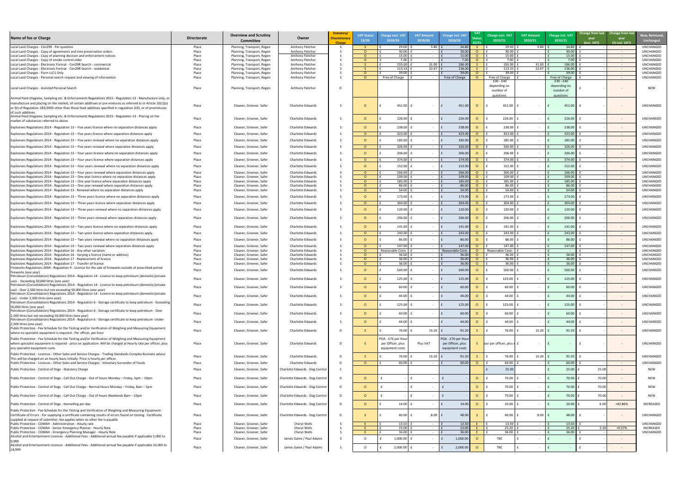| New, Removed,<br>Unchanged                       |
|--------------------------------------------------|
| UNCHANGED<br>UNCHANGED<br>UNCHANGED<br>UNCHANGED |
| UNCHANGED<br>UNCHANGED                           |
| UNCHANGED<br>UNCHANGED                           |
| NEW                                              |
| UNCHANGED                                        |
| UNCHANGED                                        |
| UNCHANGED                                        |
| UNCHANGED                                        |
| UNCHANGED                                        |
| UNCHANGED                                        |
| UNCHANGED<br>UNCHANGED                           |
| UNCHANGED                                        |
| UNCHANGED<br>UNCHANGED                           |
| UNCHANGED                                        |
| UNCHANGED<br>UNCHANGED                           |
| UNCHANGED                                        |
| UNCHANGED                                        |
| UNCHANGED<br>UNCHANGED                           |
| UNCHANGED                                        |
| UNCHANGED                                        |
| UNCHANGED                                        |
| UNCHANGED<br>UNCHANGED                           |
| UNCHANGED<br>UNCHANGED                           |
| <b>UNCHANGED</b>                                 |
| UNCHANGED                                        |
| UNCHANGED                                        |
| UNCHANGED                                        |
| UNCHANGED                                        |
| UNCHANGED                                        |
| UNCHANGED                                        |
| UNCHANGED                                        |
| UNCHANGED                                        |
| UNCHANGED                                        |
| UNCHANGED                                        |
| UNCHANGED                                        |
| NEW                                              |
| <b>NFW</b><br>NEW                                |
| NEW                                              |
| <b>INCREASED</b>                                 |
|                                                  |
| UNCHANGED                                        |
| UNCHANGED<br><b>INCREASED</b><br>UNCHANGED       |
|                                                  |

| Name of fee or Charge                                                                                                                                                                                                                                          | <b>Directorate</b> | <b>Overview and Scrutiny</b><br><b>Committee</b>         | Owner                                                | Statutory/<br><b>Discretionary</b><br>Charge | <b>VAT Status</b><br>19/20 | Charge excl. VA<br>2019/20                                 | <b>VAT Amount</b><br>2019/20 | <b>Charge incl. VAT</b><br>2019/20                        | <b>VAT</b><br>20/21 | <b>Charge excl. VAT</b><br>2020/21 | <b>VAT Amount</b><br>2020/21 | Charge incl. VAT<br>2020/21 | Change from last Change from last<br>year<br>(incl. VAT)<br>(% incl. VAT) | <b>New, Remove</b><br><b>Unchanged</b> |
|----------------------------------------------------------------------------------------------------------------------------------------------------------------------------------------------------------------------------------------------------------------|--------------------|----------------------------------------------------------|------------------------------------------------------|----------------------------------------------|----------------------------|------------------------------------------------------------|------------------------------|-----------------------------------------------------------|---------------------|------------------------------------|------------------------------|-----------------------------|---------------------------------------------------------------------------|----------------------------------------|
| Local Land Charges - Con290 - Per question                                                                                                                                                                                                                     | Place              | Planning, Transport, Regen                               | Anthony Fletcher                                     |                                              |                            | 29.00                                                      | 5.80                         | 34.80                                                     |                     | 29.00                              | 5.80                         | 34.80                       | $\sim 100$                                                                | <b>UNCHANGED</b>                       |
| Local Land Charges - Copy of agreements and tree preservation orders<br>Local Land Charges - Copy of planning decision and enforcement notices                                                                                                                 | Place<br>Place     | Planning, Transport, Regen<br>Planning, Transport, Regen | Anthony Fletcher<br>Anthony Fletcher                 |                                              |                            | 30.00<br>15.00                                             | $\sim$ $-$                   | 30.00<br>15.00                                            |                     | 30.00<br>15.00                     |                              | 30.00<br>15.00              | $\sim 100$<br>$\sim 100$                                                  | <b>UNCHANGED</b><br>UNCHANGED          |
| Local Land Charges - Copy of smoke control older                                                                                                                                                                                                               | Place              | Planning, Transport, Regen                               | Anthony Fletcher                                     |                                              |                            | 7.00                                                       |                              | 7.00                                                      |                     | 7.00                               |                              | 7.00                        | $\sim 100$                                                                | UNCHANGED                              |
| Local Land Charges - Electronic Format - Con29R Search - commercial                                                                                                                                                                                            | Place              | Planning, Transport, Regen                               | Anthony Fletcher                                     |                                              |                            | 155.00                                                     | 31.00                        | 186.00                                                    |                     | 155.00                             | 31.00                        | 186.00                      | $\sim$ $ \sim$                                                            | UNCHANGED                              |
| Local Land Charges - Electronic Format - Con29R Search - residential<br>Local Land Charges - Form LLC1 Only                                                                                                                                                    | Place<br>Place     | Planning, Transport, Regen<br>Planning, Transport, Regen | Anthony Fletcher<br>Anthony Fletcher                 |                                              |                            | 113.33<br>39.00                                            | 22.67                        | 136.00<br>39.00                                           |                     | 113.33<br>39.00                    | 22.67                        | 136.00<br>39.00             | $\sim$ $ \sim$<br>$\sim 100$                                              | UNCHANGED<br><b>UNCHANGED</b>          |
| Local Land Charges - Personal search request and viewing of information                                                                                                                                                                                        | Place              | Planning, Transport, Regen                               | Anthony Fletcher                                     |                                              |                            | Free of Charge                                             |                              | Free of Charge                                            |                     | Free of Charge                     |                              | Free of Charge              | $\sim$ $ \sim$                                                            | <b>UNCHANGED</b>                       |
| Local Land Charges - Assisted Personal Search                                                                                                                                                                                                                  | Place              | Planning, Transport, Regen                               | Anthony Fletcher                                     | D                                            |                            |                                                            |                              |                                                           |                     | $£30 - £40$<br>depending on        |                              | $£30 - £40$<br>depending on |                                                                           | <b>NEW</b>                             |
| Animal Feed (Hygiene, Sampling etc. & Enforcement) Regulations 2015 - Regulation 13 - Manufacture only, or                                                                                                                                                     |                    |                                                          |                                                      |                                              |                            |                                                            |                              |                                                           |                     | number of<br><u>questions</u>      |                              | number of<br>questions      |                                                                           |                                        |
| manufacture and placing on the market, of certain additives or pre-mixtures as referred to in Article 10(1)(a)<br>or (b) of Regulation 183/2005 other than those feed additives specified in regulation 2(4), or of premixtures<br>of such additives           | Place              | Cleaner, Greener, Safer                                  | <b>Charlotte Edwards</b>                             |                                              |                            | 451.00                                                     |                              | 451.00                                                    | $\Omega$            | 451.00                             |                              | 451.00                      |                                                                           | <b>UNCHANGED</b>                       |
| Animal Feed (Hygiene, Sampling etc. & Enforcement) Regulations 2015 - Regulation 13 - Placing on the<br>market of substances referred to above                                                                                                                 | Place              | Cleaner, Greener, Safer                                  | <b>Charlotte Edwards</b>                             |                                              |                            | 226.00                                                     |                              | 226.00                                                    |                     | 226.00                             |                              | 226.00                      |                                                                           | UNCHANGED                              |
| Explosives Regulations 2014 - Regulation $13$ – Five years licence where no separation distances apply                                                                                                                                                         | Place              | Cleaner, Greener, Safer                                  | <b>Charlotte Edwards</b>                             |                                              |                            | $238.00$ :                                                 |                              | 238.00                                                    |                     | 238.00                             |                              | 238.00                      | $\sim$ $ \sim$                                                            | UNCHANGED                              |
| Explosives Regulations 2014 - Regulation 13 - Five years licence where separation distances apply                                                                                                                                                              | Place              | Cleaner, Greener, Safer                                  | <b>Charlotte Edwards</b>                             |                                              | $\Omega$                   | $423.00$   1                                               |                              | 423.00                                                    | $\circ$             | 423.00                             |                              | 423.00                      | $\sim$ $ \sim$                                                            | <b>UNCHANGED</b>                       |
| Explosives Regulations 2014 - Regulation $13$ – Five years renewal where no separation distances apply                                                                                                                                                         | Place              | Cleaner, Greener, Safer                                  | Charlotte Edwards                                    |                                              |                            | 185.00                                                     |                              | 185.00                                                    |                     | 185.00                             |                              | 185.00                      | $\sim$ $ \sim$                                                            | UNCHANGED                              |
| Explosives Regulations 2014 - Regulation $13$ – Five years renewal where separation distances apply                                                                                                                                                            | Place              | Cleaner, Greener, Safer                                  | <b>Charlotte Edwards</b>                             |                                              | $\cap$                     | 326.00                                                     |                              | 326.00                                                    |                     | 326.00                             |                              | 326.00                      | $\sim$ $ \sim$                                                            | <b>UNCHANGED</b>                       |
| Explosives Regulations 2014 - Regulation 13 - Four years licence where no separation distances apply                                                                                                                                                           | Place              | Cleaner, Greener, Safer                                  | <b>Charlotte Edwards</b>                             |                                              |                            | $206.00$ f                                                 |                              | 206.00                                                    |                     | 206.00                             |                              | 206.00                      | $\sim$ $ \sim$                                                            | <b>UNCHANGED</b>                       |
| Explosives Regulations 2014 - Regulation 13 - Four years licence where separation distances apply                                                                                                                                                              | Place              | Cleaner, Greener, Safer                                  | <b>Charlotte Edwards</b>                             |                                              | $\Omega$                   | 374.00                                                     | $\sim$ $-$                   | 374.00                                                    | $\Omega$            | 374.00                             |                              | 374.00                      | $\sim$ $ \sim$                                                            | UNCHANGED                              |
| Explosives Regulations 2014 - Regulation $13$ – Four years renewal where no separation distances apply                                                                                                                                                         | Place              | Cleaner, Greener, Safer                                  | <b>Charlotte Edwards</b>                             |                                              |                            | $152.00$   1                                               |                              | 152.00                                                    |                     | 152.00                             |                              | 152.00                      | $\sim$ $ \sim$                                                            | UNCHANGED                              |
|                                                                                                                                                                                                                                                                |                    |                                                          |                                                      |                                              |                            |                                                            |                              |                                                           |                     |                                    |                              |                             |                                                                           |                                        |
| Explosives Regulations 2014 - Regulation 13 - Four years renewal where separation distances apply<br>Explosives Regulations 2014 - Regulation 13 – One year licence where no separation distances apply                                                        | Place<br>Place     | Cleaner, Greener, Safer<br>Cleaner, Greener, Safer       | Charlotte Edwards<br>Charlotte Edwards               |                                              |                            | 266.00<br>109.00                                           | $\sim$<br>$\sim$ $-$         | 266.00<br>109.00                                          | $\Omega$<br>- റ     | 266.00<br>109.00                   |                              | 266.00<br>109.00            | $\sim$ $ \sim$<br>$\sim 10^{-10}$                                         | UNCHANGED<br>UNCHANGED                 |
| Explosives Regulations 2014 - Regulation 13 - One year licence where separation distances apply                                                                                                                                                                | Place              | Cleaner, Greener, Safer                                  | <b>Charlotte Edwards</b>                             |                                              |                            | 185.00                                                     | $\sim$ $-$                   | 185.00                                                    | - റ                 | 185.00                             |                              | 185.00                      | $\sim 100$                                                                | UNCHANGED                              |
| Explosives Regulations 2014 - Regulation 13 - One year renewal where separation distances apply                                                                                                                                                                | Place              | Cleaner, Greener, Safer                                  | Charlotte Edwards                                    |                                              |                            | 86.00                                                      |                              | 86.00                                                     |                     | 86.00                              |                              | 86.00                       | $\sim 100$                                                                | UNCHANGED                              |
| Explosives Regulations 2014 - Regulation 13 - Renewal where no separation distances apply                                                                                                                                                                      | Place              | Cleaner, Greener, Safer                                  | Charlotte Edwards                                    |                                              |                            | 54.00                                                      |                              | 54.00                                                     | $\cap$ $\cap$       | 54.00                              |                              | 54.00                       |                                                                           | UNCHANGED                              |
| Explosives Regulations 2014 - Regulation $13$ – Three years licence where no separation distances apply                                                                                                                                                        | Place              | Cleaner, Greener, Safer                                  | <b>Charlotte Edwards</b>                             |                                              |                            | 173.00                                                     |                              | 173.00                                                    | - O                 | 173.00                             |                              | 173.00                      | $\sim$ $ \sim$                                                            | UNCHANGED                              |
| Explosives Regulations 2014 - Regulation 13 - Three years licence where separation distances apply                                                                                                                                                             | Place              | Cleaner, Greener, Safer                                  | <b>Charlotte Edwards</b>                             |                                              | $\cap$                     | 304.00                                                     |                              | 304.00                                                    | $\Omega$            | 304.00                             |                              | 304.00                      | $\sim$ $ \sim$                                                            | UNCHANGED                              |
| Explosives Regulations 2014 - Regulation 13 - Three years renewal where no separation distances apply<br>Explosives Regulations 2014 - Regulation 13 - Three years renewal where separation distances apply                                                    | Place              | Cleaner, Greener, Safer                                  | <b>Charlotte Edwards</b><br><b>Charlotte Edwards</b> |                                              |                            | 120.00<br>206.00                                           |                              | 120.00<br>206.00                                          |                     | 120.00<br>206.00                   |                              | 120.00<br>206.00            | $\sim$ $ \sim$                                                            | UNCHANGED<br>UNCHANGED                 |
|                                                                                                                                                                                                                                                                | Place              | Cleaner, Greener, Safer                                  |                                                      |                                              |                            |                                                            |                              |                                                           |                     |                                    |                              |                             | $\sim$ $ \sim$                                                            |                                        |
| Explosives Regulations 2014 - Regulation 13 - Two years licence where no separation distances apply                                                                                                                                                            | Place              | Cleaner, Greener, Safer                                  | <b>Charlotte Edwards</b>                             |                                              |                            | 141.00                                                     |                              | 141.00                                                    | $\circ$             | 141.00                             |                              | 141.00                      | $\sim$ $ \sim$                                                            | UNCHANGED                              |
| Explosives Regulations 2014 - Regulation 13 - Two years licence where separation distances apply                                                                                                                                                               | Place              | Cleaner, Greener, Safer                                  | Charlotte Edwards                                    |                                              |                            | 243.00                                                     |                              | 243.00                                                    | $\Omega$            | 243.00                             |                              | 243.00                      | $\sim 100$                                                                | UNCHANGED                              |
| Explosives Regulations 2014 - Regulation $13 - Two$ years renewal where no separation distances apply                                                                                                                                                          | Place              | Cleaner, Greener, Safer                                  | Charlotte Edwards                                    |                                              |                            | 86.00                                                      |                              | 86.00                                                     |                     | 86.00                              |                              | 86.00                       | $\sim$ $ \sim$                                                            | UNCHANGED                              |
| Explosives Regulations 2014 - Regulation 13 - Two years renewal where separation distances apply                                                                                                                                                               | Place              | Cleaner, Greener, Safer                                  | <b>Charlotte Edwards</b>                             |                                              |                            | 147.00                                                     | $\sim$                       | 147.00                                                    |                     | 147.00                             |                              | 147.00                      | $\sim 100$                                                                | <b>UNCHANGED</b>                       |
| Explosives Regulations 2014 - Regulation 16 - Any other variation                                                                                                                                                                                              | Place              | Cleaner, Greener, Safer                                  | <b>Charlotte Edwards</b>                             |                                              |                            | Reasonable Costs                                           |                              | <b>Reasonable Costs</b>                                   |                     | Reasonable Costs                   |                              |                             | $\sim$ $ \sim$                                                            | <b>UNCHANGED</b>                       |
| Explosives Regulations 2014 - Regulation 16 - Varying a licence (name or address)<br>Explosives Regulations 2014 - Regulation 17 - Replacement of licence                                                                                                      | Place<br>Place     | Cleaner, Greener, Safer<br>Cleaner, Greener, Safer       | Charlotte Edwards<br><b>Charlotte Edwards</b>        |                                              |                            | 36.00<br>36.00                                             | $\sim$                       | 36.00<br>36.00                                            |                     | 36.00<br>36.00                     |                              | 36.00<br>36.00              | $\sim$ $ \sim$<br>$\sim 100$ m $^{-1}$                                    | UNCHANGED<br>UNCHANGED                 |
| Explosives Regulations 2014 - Regulation 17 - Transfer of licence                                                                                                                                                                                              | Place              | Cleaner, Greener, Safer                                  | <b>Charlotte Edwards</b>                             |                                              |                            | 36.00                                                      |                              | 36.00                                                     |                     | 36.00                              |                              | 36.00                       | $\sim$ $ \sim$                                                            | <b>UNCHANGED</b>                       |
| Fireworks Regulations 2004 - Regulation 9 - Licence for the sale of fireworks outside of prescribed period<br>fireworks (one year)                                                                                                                             | Place              | Cleaner, Greener, Safer                                  | <b>Charlotte Edwards</b>                             |                                              |                            | 500.00                                                     |                              | 500.00                                                    |                     | 500.00                             |                              | 500.00                      | $\sim$ $ \sim$                                                            | <b>UNCHANGED</b>                       |
| Petroleum (Consolidation) Regulations 2014 - Regulation 14 - Licence to keep petroleum (domestic/private<br>use) - Exceeding 50,000 litres (one year)                                                                                                          | Place              | Cleaner, Greener, Safer                                  | Charlotte Edwards                                    |                                              |                            | $125.00$                                                   |                              | 125.00                                                    |                     | 125.00                             |                              | 125.00                      |                                                                           | <b>UNCHANGED</b>                       |
| Petroleum (Consolidation) Regulations 2014 - Regulation 14 - Licence to keep petroleum (domestic/private<br>use) - Over 2,500 litres but not exceeding 50,000 litres (one year)                                                                                | Place              | Cleaner, Greener, Safer                                  | <b>Charlotte Edwards</b>                             |                                              |                            | 60.00                                                      |                              | 60.00                                                     |                     | 60.00                              |                              | 60.00                       | $\sim$                                                                    | <b>UNCHANGED</b>                       |
| Petroleum (Consolidation) Regulations 2014 - Regulation 14 - Licence to keep petroleum (domestic/private<br>use) - Under 2,500 litres (one year)                                                                                                               | Place              | Cleaner, Greener, Safer                                  | <b>Charlotte Edwards</b>                             |                                              |                            | 44.00                                                      |                              | 44.00                                                     |                     | 44.00                              |                              | 44.00                       | $\sim$                                                                    | <b>UNCHANGED</b>                       |
| Petroleum (Consolidation) Regulations 2014 - Regulation 6 - Storage certificate to keep petroleum - Exceeding<br>50,000 litres (one year)                                                                                                                      | Place              | Cleaner, Greener, Safer                                  | <b>Charlotte Edwards</b>                             |                                              |                            | $125.00$                                                   |                              | 125.00                                                    |                     | 125.00                             |                              | 125.00                      | $\sim$                                                                    | <b>UNCHANGED</b>                       |
| Petroleum (Consolidation) Regulations 2014 - Regulation 6 - Storage certificate to keep petroleum - Over<br>2,500 litres but not exceeding 50,000 litres (one year)                                                                                            | Place              | Cleaner, Greener, Safer                                  | <b>Charlotte Edwards</b>                             |                                              |                            | 60.00                                                      |                              | 60.00                                                     |                     | 60.00                              |                              | 60.00                       | $\sim$ $ \sim$                                                            | UNCHANGED                              |
| Petroleum (Consolidation) Regulations 2014 - Regulation 6 - Storage certificate to keep petroleum- Under<br>2,500 litres (one year)                                                                                                                            | Place              | Cleaner, Greener, Safer                                  | <b>Charlotte Edwards</b>                             |                                              |                            | 44.00                                                      |                              | 44.00                                                     |                     | 44.00                              |                              | 44.00                       | $\sim$ $ \sim$                                                            | UNCHANGED                              |
| Public Protection - Fee Schedule for the Testing and/or Verification of Weighing and Measuring Equipment<br>where no specialist equipment is required - Per officer, per hour                                                                                  | Place              | Cleaner, Greener, Safer                                  | <b>Charlotte Edwards</b>                             | - D                                          |                            | 76.00                                                      | $15.20$ $E$                  | 91.20                                                     |                     | 76.00                              | $15.20$ f                    | 91.20                       | $\sim$ $ \sim$                                                            | UNCHANGED                              |
| Public Protection - Fee Schedule for the Testing and/or Verification of Weighing and Measuring Equipment<br>where specialist equipment is required - price on application. Will be charged at Hourly rate per officer, plus<br>any specialist equipment costs. | Place              | Cleaner, Greener, Safer                                  | Charlotte Edwards                                    |                                              |                            | POA - £76 per Hour<br>per Officer, plus<br>equipment costs | Plus VAT                     | POA - £76 per Hou<br>per Officer, plus<br>equipment costs |                     | our per officer, plus e            |                              |                             |                                                                           | UNCHANGED                              |
| Public Protection - Licences - Other Sales and Service Charges - Trading Standards Complex Business advice                                                                                                                                                     | Place              | Cleaner, Greener, Safer                                  | <b>Charlotte Edwards</b>                             | D.                                           |                            | 76.00                                                      | $15.20$ £                    | 91.20                                                     |                     | 76.00                              | 15.20                        | 91.20                       | $\sim$                                                                    | UNCHANGED                              |
| This will be charged on an hourly basis initially. Price is hourly per officer.<br>Public Protection - Licences - Other Sales and Service Charges - Voluntary Surrender of Foods                                                                               | Place              | Cleaner, Greener, Safer                                  | <b>Charlotte Edwards</b>                             |                                              | $\Omega$                   | 60.00                                                      |                              | 60.00                                                     | $\Omega$            | 60.00                              |                              | 60.00                       | $\sim 100$                                                                | UNCHANGED                              |
| Public Protection - Control of Dogs - Statutory Charge                                                                                                                                                                                                         | Place              | Cleaner, Greener, Safer                                  | Charlotte Edwards - Dog Control                      |                                              |                            |                                                            |                              |                                                           |                     | 25.00                              |                              | 25.00                       | 25.00                                                                     | <b>NEW</b>                             |
| Public Protection - Control of Dogs - Call Out Charge - Out of hours Monday - Friday, 5pm - 10pm                                                                                                                                                               | Place              | Cleaner, Greener, Safer                                  | Charlotte Edwards - Dog Control                      |                                              |                            |                                                            |                              |                                                           | $\overline{O}$      | 70.00                              |                              | 70.00                       | 70.00                                                                     | <b>NEW</b>                             |
| Public Protection - Control of Dogs - Call Out Charge - Normal Hours Monday – Friday, 8am – 5pm                                                                                                                                                                | Place              | Cleaner, Greener, Safer                                  | Charlotte Edwards - Dog Control                      |                                              |                            |                                                            |                              |                                                           | $\overline{O}$      | 70.00                              |                              | 70.00                       | 70.00                                                                     | <b>NEW</b>                             |
| Public Protection - Control of Dogs - Call Out Charge - Out of hours Weekends 8am - 10pm                                                                                                                                                                       | Place              | Cleaner, Greener, Safer                                  | Charlotte Edwards - Dog Control                      |                                              |                            |                                                            |                              |                                                           | $\overline{O}$      | 70.00                              |                              | 70.00                       | 70.00                                                                     | <b>NEW</b>                             |
| Public Protection - Control of Dogs - Kennelling per day                                                                                                                                                                                                       | Place              | Cleaner, Greener, Safer                                  | Charlotte Edwards - Dog Control                      |                                              |                            | 14.00                                                      |                              | 14.00                                                     | - 0                 | 20.00                              |                              | 20.00                       | +42.86%<br>6.00                                                           | INCREASED                              |
| Public Protection - Fee Schedule for the Testing and Verification of Weighing and Measuring Equipment -<br>Certificate of Errors - For supplying a certificate containing results of errors found on testing. Certificate                                      | Place              | Cleaner, Greener, Safer                                  | Charlotte Edwards - Dog Control                      | D.                                           |                            | 40.00                                                      | 8.00                         | 48.00                                                     |                     | 40.00                              | $8.00$ $E$                   | 48.00                       |                                                                           | UNCHANGED                              |
| supplied at request of submitter; fee applies when no other fee is payable<br>Public Protection - COMAH - Administration - Hourly rate                                                                                                                         |                    | Cleaner, Greener, Safer                                  | Cheryl Wells                                         |                                              |                            | $13.50$ $\pm$                                              |                              | 13.50                                                     |                     |                                    |                              | 13.50                       |                                                                           | UNCHANGED                              |
| Public Protection - COMAH - Senior Emergency Planner - Hourly Rate                                                                                                                                                                                             | Place<br>Place     | Cleaner, Greener, Safer                                  | Cheryl Wells                                         |                                              |                            | 23.00                                                      |                              | 23.00                                                     |                     | 13.50<br>25.20                     |                              | 25.20                       | $\sim$ $ \sim$<br>2.20<br>+9.57%                                          | <b>INCREASED</b>                       |
| Public Protection - COMAH - Emergency Planning Manager - Hourly Rate                                                                                                                                                                                           | Place              | Cleaner, Greener, Safer                                  | Cheryl Wells                                         |                                              |                            | 36.00                                                      | $\sim$ $ \sim$               | 36.00                                                     |                     | 36.00                              | <b>Contract Contract</b>     | 36.00                       | $\sim 100$ m $^{-1}$                                                      | UNCHANGED                              |
| Alcohol and Entertainment Licences - Additional Fees - Additional annual fee payable if applicable 5,000 to<br>9,999                                                                                                                                           | Place              | Cleaner, Greener, Safer                                  | James Game / Paul Adams                              |                                              |                            | $1,000.00$                                                 | $\sim$                       | 1,000.00                                                  |                     | TBC                                |                              |                             |                                                                           |                                        |
| Alcohol and Entertainment Licences - Additional Fees - Additional annual fee payable if applicable 10,000 to<br>14,999                                                                                                                                         | Place              | Cleaner, Greener, Safer                                  | James Game / Paul Adams                              |                                              |                            | $2,000.00$                                                 |                              | 2,000.00<br>$\mathsf{F}$                                  |                     | TBC                                |                              |                             | $\sim$ $ \sim$                                                            |                                        |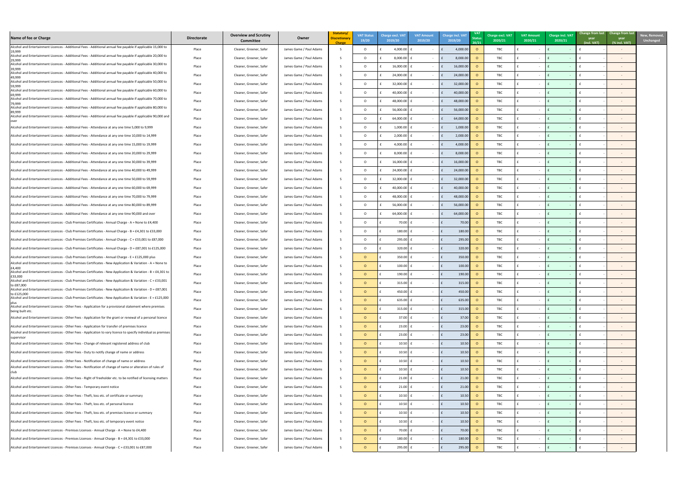| Name of fee or Charge                                                                                                                                                                                              | <b>Directorate</b> | <b>Overview and Scrutiny</b><br><b>Committee</b> | Owner                   | Statutory/<br><b>Discretionary</b> | <b>VAT Status</b><br>19/20 | <b>Charge excl. VAT</b><br>2019/20 | <b>VAT Amount</b><br>2019/20 | <b>Charge incl. VAT</b><br>2019/20 | <b>Status</b><br>20/21 | Charge excl. VAT<br>2020/21 | <b>VAT Amount</b><br>2020/21 | Charge incl. VAT<br>2020/21   | year<br>(incl. VAT) | Change from last Change from last<br>year<br>(% incl. VAT) |
|--------------------------------------------------------------------------------------------------------------------------------------------------------------------------------------------------------------------|--------------------|--------------------------------------------------|-------------------------|------------------------------------|----------------------------|------------------------------------|------------------------------|------------------------------------|------------------------|-----------------------------|------------------------------|-------------------------------|---------------------|------------------------------------------------------------|
| Alcohol and Entertainment Licences - Additional Fees - Additional annual fee payable if applicable 15,000 to<br>19,999                                                                                             | Place              | Cleaner, Greener, Safer                          | James Game / Paul Adams |                                    | $\circ$                    | 4,000.00                           |                              | 4,000.00                           |                        | TBC                         |                              |                               |                     |                                                            |
| Alcohol and Entertainment Licences - Additional Fees - Additional annual fee payable if applicable 20,000 to                                                                                                       | Place              | Cleaner, Greener, Safer                          | James Game / Paul Adams |                                    | $\Omega$                   | $8,000.00$                         |                              | 8,000.00                           |                        | TBC                         |                              |                               |                     |                                                            |
| 29,999<br>Alcohol and Entertainment Licences - Additional Fees - Additional annual fee payable if applicable 30,000 to                                                                                             | Place              | Cleaner, Greener, Safer                          | James Game / Paul Adams |                                    | $\circ$                    | $16,000.00$ f                      | $\sim$                       | 16,000.0                           |                        | TBC                         |                              |                               |                     |                                                            |
| 39,999<br>Alcohol and Entertainment Licences - Additional Fees - Additional annual fee payable if applicable 40,000 to                                                                                             | Place              | Cleaner, Greener, Safer                          | James Game / Paul Adams |                                    | $\Omega$                   | $24,000.00$ f                      |                              | 24,000.0                           |                        | TBC                         |                              |                               |                     |                                                            |
| 49,999<br>Alcohol and Entertainment Licences - Additional Fees - Additional annual fee payable if applicable 50,000 to                                                                                             | Place              | Cleaner, Greener, Safer                          | James Game / Paul Adams |                                    | $\circ$                    | 32,000.00                          | $\sim$                       | 32,000.0                           |                        | TBC                         |                              |                               |                     |                                                            |
| 59,999<br>Alcohol and Entertainment Licences - Additional Fees - Additional annual fee payable if applicable 60,000 to                                                                                             |                    |                                                  | James Game / Paul Adams |                                    | $\Omega$                   | 40,000.00                          |                              |                                    |                        | TBC                         |                              |                               |                     |                                                            |
| 69,999<br>Alcohol and Entertainment Licences - Additional Fees - Additional annual fee payable if applicable 70,000 to                                                                                             | Place              | Cleaner, Greener, Safer                          |                         |                                    |                            |                                    |                              | 40,000.0                           |                        |                             |                              |                               |                     |                                                            |
| 79,999<br>Alcohol and Entertainment Licences - Additional Fees - Additional annual fee payable if applicable 80,000 to                                                                                             | Place              | Cleaner, Greener, Safer                          | James Game / Paul Adams |                                    | $\circ$                    | 48,000.00 f                        |                              | 48,000.0                           |                        | TBC                         |                              |                               |                     |                                                            |
| 89,999<br>Alcohol and Entertainment Licences - Additional Fees - Additional annual fee payable if applicable 90,000 and                                                                                            | Place              | Cleaner, Greener, Safer                          | James Game / Paul Adams |                                    | $\Omega$                   | 56,000.00                          | $\sim$                       | 56,000.0                           |                        | TBC                         |                              |                               |                     |                                                            |
|                                                                                                                                                                                                                    | Place              | Cleaner, Greener, Safer                          | James Game / Paul Adams |                                    | $\circ$                    | $64,000.00$ f                      | $\sim$                       | 64,000.0                           |                        | TBC                         |                              |                               |                     |                                                            |
| Alcohol and Entertainment Licences - Additional Fees - Attendance at any one time 5,000 to 9,999                                                                                                                   | Place              | Cleaner, Greener, Safer                          | James Game / Paul Adams |                                    | $\circ$                    | 1,000.00                           | $\sim$ 100 $\mu$             | 1,000.00                           |                        | TBC                         |                              |                               |                     |                                                            |
| Alcohol and Entertainment Licences - Additional Fees - Attendance at any one time 10,000 to 14,999                                                                                                                 | Place              | Cleaner, Greener, Safer                          | James Game / Paul Adams |                                    | $\circ$                    | $2,000.00$                         | $\sim$                       | 2,000.00<br>$\mathbf{f}$           |                        | TBC                         |                              |                               |                     |                                                            |
| Alcohol and Entertainment Licences - Additional Fees - Attendance at any one time 15,000 to 19,999                                                                                                                 | Place              | Cleaner, Greener, Safer                          | James Game / Paul Adams |                                    | $\circ$                    | 4,000.00                           | $\sim$                       | 4,000.00                           |                        | TBC                         |                              |                               |                     |                                                            |
| Alcohol and Entertainment Licences - Additional Fees - Attendance at any one time 20,000 to 29,999                                                                                                                 | Place              | Cleaner, Greener, Safer                          | James Game / Paul Adams |                                    | $\circ$                    | 8,000.00                           |                              | 8,000.00                           |                        | TBC                         |                              |                               |                     |                                                            |
| Alcohol and Entertainment Licences - Additional Fees - Attendance at any one time 30,000 to 39,999                                                                                                                 | Place              | Cleaner, Greener, Safer                          | James Game / Paul Adams |                                    | $\circ$                    | 16,000.00                          | $\sim$                       | 16,000.00                          |                        | TBC                         |                              |                               |                     |                                                            |
| Alcohol and Entertainment Licences - Additional Fees - Attendance at any one time 40,000 to 49,999                                                                                                                 | Place              | Cleaner, Greener, Safer                          | James Game / Paul Adams |                                    | $\circ$                    | $24,000.00$ f                      |                              | 24,000.00                          |                        | TBC                         |                              |                               |                     |                                                            |
| Alcohol and Entertainment Licences - Additional Fees - Attendance at any one time 50,000 to 59,999                                                                                                                 | Place              | Cleaner, Greener, Safer                          | James Game / Paul Adams |                                    | $\circ$                    | $32,000.00$ f                      |                              | 32,000.00                          |                        | TBC                         |                              |                               |                     |                                                            |
| Alcohol and Entertainment Licences - Additional Fees - Attendance at any one time 60,000 to 69,999                                                                                                                 | Place              | Cleaner, Greener, Safer                          | James Game / Paul Adams |                                    | $\Omega$                   | 40,000.00   f                      |                              | 40,000.00                          |                        | <b>TBC</b>                  | $\sim$                       |                               |                     |                                                            |
| Alcohol and Entertainment Licences - Additional Fees - Attendance at any one time 70,000 to 79,999                                                                                                                 | Place              | Cleaner, Greener, Safer                          | James Game / Paul Adams |                                    | $\circ$                    | 48,000.00 F                        |                              | 48,000.0<br>$\mathbf{f}$           | . O                    | TBC                         |                              |                               |                     |                                                            |
| Alcohol and Entertainment Licences - Additional Fees - Attendance at any one time 80,000 to 89,999                                                                                                                 | Place              | Cleaner, Greener, Safer                          | James Game / Paul Adams |                                    | $\Omega$                   | $56,000.00$ f                      | $\sim$                       | 56,000.0                           |                        | TBC                         |                              |                               |                     |                                                            |
| Alcohol and Entertainment Licences - Additional Fees - Attendance at any one time 90,000 and over                                                                                                                  | Place              | Cleaner, Greener, Safer                          | James Game / Paul Adams |                                    | $\circ$                    | $64,000.00$                        |                              | 64,000.0                           |                        | TBC                         |                              |                               |                     |                                                            |
| Alcohol and Entertainment Licences - Club Premises Certificates - Annual Charge - A = None to £4,400                                                                                                               | Place              | Cleaner, Greener, Safer                          | James Game / Paul Adams |                                    | $\Omega$                   | 70.00                              | $\sim$                       | 70.00                              |                        | TBC                         |                              |                               |                     |                                                            |
| Alcohol and Entertainment Licences - Club Premises Certificates - Annual Charge - B = £4,301 to £33,000                                                                                                            |                    |                                                  |                         |                                    |                            | $180.00$                           |                              |                                    |                        | TBC                         |                              |                               |                     |                                                            |
|                                                                                                                                                                                                                    | Place              | Cleaner, Greener, Safer                          | James Game / Paul Adams |                                    | $\circ$                    |                                    | $-$                          | 180.00                             |                        |                             |                              |                               |                     |                                                            |
| Alcohol and Entertainment Licences - Club Premises Certificates - Annual Charge - C = £33,001 to £87,000                                                                                                           | Place              | Cleaner, Greener, Safer                          | James Game / Paul Adams |                                    | $\circ$                    | $295.00$                           | $\sim$                       | 295.00                             |                        | TBC                         |                              |                               |                     |                                                            |
| Alcohol and Entertainment Licences - Club Premises Certificates - Annual Charge - D = £87,001 to £125,000                                                                                                          | Place              | Cleaner, Greener, Safer                          | James Game / Paul Adams |                                    | $\circ$                    | $320.00$                           | $\sim$                       | 320.00                             |                        | TBC                         |                              |                               |                     |                                                            |
| Alcohol and Entertainment Licences - Club Premises Certificates - Annual Charge - E = £125,000 plus<br>Alcohol and Entertainment Licences - Club Premises Certificates - New Application & Variation - A = None to | Place              | Cleaner, Greener, Safer                          | James Game / Paul Adams |                                    | $\circ$                    | $350.00$ f                         | $\sim$ $-$                   | 350.00                             |                        | TBC                         |                              |                               |                     |                                                            |
| £4,400                                                                                                                                                                                                             | Place              | Cleaner, Greener, Safer                          | James Game / Paul Adams |                                    | $\circ$                    | $100.00$ f                         | $\sim 100$                   | 100.00                             |                        | TBC                         |                              |                               |                     |                                                            |
| Alcohol and Entertainment Licences - Club Premises Certificates - New Application & Variation - B = £4,301 to<br>£33,000                                                                                           | Place              | Cleaner, Greener, Safer                          | James Game / Paul Adams |                                    | $\circ$                    | $190.00$ f                         | $\sim 100$                   | 190.00                             |                        | TBC                         |                              |                               |                     |                                                            |
| Alcohol and Entertainment Licences - Club Premises Certificates - New Application & Variation - C = £33,001<br>to £87,000                                                                                          | Place              | Cleaner, Greener, Safer                          | James Game / Paul Adams |                                    | $\circ$                    | $315.00$ f                         | $\sim$                       | 315.00                             |                        | TBC                         |                              |                               |                     |                                                            |
| Alcohol and Entertainment Licences - Club Premises Certificates - New Application & Variation - D = £87,001<br>to £125,000                                                                                         | Place              | Cleaner, Greener, Safer                          | James Game / Paul Adams |                                    | $\circ$                    | 450.00 f                           | $\sim$ 100 $\mu$             | 450.00                             |                        | TBC                         |                              |                               |                     |                                                            |
| Alcohol and Entertainment Licences - Club Premises Certificates - New Application & Variation - E = £125,000                                                                                                       | Place              | Cleaner, Greener, Safer                          | James Game / Paul Adams |                                    | $\circ$                    | $635.00$                           | $-$                          | 635.00                             |                        | TBC                         |                              |                               |                     |                                                            |
| Alcohol and Entertainment Licences - Other Fees - Application for a provisional statement where premises<br>being built etc.                                                                                       | Place              | Cleaner, Greener, Safer                          | James Game / Paul Adams |                                    | $\circ$                    | $315.00$ f                         | $\sim$                       | 315.00                             |                        | TBC                         |                              |                               |                     |                                                            |
| Alcohol and Entertainment Licences - Other Fees - Application for the grant or renewal of a personal licence                                                                                                       | Place              | Cleaner, Greener, Safer                          | James Game / Paul Adams |                                    | $\circ$                    | 37.00                              | $\sim$                       | 37.00                              |                        | TBC                         |                              |                               |                     |                                                            |
| Alcohol and Entertainment Licences - Other Fees - Application for transfer of premises licence                                                                                                                     | Place              | Cleaner, Greener, Safer                          | James Game / Paul Adams |                                    | $\circ$                    | $23.00$   1                        |                              | 23.00                              |                        | TBC                         |                              |                               |                     |                                                            |
| Alcohol and Entertainment Licences - Other Fees - Application to vary licence to specify individual as premises                                                                                                    | Place              | Cleaner, Greener, Safer                          | James Game / Paul Adams |                                    | $\circ$                    | 23.00                              | $-$                          | 23.00                              |                        | TBC                         |                              |                               |                     |                                                            |
| supervisor<br>Alcohol and Entertainment Licences - Other Fees - Change of relevant registered address of club                                                                                                      | Place              | Cleaner, Greener, Safer                          | James Game / Paul Adams |                                    | $\circ$                    | $10.50$                            |                              | 10.50                              |                        | TBC                         |                              |                               |                     |                                                            |
| Alcohol and Entertainment Licences - Other Fees - Duty to notify change of name or address                                                                                                                         | Place              | Cleaner, Greener, Safer                          | James Game / Paul Adams |                                    | $\Omega$                   | $10.50$ f                          | $\sim$                       | 10.50                              |                        | TBC                         |                              |                               |                     |                                                            |
| Alcohol and Entertainment Licences - Other Fees - Notification of change of name or address                                                                                                                        | Place              | Cleaner, Greener, Safer                          | James Game / Paul Adams |                                    | $\circ$                    | $10.50$ £                          | $\sim$                       | 10.50                              |                        | TBC                         |                              |                               |                     |                                                            |
| Alcohol and Entertainment Licences - Other Fees - Notification of change of name or alteration of rules of                                                                                                         | Place              | Cleaner, Greener, Safer                          | James Game / Paul Adams |                                    | $\circ$                    | $10.50$ $f$                        | $\sim$                       | 10.50                              |                        | TBC                         |                              | Ι£                            |                     |                                                            |
| club                                                                                                                                                                                                               |                    |                                                  |                         |                                    |                            |                                    |                              |                                    |                        |                             |                              |                               |                     |                                                            |
| Alcohol and Entertainment Licences - Other Fees - Right of freeholder etc. to be notified of licensing matters                                                                                                     | Place              | Cleaner, Greener, Safer                          | James Game / Paul Adams |                                    | $\circ$                    | $21.00$ $E$                        | $\sim$                       | 21.00                              |                        | TBC                         |                              | Ι£                            |                     |                                                            |
| Alcohol and Entertainment Licences - Other Fees - Temporary event notice                                                                                                                                           | Place              | Cleaner, Greener, Safer                          | James Game / Paul Adams | -S.                                | $\circ$                    | $21.00$ $f$                        | $\sim 100$                   | 21.00<br>$\mathbf{f}$              | $\circ$                | TBC                         |                              | E<br><b>Contract Contract</b> |                     |                                                            |
| Alcohol and Entertainment Licences - Other Fees - Theft, loss etc. of certificate or summary                                                                                                                       | Place              | Cleaner, Greener, Safer                          | James Game / Paul Adams |                                    | $\circ$                    | $10.50$ £                          | $\sim 100$                   | 10.50<br>$\mathbf{f}$              |                        | TBC                         |                              | l £                           |                     |                                                            |
| Alcohol and Entertainment Licences - Other Fees - Theft, loss etc. of personal licence                                                                                                                             | Place              | Cleaner, Greener, Safer                          | James Game / Paul Adams | -S                                 | $\overline{O}$             | $10.50$ $E$                        | $\sim 100$                   | 10.50<br>£                         |                        | TBC                         |                              | l £                           |                     |                                                            |
| Alcohol and Entertainment Licences - Other Fees - Theft, loss etc. of premises licence or summary                                                                                                                  | Place              | Cleaner, Greener, Safer                          | James Game / Paul Adams |                                    | $\circ$                    | $10.50$ $E$                        | $\sim$                       | 10.50                              |                        | TBC                         |                              |                               |                     |                                                            |
| Alcohol and Entertainment Licences - Other Fees - Theft, loss etc. of temporary event notice                                                                                                                       | Place              | Cleaner, Greener, Safer                          | James Game / Paul Adams | - S                                | $\circ$                    | $10.50$ $E$                        | $\sim$                       | 10.50                              |                        | TBC                         |                              | I £                           |                     |                                                            |
| Alcohol and Entertainment Licences - Premises Licenses - Annual Charge - A = None to £4,400                                                                                                                        | Place              | Cleaner, Greener, Safer                          | James Game / Paul Adams |                                    | $\circ$                    | $70.00$ f                          | $\sim$                       | 70.00                              |                        | TBC                         |                              |                               |                     |                                                            |
| Alcohol and Entertainment Licences - Premises Licenses - Annual Charge - B = £4,301 to £33,000                                                                                                                     | Place              | Cleaner, Greener, Safer                          | James Game / Paul Adams |                                    | $\circ$                    | $180.00$ £                         | $\sim$                       | 180.00                             |                        | TBC                         |                              |                               |                     |                                                            |
| Alcohol and Entertainment Licences - Premises Licenses - Annual Charge - C = £33,001 to £87,000                                                                                                                    | Place              | Cleaner, Greener, Safer                          | James Game / Paul Adams |                                    | $\circ$                    | 295.00                             | $\sim$                       | 295.00                             |                        | TBC                         |                              |                               |                     |                                                            |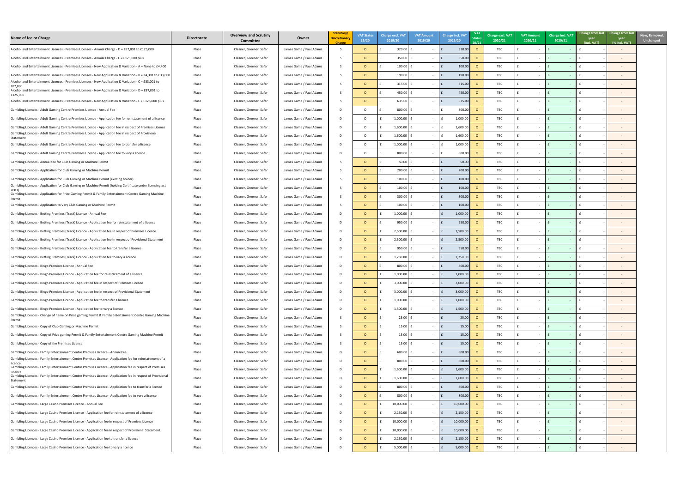| Name of fee or Charge                                                                                                                                                                             | <b>Directorate</b> | <b>Overview and Scrutiny</b><br><b>Committee</b> | Owner                   | Statutory/<br><b>Discretionary</b> | <b>VAT Status</b><br>19/20 | <b>Charge excl. VAT</b><br>2019/20 | <b>VAT Amount</b><br>2019/20 | <b>Charge incl. VAT</b><br>2019/20 | <b>Status</b><br>20/21 | <b>Charge excl. VAT</b><br>2020/21 | <b>VAT Amount</b><br>2020/21 | Charge incl. VAT<br>2020/21 | year<br>(incl. VAT) | Change from last Change from last<br>year<br>$%$ incl. VAT) |
|---------------------------------------------------------------------------------------------------------------------------------------------------------------------------------------------------|--------------------|--------------------------------------------------|-------------------------|------------------------------------|----------------------------|------------------------------------|------------------------------|------------------------------------|------------------------|------------------------------------|------------------------------|-----------------------------|---------------------|-------------------------------------------------------------|
| Alcohol and Entertainment Licences - Premises Licenses - Annual Charge - D = £87,001 to £125,000                                                                                                  | Place              | Cleaner, Greener, Safer                          | James Game / Paul Adams |                                    | $\circ$                    | 320.00                             |                              | 320.00                             |                        | TBC                                |                              |                             |                     |                                                             |
| Alcohol and Entertainment Licences - Premises Licenses - Annual Charge - E = £125,000 plus                                                                                                        | Place              | Cleaner, Greener, Safer                          | James Game / Paul Adams |                                    | $\circ$                    | 350.00                             |                              | 350.00                             |                        | TBC                                |                              | I £                         |                     |                                                             |
| Alcohol and Entertainment Licences - Premises Licenses - New Application & Variation - A = None to £4,400                                                                                         | Place              | Cleaner, Greener, Safer                          | James Game / Paul Adams |                                    | $\circ$                    | $100.00$                           |                              | 100.00                             |                        | TBC                                |                              | Ι£                          |                     |                                                             |
| Alcohol and Entertainment Licences - Premises Licenses - New Application & Variation - B = £4,301 to £33,000                                                                                      | Place              | Cleaner, Greener, Safer                          | James Game / Paul Adams |                                    | $\Omega$                   | 190.00                             |                              | 190.00                             |                        | TBC                                |                              | Ιf                          |                     |                                                             |
| Alcohol and Entertainment Licences - Premises Licenses - New Application & Variation - C = £33,001 to<br>£87,000                                                                                  | Place              | Cleaner, Greener, Safer                          | James Game / Paul Adams |                                    | $\circ$                    | $315.00$ f                         |                              | 315.00                             |                        | TBC                                |                              | Ι£                          |                     |                                                             |
| Alcohol and Entertainment Licences - Premises Licenses - New Application & Variation - D = £87,001 to<br>£125,000                                                                                 | Place              | Cleaner, Greener, Safer                          | James Game / Paul Adams |                                    | $\Omega$                   | 450.00                             |                              | 450.00                             |                        | <b>TBC</b>                         |                              |                             |                     |                                                             |
| Alcohol and Entertainment Licences - Premises Licenses - New Application & Variation - E = £125,000 plus                                                                                          | Place              | Cleaner, Greener, Safer                          | James Game / Paul Adams |                                    | $\circ$                    | 635.00                             |                              | 635.00                             |                        | TBC                                |                              | Ι£                          |                     |                                                             |
| Gambling Licences - Adult Gaming Centre Premises Licence - Annual Fee                                                                                                                             | Place              | Cleaner, Greener, Safer                          | James Game / Paul Adams |                                    | $\Omega$                   | 800.00                             | $-$                          | 800.0                              |                        | <b>TBC</b>                         |                              |                             |                     |                                                             |
| Gambling Licences - Adult Gaming Centre Premises Licence - Application fee for reinstatement of a licence                                                                                         | Place              | Cleaner, Greener, Safer                          | James Game / Paul Adams |                                    | $\Omega$                   | 1,000.00                           |                              | 1,000.0                            |                        | TBC                                |                              | I £                         |                     |                                                             |
| Gambling Licences - Adult Gaming Centre Premises Licence - Application fee in respect of Premises Licence                                                                                         | Place              | Cleaner, Greener, Safer                          | James Game / Paul Adams |                                    | $\circ$                    | 1,600.00                           | $\sim$                       | 1,600.0                            |                        | TBC                                |                              | Ι£                          |                     |                                                             |
| Gambling Licences - Adult Gaming Centre Premises Licence - Application fee in respect of Provisional                                                                                              | Place              | Cleaner, Greener, Safer                          | James Game / Paul Adams |                                    | $\circ$                    | 1,600.00                           |                              | 1,600.00                           |                        | TBC                                |                              | Ι£                          |                     |                                                             |
| Statement<br>Gambling Licences - Adult Gaming Centre Premises Licence - Application fee to transfer a licence                                                                                     | Place              | Cleaner, Greener, Safer                          | James Game / Paul Adams |                                    | $\circ$                    | 1,000.00                           |                              | 1,000.00                           |                        | TBC                                |                              | Ι£                          |                     |                                                             |
| Gambling Licences - Adult Gaming Centre Premises Licence - Application fee to vary a licence                                                                                                      | Place              | Cleaner, Greener, Safer                          | James Game / Paul Adams |                                    | $\Omega$                   | 800.00                             |                              | 800.00                             |                        | TBC                                |                              |                             |                     |                                                             |
| Gambling Licences - Annual fee for Club Gaming or Machine Permit                                                                                                                                  | Place              | Cleaner, Greener, Safer                          | James Game / Paul Adams |                                    | $\circ$                    | 50.00                              |                              | 50.00                              |                        | TBC                                |                              |                             |                     |                                                             |
| Gambling Licences - Application for Club Gaming or Machine Permit                                                                                                                                 | Place              | Cleaner, Greener, Safer                          | James Game / Paul Adams |                                    | $\circ$                    | 200.00                             |                              | 200.00                             |                        | TBC                                |                              |                             |                     |                                                             |
|                                                                                                                                                                                                   |                    |                                                  |                         |                                    |                            |                                    |                              |                                    |                        |                                    |                              |                             |                     |                                                             |
| Gambling Licences - Application for Club Gaming or Machine Permit (existing holder)<br>Gambling Licences - Application for Club Gaming or Machine Permit (holding Certificate under licensing act | Place              | Cleaner, Greener, Safer                          | James Game / Paul Adams |                                    | $\circ$                    | 100.00                             |                              | 100.00                             |                        | TBC                                |                              |                             |                     |                                                             |
| Gambling Licences - Application for Prize Gaming Permit & Family Entertainment Centre Gaming Machine                                                                                              | Place              | Cleaner, Greener, Safer                          | James Game / Paul Adams |                                    | $\Omega$                   | $100.00$ $E$                       | $\sim$                       | 100.00                             |                        | <b>TBC</b>                         |                              | I £                         |                     |                                                             |
| Permit                                                                                                                                                                                            | Place              | Cleaner, Greener, Safer                          | James Game / Paul Adams |                                    | $\circ$                    | 300.00                             |                              | 300.00                             |                        | TBC                                |                              | Ι£                          |                     |                                                             |
| Gambling Licences - Application to Vary Club Gaming or Machine Permit                                                                                                                             | Place              | Cleaner, Greener, Safer                          | James Game / Paul Adams |                                    | $\circ$                    | 100.00                             |                              | 100.00                             |                        | TBC                                |                              | Ι£                          |                     |                                                             |
| Gambling Licences - Betting Premises (Track) Licence - Annual Fee                                                                                                                                 | Place              | Cleaner, Greener, Safer                          | James Game / Paul Adams |                                    | $\circ$                    | 1,000.00                           |                              | 1,000.00                           |                        | TBC                                |                              | Ι£                          |                     |                                                             |
| Gambling Licences - Betting Premises (Track) Licence - Application fee for reinstatement of a licence                                                                                             | Place              | Cleaner, Greener, Safer                          | James Game / Paul Adams |                                    | $\circ$                    | 950.00                             |                              | 950.0                              |                        | <b>TBC</b>                         |                              | Ι£                          |                     |                                                             |
| Gambling Licences - Betting Premises (Track) Licence - Application fee in respect of Premises Licence                                                                                             | Place              | Cleaner, Greener, Safer                          | James Game / Paul Adams |                                    | $\circ$                    | $2,500.00$                         |                              | 2,500.0                            |                        | <b>TBC</b>                         |                              | Ι£                          |                     |                                                             |
| Gambling Licences - Betting Premises (Track) Licence - Application fee in respect of Provisional Statement                                                                                        | Place              | Cleaner, Greener, Safer                          | James Game / Paul Adams |                                    | $\circ$                    | 2,500.00                           | $\sim$                       | 2,500.00                           |                        | TBC                                |                              | Ι£                          |                     |                                                             |
| Gambling Licences - Betting Premises (Track) Licence - Application fee to transfer a licence                                                                                                      | Place              | Cleaner, Greener, Safer                          | James Game / Paul Adams |                                    | $\circ$                    | 950.00                             | $\sim$                       | 950.00                             |                        | TBC                                |                              | Ι£                          |                     |                                                             |
| Gambling Licences - Betting Premises (Track) Licence - Application fee to vary a licence                                                                                                          | Place              | Cleaner, Greener, Safer                          | James Game / Paul Adams |                                    | $\circ$                    | 1,250.00                           | $\sim$ 100 $\mu$             | 1,250.00                           |                        | TBC                                |                              | I £                         |                     |                                                             |
| Gambling Licences - Bingo Premises Licence - Annual Fee                                                                                                                                           | Place              | Cleaner, Greener, Safer                          | James Game / Paul Adams | D.                                 | $\circ$                    | $800.00$                           | $\sim$                       | 800.00                             |                        | TBC                                | $\sim$                       | I £                         |                     |                                                             |
| Gambling Licences - Bingo Premises Licence - Application fee for reinstatement of a licence                                                                                                       | Place              | Cleaner, Greener, Safer                          | James Game / Paul Adams |                                    | $\overline{O}$             | 1,000.00                           | $\sim$                       | 1,000.00                           |                        | TBC                                |                              | I £                         |                     |                                                             |
| Gambling Licences - Bingo Premises Licence - Application fee in respect of Premises Licence                                                                                                       | Place              | Cleaner, Greener, Safer                          | James Game / Paul Adams |                                    | $\overline{O}$             | 3,000.00                           |                              | 3,000.00                           |                        | TBC                                |                              | I £                         |                     |                                                             |
| Gambling Licences - Bingo Premises Licence - Application fee in respect of Provisional Statement                                                                                                  | Place              | Cleaner, Greener, Safer                          | James Game / Paul Adams |                                    | $\circ$                    | $3,000.00$ £                       | $\sim$                       | 3,000.00                           |                        | TBC                                |                              | Ι£                          |                     |                                                             |
| Gambling Licences - Bingo Premises Licence - Application fee to transfer a licence                                                                                                                | Place              | Cleaner, Greener, Safer                          | James Game / Paul Adams |                                    | $\circ$                    | $1,000.00$ f                       |                              | 1,000.00                           |                        | TBC                                |                              |                             |                     |                                                             |
| Gambling Licences - Bingo Premises Licence - Application fee to vary a licence                                                                                                                    | Place              | Cleaner, Greener, Safer                          | James Game / Paul Adams |                                    | $\circ$                    | $1,500.00$ £                       |                              | 1,500.00                           |                        | TBC                                |                              | Ι£                          |                     |                                                             |
| Gambling Licences - Change of name on Prize gaming Permit & Family Entertainment Centre Gaming Machine<br>Permit                                                                                  | Place              | Cleaner, Greener, Safer                          | James Game / Paul Adams |                                    | $\circ$                    | 25.00                              | $\sim$                       | 25.00                              |                        | TBC                                |                              |                             |                     |                                                             |
| Gambling Licences - Copy of Club Gaming or Machine Permit                                                                                                                                         | Place              | Cleaner, Greener, Safer                          | James Game / Paul Adams |                                    | $\circ$                    | $15.00$ $E$                        |                              | 15.00                              |                        | TBC                                |                              | Ι£                          |                     |                                                             |
| Gambling Licences - Copy of Prize gaming Permit & Family Entertainment Centre Gaming Machine Permit                                                                                               | Place              | Cleaner, Greener, Safer                          | James Game / Paul Adams |                                    | $\circ$                    | $15.00$ f                          | $-$                          | 15.00                              |                        | TBC                                |                              | Ι£                          |                     |                                                             |
| Gambling Licences - Copy of the Premises Licence                                                                                                                                                  | Place              | Cleaner, Greener, Safer                          | James Game / Paul Adams |                                    | $\circ$                    | $15.00$ $E$                        |                              | 15.00                              |                        | TBC                                |                              | Ι£                          |                     |                                                             |
| Gambling Licences - Family Entertainment Centre Premises Licence - Annual Fee                                                                                                                     | Place              | Cleaner, Greener, Safer                          | James Game / Paul Adams |                                    | $\circ$                    | 600.00                             |                              | 600.00                             |                        | TBC                                |                              | Ι£                          |                     |                                                             |
| Gambling Licences - Family Entertainment Centre Premises Licence - Application fee for reinstatement of a                                                                                         | Place              | Cleaner, Greener, Safer                          | James Game / Paul Adams |                                    | $\circ$                    | 800.00                             |                              | 800.00                             |                        | TBC                                |                              | Ι£                          |                     |                                                             |
| licence<br>Gambling Licences - Family Entertainment Centre Premises Licence - Application fee in respect of Premises                                                                              | Place              | Cleaner, Greener, Safer                          | James Game / Paul Adams |                                    | $\circ$                    | $1,600.00$ f                       | $\sim$                       | 1,600.00                           |                        | TBC                                |                              | Ι£                          |                     |                                                             |
| Licence<br>Gambling Licences - Family Entertainment Centre Premises Licence - Application fee in respect of Provisional                                                                           | Place              | Cleaner, Greener, Safer                          | James Game / Paul Adams |                                    | $\circ$                    | $1,600.00$                         | $\sim$                       | 1,600.00                           |                        | TBC                                |                              | I £                         |                     |                                                             |
| Statement<br>Gambling Licences - Family Entertainment Centre Premises Licence - Application fee to transfer a licence                                                                             | Place              | Cleaner, Greener, Safer                          | James Game / Paul Adams | D.                                 | $\circ$                    | $800.00$ f                         | $\sim$ $-$                   | 800.00<br>£                        |                        | TBC                                | $\sim$                       | $\mathsf{E}$                |                     |                                                             |
| Gambling Licences - Family Entertainment Centre Premises Licence - Application fee to vary a licence                                                                                              | Place              | Cleaner, Greener, Safer                          | James Game / Paul Adams | D.                                 | $\circ$                    | $800.00$ f                         | $\sim$ $-$                   | 800.00                             |                        | TBC                                | $\sim$                       | I £                         |                     |                                                             |
|                                                                                                                                                                                                   |                    |                                                  |                         |                                    |                            |                                    |                              |                                    |                        |                                    |                              |                             |                     |                                                             |
| Gambling Licences - Large Casino Premises Licence - Annual Fee                                                                                                                                    | Place              | Cleaner, Greener, Safer                          | James Game / Paul Adams | D                                  | $\overline{O}$             | 10,000.00                          | $\sim$ $-$                   | 10,000.00<br>£                     |                        | TBC                                |                              | I £                         |                     |                                                             |
| Gambling Licences - Large Casino Premises Licence - Application fee for reinstatement of a licence                                                                                                | Place              | Cleaner, Greener, Safer                          | James Game / Paul Adams |                                    | $\overline{O}$             | 2,150.00                           | $\sim$                       | 2,150.00                           |                        | TBC                                |                              | Ι£                          |                     |                                                             |
| Gambling Licences - Large Casino Premises Licence - Application fee in respect of Premises Licence                                                                                                | Place              | Cleaner, Greener, Safer                          | James Game / Paul Adams | D                                  | $\circ$                    | 10,000.00                          | $\sim$                       | 10,000.00                          |                        | TBC                                |                              | $\mathsf{E}$                |                     |                                                             |
| Gambling Licences - Large Casino Premises Licence - Application fee in respect of Provisional Statement                                                                                           | Place              | Cleaner, Greener, Safer                          | James Game / Paul Adams |                                    | $\circ$                    | 10,000.00                          |                              | 10,000.00                          |                        | TBC                                |                              |                             |                     |                                                             |
| Gambling Licences - Large Casino Premises Licence - Application fee to transfer a licence                                                                                                         | Place              | Cleaner, Greener, Safer                          | James Game / Paul Adams |                                    | $\circ$                    | 2,150.00                           |                              | 2,150.00                           |                        | TBC                                |                              | Ι£                          |                     |                                                             |
| Gambling Licences - Large Casino Premises Licence - Application fee to vary a licence                                                                                                             | Place              | Cleaner, Greener, Safer                          | James Game / Paul Adams |                                    | $\circ$                    | 5,000.00                           |                              | 5,000.00                           |                        | TBC                                |                              |                             |                     |                                                             |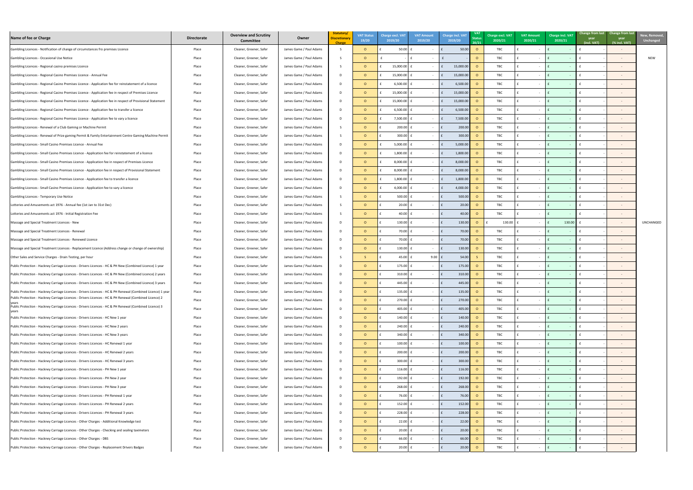| Name of fee or Charge                                                                                                                                                         | <b>Directorate</b> | <b>Overview and Scrutiny</b><br><b>Committee</b> | Owner                                              | Statutory/<br><b>Discretionary</b><br><b>Charge</b> | <b>VAT Status</b><br>19/20 | <b>Charge excl. VAT</b><br>2019/20 | <b>VAT Amount</b><br>2019/20 | <b>Charge incl. VAT</b><br>2019/20    | <b>Status</b><br>20/21 | Charge excl. VAT<br>2020/21 | <b>VAT Amount</b><br>2020/21 | <b>Charge incl. VAT</b><br>2020/21 | Change from last Change from last<br>year<br>(incl. VAT) | year<br>$%$ incl. VAT) | <b>New, Remove</b><br><b>Unchanged</b> |
|-------------------------------------------------------------------------------------------------------------------------------------------------------------------------------|--------------------|--------------------------------------------------|----------------------------------------------------|-----------------------------------------------------|----------------------------|------------------------------------|------------------------------|---------------------------------------|------------------------|-----------------------------|------------------------------|------------------------------------|----------------------------------------------------------|------------------------|----------------------------------------|
| Gambling Licences - Notification of change of circumstances fro premises Licence                                                                                              | Place              | Cleaner, Greener, Safer                          | James Game / Paul Adams                            |                                                     |                            | 50.00                              |                              | 50.00                                 |                        | TBC                         |                              |                                    |                                                          |                        |                                        |
| Gambling Licences - Occasional Use Notice                                                                                                                                     | Place              | Cleaner, Greener, Safer                          | James Game / Paul Adams                            |                                                     |                            |                                    |                              |                                       |                        | TBC                         |                              |                                    |                                                          | $\sim$                 | <b>NEW</b>                             |
| Gambling Licences - Regional casino premises Licence                                                                                                                          | Place              | Cleaner, Greener, Safer                          | James Game / Paul Adams                            |                                                     |                            | 15,000.00                          |                              | 15,000.00                             |                        | TBC                         |                              |                                    |                                                          |                        |                                        |
| Gambling Licences - Regional Casino Premises Licence - Annual Fee                                                                                                             | Place              | Cleaner, Greener, Safer                          | James Game / Paul Adams                            | D.                                                  |                            | 15,000.00                          |                              | 15,000.00                             |                        | TBC                         |                              |                                    |                                                          |                        |                                        |
| Gambling Licences - Regional Casino Premises Licence - Application fee for reinstatement of a licence                                                                         | Place              | Cleaner, Greener, Safer                          | James Game / Paul Adams                            | D.                                                  |                            | 6,500.00                           |                              | 6,500.00                              |                        | TBC                         |                              |                                    |                                                          |                        |                                        |
| Gambling Licences - Regional Casino Premises Licence - Application fee in respect of Premises Licence                                                                         | Place              | Cleaner, Greener, Safer                          | James Game / Paul Adams                            | D.                                                  |                            | 15,000.00                          |                              | 15,000.0                              |                        | TBC                         |                              |                                    |                                                          |                        |                                        |
| Gambling Licences - Regional Casino Premises Licence - Application fee in respect of Provisional Statement                                                                    | Place              | Cleaner, Greener, Safer                          | James Game / Paul Adams                            | D.                                                  |                            | 15,000.00                          |                              | 15,000.0                              |                        | TBC                         |                              |                                    |                                                          |                        |                                        |
| Gambling Licences - Regional Casino Premises Licence - Application fee to transfer a licence                                                                                  | Place              | Cleaner, Greener, Safer                          | James Game / Paul Adams                            | D.                                                  |                            | 6,500.00                           |                              | 6,500.                                |                        | TBC                         |                              |                                    |                                                          |                        |                                        |
| Gambling Licences - Regional Casino Premises Licence - Application fee to vary a licence                                                                                      | Place              | Cleaner, Greener, Safer                          | James Game / Paul Adams                            | D                                                   |                            | $7,500.00$ :                       | $\sim 100$ m $^{-1}$         | 7,500.00<br>I£.                       |                        | TBC                         |                              |                                    |                                                          |                        |                                        |
| Gambling Licences - Renewal of a Club Gaming or Machine Permit                                                                                                                | Place              | Cleaner, Greener, Safer                          | James Game / Paul Adams                            |                                                     |                            | $200.00$ £                         |                              | 200.00                                |                        | TBC                         |                              |                                    |                                                          |                        |                                        |
| Gambling Licences - Renewal of Prize gaming Permit & Family Entertainment Centre Gaming Machine Permit                                                                        | Place              | Cleaner, Greener, Safer                          | James Game / Paul Adams                            |                                                     |                            | $300.00$ f                         |                              | 300.00                                |                        | TBC                         |                              |                                    |                                                          |                        |                                        |
| Gambling Licences - Small Casino Premises Licence - Annual Fee                                                                                                                | Place              | Cleaner, Greener, Safer                          | James Game / Paul Adams                            | D.                                                  |                            | $5,000.00$ :                       | $\sim$ $-$                   | 5,000.00<br>Ιf                        |                        | TBC                         |                              |                                    |                                                          |                        |                                        |
| Gambling Licences - Small Casino Premises Licence - Application fee for reinstatement of a licence                                                                            | Place              | Cleaner, Greener, Safer                          | James Game / Paul Adams                            | D.                                                  |                            | 1,800.00                           | $\sim$ 100 $\sim$            | 1,800.00                              |                        | TBC                         |                              |                                    |                                                          |                        |                                        |
| Gambling Licences - Small Casino Premises Licence - Application fee in respect of Premises Licence                                                                            | Place              | Cleaner, Greener, Safer                          | James Game / Paul Adams                            | D.                                                  |                            | 8,000.00                           |                              | 8,000.00                              |                        | TBC                         |                              |                                    |                                                          |                        |                                        |
| Gambling Licences - Small Casino Premises Licence - Application fee in respect of Provisional Statement                                                                       | Place              | Cleaner, Greener, Safer                          | James Game / Paul Adams                            | D                                                   |                            | 8,000.00                           |                              | 8,000.00                              |                        | TBC                         |                              |                                    |                                                          |                        |                                        |
| Gambling Licences - Small Casino Premises Licence - Application fee to transfer a licence                                                                                     | Place              | Cleaner, Greener, Safer                          | James Game / Paul Adams                            | D                                                   |                            | $1,800.00$ :                       | $\sim$                       | 1,800.00<br>l f                       |                        | TBC                         |                              |                                    |                                                          |                        |                                        |
| Gambling Licences - Small Casino Premises Licence - Application fee to vary a licence                                                                                         | Place              | Cleaner, Greener, Safer                          | James Game / Paul Adams                            |                                                     |                            | 4,000.00 f                         |                              | 4,000.00<br>I£.                       |                        | <b>TBC</b>                  |                              |                                    |                                                          |                        |                                        |
| Gambling Licences - Temporary Use Notice                                                                                                                                      | Place              | Cleaner, Greener, Safer                          | James Game / Paul Adams                            |                                                     |                            | $500.00$ £                         |                              | 500.00<br>l f                         |                        | TBC                         |                              |                                    |                                                          |                        |                                        |
| Lotteries and Amusements act 1976 - Annual fee (1st Jan to 31st Dec)                                                                                                          | Place              | Cleaner, Greener, Safer                          | James Game / Paul Adams                            |                                                     |                            | $20.00$ f                          |                              | 20.00                                 |                        | TBC                         |                              |                                    |                                                          |                        |                                        |
| Lotteries and Amusements act 1976 - Initial Registration Fee                                                                                                                  | Place              | Cleaner, Greener, Safer                          | James Game / Paul Adams                            |                                                     |                            | $40.00$ :                          |                              | 40.00                                 |                        | TBC                         |                              |                                    |                                                          |                        |                                        |
| Massage and Special Treatment Licences - New                                                                                                                                  | Place              | Cleaner, Greener, Safer                          | James Game / Paul Adams                            | D.                                                  |                            | 130.00 $E$                         |                              | 130.00                                | $\circ$                | 130.00                      |                              | 130.00                             |                                                          | $\sim$ $ \sim$         | UNCHANGED                              |
| Massage and Special Treatment Licences - Renewal                                                                                                                              | Place              | Cleaner, Greener, Safer                          | James Game / Paul Adams                            | D.                                                  |                            | $70.00$ :                          |                              | 70.00                                 |                        | TBC                         |                              |                                    |                                                          |                        |                                        |
| Massage and Special Treatment Licences - Renewed Licence                                                                                                                      | Place              | Cleaner, Greener, Safer                          | James Game / Paul Adams                            | D.                                                  |                            | $70.00$ :                          |                              | 70.00                                 |                        | TBC                         |                              |                                    |                                                          |                        |                                        |
| Massage and Special Treatment Licences - Replacement Licence (Address change or change of ownership)                                                                          | Place              | Cleaner, Greener, Safer                          | James Game / Paul Adams                            | D                                                   |                            | 130.00 $E$                         | $\sim$                       | 130.00                                |                        | TBC                         |                              |                                    |                                                          |                        |                                        |
| Other Sales and Service Charges - Drain Testing, per hour                                                                                                                     | Place              | Cleaner, Greener, Safer                          | James Game / Paul Adams                            |                                                     |                            | $45.00$ $E$                        | $9.00$ $f$                   | 54.00                                 |                        | TBC                         |                              |                                    |                                                          |                        |                                        |
| Public Protection - Hackney Carriage Licences - Drivers Licences - HC & PH New (Combined Licence) 1 year                                                                      | Place              | Cleaner, Greener, Safer                          | James Game / Paul Adams                            | D                                                   |                            | $175.00$ $E$                       | $\sim$                       | $\mathsf{F}$<br>175.00                |                        | <b>TBC</b>                  |                              |                                    |                                                          | $\sim$ $-$             |                                        |
| Public Protection - Hackney Carriage Licences - Drivers Licences - HC & PH New (Combined Licence) 2 years                                                                     | Place              | Cleaner, Greener, Safer                          | James Game / Paul Adams                            | D                                                   |                            | $310.00$ $E$                       | $\sim 100$ m $^{-1}$         | 310.00<br>$\mathsf{E}$                |                        | TBC                         |                              |                                    |                                                          | $\sim$ $-$             |                                        |
| Public Protection - Hackney Carriage Licences - Drivers Licences - HC & PH New (Combined Licence) 3 years                                                                     | Place              | Cleaner, Greener, Safer                          | James Game / Paul Adams                            | D                                                   |                            | 445.00 $E$                         | $\sim$ $ \sim$               | 445.00                                |                        | TBC                         |                              |                                    |                                                          |                        |                                        |
| Public Protection - Hackney Carriage Licences - Drivers Licences - HC & PH Renewal (Combined Licence) 1 year                                                                  | Place              | Cleaner, Greener, Safer                          | James Game / Paul Adams                            | D                                                   |                            | 135.00 $E$                         | $\sim$ $ \sim$               | 135.00                                |                        | TBC                         |                              |                                    |                                                          |                        |                                        |
| Public Protection - Hackney Carriage Licences - Drivers Licences - HC & PH Renewal (Combined Licence) 2                                                                       | Place              | Cleaner, Greener, Safer                          | James Game / Paul Adams                            | D                                                   |                            | $270.00$ £                         | $\sim$ $-$                   | 270.00                                |                        | TBC                         |                              |                                    |                                                          |                        |                                        |
| Public Protection - Hackney Carriage Licences - Drivers Licences - HC & PH Renewal (Combined Licence) 3                                                                       | Place              | Cleaner, Greener, Safer                          | James Game / Paul Adams                            | D                                                   |                            | 405.00 $E$                         | $\sim$                       | 405.00                                |                        | TBC                         |                              |                                    |                                                          |                        |                                        |
| years<br>Public Protection - Hackney Carriage Licences - Drivers Licences - HC New 1 year                                                                                     | Place              | Cleaner, Greener, Safer                          | James Game / Paul Adams                            | D                                                   |                            | $140.00$ £                         | $\sim$                       | 140.00                                |                        | TBC                         |                              |                                    |                                                          |                        |                                        |
| Public Protection - Hackney Carriage Licences - Drivers Licences - HC New 2 years                                                                                             | Place              | Cleaner, Greener, Safer                          | James Game / Paul Adams                            | D                                                   |                            | $240.00$ £                         | $\sim$                       | 240.00                                |                        | TBC                         |                              |                                    |                                                          |                        |                                        |
| Public Protection - Hackney Carriage Licences - Drivers Licences - HC New 3 years                                                                                             | Place              | Cleaner, Greener, Safer                          | James Game / Paul Adams                            | D                                                   |                            | 340.00 $E$                         |                              | 340.00                                |                        | TBC                         |                              |                                    |                                                          |                        |                                        |
| Public Protection - Hackney Carriage Licences - Drivers Licences - HC Renewal 1 year                                                                                          | Place              | Cleaner, Greener, Safer                          | James Game / Paul Adams                            | D.                                                  |                            | $100.00$ $E$                       |                              | 100.00                                |                        | TBC                         |                              |                                    |                                                          |                        |                                        |
| Public Protection - Hackney Carriage Licences - Drivers Licences - HC Renewal 2 years                                                                                         | Place              | Cleaner, Greener, Safer                          | James Game / Paul Adams                            | D                                                   |                            | $200.00$ £                         |                              | 200.00                                | $\circ$                | TBC                         |                              |                                    |                                                          |                        |                                        |
| Public Protection - Hackney Carriage Licences - Drivers Licences - HC Renewal 3 years                                                                                         | Place              | Cleaner, Greener, Safer                          | James Game / Paul Adams                            | D                                                   | $\Omega$                   | $300.00$ £                         |                              | 300.00                                |                        | TBC                         |                              |                                    |                                                          | $\sim$ $ \sim$         |                                        |
| Public Protection - Hackney Carriage Licences - Drivers Licences - PH New 1 year                                                                                              | Place              | Cleaner, Greener, Safer                          | James Game / Paul Adams                            | D                                                   |                            | 116.00 $E$                         | $\sim$ $-$                   | l f<br>116.00                         |                        | TBC                         |                              |                                    |                                                          | $\sim$ $ \sim$         |                                        |
| Public Protection - Hackney Carriage Licences - Drivers Licences - PH New 2 year                                                                                              | Place              | Cleaner, Greener, Safer                          | James Game / Paul Adams                            | D                                                   |                            | 192.00 $E$                         | $\sim$                       | 192.00<br>Ιf                          |                        | TBC                         |                              |                                    |                                                          | $\sim$ $ \sim$         |                                        |
| Public Protection - Hackney Carriage Licences - Drivers Licences - PH New 3 year                                                                                              | Place              | Cleaner, Greener, Safer                          | James Game / Paul Adams                            | D                                                   |                            | $268.00$ £                         | $\sim$ $-$                   | 268.00                                |                        | TBC                         |                              |                                    |                                                          | $\sim$                 |                                        |
|                                                                                                                                                                               |                    |                                                  |                                                    | D                                                   |                            | $76.00$ £                          |                              |                                       |                        |                             |                              |                                    |                                                          |                        |                                        |
| Public Protection - Hackney Carriage Licences - Drivers Licences - PH Renewal 1 year<br>Public Protection - Hackney Carriage Licences - Drivers Licences - PH Renewal 2 years | Place<br>Place     | Cleaner, Greener, Safer                          | James Game / Paul Adams<br>James Game / Paul Adams | D                                                   | $\Omega$                   | $152.00$ $E$                       | $\sim$                       | 76.00<br>$\mathsf{E}$<br>152.00       | $\circ$<br>$\circ$     | TBC<br>TBC                  |                              |                                    |                                                          | $\sim$ $-$             |                                        |
| Public Protection - Hackney Carriage Licences - Drivers Licences - PH Renewal 3 years                                                                                         |                    | Cleaner, Greener, Safer                          |                                                    |                                                     |                            | $228.00$ £                         | $\sim$ $ \sim$               | $\mathsf{E}$                          |                        |                             |                              |                                    |                                                          | $\sim$ $ \sim$         |                                        |
|                                                                                                                                                                               | Place              | Cleaner, Greener, Safer                          | James Game / Paul Adams                            | D                                                   | $\circ$                    |                                    | $\sim 100$                   | 228.00                                | - 0                    | TBC                         |                              |                                    |                                                          |                        |                                        |
| Public Protection - Hackney Carriage Licences - Other Charges - Additional Knowledge test                                                                                     | Place              | Cleaner, Greener, Safer                          | James Game / Paul Adams                            | D                                                   | $\Omega$                   | 22.00 $E$                          |                              | $\mathsf{E}$<br>22.00<br>$\mathsf{F}$ |                        | TBC                         |                              |                                    |                                                          | $\sim$ $ \sim$         |                                        |
| Public Protection - Hackney Carriage Licences - Other Charges - Checking and sealing taximeters                                                                               | Place              | Cleaner, Greener, Safer                          | James Game / Paul Adams                            | D                                                   | $\overline{O}$             | $20.00$ £                          | $\sim$ $ \sim$               | 20.00                                 |                        | TBC                         |                              |                                    |                                                          | $\sim$ $ \sim$         |                                        |
| Public Protection - Hackney Carriage Licences - Other Charges - DBS                                                                                                           | Place              | Cleaner, Greener, Safer                          | James Game / Paul Adams                            | D                                                   |                            | $66.00$ f                          | $\sim 100$ m $^{-1}$         | 66.00<br>l f                          |                        | TBC                         |                              |                                    |                                                          | $\sim$ $ \sim$         |                                        |
| Public Protection - Hackney Carriage Licences - Other Charges - Replacement Drivers Badges                                                                                    | Place              | Cleaner, Greener, Safer                          | James Game / Paul Adams                            | D                                                   |                            | 20.00                              |                              | 20.00                                 |                        | TBC                         |                              |                                    |                                                          |                        |                                        |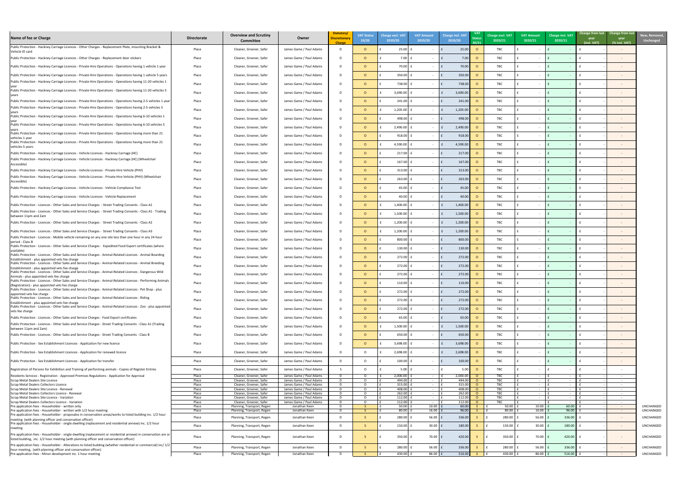

| Name of fee or Charge                                                                                                                                                                                            | <b>Directorate</b> | <b>Overview and Scrutiny</b><br><b>Committee</b>         | Owner                                              | Statutory/<br><b>Discretionary</b><br><b>Charge</b> | <b>VAT Status</b><br>19/20 | <b>Charge excl. VAT</b><br>2019/20 | <b>VAT Amount</b><br>2019/20 | Charge incl. VAT<br>2019/20 | <b>VAT</b><br><b>Status</b><br>20/21 | Charge excl. VAT<br>2020/21 | <b>VAT Amount</b><br>2020/21 | Charge incl. VAT<br>2020/21 | Change from last Change from last<br>year<br>(incl. VAT) | year<br>(% incl. VAT)        | New, Remove<br><b>Unchanged</b> |
|------------------------------------------------------------------------------------------------------------------------------------------------------------------------------------------------------------------|--------------------|----------------------------------------------------------|----------------------------------------------------|-----------------------------------------------------|----------------------------|------------------------------------|------------------------------|-----------------------------|--------------------------------------|-----------------------------|------------------------------|-----------------------------|----------------------------------------------------------|------------------------------|---------------------------------|
| Public Protection - Hackney Carriage Licences - Other Charges - Replacement Plate, mounting Bracket &<br>Vehicle ID card                                                                                         | Place              | Cleaner, Greener, Safer                                  | James Game / Paul Adams                            | D.                                                  |                            | 25.00                              |                              | 25.0                        |                                      | <b>TBC</b>                  |                              |                             |                                                          |                              |                                 |
| Public Protection - Hackney Carriage Licences - Other Charges - Replacement door stickers                                                                                                                        | Place              | Cleaner, Greener, Safer                                  | James Game / Paul Adams                            | D.                                                  |                            | 7.00 $E$                           | $\sim$ $ \sim$               | 7.00<br>l f                 |                                      | TBC                         |                              |                             |                                                          |                              |                                 |
| Public Protection - Hackney Carriage Licences - Private Hire Operations - Operations having 1 vehicle 1 year                                                                                                     | Place              | Cleaner, Greener, Safer                                  | James Game / Paul Adams                            | D.                                                  |                            | 70.00                              |                              | 70.00                       |                                      | TBC                         |                              |                             |                                                          |                              |                                 |
| Public Protection - Hackney Carriage Licences - Private Hire Operations - Operations having 1 vehicle 5 years                                                                                                    | Place              | Cleaner, Greener, Safer                                  | James Game / Paul Adams                            | D.                                                  |                            | $350.00$ :                         |                              | 350.00                      |                                      | TBC                         |                              |                             |                                                          |                              |                                 |
| Public Protection - Hackney Carriage Licences - Private Hire Operations - Operations having 11-20 vehicles 1                                                                                                     | Place              | Cleaner, Greener, Safer                                  | James Game / Paul Adams                            | D.                                                  |                            | 738.00                             |                              | 738.00                      |                                      | TBC                         |                              |                             |                                                          |                              |                                 |
| Public Protection - Hackney Carriage Licences - Private Hire Operations - Operations having 11-20 vehicles 5                                                                                                     | Place              | Cleaner, Greener, Safer                                  | James Game / Paul Adams                            | D.                                                  |                            | 3,690.00                           |                              | 3,690.00                    |                                      | TBC                         |                              |                             |                                                          |                              |                                 |
| <b>Vears</b><br>Public Protection - Hackney Carriage Licences - Private Hire Operations - Operations having 2-5 vehicles 1 year                                                                                  | Place              | Cleaner, Greener, Safer                                  | James Game / Paul Adams                            | D.                                                  |                            | 241.00                             |                              | 241.00                      |                                      | TBC                         |                              |                             |                                                          |                              |                                 |
| Public Protection - Hackney Carriage Licences - Private Hire Operations - Operations having 2-5 vehicles 5                                                                                                       |                    |                                                          |                                                    |                                                     |                            |                                    |                              |                             |                                      |                             |                              |                             |                                                          |                              |                                 |
| Public Protection - Hackney Carriage Licences - Private Hire Operations - Operations having 6-10 vehicles 1                                                                                                      | Place              | Cleaner, Greener, Safer                                  | James Game / Paul Adams                            | D                                                   |                            | $1,205.00$ :                       |                              | 1,205.00<br>I£.             |                                      | TBC                         |                              |                             |                                                          |                              |                                 |
| Public Protection - Hackney Carriage Licences - Private Hire Operations - Operations having 6-10 vehicles 5                                                                                                      | Place              | Cleaner, Greener, Safer                                  | James Game / Paul Adams                            | D.                                                  |                            | 498.00                             |                              | 498.00                      |                                      | TBC                         |                              |                             |                                                          |                              |                                 |
| Public Protection - Hackney Carriage Licences - Private Hire Operations - Operations having more than 21                                                                                                         | Place              | Cleaner, Greener, Safer                                  | James Game / Paul Adams                            | D.                                                  |                            | $2,490.00$ f                       | $\sim$ $ \sim$               | 2,490.00<br>$\mathsf{E}$    |                                      | TBC                         |                              |                             |                                                          |                              |                                 |
| vehicles 1 year                                                                                                                                                                                                  | Place              | Cleaner, Greener, Safer                                  | James Game / Paul Adams                            | D                                                   |                            | $918.00$ $E$                       |                              | 918.00<br>$\mathsf{F}$      |                                      | TBC                         |                              |                             |                                                          |                              |                                 |
| Public Protection - Hackney Carriage Licences - Private Hire Operations - Operations having more than 21<br>vehicles 5 years                                                                                     | Place              | Cleaner, Greener, Safer                                  | James Game / Paul Adams                            | D.                                                  |                            | $4,590.00$ f                       | $\sim$ $ \sim$               | 4,590.00<br>$\mathsf{E}$    |                                      | TBC                         |                              |                             |                                                          |                              |                                 |
| Public Protection - Hackney Carriage Licences - Vehicle Licences - Hackney Carriage (HC)                                                                                                                         | Place              | Cleaner, Greener, Safer                                  | James Game / Paul Adams                            | D                                                   |                            | $217.00$ :                         |                              | 217.00                      |                                      | TBC                         |                              |                             |                                                          |                              |                                 |
| Public Protection - Hackney Carriage Licences - Vehicle Licences - Hackney Carriage (HC) (Wheelchair<br>Accessible)                                                                                              | Place              | Cleaner, Greener, Safer                                  | James Game / Paul Adams                            | D.                                                  |                            | $167.00$ :                         |                              | 167.00                      |                                      | TBC                         |                              |                             |                                                          |                              |                                 |
| Public Protection - Hackney Carriage Licences - Vehicle Licences - Private Hire Vehicle (PHV)                                                                                                                    | Place              | Cleaner, Greener, Safer                                  | James Game / Paul Adams                            | D                                                   |                            | $313.00$ f                         |                              | 313.00                      |                                      | TBC                         |                              |                             |                                                          |                              |                                 |
| Public Protection - Hackney Carriage Licences - Vehicle Licences - Private Hire Vehicle (PHV) (Wheelchair<br>Accessible)                                                                                         | Place              | Cleaner, Greener, Safer                                  | James Game / Paul Adams                            | D.                                                  |                            | $263.00$ :                         |                              | 263.00                      |                                      | TBC                         |                              |                             |                                                          |                              |                                 |
| Public Protection - Hackney Carriage Licences - Vehicle Licences - Vehicle Compliance Test                                                                                                                       | Place              | Cleaner, Greener, Safer                                  | James Game / Paul Adams                            |                                                     |                            | $45.00$ £                          | $\sim$                       | 45.00<br>Ιf                 | $\Omega$                             | <b>TBC</b>                  |                              |                             |                                                          |                              |                                 |
| Public Protection - Hackney Carriage Licences - Vehicle Licences - Vehicle Replacement                                                                                                                           | Place              | Cleaner, Greener, Safer                                  | James Game / Paul Adams                            | D.                                                  |                            | 40.00                              |                              | 40.0                        |                                      | TBC                         |                              |                             |                                                          |                              |                                 |
| Public Protection - Licences - Other Sales and Service Charges - Street Trading Consents - Class A1                                                                                                              | Place              | Cleaner, Greener, Safer                                  | James Game / Paul Adams                            | D.                                                  |                            | 1,400.00                           |                              | 1,400.00<br>I f             |                                      | TBC                         |                              |                             |                                                          |                              |                                 |
| Public Protection - Licences - Other Sales and Service Charges - Street Trading Consents - Class A1 - Trading                                                                                                    | Place              | Cleaner, Greener, Safer                                  | James Game / Paul Adams                            | D.                                                  |                            | 1,500.00                           |                              | 1,500.                      |                                      | TBC                         |                              |                             |                                                          |                              |                                 |
| between 11pm and 2am<br>[Public Protection - Licences - Other Sales and Service Charges - Street Trading Consents - Class A2                                                                                     | Place              | Cleaner, Greener, Safer                                  | James Game / Paul Adams                            | D.                                                  |                            | 1,200.00                           |                              | 1,200.                      |                                      | TBC                         |                              |                             |                                                          |                              |                                 |
|                                                                                                                                                                                                                  |                    |                                                          |                                                    |                                                     |                            |                                    |                              |                             |                                      |                             |                              |                             |                                                          |                              |                                 |
| Public Protection - Licences - Other Sales and Service Charges - Street Trading Consents - Class A3<br>Public Protection - Licences - Mobile vehicle remaining on any one site less than one hour in any 24 hour | Place              | Cleaner, Greener, Safer                                  | James Game / Paul Adams                            |                                                     |                            | 1,200.00                           |                              | 1,200.<br>I£.               |                                      | TBC                         |                              |                             |                                                          |                              |                                 |
| period - Class B<br>Public Protection - Licences - Other Sales and Service Charges - Expedited Food Export certificates (where                                                                                   | Place              | Cleaner, Greener, Safer                                  | James Game / Paul Adams                            | D.                                                  |                            | 800.00                             |                              | 800.0                       |                                      | TBC                         |                              |                             |                                                          |                              |                                 |
| available)<br>Public Protection - Licences - Other Sales and Service Charges - Animal-Related Licences - Animal Boarding                                                                                         | Place              | Cleaner, Greener, Safer                                  | James Game / Paul Adams                            | D.                                                  |                            | 130.00                             |                              | 130.0                       |                                      | TBC                         |                              |                             |                                                          |                              |                                 |
| Establishment - plus appointed vets fee charge                                                                                                                                                                   | Place              | Cleaner, Greener, Safer                                  | James Game / Paul Adams                            | D.                                                  |                            | 272.00                             | $\sim$ $ \sim$               | 272.00                      |                                      | TBC                         |                              |                             |                                                          |                              |                                 |
| Public Protection - Licences - Other Sales and Service Charges - Animal-Related Licences - Animal Breeding<br>Establishment - plus appointed vets fee charge                                                     | Place              | Cleaner, Greener, Safer                                  | James Game / Paul Adams                            | D.                                                  |                            | $272.00$ :                         | $\sim 100$ m $^{-1}$         | 272.00<br>l f               |                                      | TBC                         |                              |                             |                                                          |                              |                                 |
| Public Protection - Licences - Other Sales and Service Charges - Animal-Related Licences - Dangerous Wild<br>Animals - plus appointed vets fee charge                                                            | Place              | Cleaner, Greener, Safer                                  | James Game / Paul Adams                            | D.                                                  |                            | $272.00$ :                         |                              | 272.00<br>$\mathsf{I}$      |                                      | <b>TBC</b>                  |                              |                             |                                                          |                              |                                 |
| Public Protection - Licences - Other Sales and Service Charges - Animal-Related Licences - Performing Animals<br>(Registration) - plus appointed vets fee charge                                                 | Place              | Cleaner, Greener, Safer                                  | James Game / Paul Adams                            | D.                                                  |                            | 110.00                             |                              | l f<br>110.00               |                                      | <b>TBC</b>                  |                              |                             |                                                          |                              |                                 |
| Public Protection - Licences - Other Sales and Service Charges - Animal-Related Licences - Pet Shop - plus<br>appointed vets fee charge                                                                          | Place              | Cleaner, Greener, Safer                                  | James Game / Paul Adams                            | D.                                                  |                            | 272.00                             |                              | 272.00                      |                                      | TBC                         |                              |                             |                                                          |                              |                                 |
| Public Protection - Licences - Other Sales and Service Charges - Animal-Related Licences - Riding<br>Establishment - plus appointed vets fee charge                                                              | Place              | Cleaner, Greener, Safer                                  | James Game / Paul Adams                            | D                                                   |                            | $272.00$ :                         |                              | 272.00<br>l f               |                                      | TBC                         |                              |                             |                                                          |                              |                                 |
| Public Protection - Licences - Other Sales and Service Charges - Animal-Related Licences - Zoo - plus appointed<br>vets fee charge                                                                               | Place              | Cleaner, Greener, Safer                                  | James Game / Paul Adams                            | D.                                                  |                            | 272.00                             |                              | 272.00                      |                                      | TBC                         |                              |                             |                                                          |                              |                                 |
| Public Protection - Licences - Other Sales and Service Charges - Food Export certificates                                                                                                                        | Place              | Cleaner, Greener, Safer                                  | James Game / Paul Adams                            | D.                                                  |                            | 65.00                              |                              | 65.0                        |                                      | <b>TBC</b>                  |                              |                             |                                                          |                              |                                 |
| Public Protection - Licences - Other Sales and Service Charges - Street Trading Consents - Class A1 (Trading                                                                                                     | Place              | Cleaner, Greener, Safer                                  | James Game / Paul Adams                            | D.                                                  |                            | 1,500.00                           |                              | 1,500.00                    |                                      | TBC                         |                              |                             |                                                          |                              |                                 |
| between 11pm and 2am)<br>Public Protection - Licences - Other Sales and Service Charges - Street Trading Consents - Class B                                                                                      | Place              | Cleaner, Greener, Safer                                  | James Game / Paul Adams                            | D.                                                  |                            | 650.00                             |                              | 650.00                      |                                      | TBC                         |                              |                             |                                                          |                              |                                 |
| Public Protection - Sex Establishment Licences - Application for new licence                                                                                                                                     | Place              | Cleaner, Greener, Safer                                  | James Game / Paul Adams                            |                                                     |                            | 3,698.00                           |                              | 3,698.00                    |                                      | TBC                         |                              |                             |                                                          |                              |                                 |
| Public Protection - Sex Establishment Licences - Application for renewed licence                                                                                                                                 | Place              | Cleaner, Greener, Safer                                  | James Game / Paul Adams                            |                                                     |                            | 2,698.00                           |                              | 2,698.00                    |                                      | TBC                         |                              |                             |                                                          |                              |                                 |
|                                                                                                                                                                                                                  |                    |                                                          |                                                    | D.                                                  |                            | $100.00$ :                         |                              |                             |                                      | TBC                         |                              |                             |                                                          |                              |                                 |
| Public Protection - Sex Establishment Licences - Application for transfer                                                                                                                                        | Place              | Cleaner, Greener, Safer                                  | James Game / Paul Adams                            |                                                     |                            |                                    |                              | 100.00                      |                                      |                             |                              |                             |                                                          |                              |                                 |
| Registration of Persons for Exhibition and Training of performing animals - Copies of Register Entries<br>Residents Services - Registration - Approved Premises Regulations - Application for Approval           | Place<br>Place     | Cleaner, Greener, Safer<br>Cleaner, Greener, Safer       | James Game / Paul Adams<br>James Game / Paul Adams | D                                                   |                            | $5.00$ $E$<br>2,000.00             | $\sim$<br>$\sim$ $ \sim$     | -5.00<br>2,000.00           |                                      | TBC<br>TBC                  | $\sim 100$                   | $\sim 100$ m $^{-1}$        |                                                          | $\sim 100$ m $^{-1}$         |                                 |
| Scrap Metal Dealers Site Licence<br>Scrap Metal Dealers Collectors Licence                                                                                                                                       | Place<br>Place     | Cleaner, Greener, Safer<br>Cleaner, Greener, Safer       | James Game / Paul Adams<br>James Game / Paul Adams | D<br>$\mathsf{D}$                                   |                            | 494.00<br>315.00                   | $\sim$<br>$\sim$             | 494.00<br>315.00            | $\cap$                               | TBC<br><b>TBC</b>           |                              |                             |                                                          | $\sim$<br>$\sim$             |                                 |
| Scrap Metal Dealers Site Licence - Renewal                                                                                                                                                                       | Place              | Cleaner, Greener, Safer                                  | James Game / Paul Adams                            | D.                                                  |                            | 408.00                             |                              | 408.00                      |                                      | <b>TBC</b>                  |                              |                             |                                                          | $\sim$                       |                                 |
| Scrap Metal Dealers Collectors Licence - Renewal<br>Scrap Metal Dealers Site Licence - Variation                                                                                                                 | Place<br>Place     | Cleaner, Greener, Safer<br>Cleaner, Greener, Safer       | James Game / Paul Adams<br>James Game / Paul Adams | D<br>D                                              |                            | 262.00<br>112.00                   |                              | 262.00<br>112.00            | - റ<br>- റ                           | <b>TBC</b><br>TBC           |                              |                             |                                                          | $\sim$<br>$\sim$             |                                 |
| Scrap Metal Dealers Collectors Licence - Variation                                                                                                                                                               | Place              | Cleaner, Greener, Safer                                  | James Game / Paul Adams                            | $\mathsf{D}$                                        |                            | 112.00                             |                              | 112.00                      |                                      | TBC.                        |                              |                             |                                                          | $\sim$                       |                                 |
| Pre application fees - Householder - written only<br>Pre application fees - Householder - written with 1/2 hour meeting                                                                                          | Place<br>Place     | Planning, Transport, Regen<br>Planning, Transport, Regen | Jonathan Keen<br>Jonathan Keen                     | D.<br>$\mathsf{D}$                                  |                            | 50.00<br>80.00                     | 10.00<br>$16.00$ f           | 60.00<br>96.00              |                                      | 50.00<br>80.00              | 10.00<br>16.00               | 60.00<br>96.00              |                                                          | $\sim 10^{-1}$<br>$\sim 100$ | UNCHANGED<br>UNCHANGED          |
| Pre application fees - Householder - proposales in conservation areas/works to listed building inc. 1/2 hour                                                                                                     | Place              | Planning, Transport, Regen                               | Jonathan Keen                                      | D.                                                  |                            | 280.00                             | $56.00$ $E$                  | 336.00                      |                                      | 280.00                      | 56.00                        | 336.00                      |                                                          | $\sim$ $-$                   | UNCHANGED                       |
| meeting (with planning officer and conservation officer)<br>Pre application fees - Householder - single dwelling (replacement and residential annexe) inc. 1/2 hour                                              |                    |                                                          |                                                    |                                                     |                            |                                    |                              |                             |                                      |                             |                              |                             |                                                          |                              |                                 |
| meeting                                                                                                                                                                                                          | Place              | Planning, Transport, Regen                               | Jonathan Keen                                      | D                                                   |                            | 150.00                             | $30.00$ E                    | 180.00                      |                                      | 150.00                      | 30.00                        | 180.00                      |                                                          | $\sim$                       | UNCHANGED                       |
| Pre application fees - Householder - single dwelling (replacement or residential annexe) in conservation are or<br>listed building, inc. 1/2 hour meeting (with planning officer and conservation officer)       | Place              | Planning, Transport, Regen                               | Jonathan Keen                                      | D                                                   |                            | 350.00                             | $70.00$ £                    | 420.00                      |                                      | 350.00                      | 70.00                        | 420.00                      |                                                          | $\sim$ $-$                   | UNCHANGED                       |
| Pre application fees - Householder - Alterations to listed building (whether residentail or commercial) inc/ 1/2                                                                                                 | Place              | Planning, Transport, Regen                               | Jonathan Keen                                      | D.                                                  |                            | $280.00$ :                         | 56.00 $E$                    | 336.00                      |                                      | 280.00                      | 56.00                        | 336.00                      |                                                          | $\sim$                       | UNCHANGED                       |
| hour meeting, (with planning officer and conservation officer)<br>Pre application fees - Minor development inc. 1 hour meeting                                                                                   | Place              | Planning, Transport, Regen                               | Jonathan Keen                                      | D.                                                  |                            | 430.00 $E$                         | 86.00 $E$                    | 516.00                      |                                      | 430.00 $E$                  | $86.00$ £                    | $516.00$ £                  |                                                          | $\sim 10^{-1}$               | UNCHANGED                       |
|                                                                                                                                                                                                                  |                    |                                                          |                                                    |                                                     |                            |                                    |                              |                             |                                      |                             |                              |                             |                                                          |                              |                                 |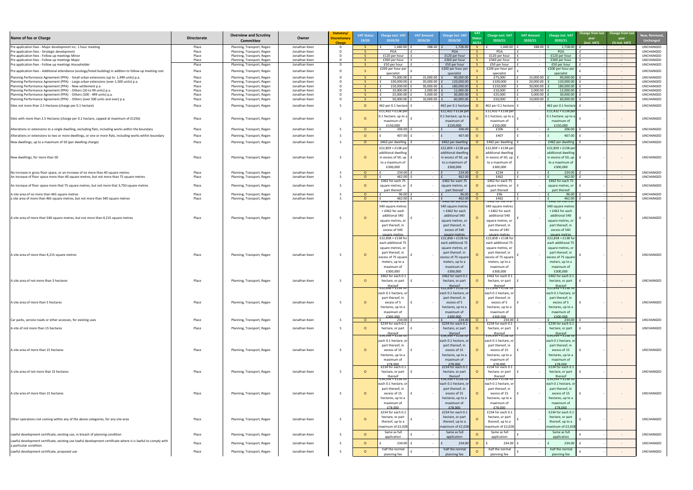| New, Removed,<br><b>Unchanged</b> |
|-----------------------------------|
| UNCHANGED<br>UNCHANGED            |
| UNCHANGED                         |
| UNCHANGED<br>UNCHANGED            |
| UNCHANGED                         |
| UNCHANGED                         |
| <b>UNCHANGED</b><br>UNCHANGED     |
| UNCHANGED<br>UNCHANGED            |
| UNCHANGED                         |
| UNCHANGED                         |
| UNCHANGED                         |
| UNCHANGED                         |
| UNCHANGED                         |
| UNCHANGED                         |
| UNCHANGED                         |
|                                   |
| UNCHANGED<br>UNCHANGED            |
| UNCHANGED                         |
|                                   |
| UNCHANGED<br>UNCHANGED            |
|                                   |
| UNCHANGED                         |
|                                   |
|                                   |
|                                   |
| UNCHANGED                         |
|                                   |
|                                   |
|                                   |
| <b>UNCHANGED</b>                  |
|                                   |
|                                   |
| UNCHANGED                         |
|                                   |
| UNCHANGED                         |
| UNCHANGED                         |
|                                   |
|                                   |
| UNCHANGED                         |
|                                   |
|                                   |
| UNCHANGED                         |
|                                   |
|                                   |
| UNCHANGED                         |
|                                   |
|                                   |
| UNCHANGED                         |
|                                   |
| UNCHANGED                         |
| UNCHANGED                         |
|                                   |
| UNCHANGED                         |

| Name of fee or Charge                                                                                         | <b>Directorate</b> | <b>Overview and Scrutiny</b><br><b>Committee</b>         | Owner                          | Statutory/<br><b>Discretionar</b><br><b>Charge</b> | <b>VAT Status</b><br>19/20 | <b>Charge excl. VAT</b><br>2019/20         | <b>VAT Amount</b><br>2019/20 | <b>Charge incl. VAT</b><br>2019/20                                                                         | <b>VAT</b><br>20/21 | Charge excl. VAT<br>2020/21                | <b>VAT Amount</b><br>2020/21 | <b>Charge incl. VAT</b><br>2020/21        | Change from last Change from last<br>year<br><b>year</b><br>(incl. VAT)<br>(% incl. VAT) | New, Remove<br><b>Unchanged</b>      |
|---------------------------------------------------------------------------------------------------------------|--------------------|----------------------------------------------------------|--------------------------------|----------------------------------------------------|----------------------------|--------------------------------------------|------------------------------|------------------------------------------------------------------------------------------------------------|---------------------|--------------------------------------------|------------------------------|-------------------------------------------|------------------------------------------------------------------------------------------|--------------------------------------|
| Pre application fees - Major development inc. 1 hour meeting                                                  | Place              | Planning, Transport, Regen                               | Jonathan Keen                  |                                                    |                            | 1,440.00                                   | 288.00                       | 1,728.00                                                                                                   |                     | 1,440.00                                   | 288.00                       | 1,728.00                                  | $\sim$ $-$                                                                               | <b>UNCHANGED</b>                     |
| Pre application fees - Strategic development<br>Pre application fees - Follow up meetings Minor               | Place<br>Place     | Planning, Transport, Regen<br>Planning, Transport, Regen | Jonathan Keen<br>Jonathan Keen |                                                    |                            | POA<br>£120 per hour                       | $\sim$                       | POA<br>£120 per hour                                                                                       |                     | POA<br>£120 per hour                       |                              | <b>POA</b><br>£120 per hour               | $\sim 100$<br>$\sim 100$                                                                 | <b>UNCHANGED</b><br><b>UNCHANGED</b> |
| Pre application fees - Follow up meetings Major                                                               | Place              | Planning, Transport, Regen                               | Jonathan Keen                  |                                                    |                            | £360 per hour                              | $\sim$                       | £360 per hour                                                                                              |                     | £360 per hour                              |                              | £360 per hour                             | $\sim 100$                                                                               | <b>UNCHANGED</b>                     |
| Pre application fees - Follow up meetings Householder                                                         | Place              | Planning, Transport, Regen                               | Jonathan Keen                  | D.                                                 |                            | £50 per hour                               | $\sim$                       | £50 per hour                                                                                               |                     | £50 per hour                               |                              | £50 per hour                              | $\sim$ $ \sim$                                                                           | UNCHANGED                            |
| Pre application fees - Additional attendance (ecology/listed building) in additon to follow up meeting cost   | Place              | Planning, Transport, Regen                               | Jonathan Keen                  |                                                    |                            | £200 per hour per                          |                              | £200 per hour per                                                                                          |                     | £200 per hour per                          |                              | £200 per hour per                         | $\sim$ $ \sim$                                                                           | UNCHANGED                            |
| Planning Performance Agreement (PPA) - Small urban extensions (up to 1,499 units) p.a.                        | Place              | Planning, Transport, Regen                               | Jonathan Keen                  |                                                    |                            | specialist<br>75,000.00                    | 15,000.00                    | specialist<br>90,000.00                                                                                    |                     | specialist<br>£75,000                      | 15,000.00                    | specialist<br>90,000.00                   |                                                                                          | UNCHANGED                            |
| Planning Performance Agreement (PPA) - Large urban extensions (over 1,500 units) p.a.                         | Place              | Planning, Transport, Regen                               | Jonathan Keen                  |                                                    |                            | 100,000.00                                 | 20,000.00                    | 120,000.0                                                                                                  |                     | £100,000                                   | 20,000.00                    | 120,000.00                                | $\sim 100$ m $^{-1}$<br>$\sim 100$ km s $^{-1}$                                          | <b>UNCHANGED</b>                     |
| Planning Performance Agreement (PPA) - New settlement p.a.                                                    | Place              | Planning, Transport, Regen                               | Jonathan Keen                  |                                                    |                            | 150,000.00                                 | 30,000.00                    | 180,000.0                                                                                                  |                     | £150,000                                   | 30,000.00                    | 180,000.00                                | $\sim$ $ \sim$                                                                           | <b>UNCHANGED</b>                     |
| Planning Performance Agreement (PPA) - Others (10 to 99 units) p.a.                                           | Place              | Planning, Transport, Regen                               | Jonathan Keen                  |                                                    |                            | 10,000.00                                  | 2,000.00                     | 12,000.00                                                                                                  |                     | £10,000                                    | 2,000.00                     | 12,000.00                                 | $\sim$ $ \sim$                                                                           | <b>UNCHANGED</b>                     |
| Planning Performance Agreement (PPA) - Others (100 - 499 units) p.a.                                          | Place              | Planning, Transport, Regen                               | Jonathan Keen                  |                                                    |                            | 25,000.00                                  | 5,000.00                     | 30,000.00                                                                                                  |                     | £25,000                                    | 5,000.00                     | 30,000.00                                 | $\sim$ $ \sim$                                                                           | UNCHANGED                            |
| Planning Performance Agreement (PPA) - Others (over 500 units and over) p.a.                                  | Place              | Planning, Transport, Regen                               | Jonathan Keen                  |                                                    |                            | 50,000.00                                  | 10,000.00                    | 60,000.00                                                                                                  |                     | £50,000                                    | 10,000.00                    | 60,000.00                                 | $\sim$ $ \sim$                                                                           | UNCHANGED                            |
| Sites not more than 2.5 Hectares (charge per 0.1 hectare)                                                     | Place              | Planning, Transport, Regen                               | Jonathan Keen                  |                                                    |                            | 462 per 0.1 hectare                        |                              | 462 per 0.1 hectare                                                                                        |                     | 462 per 0.1 hectare                        |                              | 462 per 0.1 hectare                       | $\sim$ $ \sim$                                                                           | <b>UNCHANGED</b>                     |
|                                                                                                               |                    |                                                          |                                |                                                    |                            | $£11,432 + £138$ per                       |                              | £11,432 + £138 per                                                                                         |                     | £11,432 + £138 per                         |                              | £11,432 + £138 per                        |                                                                                          |                                      |
| Sites with more than 2.5 Hectares (charge per 0.1 hectare, capped at maximum of £125k)                        | Place              | Planning, Transport, Regen                               | Jonathan Keen                  |                                                    |                            | 0.1 hectare; up to a                       |                              | 0.1 hectare; up to a                                                                                       |                     | 0.1 hectare; up to a                       |                              | 0.1 hectare; up to a                      | $\sim$ $ \sim$                                                                           | UNCHANGED                            |
|                                                                                                               |                    |                                                          |                                |                                                    |                            | maximum of                                 |                              | maximum of                                                                                                 |                     | maximum of                                 |                              | maximum of                                |                                                                                          |                                      |
| Alterations or extensions to a single dwelling, excluding flats, including works within the boundary          | Place              | Planning, Transport, Regen                               | Jonathan Keen                  |                                                    | $\cap$                     | £150,000<br>206.00                         | $\sim$                       | £150,000<br>206.00                                                                                         | $\Omega$            | £150,000<br>£206                           |                              | £150,000<br>206.00                        | $\sim 100$ m $^{-1}$                                                                     | UNCHANGED                            |
|                                                                                                               |                    |                                                          |                                |                                                    |                            |                                            |                              |                                                                                                            |                     |                                            |                              |                                           |                                                                                          |                                      |
| Alterations or extensions to two or more dwellings, or one or more flats, including works within boundary     | Place              | Planning, Transport, Regen                               | Jonathan Keen                  |                                                    |                            | 407.00                                     |                              | 407.00                                                                                                     |                     | £407                                       |                              | 407.00                                    | $\sim 100$                                                                               | UNCHANGED                            |
| New dwellings, up to a maximum of 50 (per dwelling charge)                                                    | Place              | Planning, Transport, Regen                               | Jonathan Keen                  |                                                    |                            | £462 per dwelling                          |                              | £462 per dwellin                                                                                           |                     | £462 per dwelling                          |                              | £462 per dwelling                         | $\sim$ $ \sim$                                                                           | <b>UNCHANGED</b>                     |
|                                                                                                               |                    |                                                          |                                |                                                    |                            | £22,859 + £138 per                         |                              | £22,859 + £138 per                                                                                         |                     | £22,859 + £138 per                         |                              | £22,859 + £138 per                        |                                                                                          |                                      |
|                                                                                                               |                    |                                                          |                                |                                                    |                            | additional dwelling                        |                              | additional dwelling                                                                                        |                     | additional dwelling                        |                              | additional dwelling                       |                                                                                          |                                      |
| New dwellings, for more than 50                                                                               | Place              | Planning, Transport, Regen                               | Jonathan Keen                  |                                                    |                            | in excess of 50, up                        |                              | in excess of 50, up                                                                                        |                     | in excess of 50, up                        |                              | in excess of 50, $up$                     |                                                                                          | <b>UNCHANGED</b>                     |
|                                                                                                               |                    |                                                          |                                |                                                    |                            | to a maximum of                            |                              | to a maximum o                                                                                             |                     | to a maximum of                            |                              | to a maximum of                           |                                                                                          |                                      |
|                                                                                                               |                    |                                                          |                                |                                                    |                            | £300,000                                   |                              | £300,000                                                                                                   |                     | £300,000                                   |                              | £300,000                                  |                                                                                          |                                      |
| No increase in gross floor space, or an increase of no more than 40 square metres                             | Place              | Planning, Transport, Regen                               | Jonathan Keen                  |                                                    | $\Omega$                   | 234.00<br>462.00                           |                              | 234.00                                                                                                     |                     | £234                                       |                              | 234.00                                    | $\sim$ $ \sim$                                                                           | UNCHANGED<br>UNCHANGED               |
| An increase of floor space more than 40 square metres, but not more than 75 square metres                     | Place              | Planning, Transport, Regen                               | Jonathan Keen                  |                                                    |                            | £462 for each 75                           |                              | 462.0<br>£462 for each 75                                                                                  |                     | £462<br>£462 for each 75                   |                              | 462.00<br>£462 for each 75                | $\sim 100$                                                                               |                                      |
| An increase of floor space more that 75 square metres, but not more that 3,750 square metres                  | Place              | Planning, Transport, Regen                               | Jonathan Keen                  |                                                    |                            | square metres, or                          |                              | square metres, or                                                                                          |                     | square metres, or                          |                              | square metres, or                         |                                                                                          | UNCHANGED                            |
|                                                                                                               |                    |                                                          |                                |                                                    |                            | part thereof                               |                              | part thereof                                                                                               |                     | part thereof                               |                              | part thereof                              |                                                                                          |                                      |
| A site area of no more than 465 square metres                                                                 | Place              | Planning, Transport, Regen                               | Jonathan Keen                  |                                                    |                            | 96.00                                      |                              | 96.00                                                                                                      | $\circ$             | £96                                        |                              | 96.00                                     | $\sim$ $ \sim$                                                                           | UNCHANGED                            |
| a site area of more than 465 square metres, but not more than 540 square metres                               | Place              | Planning, Transport, Regen                               | Jonathan Keen                  |                                                    | . റ                        | 462.00<br><b>£462 for the first</b>        | $\sim$ $ \sim$               | 462.00<br><b>E462 for the first</b>                                                                        |                     | £462<br><b>£462 for the first</b>          |                              | 462.00<br><b>E462 for the first</b>       | $\sim 100$ m $^{-1}$                                                                     | UNCHANGED                            |
|                                                                                                               |                    |                                                          |                                |                                                    |                            | 540 square metres                          |                              | 540 square metres                                                                                          |                     | 540 square metres                          |                              | 540 square metres                         |                                                                                          |                                      |
|                                                                                                               |                    |                                                          |                                |                                                    |                            | + £462 for each                            |                              | + £462 for each                                                                                            |                     | + £462 for each                            |                              | + £462 for each                           |                                                                                          |                                      |
| A site area of more than 540 square metres, but not more than 4,215 square metres                             | Place              | Planning, Transport, Regen                               | Jonathan Keen                  |                                                    |                            | additional 540                             |                              | additional 540                                                                                             |                     | additional 540                             |                              | additional 540                            | $\sim$ $ \sim$                                                                           | UNCHANGED                            |
|                                                                                                               |                    |                                                          |                                |                                                    |                            | square metres, or                          |                              | square metres, c                                                                                           |                     | square metres, or                          |                              | square metres, or                         |                                                                                          |                                      |
|                                                                                                               |                    |                                                          |                                |                                                    |                            | part thereof, in                           |                              | part thereof, in                                                                                           |                     | part thereof, in                           |                              | part thereof, in                          |                                                                                          |                                      |
|                                                                                                               |                    |                                                          |                                |                                                    |                            | excess of 540                              |                              | excess of 540                                                                                              |                     | excess of 540                              |                              | excess of 540                             |                                                                                          |                                      |
|                                                                                                               |                    |                                                          |                                |                                                    |                            | <u>square metre:</u><br>£22,858 + £138 for |                              | <u>square metre</u><br>£22,858 + £138 fo                                                                   |                     | <u>square metres</u><br>£22,858 + £138 for |                              | <u>square metres</u><br>£22,858 + £138 fo |                                                                                          |                                      |
|                                                                                                               |                    |                                                          |                                |                                                    |                            | each addiitonal 75                         |                              | each addiitonal 75                                                                                         |                     | each addiitonal 75                         |                              | each addiitonal 75                        |                                                                                          |                                      |
|                                                                                                               |                    |                                                          |                                |                                                    |                            | square metres, or                          |                              | square metres, or                                                                                          |                     | square metres, or                          |                              | square metres, or                         |                                                                                          |                                      |
| A site area of more than 4,215 square metres                                                                  | Place              |                                                          |                                |                                                    |                            | part thereof, in                           |                              | part thereof, in                                                                                           |                     | part thereof, in                           |                              | part thereof, in                          |                                                                                          | UNCHANGED                            |
|                                                                                                               |                    | Planning, Transport, Regen                               | Jonathan Keen                  |                                                    |                            | excess of 75 square                        |                              | excess of 75 square                                                                                        |                     | excess of 75 square                        |                              | excess of 75 square                       | $\sim$ $ \sim$                                                                           |                                      |
|                                                                                                               |                    |                                                          |                                |                                                    |                            | meters, up to a                            |                              | meters, up to a                                                                                            |                     | meters, up to a                            |                              | meters, up to a                           |                                                                                          |                                      |
|                                                                                                               |                    |                                                          |                                |                                                    |                            | maximum of                                 |                              | maximum of                                                                                                 |                     | maximum of                                 |                              | maximum of                                |                                                                                          |                                      |
|                                                                                                               |                    |                                                          |                                |                                                    |                            | £300,000                                   |                              | £300,000                                                                                                   |                     | £300,000                                   |                              | £300,000                                  |                                                                                          |                                      |
| A site area of not more than 5 hectares                                                                       | Place              | Planning, Transport, Regen                               | Jonathan Keen                  |                                                    |                            | £462 for each 0.1                          |                              | £462 for each 0.2                                                                                          |                     | £462 for each 0.1<br>hectare, or part      |                              | £462 for each 0.1                         |                                                                                          | UNCHANGED                            |
|                                                                                                               |                    |                                                          |                                |                                                    |                            | hectare, or part                           |                              | hectare, or part                                                                                           |                     |                                            |                              | hectare, or part                          |                                                                                          |                                      |
|                                                                                                               |                    |                                                          |                                |                                                    |                            | thereof<br>E22,858 + E138 for              |                              | $\begin{array}{c}\n\text{thereof} \\ \begin{array}{c}\n\text{f22,858 + f138 to}\n\end{array}\n\end{array}$ |                     | thereof<br>EZZ,858 + E138 for              |                              | thereof<br>E22,858 + E138 foi             |                                                                                          |                                      |
|                                                                                                               |                    |                                                          |                                |                                                    |                            | each 0.1 hectare, or                       |                              | each 0.1 hectare, o                                                                                        |                     | each 0.1 hectare, or                       |                              | each 0.1 hectare, o                       |                                                                                          |                                      |
|                                                                                                               |                    |                                                          |                                |                                                    |                            | part thereof, in                           |                              | part thereof, in                                                                                           |                     | part thereof, in                           |                              | part thereof, in                          |                                                                                          |                                      |
| A site area of more than 5 hectares                                                                           | Place              | Planning, Transport, Regen                               | Jonathan Keen                  |                                                    |                            | excess of 5                                |                              | excess of 5                                                                                                |                     | excess of 5                                |                              | excess of 5                               |                                                                                          | UNCHANGED                            |
|                                                                                                               |                    |                                                          |                                |                                                    |                            | hectares, up to a<br>maximum of            |                              | hectares, up to a<br>maximum of                                                                            |                     | hectares, up to a<br>maximum of            |                              | hectares, up to a<br>maximum of           |                                                                                          |                                      |
|                                                                                                               |                    |                                                          |                                |                                                    |                            | £300,000                                   |                              | £300,000                                                                                                   |                     | £300,000                                   |                              | £300,000                                  |                                                                                          |                                      |
| Car parks, service roads or other accesses, for existing uses                                                 | Place              | Planning, Transport, Regen                               | Jonathan Keen                  |                                                    | $\Omega$                   | 234.00                                     | $\sim 100$ m $^{-1}$         | 234.00                                                                                                     |                     | 234.00                                     | <b>Contract Contract</b>     | 234.00                                    | $\sim 100$ m $^{-1}$                                                                     | UNCHANGED                            |
|                                                                                                               |                    |                                                          |                                |                                                    |                            | £234 for each 0.1                          |                              | £234 for each 0.1                                                                                          |                     | £234 for each 0.1                          |                              | £234 for each 0.1                         |                                                                                          |                                      |
| A site of not more than 15 hectares                                                                           | Place              | Planning, Transport, Regen                               | Jonathan Keen                  |                                                    |                            | hectare, or part<br>thereof                | $\sim$ $ \sim$               | hectare, or part                                                                                           |                     | hectare, or part                           |                              | hectare, or part                          | $\sim$                                                                                   | UNCHANGED                            |
|                                                                                                               |                    |                                                          |                                |                                                    |                            | E34,934 + E138 for                         |                              | $\boxed{\frac{\text{thereof}}{\text{E34,934 + E138 f0}}}$                                                  |                     | thereof<br>E34,934 + E138 for              |                              | thereof<br>E34,934 + E138 for             |                                                                                          |                                      |
|                                                                                                               |                    |                                                          |                                |                                                    |                            | each 0.1 hectare, or                       |                              | each 0.1 hectare, o                                                                                        |                     | each 0.1 hectare, o                        |                              | each 0.1 hectare, o                       |                                                                                          |                                      |
|                                                                                                               |                    |                                                          |                                |                                                    |                            | part thereof, in                           |                              | part thereof, in                                                                                           |                     | part thereof, in                           |                              | part thereof, in                          |                                                                                          |                                      |
| A site area of more than 15 hectares                                                                          | Place              | Planning, Transport, Regen                               | Jonathan Keen                  |                                                    |                            | excess of 15                               |                              | excess of 15                                                                                               | _റ_                 | excess of 15                               |                              | excess of 15                              |                                                                                          | UNCHANGED                            |
|                                                                                                               |                    |                                                          |                                |                                                    |                            | hectares, up to a                          |                              | hectares, up to a                                                                                          |                     | hectares, up to a                          |                              | hectares, up to a                         |                                                                                          |                                      |
|                                                                                                               |                    |                                                          |                                |                                                    |                            | maximum of                                 |                              | maximum of                                                                                                 |                     | maximum of                                 |                              | maximum of                                |                                                                                          |                                      |
|                                                                                                               |                    |                                                          |                                |                                                    |                            | $\frac{f78000}{f234}$ for each 0.1         |                              | $\frac{f78000}{f234}$ for each 0.1                                                                         |                     | $\frac{f78000}{f234}$ for each 0.1         |                              | $\frac{f78000}{f234}$ for each 0.1        |                                                                                          |                                      |
| A site area of not more that 15 hectares                                                                      | Place              | Planning, Transport, Regen                               | Jonathan Keen                  |                                                    |                            | hectare, or part                           |                              | hectare, or part                                                                                           |                     | hectare, or part                           |                              | hectare, or part                          | $\sim$ $ \sim$                                                                           | UNCHANGED                            |
|                                                                                                               |                    |                                                          |                                |                                                    |                            | thereof<br>E34,934 + E138 for              |                              | $\begin{array}{c}\n \text{thereeof} \\  \hline\n \text{E34,934 + E138 to}\n \end{array}$                   |                     | thereof<br>E34,934 + E138 for              |                              | thereof<br>E34,934 + E138 foi             |                                                                                          |                                      |
|                                                                                                               |                    |                                                          |                                |                                                    |                            | each 0.1 hectare, or                       |                              | each 0.1 hectare, o                                                                                        |                     | each 0.1 hectare, o                        |                              | each 0.1 hectare, o                       |                                                                                          |                                      |
|                                                                                                               |                    |                                                          |                                |                                                    |                            | part thereof, in                           |                              | part thereof, in                                                                                           |                     | part thereof, in                           |                              | part thereof, in                          |                                                                                          |                                      |
| A site area of more than 15 hectares                                                                          | Place              | Planning, Transport, Regen                               | Jonathan Keen                  |                                                    |                            | excess of 15                               |                              | excess of 15                                                                                               |                     | excess of 15                               |                              | excess of 15                              |                                                                                          | UNCHANGED                            |
|                                                                                                               |                    |                                                          |                                |                                                    |                            | hectares, up to a                          |                              | hectares, up to a                                                                                          |                     | hectares, up to a                          |                              | hectares, up to a                         |                                                                                          |                                      |
|                                                                                                               |                    |                                                          |                                |                                                    |                            | maximum of                                 |                              | maximum of                                                                                                 |                     | maximum of                                 |                              | maximum of                                |                                                                                          |                                      |
|                                                                                                               |                    |                                                          |                                |                                                    |                            | £78,000                                    |                              | £78,000                                                                                                    |                     | £78,000                                    |                              | f78000                                    |                                                                                          |                                      |
|                                                                                                               |                    |                                                          |                                |                                                    |                            | £234 for each 0.1                          |                              | £234 for each 0.1                                                                                          |                     | £234 for each 0.1                          |                              | £234 for each 0.1                         |                                                                                          |                                      |
| Other operations not coming within any of the above categories, for any site area                             | Place              | Planning, Transport, Regen                               | Jonathan Keen                  |                                                    |                            | hectare, or part<br>thereof, up to a       |                              | hectare, or part<br>thereof, up to a                                                                       |                     | hectare, or part<br>thereof, up to a       |                              | hectare, or part<br>thereof, up to a      | $\sim$ $ \sim$                                                                           | UNCHANGED                            |
|                                                                                                               |                    |                                                          |                                |                                                    |                            | maximum of £2,028                          |                              | maximum of £2,02                                                                                           |                     | maximum of £2,028                          |                              | maximum of £2,028                         |                                                                                          |                                      |
|                                                                                                               |                    |                                                          |                                |                                                    |                            | Same as full                               |                              | Same as full                                                                                               |                     | Same as full                               |                              | Same as full                              |                                                                                          |                                      |
| Lawful development certificate, existing use, in breach of planning condition                                 | Place              | Planning, Transport, Regen                               | Jonathan Keen                  |                                                    |                            | application                                |                              | application                                                                                                |                     | application                                |                              | application                               |                                                                                          | UNCHANGED                            |
| Lawful development certificate, existing use lawful development certificate where is is lawful to comply with |                    |                                                          |                                |                                                    |                            |                                            |                              |                                                                                                            |                     |                                            |                              |                                           |                                                                                          |                                      |
| a particular condition                                                                                        | Place              | Planning, Transport, Regen                               | Jonathan Keen                  |                                                    |                            | $234.00$ f                                 |                              | 234.00                                                                                                     |                     | 234.00                                     |                              | 234.00                                    | $\sim$ $ \sim$                                                                           | UNCHANGED                            |
| Lawful development certificate, proposed use                                                                  | Place              | Planning, Transport, Regen                               | Jonathan Keen                  |                                                    |                            | half the normal                            |                              | half the normal                                                                                            | O                   | half the normal                            |                              | half the normal                           | $\sim$ $ \sim$                                                                           | UNCHANGED                            |
|                                                                                                               |                    |                                                          |                                |                                                    |                            | planning fee                               |                              | planning fee                                                                                               |                     | planning fee                               |                              | planning fee                              |                                                                                          |                                      |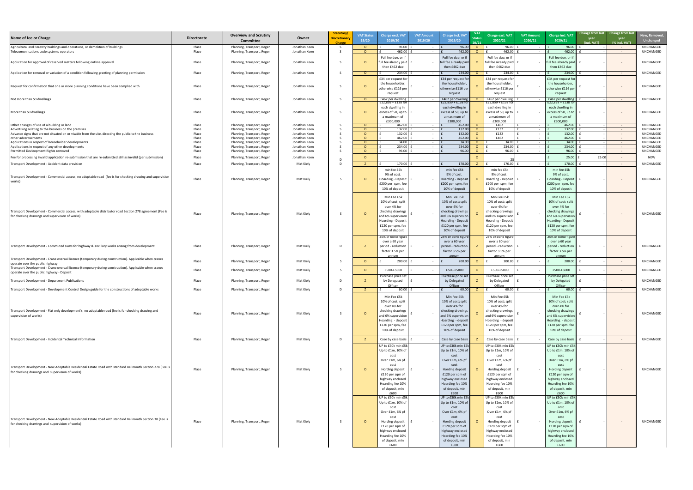| New, Removed,<br><b>Unchanged</b> |
|-----------------------------------|
| UNCHANGED                         |
| UNCHANGED                         |
| UNCHANGED                         |
| UNCHANGED                         |
| UNCHANGED                         |
| UNCHANGED                         |
| UNCHANGED                         |
|                                   |
| UNCHANGED<br>UNCHANGED            |
| UNCHANGED                         |
| UNCHANGED                         |
| UNCHANGED<br>UNCHANGED            |
| <b>UNCHANGED</b>                  |
| <b>NEW</b>                        |
| UNCHANGED                         |
|                                   |
| <b>UNCHANGED</b>                  |
| UNCHANGED                         |
|                                   |
| UNCHANGED                         |
| UNCHANGED                         |
| UNCHANGED                         |
| UNCHANGED                         |
| UNCHANGED                         |
|                                   |
| UNCHANGED                         |
| UNCHANGED                         |
| UNCHANGED                         |
| UNCHANGED                         |

| Name of fee or Charge                                                                                                                                         | <b>Directorate</b> | <b>Overview and Scrutiny</b><br><b>Committee</b>         | Owner                          | Statutory/<br><b>Discretionar</b><br><b>Charge</b> | <b>VAT Status</b><br>19/20 | <b>Charge excl. VAT</b><br>2019/20       | <b>VAT Amount</b><br>2019/20 | <b>Charge incl. VAT</b><br>2019/20      | <b>VAT</b><br><b>Status</b><br>20/21 | Charge excl. VAT<br>2020/21              | <b>VAT Amount</b><br>2020/21 | Charge incl. VAT<br>2020/21             | Change from last Change from last<br>year<br>year<br>(incl. VAT)<br>(% incl. VAT) | New, Remove<br><b>Unchanged</b> |
|---------------------------------------------------------------------------------------------------------------------------------------------------------------|--------------------|----------------------------------------------------------|--------------------------------|----------------------------------------------------|----------------------------|------------------------------------------|------------------------------|-----------------------------------------|--------------------------------------|------------------------------------------|------------------------------|-----------------------------------------|-----------------------------------------------------------------------------------|---------------------------------|
| Agricultural and Forestry buildings and operations, or demolition of buildings                                                                                | Place              | Planning, Transport, Regen                               | Jonathan Keen                  |                                                    | റ<br>$\cap$                | 96.00<br>462.00                          |                              | 96.00                                   | $\circ$                              | 96.00<br>462.00                          |                              | 96.00                                   | $\sim 100$                                                                        | <b>UNCHANGED</b>                |
| Telecomuniications code systems operators                                                                                                                     | Place              | Planning, Transport, Regen                               | Jonathan Keen                  |                                                    |                            | Full fee due, or if                      |                              | 462.00<br>Full fee due, or if           | - 0                                  | Full fee due, or if                      |                              | 462.00<br>Full fee due, or if           | $\sim 100$                                                                        | UNCHANGED                       |
| Application for approval of reserved matters following outline approval                                                                                       | Place              | Planning, Transport, Regen                               | Jonathan Keen                  |                                                    |                            | full fee already paid   1                |                              | full fee already paid                   |                                      | full fee already paid                    |                              | full fee already paid                   | $\sim$ $ \sim$                                                                    | UNCHANGED                       |
|                                                                                                                                                               |                    |                                                          |                                |                                                    |                            | then £462 due                            |                              | then £462 due                           |                                      | then £462 due                            |                              | then £462 due                           |                                                                                   |                                 |
| Application for removal or variation of a condition following granting of planning permission                                                                 | Place              | Planning, Transport, Regen                               | Jonathan Keen                  |                                                    | $\Omega$                   | 234.00<br>£34 per request for            | $\sim$ 100 $\sim$            | 234.00<br>£34 per request fo            | $\Omega$                             | 234.00<br>£34 per request for            | <b>Contract Contract</b>     | 234.00<br>£34 per request fo            | $\sim$ $ \sim$                                                                    | UNCHANGED                       |
| Request for confirmation that one or more planning conditions have been complied with                                                                         | Place              | Planning, Transport, Regen                               | Jonathan Keen                  |                                                    |                            | the householder,                         |                              | the householder                         |                                      | the householder,                         |                              | the householder                         | $\sim$ $ \sim$                                                                    | UNCHANGED                       |
|                                                                                                                                                               |                    |                                                          |                                |                                                    |                            | otherwise £116 per<br>reguest            |                              | otherwise £116 per<br>request           |                                      | otherwise £116 per<br>reguest            |                              | otherwise £116 per<br>request           |                                                                                   |                                 |
| Not more than 50 dwellings                                                                                                                                    | Place              | Planning, Transport, Regen                               | Jonathan Keen                  |                                                    |                            | £462 per dwelling                        |                              | £462 per dwelling                       |                                      | £462 per dwelling                        |                              | £462 per dwelling                       | $\sim$ $ \sim$                                                                    | UNCHANGED                       |
|                                                                                                                                                               |                    |                                                          |                                |                                                    |                            | $E22,859 + E138$ for<br>each dwelling in |                              | $£22,859 + £138$ fc<br>each dwelling in |                                      | $£22,859 + £138$ for<br>each dwelling in |                              | $£22,859 + £138$ fo<br>each dwelling in |                                                                                   |                                 |
| More than 50 dwellings                                                                                                                                        | Place              | Planning, Transport, Regen                               | Jonathan Keen                  |                                                    |                            | excess of 50, up to $\vert$ f            |                              | excess of 50, up to                     |                                      | excess of 50, up to                      |                              | excess of 50, up to                     | $\sim$ $ \sim$                                                                    | UNCHANGED                       |
|                                                                                                                                                               |                    |                                                          |                                |                                                    |                            | a maximum of<br>£300,000                 |                              | a maximum of<br>£300.000                |                                      | a maximum of<br>£300.000                 |                              | a maximum of<br>£300,000                |                                                                                   |                                 |
| Other changes of use of a building or land                                                                                                                    | Place              | Planning, Transport, Regen                               | Jonathan Keen                  |                                                    | $\cap$                     | 462.00                                   | $\sim$ $-$                   | 462.00                                  | $\overline{O}$                       | £462                                     |                              | 462.00                                  | $\sim$ $ \sim$                                                                    | <b>UNCHANGED</b>                |
| Advertising relating to the business on the premises<br>Advance signs that are not situated on or visable from the site, directing the public to the business | Place<br>Place     | Planning, Transport, Regen<br>Planning, Transport, Regen | Jonathan Keen<br>Jonathan Keen |                                                    | $\Omega$<br>$\Omega$       | 132.00<br>$132.00$   1                   | $\sim$<br>$\sim$             | 132.00<br>132.00                        | $\Omega$                             | £132<br>£132                             |                              | 132.00<br>132.00                        | $\sim 100$ m $^{-1}$<br>$\sim 100$ m $^{-1}$                                      | <b>UNCHANGED</b><br>UNCHANGED   |
| other advertisements                                                                                                                                          | Place              | Planning, Transport, Regen                               | Jonathan Keen                  |                                                    | റ                          | 462.00                                   |                              | 462.00                                  | $\Omega$                             | £462                                     |                              | 462.00                                  | $\sim$ $ \sim$                                                                    | <b>UNCHANGED</b>                |
| Applications in respect of householder developments                                                                                                           | Place              | Planning, Transport, Regen                               | Jonathan Keen                  |                                                    | $\cap$                     | 34.00                                    | $\sim$                       | 34.00                                   | $\Omega$                             | 34.00                                    |                              | 34.00                                   | $\sim 100$ m $^{-1}$                                                              | <b>UNCHANGED</b>                |
| Applications in respect of any other developments                                                                                                             | Place              | Planning, Transport, Regen                               | Jonathan Keen                  |                                                    | $\cap$                     | 234.00                                   | $\sim$                       | 234.00                                  | $\Omega$                             | 234.00                                   |                              | 234.00                                  | $\sim 100$ m $^{-1}$                                                              | UNCHANGED                       |
| Permitted Devleopment Rights removed                                                                                                                          | Place              | Planning, Transport, Regen                               | Jonathan Keen                  |                                                    | $\Omega$                   | 96.00                                    | $\sim$                       | 96.00                                   | - റ                                  | 96.00                                    |                              | 96.00                                   | $\sim$ $ \sim$                                                                    | UNCHANGED                       |
| [Fee for processing invalid application re-submission that are re-submitted still as invalid (per submission)                                                 | Place              | Planning, Transport, Regen                               | Jonathan Keen                  |                                                    | $\cap$                     |                                          |                              |                                         |                                      |                                          |                              | 25.00                                   | 25.00                                                                             | NEW                             |
| Transport Development - Accident data provision                                                                                                               | Place              | Planning, Transport, Regen                               | Mat Kiely                      | $\Gamma$                                           |                            | 170.00                                   | $\sim$ $ \sim$               | 170.00                                  |                                      | 170.00                                   |                              | 170.00                                  | $\sim$ $ \sim$                                                                    | UNCHANGED                       |
|                                                                                                                                                               |                    |                                                          |                                |                                                    |                            | min fee £5k                              |                              | min fee £5k                             |                                      | min fee £5k                              |                              | min fee £5k                             |                                                                                   |                                 |
|                                                                                                                                                               |                    |                                                          |                                |                                                    |                            | 9% of cost.                              |                              | 9% of cost                              |                                      | 9% of cost.                              |                              | 9% of cost.                             |                                                                                   |                                 |
| Transport Development - Commercial access; no adoptable road (fee is for checking drawing and supervision<br>works)                                           | Place              | Planning, Transport, Regen                               | Mat Kiely                      |                                                    |                            | Hoarding - Deposit   f                   |                              | Hoarding - Deposit                      |                                      | Hoarding - Deposit                       |                              | Hoarding - Deposit                      | $\sim$ $ \sim$                                                                    | UNCHANGED                       |
|                                                                                                                                                               |                    |                                                          |                                |                                                    |                            | £200 per spm, fee                        |                              | £200 per spm, fee                       |                                      | £200 per spm, fee                        |                              | £200 per spm, fee                       |                                                                                   |                                 |
|                                                                                                                                                               |                    |                                                          |                                |                                                    |                            | 10% of deposit                           |                              | 10% of deposit                          |                                      | 10% of deposit                           |                              | 10% of deposit                          |                                                                                   |                                 |
|                                                                                                                                                               |                    |                                                          |                                |                                                    |                            | Min Fee £5k                              |                              | Min Fee £5k                             |                                      | Min Fee £5k                              |                              | Min Fee £5k                             |                                                                                   |                                 |
|                                                                                                                                                               |                    |                                                          |                                |                                                    |                            | 10% of cost; split                       |                              | 10% of cost; split                      |                                      | 10% of cost; split                       |                              | 10% of cost; split                      |                                                                                   |                                 |
|                                                                                                                                                               |                    |                                                          |                                |                                                    |                            | over 4% for                              |                              | over 4% for                             |                                      | over 4% for                              |                              | over 4% for                             |                                                                                   |                                 |
| Transport Development - Commercial access; with adoptable distributor road Section 278 agreement (Fee is                                                      |                    |                                                          |                                |                                                    |                            | checking drawings                        |                              | checking drawings                       |                                      | checking drawings                        |                              | checking drawings                       |                                                                                   |                                 |
| for checking drawings and supervision of works)                                                                                                               | Place              | Planning, Transport, Regen                               | Mat Kiely                      |                                                    |                            | and 6% supervision                       |                              | and 6% supervision                      |                                      | and 6% supervision                       |                              | and 6% supervision                      | $\sim$ $ \sim$                                                                    | UNCHANGED                       |
|                                                                                                                                                               |                    |                                                          |                                |                                                    |                            | Hoarding - Deposit                       |                              | Hoarding - Deposit                      |                                      | Hoarding - Deposit                       |                              | Hoarding - Deposit                      |                                                                                   |                                 |
|                                                                                                                                                               |                    |                                                          |                                |                                                    |                            | £120 per spm, fee                        |                              | £120 per spm, fee                       |                                      | £120 per spm, fee                        |                              | £120 per spm, fee                       |                                                                                   |                                 |
|                                                                                                                                                               |                    |                                                          |                                |                                                    |                            | 10% of deposit                           |                              | 10% of deposit                          |                                      | 10% of deposit                           |                              | 10% of deposit                          |                                                                                   |                                 |
|                                                                                                                                                               |                    |                                                          |                                |                                                    |                            | 25% of bond figure                       |                              | 25% of bond figure                      |                                      | 25% of bond figure                       |                              | 25% of bond figure                      |                                                                                   |                                 |
|                                                                                                                                                               |                    |                                                          |                                |                                                    |                            | over a 60 year                           |                              | over a 60 year                          |                                      | over a 60 year                           |                              | over a 60 year                          |                                                                                   |                                 |
| Transport Development - Commuted sums for highway & ancillary works arising from development                                                                  | Place              | Planning, Transport, Regen                               | Mat Kiely                      |                                                    |                            | period - reduction                       |                              | period - reduction                      |                                      | period - reduction                       |                              | period - reduction                      | $\sim$ $ \sim$                                                                    | UNCHANGED                       |
|                                                                                                                                                               |                    |                                                          |                                |                                                    |                            | factor 3.5% per                          |                              | factor 3.5% per                         |                                      | factor 3.5% per                          |                              | factor 3.5% per                         |                                                                                   |                                 |
| Transport Development - Crane oversail licence (temporary during construction). Applicable when cranes                                                        |                    |                                                          |                                |                                                    |                            |                                          |                              | annum                                   |                                      | annum                                    |                              | annum                                   |                                                                                   | <b>UNCHANGED</b>                |
| operate over the public highway                                                                                                                               | Place              | Planning, Transport, Regen                               | Mat Kiely                      |                                                    |                            | $200.00$ f                               | $\sim$ $-$                   | 200.00                                  | $\Omega$                             | 200.00                                   |                              | 200.00                                  | $\sim$ $ \sim$                                                                    |                                 |
| Transport Development - Crane oversail licence (temporary during construction). Applicable when cranes<br>operate over the public highway - Deposit           | Place              | Planning, Transport, Regen                               | Mat Kiely                      |                                                    |                            | £500-£5000                               |                              | £500-£5000                              |                                      | £500-£5000                               |                              | £500-£5000                              | $\sim$ $ \sim$                                                                    | <b>UNCHANGED</b>                |
|                                                                                                                                                               |                    |                                                          |                                |                                                    |                            | Purchase price set                       |                              | Purchase price set                      |                                      | Purchase price set                       |                              | Purchase price set                      |                                                                                   |                                 |
| Transport Development - Department Publications                                                                                                               | Place              | Planning, Transport, Regen                               | Mat Kiely                      |                                                    |                            | by Delegated                             |                              | by Delegated                            |                                      | by Delegated                             |                              | by Delegated                            | $\sim$ $ \sim$                                                                    | UNCHANGED                       |
|                                                                                                                                                               |                    |                                                          |                                |                                                    |                            | Officer                                  |                              | Officer                                 |                                      | Officer                                  |                              | Officer                                 |                                                                                   |                                 |
| Transport Development - Development Control Design guide for the constructions of adoptable works                                                             | Place              | Planning, Transport, Regen                               | Mat Kiely                      | D                                                  |                            | 60.00                                    | $\sim$ $ \sim$               | 60.00                                   | $Z \Box$                             | 60.00                                    |                              | 60.00                                   | $\sim$ $ \sim$                                                                    | <b>UNCHANGED</b>                |
|                                                                                                                                                               |                    |                                                          |                                |                                                    |                            | Min Fee £5k                              |                              | Min Fee £5k                             |                                      | Min Fee £5k                              |                              | Min Fee £5k                             |                                                                                   |                                 |
|                                                                                                                                                               |                    |                                                          |                                |                                                    |                            | 10% of cost; split                       |                              | 10% of cost; split                      |                                      | 10% of cost; split                       |                              | 10% of cost; split                      |                                                                                   |                                 |
|                                                                                                                                                               |                    |                                                          |                                |                                                    |                            | over 4% for                              |                              | over 4% for                             |                                      | over 4% for                              |                              | over 4% for                             |                                                                                   |                                 |
| Transport Development - Flat only development's; no adoptable road (fee is for checking drawing and                                                           | Place              | Planning, Transport, Regen                               | Mat Kiely                      |                                                    |                            | checking drawings                        |                              | checking drawings                       |                                      | checking drawings                        |                              | checking drawings                       | $\sim$ $ \sim$                                                                    | <b>UNCHANGED</b>                |
| supervision of works)                                                                                                                                         |                    |                                                          |                                |                                                    |                            | and 6% supervision                       |                              | and 6% supervision                      |                                      | and 6% supervision                       |                              | and 6% supervision                      |                                                                                   |                                 |
|                                                                                                                                                               |                    |                                                          |                                |                                                    |                            | Hoarding - deposit<br>£120 per spm, fee  |                              | Hoarding - deposit<br>£120 per spm, fee |                                      | Hoarding - deposit<br>£120 per spm, fee  |                              | Hoarding - deposit<br>£120 per spm, fee |                                                                                   |                                 |
|                                                                                                                                                               |                    |                                                          |                                |                                                    |                            | 10% of deposit                           |                              | 10% of deposit                          |                                      | 10% of deposit                           |                              | 10% of deposit                          |                                                                                   |                                 |
|                                                                                                                                                               |                    |                                                          |                                |                                                    |                            |                                          |                              |                                         |                                      |                                          |                              |                                         |                                                                                   |                                 |
| Transport Development - Incidental Technical Information                                                                                                      | Place              | Planning, Transport, Regen                               | Mat Kiely                      |                                                    |                            | Case by case basis $\vert$ i             |                              | Case by case basis                      |                                      | Case by case basis                       |                              | Case by case basis                      | $\sim$ $ \sim$                                                                    | UNCHANGED                       |
|                                                                                                                                                               |                    |                                                          |                                |                                                    |                            | UP to £30k min £5k                       |                              | UP to £30k min £5k                      |                                      | UP to £30k min £5k                       |                              | UP to £30k min £5k                      |                                                                                   |                                 |
|                                                                                                                                                               |                    |                                                          |                                |                                                    |                            | Up to £1m, 10% of                        |                              | Up to £1m, 10% of                       |                                      | Up to £1m, 10% of                        |                              | Up to £1m, 10% of                       |                                                                                   |                                 |
|                                                                                                                                                               |                    |                                                          |                                |                                                    |                            | cost                                     |                              | cost                                    |                                      | cost                                     |                              | cost                                    |                                                                                   |                                 |
|                                                                                                                                                               |                    |                                                          |                                |                                                    |                            | Over £1m, 6% pf                          |                              | Over £1m, 6% pf                         |                                      | Over £1m, 6% pf                          |                              | Over £1m, 6% pf                         |                                                                                   |                                 |
| Transport Development - New Adoptable Residential Estate Road with standard Bellmouth Section 278 (Fee is                                                     |                    |                                                          |                                |                                                    |                            | cost                                     |                              | cost                                    |                                      | cost                                     |                              | cost                                    |                                                                                   |                                 |
| for checking drawings and supervision of works)                                                                                                               | Place              | Planning, Transport, Regen                               | Mat Kiely                      |                                                    | $\Omega$                   | Hording deposit   £<br>£120 per sqm of   |                              | Hording deposit<br>£120 per sqm of      |                                      | Hording deposit<br>£120 per sqm of       |                              | Hording deposit<br>£120 per sqm of      | $\sim$ $ \sim$                                                                    | UNCHANGED                       |
|                                                                                                                                                               |                    |                                                          |                                |                                                    |                            | highway enclosed                         |                              | highway enclosed                        |                                      | highway enclosed                         |                              | highway enclosed                        |                                                                                   |                                 |
|                                                                                                                                                               |                    |                                                          |                                |                                                    |                            | Hoarding fee 10%                         |                              | Hoarding fee 10%                        |                                      | Hoarding fee 10%                         |                              | Hoarding fee 10%                        |                                                                                   |                                 |
|                                                                                                                                                               |                    |                                                          |                                |                                                    |                            | of deposit, min                          |                              | of deposit, min                         |                                      | of deposit, min                          |                              | of deposit, min                         |                                                                                   |                                 |
|                                                                                                                                                               |                    |                                                          |                                |                                                    |                            | £600                                     |                              | £600                                    |                                      | £600                                     |                              | £600                                    |                                                                                   |                                 |
|                                                                                                                                                               |                    |                                                          |                                |                                                    |                            | UP to £30k min £5k                       |                              | UP to £30k min £5k                      |                                      | UP to £30k min £5k                       |                              | UP to £30k min £5k                      |                                                                                   |                                 |
|                                                                                                                                                               |                    |                                                          |                                |                                                    |                            | Up to £1m, 10% of                        |                              | Up to £1m, 10% of                       |                                      | Up to $f1m$ , 10% of                     |                              | Up to £1m, 10% of                       |                                                                                   |                                 |
|                                                                                                                                                               |                    |                                                          |                                |                                                    |                            | cost                                     |                              | cost                                    |                                      | cost                                     |                              | cost                                    |                                                                                   |                                 |
|                                                                                                                                                               |                    |                                                          |                                |                                                    |                            | Over £1m, 6% pf                          |                              | Over £1m, 6% pf                         |                                      | Over £1m, 6% pf                          |                              | Over £1m, 6% pf                         |                                                                                   |                                 |
| Transport Development - New Adoptable Residential Estate Road with standard Bellmouth Section 38 (Fee is                                                      | Place              | Planning, Transport, Regen                               | Mat Kiely                      |                                                    | - റ                        | cost<br>Hording deposit   £              | $\sim 100$                   | cost<br>Hording deposit                 |                                      | cost<br>Hording deposit                  |                              | cost<br>Hording deposit                 | $\sim$ $ \sim$                                                                    | UNCHANGED                       |
| for checking drawings and supervision of works)                                                                                                               |                    |                                                          |                                |                                                    |                            | £120 per sqm of                          |                              | £120 per sqm of                         |                                      | £120 per sqm of                          |                              | £120 per sqm of                         |                                                                                   |                                 |
|                                                                                                                                                               |                    |                                                          |                                |                                                    |                            | highway enclosed                         |                              | highway enclosed                        |                                      | highway enclosed                         |                              | highway enclosed                        |                                                                                   |                                 |
|                                                                                                                                                               |                    |                                                          |                                |                                                    |                            | Hoarding fee 10%                         |                              | Hoarding fee 10%                        |                                      | Hoarding fee 10%                         |                              | Hoarding fee 10%                        |                                                                                   |                                 |
|                                                                                                                                                               |                    |                                                          |                                |                                                    |                            | of deposit, min                          |                              | of deposit, min                         |                                      | of deposit, min                          |                              | of deposit, min                         |                                                                                   |                                 |
|                                                                                                                                                               |                    |                                                          |                                |                                                    |                            | £600                                     |                              | £600                                    |                                      | £600                                     |                              | £600                                    |                                                                                   |                                 |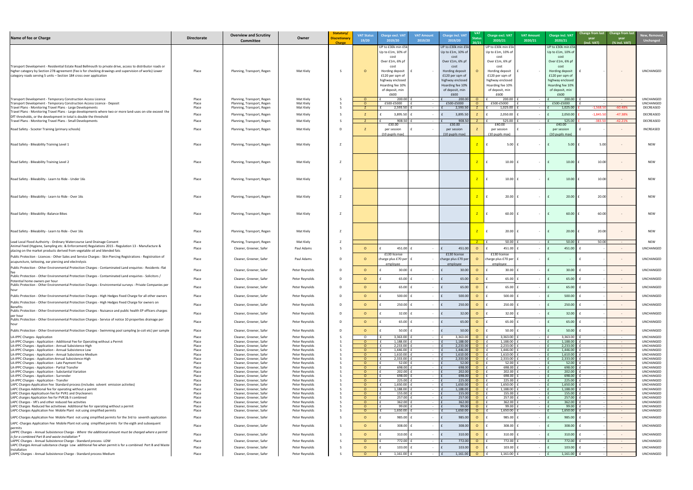| t | New, Removed,<br><b>Unchanged</b>                                                                                    |  |
|---|----------------------------------------------------------------------------------------------------------------------|--|
|   | <b>UNCHANGED</b>                                                                                                     |  |
|   | <b>UNCHANGED</b><br><b>UNCHANGED</b><br>DECREASED<br><b>DECREASED</b><br><b>DECREASED</b><br><b>INCREASED</b>        |  |
|   | <b>NEW</b>                                                                                                           |  |
|   | <b>NEW</b>                                                                                                           |  |
|   | <b>NEW</b>                                                                                                           |  |
|   | <b>NEW</b>                                                                                                           |  |
|   | <b>NEW</b>                                                                                                           |  |
|   | <b>NEW</b><br><b>NEW</b>                                                                                             |  |
|   | <b>UNCHANGED</b><br><b>UNCHANGED</b>                                                                                 |  |
|   | <b>UNCHANGED</b>                                                                                                     |  |
|   | UNCHANGED<br>UNCHANGED                                                                                               |  |
|   | <b>UNCHANGED</b><br><b>UNCHANGED</b>                                                                                 |  |
|   | <b>UNCHANGED</b><br><b>UNCHANGED</b>                                                                                 |  |
|   | <b>UNCHANGED</b><br>UNCHANGED<br>UNCHANGED<br>UNCHANGED<br><b>UNCHANGED</b><br><b>UNCHANGED</b>                      |  |
|   | <b>UNCHANGED</b><br><b>UNCHANGED</b><br><b>UNCHANGED</b><br><b>UNCHANGED</b><br><b>UNCHANGED</b><br><b>UNCHANGED</b> |  |
|   | <b>UNCHANGED</b><br><b>UNCHANGED</b><br>UNCHANGED<br>UNCHANGED<br>UNCHANGED<br>UNCHANGED                             |  |
|   | <b>UNCHANGED</b><br>UNCHANGED<br>UNCHANGED                                                                           |  |
|   | UNCHANGED<br><b>UNCHANGED</b><br><b>UNCHANGED</b><br><b>UNCHANGED</b>                                                |  |

| Name of fee or Charge                                                                                                                                                                                                | <b>Directorate</b> | <b>Overview and Scrutiny</b><br><b>Committee</b>         | Owner                            | Statutory/<br><b>Discretionary</b><br><b>Charge</b> | <b>VAT Status</b><br>19/20 | <b>Charge excl. VAT</b><br>2019/20      | <b>VAT Amount</b><br>2019/20 | <b>Charge incl. VAT</b><br>2019/20  | <b>VAT</b><br>20/21 | Charge excl. VAT<br>2020/21             | <b>VAT Amount</b><br>2020/21 | <b>Charge incl. VAT</b><br>2020/21  | Change from last Change from last<br>year<br>(incl. VAT) | year<br>(% incl. VAT)              | New, Remove<br><b>Unchanged</b> |
|----------------------------------------------------------------------------------------------------------------------------------------------------------------------------------------------------------------------|--------------------|----------------------------------------------------------|----------------------------------|-----------------------------------------------------|----------------------------|-----------------------------------------|------------------------------|-------------------------------------|---------------------|-----------------------------------------|------------------------------|-------------------------------------|----------------------------------------------------------|------------------------------------|---------------------------------|
|                                                                                                                                                                                                                      |                    |                                                          |                                  |                                                     |                            | UP to £30k min £5k                      |                              | UP to £30k min £5k                  |                     | UP to £30k min £5k                      |                              | UP to £30k min £5k                  |                                                          |                                    |                                 |
|                                                                                                                                                                                                                      |                    |                                                          |                                  |                                                     |                            | Up to £1m, 10% of<br>cost               |                              | Up to £1m, 10% of<br>cost           |                     | Up to $£1m$ , 10% of<br>cost            |                              | Up to £1m, 10% of<br>cost           |                                                          |                                    |                                 |
|                                                                                                                                                                                                                      |                    |                                                          |                                  |                                                     |                            | Over £1m, 6% pf                         |                              | Over £1m, 6% pf                     |                     | Over £1m, 6% pf                         |                              | Over £1m, 6% pf                     |                                                          |                                    |                                 |
| Transport Development - Residential Estate Road Bellmouth to private drive, access to distributor roads or<br>higher category by Section 278 agreement (Fee is for checking drawings and supervision of works) Lower | Place              |                                                          | Mat Kiely                        |                                                     | $\Omega$                   | cost<br>Hording deposit $\parallel$ f   |                              | cost<br>Hording deposit             |                     | cost<br>Hording deposit                 |                              | cost<br>Hording deposit             |                                                          |                                    | UNCHANGED                       |
| category roads serving 5 units - Section 184 cross over application                                                                                                                                                  |                    | Planning, Transport, Regen                               |                                  |                                                     |                            | £120 per sqm of                         |                              | £120 per sqm of                     |                     | £120 per sqm of                         |                              | £120 per sqm of                     |                                                          | $\sim$ $ \sim$                     |                                 |
|                                                                                                                                                                                                                      |                    |                                                          |                                  |                                                     |                            | highway enclosed                        |                              | highway enclosed                    |                     | highway enclosed                        |                              | highway enclosed                    |                                                          |                                    |                                 |
|                                                                                                                                                                                                                      |                    |                                                          |                                  |                                                     |                            | Hoarding fee 10%<br>of deposit, min     |                              | Hoarding fee 10%<br>of deposit, min |                     | Hoarding fee 10%<br>of deposit, min     |                              | Hoarding fee 10%<br>of deposit, min |                                                          |                                    |                                 |
|                                                                                                                                                                                                                      |                    |                                                          |                                  |                                                     |                            | £600                                    |                              | £600                                |                     | £600                                    |                              | £600                                |                                                          |                                    |                                 |
| Transport Development - Temporary Construction Access Licence                                                                                                                                                        | Place              | Planning, Transport, Regen                               | Mat Kiely                        |                                                     | $\Omega$                   | $200.00$   1                            | $\sim$                       | 200.00                              | $\overline{O}$      | 200.00                                  |                              | 200.00                              |                                                          | $\sim$ $ \sim$                     | <b>UNCHANGED</b>                |
| Transport Development - Temporary Construction Access Licence - Deposit<br>Travel Plans - Monitoring Travel Plans - Large Developments                                                                               | Place<br>Place     | Planning, Transport, Regen<br>Planning, Transport, Regen | Mat Kiely<br>Mat Kiely           |                                                     | $\Omega$                   | £500-£5000<br>2,593.50                  | $\sim$                       | £500-£5000<br>2,593.50              |                     | £500-£5000<br>1,025.00                  |                              | £500-£5000<br>1,025.00              | $-1,568.50$                                              | $\sim 100$ m $^{-1}$<br>$-60.48%$  | <b>UNCHANGED</b><br>DECREASED   |
| Travel Plans - Monitoring Travel Plans - Large developments where two or more land-uses on-site exceed the                                                                                                           | Place              | Planning, Transport, Regen                               | Mat Kiely                        |                                                     |                            | 3,895.50                                | $\sim$                       | 3,895.50                            |                     | 2,050.00                                |                              | 2,050.00                            | $-1,845.50$                                              | $-47.38%$                          | DECREASED                       |
| DfT thresholds, or the development in total is double the threshold<br>Travel Plans - Monitoring Travel Plans - Small Developments                                                                                   | Place              | Planning, Transport, Regen                               | Mat Kiely                        |                                                     |                            | 908.50                                  | $\sim 100$                   | 908.50                              |                     | 525.00                                  | $\sim$ $-$                   | 525.00                              | $-383.5$                                                 | $-42.21%$                          | DECREASED                       |
|                                                                                                                                                                                                                      |                    |                                                          |                                  |                                                     |                            | £30.00                                  |                              | £30.00                              |                     | £40.00                                  |                              | £40.00                              |                                                          |                                    |                                 |
| Road Safety - Scooter Training (primary schools)                                                                                                                                                                     | Place              | Planning, Transport, Regen                               | Mat Kiely                        |                                                     |                            | per session                             |                              | per session                         |                     | per session                             |                              | per session                         |                                                          | $\sim$                             | INCREASED                       |
|                                                                                                                                                                                                                      |                    |                                                          |                                  |                                                     |                            | (10 pupils max)                         |                              | (10 pupils max)                     |                     | $(10 \text{ pupils max})$               |                              | (10 pupils max)                     |                                                          |                                    |                                 |
| Road Safety - Bikeability Training Level 1                                                                                                                                                                           | Place              | Planning, Transport, Regen                               | Mat Kiely                        |                                                     |                            |                                         |                              |                                     |                     | 5.00                                    |                              | 5.00                                | 5.00                                                     |                                    | <b>NEW</b>                      |
|                                                                                                                                                                                                                      |                    |                                                          |                                  |                                                     |                            |                                         |                              |                                     |                     |                                         |                              |                                     |                                                          |                                    |                                 |
|                                                                                                                                                                                                                      |                    |                                                          |                                  |                                                     |                            |                                         |                              |                                     |                     |                                         |                              |                                     |                                                          |                                    |                                 |
| Road Safety - Bikeability Training Level 2                                                                                                                                                                           | Place              | Planning, Transport, Regen                               | Mat Kiely                        |                                                     |                            |                                         |                              |                                     |                     | 10.00                                   |                              | 10.00                               | 10.00                                                    |                                    | <b>NEW</b>                      |
|                                                                                                                                                                                                                      |                    |                                                          |                                  |                                                     |                            |                                         |                              |                                     |                     |                                         |                              |                                     |                                                          |                                    |                                 |
|                                                                                                                                                                                                                      |                    |                                                          |                                  |                                                     |                            |                                         |                              |                                     |                     |                                         |                              |                                     |                                                          |                                    |                                 |
| Road Safety - Bikeability - Learn to Ride - Under 16s                                                                                                                                                                | Place              | Planning, Transport, Regen                               | Mat Kiely                        |                                                     |                            |                                         |                              |                                     |                     | 10.00                                   |                              | 10.00                               | 10.00                                                    |                                    | <b>NEW</b>                      |
|                                                                                                                                                                                                                      |                    |                                                          |                                  |                                                     |                            |                                         |                              |                                     |                     |                                         |                              |                                     |                                                          |                                    |                                 |
| Road Safety - Bikeability - Learn to Ride - Over 16s                                                                                                                                                                 | Place              | Planning, Transport, Regen                               | Mat Kiely                        |                                                     |                            |                                         |                              |                                     |                     | 20.00                                   |                              | 20.00                               | 20.00                                                    |                                    | <b>NEW</b>                      |
|                                                                                                                                                                                                                      |                    |                                                          |                                  |                                                     |                            |                                         |                              |                                     |                     |                                         |                              |                                     |                                                          |                                    |                                 |
|                                                                                                                                                                                                                      |                    |                                                          |                                  |                                                     |                            |                                         |                              |                                     |                     |                                         |                              |                                     |                                                          |                                    |                                 |
| Road Safety - Bikeability - Balance Bikes                                                                                                                                                                            | Place              | Planning, Transport, Regen                               | Mat Kiely                        |                                                     |                            |                                         |                              |                                     |                     | 60.00                                   |                              | 60.00                               | 60.00                                                    |                                    | <b>NEW</b>                      |
|                                                                                                                                                                                                                      |                    |                                                          |                                  |                                                     |                            |                                         |                              |                                     |                     |                                         |                              |                                     |                                                          |                                    |                                 |
|                                                                                                                                                                                                                      |                    |                                                          |                                  |                                                     |                            |                                         |                              |                                     |                     |                                         |                              |                                     |                                                          |                                    |                                 |
| Road Safety - Bikeability - Learn to Ride - Over 16s                                                                                                                                                                 | Place              | Planning, Transport, Regen                               | Mat Kiely                        |                                                     |                            |                                         |                              |                                     |                     | 20.00                                   |                              | 20.00                               | 20.00                                                    |                                    | <b>NEW</b>                      |
|                                                                                                                                                                                                                      |                    |                                                          |                                  |                                                     |                            |                                         |                              |                                     |                     |                                         |                              |                                     |                                                          |                                    |                                 |
| Lead Local Flood Authoirty - Ordinary Watercourse Land Drainage Consent<br>Animal Feed (Hygiene, Sampling etc. & Enforcement) Regulations 2015 - Regulation 13 - Manufacture &                                       | Place              | Planning, Transport, Regen                               | Mat Kiely                        |                                                     |                            |                                         |                              |                                     |                     | 50.00                                   |                              | 50.00                               | 50.00                                                    | $\sim$ $ \sim$                     | <b>NEW</b>                      |
| placing on the market products derived from vegetable oil and blended fats                                                                                                                                           | Place              | Cleaner, Greener, Safer                                  | Paul Adams                       |                                                     | $\Omega$                   | $451.00$ f                              |                              | 451.00                              | $\Omega$            | 451.00                                  |                              | 451.00                              |                                                          | $\sim$ $ \sim$                     | UNCHANGED                       |
| Public Protection - Licences - Other Sales and Service Charges - Skin Piercing Registrations - Registration of                                                                                                       | Place              | Cleaner, Greener, Safer                                  | Paul Adams                       |                                                     |                            | £130 license<br>charge plus £70 per   £ |                              | £130 license<br>charge plus £70 per |                     | £130 license<br>charge plus £70 per   £ |                              |                                     |                                                          |                                    | UNCHANGED                       |
| acupuncture, tattooing, ear piercing and electrolysis                                                                                                                                                                |                    |                                                          |                                  |                                                     |                            | employee                                |                              | employee                            |                     | employee                                |                              |                                     |                                                          |                                    |                                 |
| Public Protection - Other Environmental Protection Charges - Contaminated Land enquiries - Residents -flat                                                                                                           | Place              | Cleaner, Greener, Safer                                  | Peter Reynolds                   |                                                     | $\Omega$                   | $30.00$   1                             |                              | 30.00                               |                     | 30.00                                   |                              | 30.00                               |                                                          | $\sim$ $-$                         | UNCHANGED                       |
| Public Protection - Other Environmental Protection Charges - Contaminated Land enquiries - Solicitors /                                                                                                              |                    |                                                          |                                  |                                                     |                            |                                         |                              |                                     |                     |                                         |                              |                                     |                                                          |                                    |                                 |
| Potential home owners per hour                                                                                                                                                                                       | Place              | Cleaner, Greener, Safer                                  | Peter Reynolds                   |                                                     | $\Omega$                   | $65.00$ f                               |                              | 65.00                               |                     | 65.00                                   |                              | 65.00                               |                                                          | $\sim$ $ \sim$                     | UNCHANGED                       |
| Public Protection - Other Environmental Protection Charges - Environmental surveys - Private Companies per<br>hour                                                                                                   | Place              | Cleaner, Greener, Safer                                  | Peter Reynolds                   |                                                     | $\Omega$                   | $65.00$   1                             |                              | 65.00                               |                     | 65.00                                   |                              | 65.00                               |                                                          | $\sim$ $ \sim$                     | <b>UNCHANGED</b>                |
| Public Protection - Other Environmental Protection Charges - High Hedges Fixed Charge for all other owners                                                                                                           | Place              | Cleaner, Greener, Safer                                  | Peter Reynolds                   |                                                     |                            | $500.00$ f                              |                              | 500.00                              |                     | 500.00                                  |                              | 500.00                              |                                                          | $\sim$ $ \sim$                     | UNCHANGED                       |
| Public Protection - Other Environmental Protection Charges - High Hedges Fixed Charge for owners on                                                                                                                  |                    |                                                          |                                  |                                                     |                            |                                         |                              |                                     |                     |                                         |                              |                                     |                                                          |                                    |                                 |
| Benefits                                                                                                                                                                                                             | Place              | Cleaner, Greener, Safer                                  | Peter Reynolds                   |                                                     |                            | $250.00$ f                              |                              | 250.00                              |                     | 250.00                                  |                              | 250.00                              |                                                          | $\sim$ $ \sim$                     | UNCHANGED                       |
| Public Protection - Other Environmental Protection Charges - Nuisance and public health EP officers charges<br>per hour                                                                                              | Place              | Cleaner, Greener, Safer                                  | Peter Reynolds                   |                                                     |                            | $32.00$ f                               |                              | 32.00                               |                     | 32.00                                   |                              | 32.00                               |                                                          | $\sim$ $ \sim$                     | UNCHANGED                       |
| Public Protection - Other Environmental Protection Charges - Service of notice 10 properties drainage per                                                                                                            | Place              | Cleaner, Greener, Safer                                  | Peter Reynolds                   |                                                     |                            | $65.00$ f                               |                              | 65.00                               |                     | 65.00                                   |                              | 65.00                               |                                                          | $\sim$ $ \sim$                     | UNCHANGED                       |
|                                                                                                                                                                                                                      |                    |                                                          |                                  |                                                     |                            |                                         |                              |                                     |                     |                                         |                              |                                     |                                                          |                                    |                                 |
| Public Protection - Other Environmental Protection Charges - Swimming pool sampling (e-coli etc) per sample                                                                                                          | Place              | Cleaner, Greener, Safer                                  | Peter Reynolds                   |                                                     | $\Omega$                   | $50.00$ f                               |                              | 50.00                               |                     | 50.00                                   |                              | 50.00                               |                                                          | $\sim$ $ \sim$                     | UNCHANGED                       |
| LA-IPPC Charges- Application                                                                                                                                                                                         | Place              | Cleaner, Greener, Safer                                  | Peter Reynolds                   |                                                     | റ                          | 3,363.00                                | $\sim$                       | 3,363.00                            | $\Omega$            | 3,363.00                                |                              | 3,363.00                            |                                                          | $\sim 10^{-10}$                    | UNCHANGED                       |
| LA-IPPC Charges - Application - Additional Fee for Operating without a Permit<br>LA-IPPC Charges - Application - Annual Subsistence High                                                                             | Place<br>Place     | Cleaner, Greener, Safer<br>Cleaner, Greener, Safer       | Peter Reynolds<br>Peter Reynolds |                                                     |                            | 1,188.00<br>2,233.00                    |                              | 1,188.00<br>2,233.00                |                     | 1,188.00<br>2,233.00                    |                              | 1,188.00<br>2,233.00                |                                                          | $\sim 100$<br>$\sim 100$ m $^{-1}$ | UNCHANGED<br>UNCHANGED          |
| LA-IPPC Charges - Application - Annual Subsistence Low                                                                                                                                                               | PidCe              | Cleaner, Greener, Safer                                  | Peter Reynolds                   |                                                     |                            | 1,446.00                                |                              | 1,446.00                            | $\cap$              | 1,446.00                                |                              | 1,446.00                            |                                                          |                                    | <b>UNCHANGED</b>                |
| LA-IPPC Charges - Application - Annual Subsistence Medium                                                                                                                                                            | Place              | Cleaner, Greener, Safer                                  | Peter Reynolds                   |                                                     |                            | 1,610.00                                |                              | 1,610.00                            | $\Omega$            | 1,610.00                                |                              | 1,610.00                            |                                                          | $\sim$ $ \sim$                     | UNCHANGED                       |
| LA-IPPC-Charges - Application-Annual Subsistence-High                                                                                                                                                                | Place              | Cleaner, Greener, Safer                                  | Peter Reynolds                   |                                                     | $\Omega$                   | 2,333.00                                |                              | 2,333.00                            | $\Omega$            | 2,333.00                                |                              | 2,333.00                            |                                                          | $\sim$ $ \sim$                     | UNCHANGED                       |
| LA-IPPC Charges - Application - Late Payment Fee<br>LA-IPPC Charges - Application - Partial Transfer                                                                                                                 | Place<br>Place     | Cleaner, Greener, Safer<br>Cleaner, Greener, Safer       | Peter Reynolds<br>Peter Reynolds |                                                     | $\Omega$<br>$\Omega$       | 52.00<br>698.00                         | $\sim$                       | 52.00<br>698.00                     | - റ<br>$\Omega$     | 52.00<br>698.00                         |                              | 52.00<br>698.00                     |                                                          | $\sim 100$<br>$\sim$ $ \sim$       | <b>UNCHANGED</b><br>UNCHANGED   |
| LA-IPPC Charges - Application - Substantial Variation                                                                                                                                                                | Place              | Cleaner, Greener, Safer                                  | Peter Reynolds                   |                                                     | $\Omega$                   | 202.00                                  | $\sim$                       | 202.00                              | - റ                 | 202.00                                  |                              | 202.00                              |                                                          | $\sim$ $ \sim$                     | <b>UNCHANGED</b>                |
| LA-IPPC Charges - Application - Surrender                                                                                                                                                                            | Place              | Cleaner, Greener, Safer                                  | Peter Reynolds                   |                                                     | $\Omega$                   | 698.00                                  | $\sim$ $ \sim$               | 698.00                              | - റ                 | 698.00                                  |                              | 698.00                              |                                                          | $\sim$ $ \sim$                     | UNCHANGED                       |
| LA-IPPC Charges - Application - Transfer                                                                                                                                                                             | Place              | Cleaner, Greener, Safer                                  | Peter Reynolds                   |                                                     | $\Omega$                   | 225.00                                  | $\sim$ $ \sim$               | 225.00                              | - റ                 | 225.00                                  |                              | 225.00                              |                                                          | $\sim 100$ m $^{-1}$               | UNCHANGED                       |
| LAPC Charges-Application Fee Standard process (includes solvent emission activites)                                                                                                                                  | Place              | Cleaner, Greener, Safer                                  | Peter Reynolds                   |                                                     | $\Omega$                   | 1,650.00                                | $\sim$ $ \sim$               | 1,650.00                            |                     | 1,650.00                                |                              | 1,650.00                            |                                                          | $\sim$ $ \sim$                     | UNCHANGED                       |
| LAPC Charges Additional fee for operating without a permit<br>LAPC Charges Applicatiuon fee for PVR1 and Drycleaners                                                                                                 | Place<br>Place     | Cleaner, Greener, Safer<br>Cleaner, Greener, Safer       | Peter Reynolds<br>Peter Reynolds |                                                     | $\Omega$<br>$\Omega$       | 1,188.00<br>155.00                      | $\sim$ $ \sim$<br>$\sim$     | 1,188.00<br>155.00                  | - റ                 | 1,188.00<br>155.00                      |                              | 1,188.00<br>155.00                  |                                                          | $\sim$ $ \sim$<br>$\sim$ $ \sim$   | UNCHANGED<br><b>UNCHANGED</b>   |
| LAPC charges Application fee for PVR1& II combined                                                                                                                                                                   | Place              | Cleaner, Greener, Safer                                  | Peter Reynolds                   |                                                     | $\Omega$                   | 257.00                                  |                              | 257.00                              | $\Omega$            | 257.00                                  |                              | 257.00                              |                                                          | $\sim 100$ m $^{-1}$               | UNCHANGED                       |
| LAPC Charges - VR's and other reduced fee activities                                                                                                                                                                 | Place              | Cleaner, Greener, Safer                                  | Peter Reynolds                   |                                                     |                            | 362.00                                  |                              | 362.00                              |                     | 362.00                                  |                              | 362.00                              |                                                          | $\sim$ $ \sim$                     | <b>UNCHANGED</b>                |
| LAPC Charges Reduced fee activitiews Additional fee for operating without a permit                                                                                                                                   | Place              | Cleaner, Greener, Safer                                  | Peter Reynolds                   |                                                     | $\Omega$                   | 99.00                                   |                              | 99.00                               |                     | 99.00                                   |                              | 99.00                               |                                                          | $\sim$ $ \sim$                     | UNCHANGED                       |
| LAPC-Charges Application Fee Mobile Plant not using simplified permits                                                                                                                                               | Place              | Cleaner, Greener, Safer                                  | Peter Reynolds                   |                                                     | $\Omega$                   | 1,650.00                                |                              | 1,650.00                            |                     | 1,650.00                                |                              | 1,650.00                            |                                                          | $\sim$ $ \sim$                     | UNCHANGED                       |
| LAPC-Charges Application Fee Mobile Plant not using simplified permits for the 3rd to seventh application                                                                                                            | Place              | Cleaner, Greener, Safer                                  | Peter Reynolds                   |                                                     | $\Omega$                   | $985.00$ f                              |                              | 985.00                              |                     | 985.00                                  |                              | 985.00                              |                                                          | $\sim$ $ \sim$                     | <b>UNCHANGED</b>                |
| LAPC -Charges Application Fee Mobile Plant not using simplified permits for the eigth and subsequent                                                                                                                 | Place              | Cleaner, Greener, Safer                                  | Peter Reynolds                   |                                                     |                            | 308.00 $E$                              |                              | 308.00                              |                     | 308.00                                  |                              | 308.00                              |                                                          | $\sim$ $ \sim$                     | UNCHANGED                       |
| 'permits<br>LAPPC Charges - Annual Subsistence Charge - Where the additional amount must be charged where a permit                                                                                                   |                    |                                                          |                                  |                                                     |                            |                                         |                              |                                     |                     |                                         |                              |                                     |                                                          |                                    |                                 |
| is for a combined Part B and waste installation *                                                                                                                                                                    | Place              | Cleaner, Greener, Safer                                  | Peter Reynolds                   |                                                     | $\Omega$                   | 310.00 $E$                              | $\sim$ $-$                   | 310.00                              |                     | 310.00                                  |                              | 310.00                              |                                                          | $\sim$ $ \sim$                     | UNCHANGED                       |
| LAPPC Charges - Annual Subsistence Charge - Standard process - LOW                                                                                                                                                   | Place              | Cleaner, Greener, Safer                                  | Peter Reynolds                   |                                                     | $\circ$                    | 772.00                                  | $\sim$ $ \sim$               | 772.00                              | $\overline{O}$      | 772.00                                  | $\sim$ $-$                   | 772.00                              |                                                          | $\sim 100$ m $^{-1}$               | UNCHANGED                       |
| LAPC Charges Annual subsitance charge Low additional fee when permit is for a combined Pert B and Waste<br>Installation                                                                                              | Place              | Cleaner, Greener, Safer                                  | Peter Reynolds                   |                                                     |                            | $103.00$   1                            |                              | 103.00                              | $\circ$             | 103.00                                  |                              | 103.00                              |                                                          | $\sim$ $ \sim$                     | UNCHANGED                       |
| LAPPC Charges - Annual Subsistence Charge - Standard process Medium                                                                                                                                                  | Place              | Cleaner, Greener, Safer                                  | Peter Reynolds                   |                                                     |                            | 1,161.00                                |                              | 1,161.00                            | $\overline{O}$      | 1,161.00                                |                              | 1,161.00                            |                                                          | $\sim 100$                         | UNCHANGED                       |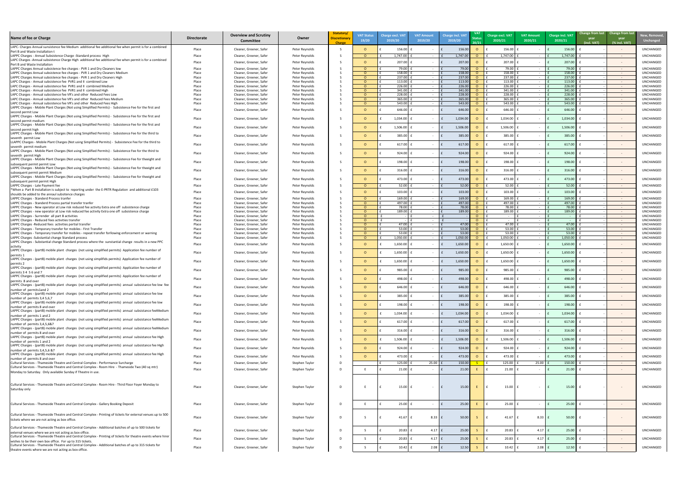| New, Removed,<br><b>Unchanged</b> |
|-----------------------------------|
| UNCHANGED                         |
| UNCHANGED                         |
| UNCHANGED                         |
| UNCHANGED                         |
| UNCHANGED<br>UNCHANGED            |
| UNCHANGED                         |
| UNCHANGED<br>UNCHANGED            |
| UNCHANGED                         |
| UNCHANGED<br>UNCHANGED            |
| UNCHANGED                         |
| UNCHANGED                         |
|                                   |
| UNCHANGED                         |
| UNCHANGED                         |
| UNCHANGED                         |
| UNCHANGED                         |
| UNCHANGED                         |
| UNCHANGED                         |
| UNCHANGED<br>UNCHANGED            |
| UNCHANGED                         |
| UNCHANGED                         |
| UNCHANGED<br>UNCHANGED            |
| UNCHANGED<br>UNCHANGED            |
| UNCHANGED                         |
| UNCHANGED                         |
| UNCHANGED<br>UNCHANGED            |
| UNCHANGED                         |
| UNCHANGED                         |
| UNCHANGED                         |
| UNCHANGED                         |
| UNCHANGED                         |
| UNCHANGED                         |
| UNCHANGED                         |
| UNCHANGED                         |
| UNCHANGED                         |
| UNCHANGED                         |
| UNCHANGED                         |
| UNCHANGED                         |
| UNCHANGED                         |
| UNCHANGED                         |
| UNCHANGED                         |
| UNCHANGED                         |
| UNCHANGED                         |
| UNCHANGED                         |
| UNCHANGED                         |
| UNCHANGED                         |
| UNCHANGED                         |
| UNCHANGED                         |
| UNCHANGED                         |

| Name of fee or Charge                                                                                                                                                                  | <b>Directorate</b> | <b>Overview and Scrutiny</b><br><b>Committee</b>   | Owner                            | Statutory/<br><b>Discretionary</b><br>Charge | <b>VAT Status</b><br>19/20 | <b>Charge excl. VAT</b><br>2019/20 | <b>VAT Amount</b><br>2019/20     | <b>Charge incl. VAT</b><br>2019/20 |          | Charge excl. VAT<br>2020/21 | <b>VAT Amount</b><br>2020/21 | Charge incl. VAT<br>2020/21 | <b>year</b><br>(incl. VAT) | Change from last Change from last<br>year<br>(% incl. VAT) | New, Remove<br><b>Unchanged</b>      |
|----------------------------------------------------------------------------------------------------------------------------------------------------------------------------------------|--------------------|----------------------------------------------------|----------------------------------|----------------------------------------------|----------------------------|------------------------------------|----------------------------------|------------------------------------|----------|-----------------------------|------------------------------|-----------------------------|----------------------------|------------------------------------------------------------|--------------------------------------|
| LAPC- Charges Annual sunsistence fee Medium additional fee additional fee when permit is for a combined<br>Pert B and Waste Installation t                                             | Place              | Cleaner, Greener, Safer                            | Peter Reynolds                   |                                              |                            | 156.00                             |                                  | 156.00                             | $\Omega$ | 156.00                      |                              | 156.00                      |                            | $\sim$ $-$                                                 | UNCHANGED                            |
| LAPPC Charges - Annual Subsistence Charge - Standard process High                                                                                                                      | Place              | Cleaner, Greener, Safer                            | Peter Reynolds                   |                                              | $\Omega$                   | 1,747.00                           | $\sim$ $-$                       | 1,747.00                           | $\Omega$ | 1,747.00                    |                              | 1,747.00                    |                            | $\sim$ $ \sim$                                             | UNCHANGED                            |
| LAPC Charges -Annual subsistence Charge High additional fee additional fee when permit is for a combined<br>Pert B and Waste Installation                                              | Place              | Cleaner, Greener, Safer                            | Peter Reynolds                   |                                              | $\Omega$                   | $207.00$ f                         | $\sim$ $ \sim$                   | 207.00                             | $\circ$  | 207.00                      |                              | 207.00                      |                            | $\sim$ $ \sim$                                             | <b>UNCHANGED</b>                     |
| LAPPC Charges Annual subsistence fee charges - PVR 1 and Dry Cleaners low                                                                                                              | Place              | Cleaner, Greener, Safer                            | Peter Reynolds                   |                                              | $\Omega$                   | 79.00                              |                                  | 79.00                              |          | 79.00                       |                              | 79.00                       |                            | $\sim$ $ \sim$                                             | <b>UNCHANGED</b>                     |
| LAPPC Charges Annual subsistence fee charges - PVR 1 and Dry Cleaners Medium<br>LAPPC Charges Annual subsistence fee charges - PVR 1 and Dry Cleaners High                             | Place<br>Place     | Cleaner, Greener, Safer<br>Cleaner, Greener, Safer | Peter Reynolds<br>Peter Reynolds |                                              | $\Omega$<br>$\Omega$       | 158.00<br>$237.00$ f               |                                  | 158.00<br>237.00                   | - 0      | 158.00<br>237.00            |                              | 158.00<br>237.00            |                            | $\sim$ $ \sim$<br>$\sim$ $ \sim$                           | <b>UNCHANGED</b><br><b>UNCHANGED</b> |
| LAPC Charges - Annual subsistence fee PVR1 and II combined Low                                                                                                                         | Place              | Cleaner, Greener, Safer                            | Peter Reynolds                   |                                              | $\Omega$                   | 113.00                             | $\sim$                           | 113.00                             | <u>റ</u> | 113.00                      |                              | 113.00                      |                            | $\sim$ $ \sim$                                             | <b>UNCHANGED</b>                     |
| LAPC Charges - Annual subsistence fee PVR1 and II combined Medium<br>LAPC Charges - Annual subsistence fee PVR1 and II combined High                                                   | Place<br>Place     | Cleaner, Greener, Safer<br>Cleaner, Greener, Safer | Peter Reynolds<br>Peter Reynolds |                                              | $\Omega$<br>$\Omega$       | 226.00<br>341.00                   | $\sim$ $ \sim$<br>$\sim$ $ \sim$ | 226.00<br>341.00                   |          | 226.00<br>341.00            | $\sim$ $-$                   | 226.00<br>341.00            |                            | $\sim 100$<br>$\sim$ $ \sim$                               | <b>UNCHANGED</b><br><b>UNCHANGED</b> |
| LAPC Charges - Annual subsistence fee VR's and other Reduced Fees Low                                                                                                                  | Place              | Cleaner, Greener, Safer                            | Peter Reynolds                   |                                              | $\Omega$                   | 228.00                             | $\sim$ $ \sim$                   | 228.00                             |          | 228.00                      |                              | 228.00                      |                            | $\sim$ $ \sim$                                             | <b>UNCHANGED</b>                     |
| LAPC Charges - Annual subsistence fee VR's and other Reduced Fees Medium<br>LAPC Charges - Annual subsistence fee VR's and other Reduced Fees High                                     | Place<br>Place     | Cleaner, Greener, Safer<br>Cleaner, Greener, Safer | Peter Reynolds<br>Peter Reynolds |                                              | $\Omega$<br>$\Omega$       | 365.00<br>543.00                   | $\sim$ $ \sim$<br>$\sim 100$     | 365.00<br>543.00                   |          | 365.00<br>543.00            | $\sim$ $-$<br>$\sim$         | 365.00<br>543.00            |                            | $\sim 100$<br>$\sim 100$                                   | <b>UNCHANGED</b><br>UNCHANGED        |
| LAPPC Charges - Mobile Plant Charges (Not using Simplified Permits) - Subsistence Fee for the first and                                                                                | Place              | Cleaner, Greener, Safer                            | Peter Reynolds                   |                                              |                            | 646.00                             |                                  | 646.00                             |          | 646.00                      |                              | 646.00                      |                            | $\sim$ $-$                                                 | UNCHANGED                            |
| second permit Low<br>LAPPC Charges - Mobile Plant Charges (Not using Simplified Permits) - Subsistence Fee for the first and<br>second permit medium                                   | Place              | Cleaner, Greener, Safer                            | Peter Reynolds                   |                                              |                            | 1,034.00                           |                                  | 1,034.00                           |          | 1,034.00                    |                              | 1,034.00                    |                            |                                                            | UNCHANGED                            |
| LAPPC Charges - Mobile Plant Charges (Not using Simplified Permits) - Subsistence Fee for the first and                                                                                | Place              | Cleaner, Greener, Safer                            | Peter Reynolds                   |                                              |                            | 1,506.00                           |                                  | 1,506.00                           |          | 1,506.00                    |                              | 1,506.00                    |                            |                                                            | UNCHANGED                            |
| second permit high<br>LAPPC Charges - Mobile Plant Charges (Not using Simplified Permits) - Subsistence Fee for the third to                                                           |                    |                                                    |                                  |                                              |                            |                                    |                                  |                                    |          |                             |                              |                             |                            |                                                            |                                      |
| seventh permit Low                                                                                                                                                                     | Place              | Cleaner, Greener, Safer                            | Peter Reynolds                   |                                              |                            | 385.00                             |                                  | 385.00                             |          | 385.00                      |                              | 385.00                      |                            | $\sim$ $-$                                                 | UNCHANGED                            |
| LLAPPC Charges - Mobile Plant Charges (Not using Simplified Permits) - Subsistence Fee for the third to<br>seventh permit medium                                                       | Place              | Cleaner, Greener, Safer                            | Peter Reynolds                   |                                              |                            | 617.00                             |                                  | 617.00                             |          | 617.00                      |                              | 617.00                      |                            | $\sim$ $-$                                                 | UNCHANGED                            |
| LAPPC Charges - Mobile Plant Charges (Not using Simplified Permits) - Subsistence Fee for the third to                                                                                 | Place              | Cleaner, Greener, Safer                            | Peter Reynolds                   |                                              |                            | 924.00                             |                                  | 924.00                             |          | 924.00                      |                              | 924.00                      |                            | $\sim$ $ \sim$                                             | UNCHANGED                            |
| seventh permit High<br>LAPPC Charges - Mobile Plant Charges (Not using Simplified Permits) - Subsistence Fee for theeight and                                                          | Place              | Cleaner, Greener, Safer                            | Peter Reynolds                   |                                              |                            | 198.00                             |                                  | 198.00                             |          | 198.00                      |                              | 198.00                      |                            | $\sim$ $-$                                                 | UNCHANGED                            |
| subsequent permit permit Low<br>LAPPC Charges - Mobile Plant Charges (Not using Simplified Permits) - Subsistence Fee for theeight and                                                 | Place              | Cleaner, Greener, Safer                            | Peter Reynolds                   |                                              |                            | 316.00                             | $\sim$ $-$                       | 316.00                             |          | 316.00                      |                              | 316.00                      |                            | $\sim$ $ \sim$                                             | UNCHANGED                            |
| subsequent permit permit Medium<br>LAPPC Charges - Mobile Plant Charges (Not using Simplified Permits) - Subsistence Fee for theeight and                                              |                    |                                                    |                                  |                                              |                            |                                    |                                  |                                    |          |                             |                              |                             |                            |                                                            |                                      |
| subsequent permit permit High                                                                                                                                                          | Place              | Cleaner, Greener, Safer                            | Peter Reynolds                   |                                              | $\Omega$                   | $473.00$ f                         | $\sim$ $-$                       | 473.00                             | $\Omega$ | 473.00                      |                              | 473.00                      |                            | $\sim$ $ \sim$                                             | UNCHANGED                            |
| LAPPC Charges - Late Payment fee<br>*When a Part B installation is subject to reporting under the E-PRTR Regulation and additional £103                                                | Place              | Cleaner, Greener, Safer                            | Peter Reynolds                   |                                              | <u>റ</u>                   | 52.00                              |                                  | 52.00                              | $\circ$  | 52.00                       |                              | 52.00                       |                            | $\sim$ $ \sim$                                             | UNCHANGED                            |
| shoulds be added to the annaul subsitence charges                                                                                                                                      | Place              | Cleaner, Greener, Safer                            | Peter Reynolds                   |                                              |                            | $103.00$ f                         |                                  | 103.00                             | $\Omega$ | 103.00                      |                              | 103.00                      |                            |                                                            | UNCHANGED                            |
| LAPPC Charges - Standerd Process tranfer<br>LAPPC Charges - Standerd Process partial transfer tranfer                                                                                  | Place<br>Place     | Cleaner, Greener, Safer<br>Cleaner, Greener, Safer | Peter Reynolds<br>Peter Reynolds |                                              | $\Omega$<br>$\Omega$       | $169.00$ f<br>497.00               |                                  | 169.00<br>497.00                   |          | 169.00<br>497.00            |                              | 169.00<br>497.00            |                            | $\sim$ $ \sim$<br>$\sim$ $ \sim$                           | <b>UNCHANGED</b><br><b>UNCHANGED</b> |
| LAPPC Charges - New operator at Low risk reduced fee activity Extra one off subsistence charge                                                                                         | Place              | Cleaner, Greener, Safer                            | Peter Reynolds                   |                                              |                            | 78.00                              |                                  | 78.00                              |          | 78.00                       |                              | 78.00                       |                            | $\sim$ $ \sim$                                             | <b>UNCHANGED</b>                     |
| LAPPC Charges - new operator at Low risk reduced fee activity Extra one off subsistence charge<br>LAPPC Charges - Surrender all part B activities                                      | Place<br>Place     | Cleaner, Greener, Safer<br>Cleaner, Greener, Safer | Peter Reynolds<br>Peter Reynolds |                                              | $\Omega$<br>$\Omega$       | 189.00                             | $\sim$                           | 189.00                             | $\Omega$ | 189.00<br>$\sim$            |                              | 189.00                      |                            | $\sim$ $ \sim$<br>$\sim 100$                               | <b>UNCHANGED</b><br><b>UNCHANGED</b> |
| LAPPC Charges - Reduced fees activities transfer                                                                                                                                       | Place              | Cleaner, Greener, Safer                            | Peter Reynolds                   |                                              | $\Omega$                   |                                    |                                  |                                    | $\Omega$ | $\sim$                      |                              |                             |                            | $\sim$ $ \sim$                                             | <b>UNCHANGED</b>                     |
| LAPPC Charges - Reduced fees activities pertial transfer<br>LAPPC Charges - Temporary transfer for mobiles - First Transfer                                                            | Place<br>Place     | Cleaner, Greener, Safer<br>Cleaner, Greener, Safer | Peter Reynolds<br>Peter Reynolds |                                              | $\Omega$<br>$\Omega$       | 47.00<br>53.00                     | $\sim$                           | 47.00<br>53.00                     |          | 47.00<br>53.00              |                              | 47.00<br>53.00              |                            | $\sim$ $ \sim$<br>$\sim$ $ \sim$                           | <b>UNCHANGED</b><br>UNCHANGED        |
| LAPPC Charges - Temporary transfer for mobiles - repeat transfer forllowing enforcement or warning                                                                                     | Place              | Cleaner, Greener, Safer                            | Peter Reynolds                   |                                              | $\Omega$                   | 53.00                              | $\sim$                           | 53.00                              |          | 53.00                       |                              | 53.00                       |                            | $\sim 100$                                                 | UNCHANGED                            |
| LAPPC Charges -Substantial change Standard process<br>LAPPC Charges - Substantial change Standard process where the sunstantial change results in a new PPC                            | Place              | Cleaner, Greener, Safer                            | Peter Reynolds                   |                                              | $\Omega$                   | 1,050.00                           | $\sim$ $-$                       | 1,050.00                           |          | 1,050.00                    |                              | 1,050.00                    |                            | $\sim$ $ \sim$                                             | UNCHANGED                            |
| activity                                                                                                                                                                               | Place              | Cleaner, Greener, Safer                            | Peter Reynolds                   |                                              |                            | 1,650.00                           | $\sim 100$                       | 1,650.00                           |          | 1,650.00                    |                              | 1,650.00                    |                            | $\sim$                                                     | UNCHANGED                            |
| LAPPC Charges - (partB) mobile plant charges (not using simplified permits) Application fee number of<br>permits 1                                                                     | Place              | Cleaner, Greener, Safer                            | Peter Reynolds                   |                                              |                            | 1,650.00                           | $\sim$ $-$                       | 1,650.00                           | $\Omega$ | 1,650.00                    |                              | 1,650.00                    |                            |                                                            | UNCHANGED                            |
| LAPPC Charges - (partB) mobile plant charges (not using simplifids permits) Application fee number of                                                                                  | Place              | Cleaner, Greener, Safer                            | Peter Reynolds                   |                                              |                            | 1,650.00                           |                                  | 1,650.00                           |          | 1,650.00                    |                              | 1,650.00                    |                            |                                                            | UNCHANGED                            |
| permits 2<br>LAPPC Charges - (partB) mobile plant charges (not using simplified permits) Application fee number of                                                                     |                    |                                                    |                                  |                                              |                            |                                    |                                  |                                    |          |                             |                              |                             |                            |                                                            |                                      |
| permits 3 4 5 6 and 7<br>LAPPC Charges - (partB) mobile plant charges (not using simplified permits) Application fee number of                                                         | Place              | Cleaner, Greener, Safer                            | Peter Reynolds                   |                                              |                            | 985.00                             |                                  | 985.00                             |          | 985.00                      |                              | 985.00                      |                            | $\sim$ $-$                                                 | UNCHANGED                            |
| permits 8 and over                                                                                                                                                                     | Place              | Cleaner, Greener, Safer                            | Peter Reynolds                   |                                              |                            | 498.00                             |                                  | 498.00                             |          | 498.00                      |                              | 498.00                      |                            | $\sim$ $-$                                                 | UNCHANGED                            |
| LAPPC Charges - (partB) mobile plant charges (not using simplified permits) annual subsistance fee low fee<br>number of permits1and 2                                                  | Place              | Cleaner, Greener, Safer                            | Peter Reynolds                   |                                              |                            | 646.00                             |                                  | 646.00                             |          | 646.00                      |                              | 646.00                      |                            | $\sim$ $-$                                                 | UNCHANGED                            |
| LAPPC Charges - (partB) mobile plant charges (not using simplified permits) annual subsistance fee low                                                                                 | Place              | Cleaner, Greener, Safer                            | Peter Reynolds                   |                                              |                            | 385.00                             |                                  | 385.00                             |          | 385.00                      |                              | 385.00                      |                            | $\sim$ $-$                                                 | UNCHANGED                            |
| number of permits 3,4 5,6,7<br>LAPPC Charges - (partB) mobile plant charges (not using simplified permits) annual subsistance fee low                                                  |                    |                                                    |                                  |                                              |                            |                                    |                                  |                                    |          |                             |                              |                             |                            |                                                            |                                      |
| number of permits 8 and over                                                                                                                                                           | Place              | Cleaner, Greener, Safer                            | Peter Reynolds                   |                                              | $\Omega$                   | 198.00                             |                                  | 198.00                             |          | 198.00                      |                              | 198.00                      |                            | $\sim$ $ \sim$                                             | UNCHANGED                            |
| LAPPC Charges - (partB) mobile plant charges (not using simplified permits) annual subsistance feeMedium<br>number of permits 1 and 2                                                  | Place              | Cleaner, Greener, Safer                            | Peter Reynolds                   |                                              |                            | 1,034.00                           | $\sim$ $-$                       | 1,034.00                           | - 0      | 1,034.00                    |                              | 1,034.00                    |                            | $\sim$ $ \sim$                                             | UNCHANGED                            |
| LAPPC Charges - (partB) mobile plant charges (not using simplified permits) annual subsistance feeMedium                                                                               | Place              | Cleaner, Greener, Safer                            | Peter Reynolds                   |                                              | $\Omega$                   | 617.00                             |                                  | 617.00                             |          | 617.00                      |                              | 617.00                      |                            | $\sim$ $ \sim$                                             | UNCHANGED                            |
| number of permits 3,4,5,6&7<br>LAPPC Charges - (partB) mobile plant charges (not using simplified permits) annual subsistance feeMedium                                                |                    |                                                    |                                  |                                              |                            |                                    |                                  |                                    |          |                             |                              |                             |                            |                                                            |                                      |
| number of permits 8 and over                                                                                                                                                           | Place              | Cleaner, Greener, Safer                            | Peter Reynolds                   |                                              | $\Omega$                   | 316.00                             |                                  | 316.00                             |          | 316.00                      |                              | 316.00                      |                            | $\sim$ $ \sim$                                             | <b>UNCHANGED</b>                     |
| LAPPC Charges - (partB) mobile plant charges (not using simplified permits) annual subsistance fee High<br>number of permits 1 and 2                                                   | Place              | Cleaner, Greener, Safer                            | Peter Reynolds                   |                                              |                            | 1,506.00                           | $\sim$ $-$                       | 1,506.00                           |          | 1,506.00                    |                              | 1,506.00                    |                            | $\sim$ $-$                                                 | <b>UNCHANGED</b>                     |
| LAPPC Charges - (partB) mobile plant charges (not using simplified permits) annual subsistance fee High                                                                                | Place              | Cleaner, Greener, Safer                            | Peter Reynolds                   |                                              |                            | 924.00                             |                                  | 924.00                             | $\Omega$ | 924.00                      |                              | 924.00                      |                            |                                                            | UNCHANGED                            |
| number of permits 3,4,5,6 &7<br>LAPPC Charges - (partB) mobile plant charges (not using simplified permits) annual subsistance fee High                                                |                    |                                                    |                                  |                                              |                            |                                    |                                  |                                    |          |                             |                              |                             |                            |                                                            |                                      |
| number of permits 8 and over                                                                                                                                                           | Place              | Cleaner, Greener, Safer                            | Peter Reynolds                   |                                              | $\Omega$                   | 473.00 $\pm$                       | $\sim 100$                       | 473.00                             | $\Omega$ | 473.00                      |                              | 473.00                      |                            | $\sim$ $-$                                                 | UNCHANGED                            |
| Cultural Services - Thameside Theatre and Central Complex - Performance Surcharge<br>Cultural Services - Thameside Theatre and Central Complex - Room Hire - Thameside Two (40 sq mtr) | Place              | Cleaner, Greener, Safer                            | Stephen Taylor                   |                                              |                            | 125.00                             | 25.00                            | 150.00                             |          | 125.00                      | 25.00                        | 150.00                      |                            | $\sim$ $ \sim$                                             | UNCHANGED                            |
| Monday to Saturday. Only available Sunday if Theatre in use.                                                                                                                           | Place              | Cleaner, Greener, Safer                            | Stephen Taylor                   |                                              |                            | $21.00$ f                          | $\sim 100$                       | 21.00                              |          | 21.00                       |                              | 21.00                       |                            | $\sim$ $ \sim$                                             | UNCHANGED                            |
| Cultural Services - Thameside Theatre and Central Complex - Room Hire - Third Floor Foyer Monday to<br>Saturday only                                                                   | Place              | Cleaner, Greener, Safer                            | Stephen Taylor                   |                                              |                            | $15.00$ f                          | $\sim$ $ \sim$                   | 15.00                              |          | 15.00                       |                              | 15.00                       |                            | $\sim$ $ \sim$                                             | UNCHANGED                            |
|                                                                                                                                                                                        |                    |                                                    |                                  |                                              |                            |                                    |                                  |                                    |          |                             |                              |                             |                            |                                                            |                                      |
| Cultural Services - Thameside Theatre and Central Complex - Gallery Booking Deposit                                                                                                    | Place              | Cleaner, Greener, Safer                            | Stephen Taylor                   |                                              |                            | 25.00                              |                                  | 25.00                              |          | 25.00                       |                              | 25.00                       |                            | $\sim$ $ \sim$                                             | UNCHANGED                            |
| Cultural Services - Thameside Theatre and Central Complex - Printing of tickets for external venues up to 500<br>tickets where we are not acting as box office.                        | Place              | Cleaner, Greener, Safer                            | Stephen Taylor                   |                                              |                            | 41.67                              | $8.33 \mid f$                    | 50.00                              |          | 41.67                       | $8.33 \mid f$                | 50.00                       |                            | $\sim$                                                     | UNCHANGED                            |
| Cultural Services - Thameside Theatre and Central Complex - Additional batches of up to 500 tickets for<br>external venues where we are not acting as box office.                      | Place              | Cleaner, Greener, Safer                            | Stephen Taylor                   |                                              |                            | 20.83                              | $4.17$ $E$                       | 25.00                              |          | 20.83                       | $4.17$ $E$                   | 25.00                       |                            | $\sim$ $ \sim$                                             | UNCHANGED                            |
| Cultural Services - Thameside Theatre and Central Complex - Printing of tickets for theatre events where hirer                                                                         | Place              | Cleaner, Greener, Safer                            | Stephen Taylor                   |                                              |                            | $20.83$ f                          | $4.17$ $E$                       | 25.00                              |          | 20.83                       | $4.17 \mid f$                | 25.00                       |                            | $\sim$ $ \sim$                                             | UNCHANGED                            |
| wishes to be their own box office. For up to 315 tickets.<br>Cultural Services - Thameside Theatre and Central Complex - Additional batches of up to 315 tickets for                   |                    |                                                    |                                  |                                              |                            |                                    |                                  |                                    |          |                             |                              |                             |                            |                                                            |                                      |
| theatre events where we are not acting as box office.                                                                                                                                  | Place              | Cleaner, Greener, Safer                            | Stephen Taylor                   |                                              |                            | $10.42$ f                          | $2.08$ $f$                       | 12.50                              |          | 10.42                       | $2.08$ $E$                   | 12.50                       |                            | $\sim$ $ \sim$                                             | UNCHANGED                            |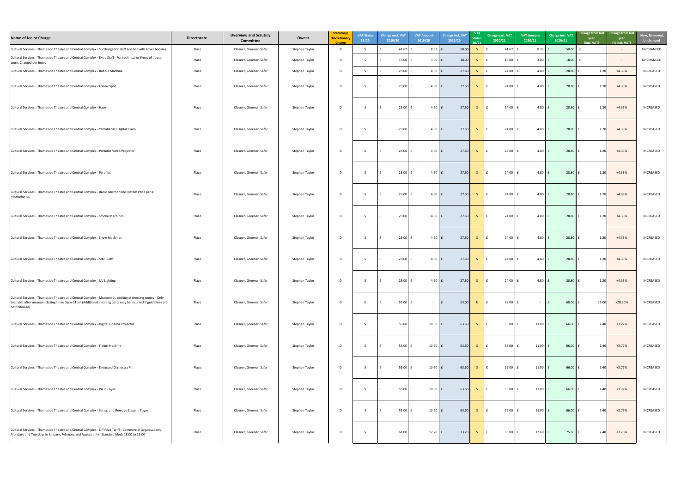| New, Removed,<br><b>Unchanged</b> |  |
|-----------------------------------|--|
| <b>UNCHANGED</b>                  |  |
| <b>UNCHANGED</b>                  |  |
| <b>INCREASED</b>                  |  |
| INCREASED                         |  |
| INCREASED                         |  |
| <b>INCREASED</b>                  |  |
| <b>INCREASED</b>                  |  |
| <b>INCREASED</b>                  |  |
| <b>INCREASED</b>                  |  |
| INCREASED                         |  |
| INCREASED                         |  |
| <b>INCREASED</b>                  |  |
| INCREASED                         |  |
| INCREASED                         |  |
| <b>INCREASED</b>                  |  |
| INCREASED                         |  |
| INCREASED                         |  |
| <b>INCREASED</b>                  |  |
| INCREASED                         |  |
| <b>INCREASED</b>                  |  |

| Name of fee or Charge                                                                                                                                                                                                                 | <b>Directorate</b> | <b>Overview and Scrutiny</b><br>Committee | Owner          | Statutory/<br><b>Discretionary</b><br><b>Charge</b> | <b>VAT Status</b><br>19/20 |              | <b>Charge excl. VAT</b><br>2019/20 | <b>VAT Amount</b><br>2019/20 | Charge incl. VAT<br>2019/20 | <b>VAT</b><br><b>Status</b><br>20/21 | Charge excl. VAT<br>2020/21 | <b>VAT Amount</b><br>2020/21 | Charge incl. VAT<br>2020/21 | Change from last Change from last<br>year<br>year<br>(incl. VAT)<br>(% incl. VAT) | New, Remove<br><b>Unchanged</b> |
|---------------------------------------------------------------------------------------------------------------------------------------------------------------------------------------------------------------------------------------|--------------------|-------------------------------------------|----------------|-----------------------------------------------------|----------------------------|--------------|------------------------------------|------------------------------|-----------------------------|--------------------------------------|-----------------------------|------------------------------|-----------------------------|-----------------------------------------------------------------------------------|---------------------------------|
| Cultural Services - Thameside Theatre and Central Complex - Surcharge for staff and bar with Foyer booking                                                                                                                            | Place              | Cleaner, Greener, Safer                   | Stephen Taylor | $\overline{D}$                                      |                            |              | 41.67 $\vert$ f                    | $8.33 \mid f$                | 50.00                       |                                      | 41.67                       | 8.33                         | 50.00                       | $\sim$ $ \sim$                                                                    | UNCHANGED                       |
| Cultural Services - Thameside Theatre and Central Complex - Extra Staff - For technical or Front of house<br>work. Charged per hour.                                                                                                  | Place              | Cleaner, Greener, Safer                   | Stephen Taylor | D                                                   |                            |              | $15.00$ $E$                        | $3.00$ $f$                   | 18.00                       |                                      | 15.00                       | $3.00 \mid f$                | 18.00                       | $\sim$ $ \sim$                                                                    | <b>UNCHANGED</b>                |
| Cultural Services - Thameside Theatre and Central Complex - Bubble Machine                                                                                                                                                            | Place              | Cleaner, Greener, Safer                   | Stephen Taylor | - D                                                 |                            |              | 23.00 $E$                          | $4.60 \mid f$                | 27.60                       |                                      | 24.00                       | $4.80$ $f$                   | 28.80                       | $+4.35%$<br>1.20                                                                  | INCREASED                       |
| Cultural Services - Thameside Theatre and Central Complex - Follow Spot                                                                                                                                                               | Place              | Cleaner, Greener, Safer                   | Stephen Taylor | D                                                   |                            |              | $23.00$ $E$                        | $4.60 \mid f$                | 27.60                       | $\sim$ S $\sim$                      | 24.00                       | $4.80$ $f$                   | 28.80                       | $+4.35%$<br>1.20                                                                  | INCREASED                       |
| Cultural Services - Thameside Theatre and Central Complex - Haze                                                                                                                                                                      | Place              | Cleaner, Greener, Safer                   | Stephen Taylor | D                                                   |                            |              | $23.00$ £                          | $4.60 \mid f$                | 27.60                       | S                                    | 24.00                       | $4.80 \mid f$                | 28.80                       | $+4.35%$<br>1.20                                                                  | <b>INCREASED</b>                |
| Cultural Services - Thameside Theatre and Central Complex - Yamaha 503 Digital Piano                                                                                                                                                  | Place              | Cleaner, Greener, Safer                   | Stephen Taylor | D                                                   |                            |              | $23.00$ $f$                        | $4.60 \mid f$                | 27.60                       |                                      | 24.00                       | $4.80$ $f$                   | 28.80                       | $+4.35%$<br>1.20                                                                  | <b>INCREASED</b>                |
| Cultural Services - Thameside Theatre and Central Complex - Portable Video Projector                                                                                                                                                  | Place              | Cleaner, Greener, Safer                   | Stephen Taylor | D                                                   |                            | $\mathbf{f}$ | $23.00$ $E$                        | $4.60 \mid f$                | 27.60                       | $\overline{\mathsf{S}}$              | $24.00$ $E$                 | $4.80$ $f$                   | 28.80                       | $+4.35%$<br>1.20                                                                  | <b>INCREASED</b>                |
| Cultural Services - Thameside Theatre and Central Complex - Pyroflash                                                                                                                                                                 | Place              | Cleaner, Greener, Safer                   | Stephen Taylor | D                                                   |                            | $\mathbf{f}$ | $23.00$ £                          | $4.60 \mid f$                | 27.60                       | S.                                   | $24.00$ $f$<br>$\mathsf{E}$ | $4.80$ $f$                   | 28.80                       | $+4.35%$<br>1.20                                                                  | INCREASED                       |
| Cultural Services - Thameside Theatre and Central Complex - Radio Microphone System Price per 4<br>microphones                                                                                                                        | Place              | Cleaner, Greener, Safer                   | Stephen Taylor | D                                                   |                            |              | 23.00 $E$                          | $4.60 \mid f$                | 27.60                       | $\sim$ 5 $\sim$                      | $24.00$ $f$                 | $4.80$ $f$                   | 28.80                       | $+4.35%$<br>1.20                                                                  | INCREASED                       |
| Cultural Services - Thameside Theatre and Central Complex - Smoke Machines                                                                                                                                                            | Place              | Cleaner, Greener, Safer                   | Stephen Taylor | -D                                                  |                            |              | $23.00$ f                          | $4.60 \mid f$                | 27.60                       | $\overline{\mathcal{S}}$             | 24.00                       | $4.80$ $f$                   | 28.80                       | $+4.35%$<br>1.20                                                                  | INCREASED                       |
| Cultural Services - Thameside Theatre and Central Complex - Snow Machines                                                                                                                                                             | Place              | Cleaner, Greener, Safer                   | Stephen Taylor | -D                                                  |                            |              | 23.00 $E$                          | 4.60 $\vert$ £               | 27.60                       | -S.                                  | 24.00                       | $4.80$ f                     | 28.80                       | $+4.35%$<br>1.20                                                                  | <b>INCREASED</b>                |
| Cultural Services - Thameside Theatre and Central Complex - Star Cloth                                                                                                                                                                | Place              | Cleaner, Greener, Safer                   | Stephen Taylor | D                                                   |                            |              | $23.00$ $E$                        | 4.60 $\vert$ £               | 27.60                       |                                      | 24.00                       | $4.80 \mid f$                | 28.80                       | $+4.35%$<br>1.20                                                                  | INCREASED                       |
| Cultural Services - Thameside Theatre and Central Complex - UV Lighting                                                                                                                                                               | Place              | Cleaner, Greener, Safer                   | Stephen Taylor | D                                                   |                            |              | 23.00 $E$                          | $4.60 \mid f$                | 27.60                       |                                      | $24.00$ f                   | $4.80 \mid f$                | 28.80                       | $+4.35%$<br>1.20                                                                  | <b>INCREASED</b>                |
| Cultural Services - Thameside Theatre and Central Complex - Museum as additional dressing rooms - Only<br>available after museum closing times 5pm-11pm (Additional cleaning costs may be incurred if guidelines are<br>not followed) | Place              | Cleaner, Greener, Safer                   | Stephen Taylor | D                                                   |                            |              | $53.00 \mid f$                     |                              | 53.00<br>$\mathsf{F}$       |                                      | 68.00<br>$\Box$             |                              | 68.00                       | 15.00<br>+28.30%                                                                  | <b>INCREASED</b>                |
| Cultural Services - Thameside Theatre and Central Complex - Digital Cinema Projector                                                                                                                                                  | Place              | Cleaner, Greener, Safer                   | Stephen Taylor | D                                                   |                            |              | $53.00$ $E$                        | $10.60$ $f$                  | 63.60                       | S.                                   | 55.00                       | $11.00$ $E$                  | 66.00                       | $+3.77%$<br>2.40                                                                  | INCREASED                       |
| Cultural Services - Thameside Theatre and Central Complex - Flame Machine                                                                                                                                                             | Place              | Cleaner, Greener, Safer                   | Stephen Taylor |                                                     |                            |              | $53.00$ $\vert$ f                  | $10.60$ £                    | 63.60                       |                                      | $55.00$ f                   | $11.00$ $E$                  | 66.00                       | $+3.77%$<br>2.40                                                                  | INCREASED                       |
| Cultural Services - Thameside Theatre and Central Complex - Emlarged Orchestra Pit                                                                                                                                                    | Place              | Cleaner, Greener, Safer                   | Stephen Taylor | D                                                   |                            |              | 53.00 $\vert$ £                    | $10.60$ $f$                  | 63.60                       |                                      | $55.00$ $E$                 | $11.00 \mid f$               | 66.00                       | $+3.77%$<br>2.40                                                                  | INCREASED                       |
| Cultural Services - Thameside Theatre and Central Complex - PA in Foyer                                                                                                                                                               | Place              | Cleaner, Greener, Safer                   | Stephen Taylor | D                                                   |                            |              | 53.00 $\vert$ £                    | $10.60$ $f$                  | 63.60                       |                                      | $55.00$ $f$                 | $11.00 \mid f$               | 66.00                       | $+3.77%$<br>2.40                                                                  | INCREASED                       |
| Cultural Services - Thameside Theatre and Central Complex - Set up and Remove Stage in Foyer                                                                                                                                          | Place              | Cleaner, Greener, Safer                   | Stephen Taylor | D                                                   |                            |              | 53.00 $E$                          | $10.60$ $f$                  | 63.60                       |                                      | $55.00$ $E$                 | $11.00 \mid f$               | 66.00                       | 2.40<br>$+3.77%$                                                                  | INCREASED                       |
| Cultural Services - Thameside Theatre and Central Complex - Off Peak Tariff - Commercial Organisations<br>Mondays and Tuesdays in January, February and August only. Standard block 18:00 to 23:00                                    | Place              | Cleaner, Greener, Safer                   | Stephen Taylor | D                                                   |                            |              | $61.00$ $E$                        | $12.20$ $f$                  | 73.20                       | S.                                   | 63.00                       | $12.60$ $E$                  | $75.60$ $\vert$ f           | $+3.28%$<br>2.40                                                                  | INCREASED                       |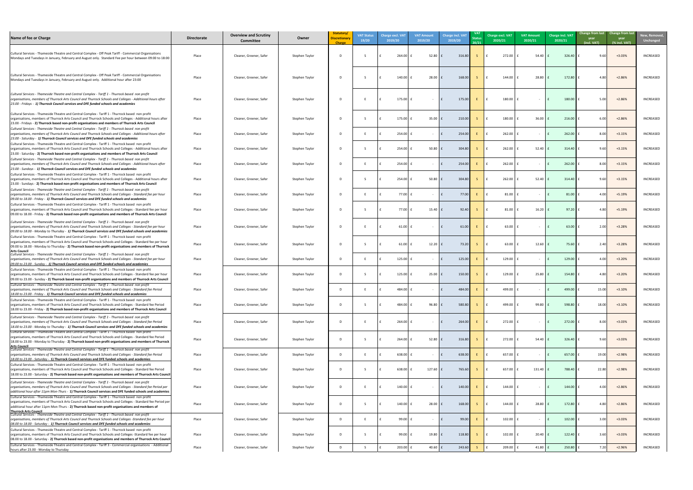| lew, Removed,<br><b>Unchanged</b> |
|-----------------------------------|
| INCREASED                         |
| INCREASED                         |
| INCREASED                         |
| INCREASED                         |
| INCREASED                         |
| INCREASED                         |
| INCREASED                         |
| INCREASED                         |
| INCREASED                         |
| INCREASED                         |
| INCREASED                         |
| INCREASED                         |
| INCREASED                         |
| INCREASED                         |
| INCREASED                         |
| INCREASED                         |
| INCREASED                         |
| INCREASED                         |
| INCREASED                         |
| INCREASED                         |
| INCREASED                         |
| <b>INCREASED</b>                  |
| INCREASED                         |
| INCREASED                         |
| <b>INCREASED</b>                  |

| Name of fee or Charge                                                                                                                                                                                                                                                                                                                            | <b>Directorate</b> | <b>Overview and Scrutiny</b><br><b>Committee</b> | Owner          | Statutory/<br>Discretionary<br>Charge | <b>VAT Status</b><br>19/20 | <b>Charge excl. VA1</b><br>2019/20 | <b>VAT Amount</b><br>2019/20 | <b>Charge incl. VAT</b><br>2019/20 | <b>VAT</b><br>Status<br>20/21 | Charge excl. VAT<br>2020/21 | <b>VAT Amount</b><br>2020/21 | <b>Charge incl. VAT</b><br>2020/21 | Change from last Change from last<br>year<br>(incl. VAT) | year<br>(% incl. VAT) | <b>New, Remov</b><br>Unchanged |
|--------------------------------------------------------------------------------------------------------------------------------------------------------------------------------------------------------------------------------------------------------------------------------------------------------------------------------------------------|--------------------|--------------------------------------------------|----------------|---------------------------------------|----------------------------|------------------------------------|------------------------------|------------------------------------|-------------------------------|-----------------------------|------------------------------|------------------------------------|----------------------------------------------------------|-----------------------|--------------------------------|
| Cultural Services - Thameside Theatre and Central Complex - Off Peak Tariff - Commercial Organisations<br>Mondays and Tuesdays in January, February and August only. Standard Fee per hour between 09:00 to 18:00                                                                                                                                | Place              | Cleaner, Greener, Safer                          | Stephen Taylor |                                       |                            | 264.00                             | $52.80$ $E$                  | 316.80                             |                               | $272.00$ £                  | 54.40                        | 326.40                             | 9.60                                                     | $+3.03%$              | <b>INCREASED</b>               |
| Cultural Services - Thameside Theatre and Central Complex - Off Peak Tariff - Commercial Organisations<br>Mondays and Tuesdays in January, February and August only. Additional hour after 23:00                                                                                                                                                 | Place              | Cleaner, Greener, Safer                          | Stephen Taylor |                                       |                            | 140.00                             | 28.00                        | 168.00                             |                               | 144.00 $E$                  | 28.80                        | 172.80                             | 4.80                                                     | $+2.86%$              | <b>INCREASED</b>               |
| Cultural Services - Thameside Theatre and Central Complex - Tariff 1 - Thurrock based non profit<br>organisations, members of Thurrock Arts Council and Thurrock Schools and Colleges - Additional hours after<br>23.00 - Fridays - 1) Thurrock Council services and DFE funded schools and academies                                            | Place              | Cleaner, Greener, Safer                          | Stephen Taylor |                                       |                            | 175.00 $E$                         | $\sim$ $ \sim$               | 175.00                             |                               | $180.00$ $E$                |                              | 180.00                             | 5.00                                                     | $+2.86%$              | <b>INCREASED</b>               |
| Cultural Services - Thameside Theatre and Central Complex - Tariff 1 - Thurrock based non profit<br>organisations, members of Thurrock Arts Council and Thurrock Schools and Colleges - Additional hours after<br>23.00 - Fridays - 2) Thurrock based non-profit organisations and members of Thurrock Arts Council                              | Place              | Cleaner, Greener, Safer                          | Stephen Taylor |                                       |                            | $175.00$ f                         | $35.00$ f                    | 210.00                             |                               | $180.00$ $E$                | 36.00                        | 216.00                             | 6.001                                                    | $+2.86%$              | <b>INCREASED</b>               |
| Cultural Services - Thameside Theatre and Central Complex - Tariff 1 - Thurrock based non profit<br>organisations, members of Thurrock Arts Council and Thurrock Schools and Colleges - Additional hours after<br>23.00 - Saturday - 1) Thurrock Council services and DFE funded schools and academies                                           | Place              | Cleaner, Greener, Safer                          | Stephen Taylor |                                       |                            | 254.00                             |                              | 254.00                             |                               | $262.00$ £                  |                              | 262.00                             | 8.00                                                     | $+3.15%$              | <b>INCREASED</b>               |
| Cultural Services - Thameside Theatre and Central Complex - Tariff 1 - Thurrock based non profit<br>organisations, members of Thurrock Arts Council and Thurrock Schools and Colleges - Additional hours after<br>23.00 - Saturday - 2) Thurrock based non-profit organisations and members of Thurrock Arts Council                             | Place              | Cleaner, Greener, Safer                          | Stephen Taylor |                                       |                            | 254.00                             | 50.80                        | 304.80                             |                               | $262.00$ £                  | $52.40$ $\pm$                | 314.40                             | 9.60                                                     | $+3.15%$              | <b>INCREASED</b>               |
| Cultural Services - Thameside Theatre and Central Complex - Tariff 1 - Thurrock based non profit<br>organisations, members of Thurrock Arts Council and Thurrock Schools and Colleges - Additional hours after<br>23.00 - Sundays - 1) Thurrock Council services and DFE funded schools and academies                                            | Place              | Cleaner, Greener, Safer                          | Stephen Taylor |                                       |                            | 254.00                             |                              | 254.00                             |                               | $262.00$ £                  |                              | 262.00                             | 8.00                                                     | $+3.15%$              | <b>INCREASED</b>               |
| Cultural Services - Thameside Theatre and Central Complex - Tariff 1 - Thurrock based non profit<br>organisations, members of Thurrock Arts Council and Thurrock Schools and Colleges - Additional hours after<br>23.00 - Sundays - 2) Thurrock based non-profit organisations and members of Thurrock Arts Council                              | Place              | Cleaner, Greener, Safer                          | Stephen Taylor |                                       |                            | 254.00                             | 50.80                        | 304.80                             |                               | $262.00$ £                  | $52.40$ $\pm$                | 314.40                             | 9.60                                                     | $+3.15%$              | <b>INCREASED</b>               |
| Cultural Services - Thameside Theatre and Central Complex - Tariff 1 - Thurrock based non profit<br>organisations, members of Thurrock Arts Council and Thurrock Schools and Colleges - Standard fee per hour<br>09.00 to 18.00 - Friday - 1) Thurrock Council services and DFE funded schools and academies                                     | Place              | Cleaner, Greener, Safer                          | Stephen Taylor |                                       |                            | 77.00                              |                              | 77.00                              |                               | $81.00$ $E$                 |                              | 81.00                              | 4.00                                                     | +5.19%                | <b>INCREASED</b>               |
| Cultural Services - Thameside Theatre and Central Complex - Tariff 1 - Thurrock based non profit<br>organisations, members of Thurrock Arts Council and Thurrock Schools and Colleges - Standard fee per hour<br>09.00 to 18.00 - Friday - 2) Thurrock based non-profit organisations and members of Thurrock Arts Council                       | Place              | Cleaner, Greener, Safer                          | Stephen Taylor |                                       |                            | 77.00                              | $15.40$ f                    | 92.40                              | -S -                          | 81.00                       | $16.20$ $E$                  | 97.20                              | 4.80                                                     | +5.19%                | <b>INCREASED</b>               |
| Cultural Services - Thameside Theatre and Central Complex - Tariff 1 - Thurrock based non profit<br>organisations, members of Thurrock Arts Council and Thurrock Schools and Colleges - Standard fee per hour<br>09.00 to 18.00 - Monday to Thursday - 1) Thurrock Council services and DFE funded schools and academies                         | Place              | Cleaner, Greener, Safer                          | Stephen Taylor |                                       |                            | 61.00                              |                              | 61.00                              |                               | $63.00$ £                   |                              | 63.00                              | 2.00                                                     | $+3.28%$              | INCREASED                      |
| Cultural Services - Thameside Theatre and Central Complex - Tariff 1 - Thurrock based non profit<br>organisations, members of Thurrock Arts Council and Thurrock Schools and Colleges - Standard fee per hour<br>09.00 to 18.00 - Monday to Thursday - 2) Thurrock based non-profit organisations and members of Thurrock<br><b>Arts Council</b> | Place              | Cleaner, Greener, Safer                          | Stephen Taylor |                                       |                            | $61.00$   1                        | 12.20                        | 73.20                              |                               | $63.00$ $E$                 | 12.60                        | 75.60                              |                                                          | $+3.28%$              | <b>INCREASED</b>               |
| Cultural Services - Thameside Theatre and Central Complex - Tariff 1 - Thurrock based non profit<br>organisations, members of Thurrock Arts Council and Thurrock Schools and Colleges - Standard fee per hour<br>09.00 to 23.00 - Sunday - 1) Thurrock Council services and DFE funded schools and academies                                     | Place              | Cleaner, Greener, Safer                          | Stephen Taylor |                                       |                            | 125.00                             |                              | 125.00                             |                               | 129.00                      |                              | 129.00                             | 4.00                                                     | $+3.20%$              | <b>INCREASED</b>               |
| Cultural Services - Thameside Theatre and Central Complex - Tariff 1 - Thurrock based non profit<br>organisations, members of Thurrock Arts Council and Thurrock Schools and Colleges - Standard fee per hour<br>09.00 to 23.00 - Sunday - 2) Thurrock based non-profit organisations and members of Thurrock Arts Council                       | Place              | Cleaner, Greener, Safer                          | Stephen Taylor |                                       |                            | $125.00$                           | $25.00$ f                    | 150.00                             |                               | $129.00$ $E$                | 25.80                        | 154.80                             | 4.80                                                     | $+3.20%$              | <b>INCREASED</b>               |
| Cultural Services - Thameside Theatre and Central Complex - Tariff 1 - Thurrock based non profit<br>organisations, members of Thurrock Arts Council and Thurrock Schools and Colleges - Standard fee Period<br>18.00 to 23.00 - Friday - 1) Thurrock Council services and DFE funded schools and academies                                       | Place              | Cleaner, Greener, Safer                          | Stephen Taylor |                                       |                            | 484.00                             |                              | 484.00                             |                               | $499.00$ f                  |                              | 499.00                             | 15.00                                                    | $+3.10%$              | <b>INCREASED</b>               |
| Cultural Services - Thameside Theatre and Central Complex - Tariff 1 - Thurrock based non profit<br>organisations, members of Thurrock Arts Council and Thurrock Schools and Colleges - Standard fee Period<br>18.00 to 23.00 - Friday - 2) Thurrock based non-profit organisations and members of Thurrock Arts Council                         | Place              | Cleaner, Greener, Safer                          | Stephen Taylor |                                       |                            | 484.00                             | 96.80                        | 580.80                             |                               | 499.00 E                    | 99.80                        | 598.80                             | 18.00                                                    | $+3.10%$              | <b>INCREASED</b>               |
| Cultural Services - Thameside Theatre and Central Complex - Tariff 1 - Thurrock based non profit<br>organisations, members of Thurrock Arts Council and Thurrock Schools and Colleges - Standard fee Period<br>18.00 to 23.00 - Monday to Thursday - 1) Thurrock Council services and DFE funded schools and academies                           | Place              | Cleaner, Greener, Safer                          | Stephen Taylor |                                       |                            | $264.00$ f                         | - 14                         | 264.00                             |                               | $272.00$ £                  |                              | 272.00                             | 8.00                                                     | $+3.03%$              | <b>INCREASED</b>               |
| Cultural Services - Thameside Theatre and Central Complex - Tariff 1 - Thurrock based non profit<br>organisations, members of Thurrock Arts Council and Thurrock Schools and Colleges - Standard fee Period<br>18.00 to 23.00 - Monday to Thursday - 2) Thurrock based non-profit organisations and members of Thurrock<br><b>Arts Council</b>   | Place              | Cleaner, Greener, Safer                          | Stephen Taylor |                                       |                            | $264.00$ f                         | $52.80$ $E$                  | 316.80                             | $S \cup E$                    | $272.00$ £                  | $54.40$ $\pm$                | 326.40                             | 9.60                                                     | $+3.03%$              | <b>INCREASED</b>               |
| Cultural Services - Thameside Theatre and Central Complex - Tariff 1 - Thurrock based non profit<br>organisations, members of Thurrock Arts Council and Thurrock Schools and Colleges - Standard fee Period<br>18.00 to 23.00 - Saturday - 1) Thurrock Council services and DFE funded schools and academies                                     | Place              | Cleaner, Greener, Safer                          | Stephen Taylor |                                       |                            | $638.00$ f                         |                              | 638.00                             |                               | $657.00$ £                  |                              | 657.00                             | 19.00                                                    | $+2.98%$              | <b>INCREASED</b>               |
| Cultural Services - Thameside Theatre and Central Complex - Tariff 1 - Thurrock based non profit<br>organisations, members of Thurrock Arts Council and Thurrock Schools and Colleges - Standard fee Period<br>[18.00 to 23.00 - Saturday - 2] Thurrock based non-profit organisations and members of Thurrock Arts Council                      | Place              | Cleaner, Greener, Safer                          | Stephen Taylor |                                       |                            | $638.00$ f                         | $127.60$ $E$                 | 765.60                             |                               | 657.00 $E$                  | $131.40$ $E$                 | 788.40                             | 22.80                                                    | $+2.98%$              | <b>INCREASED</b>               |
| Cultural Services - Thameside Theatre and Central Complex - Tariff 1 - Thurrock based non profit<br>organisations, members of Thurrock Arts Council and Thurrock Schools and Colleges - Standard fee Period per<br>additional hour after 11pm Mon-Thurs - 1) Thurrock Council services and DFE funded schools and academies                      | Place              | Cleaner, Greener, Safer                          | Stephen Taylor |                                       |                            | $140.00$                           | $\sim$ $ \sim$               | 140.00                             |                               | 144.00 E                    |                              | 144.00                             | 4.00                                                     | $+2.86%$              | <b>INCREASED</b>               |
| Cultural Services - Thameside Theatre and Central Complex - Tariff 1 - Thurrock based non profit<br>organisations, members of Thurrock Arts Council and Thurrock Schools and Colleges - Standard fee Period per<br>additional hour after 11pm Mon-Thurs - 2) Thurrock based non-profit organisations and members of                              | Place              | Cleaner, Greener, Safer                          | Stephen Taylor |                                       |                            | $140.00$                           | 28.00 $E$                    | 168.00                             |                               | 144.00 £                    | $28.80$ $E$                  | 172.80                             | 4.80                                                     | $+2.86%$              | INCREASED                      |
| <b>Thurrock Arts Council</b><br>Cultural Services - Thameside Theatre and Central Complex - Tariff 1 - Thurrock based non profit<br>organisations, members of Thurrock Arts Council and Thurrock Schools and Colleges -Standard fee per hour<br>08.00 to 18.00 - Saturday - 1) Thurrock Council services and DFE funded schools and academies    | Place              | Cleaner, Greener, Safer                          | Stephen Taylor |                                       |                            | 99.00                              |                              | 99.00                              |                               | 102.00                      |                              | 102.00                             | 3.00                                                     | $+3.03%$              | INCREASED                      |
| Cultural Services - Thameside Theatre and Central Complex - Tariff 1 - Thurrock based non profit<br>organisations, members of Thurrock Arts Council and Thurrock Schools and Colleges -Standard fee per hour<br>08.00 to 18.00 - Saturday - 2) Thurrock based non-profit organisations and members of Thurrock Arts Council                      | Place              | Cleaner, Greener, Safer                          | Stephen Taylor |                                       |                            | 99.00                              | 19.80                        | 118.80                             |                               | 102.00 £                    | 20.40                        | 122.40                             | $3.60\textsf{I}$                                         | $+3.03%$              | INCREASED                      |
| Cultural Services - Thameside Theatre and Central Complex - Tariff 3 - Commercial organisations - Additional<br>hours after 23.00 - Monday to Thursday                                                                                                                                                                                           | Place              | Cleaner, Greener, Safer                          | Stephen Taylor |                                       |                            | 203.00                             | 40.60 $\vert$ f              | 243.60                             |                               | 209.00                      | 41.80                        | 250.80                             | 7.20                                                     | $+2.96%$              | <b>INCREASED</b>               |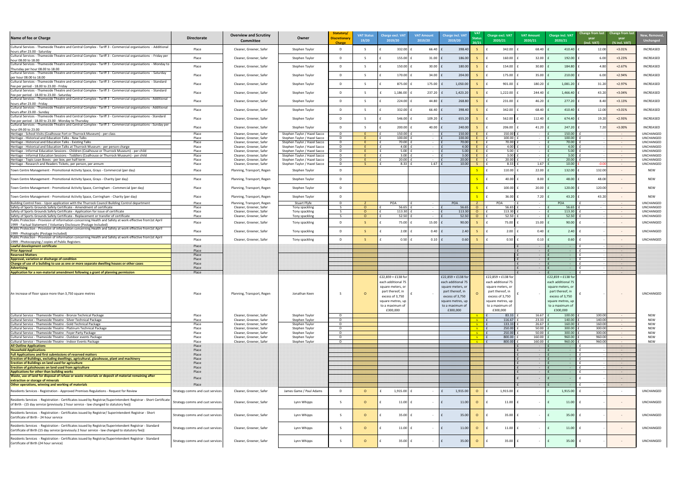

| Name of fee or Charge                                                                                                                                                                                        | <b>Directorate</b>               | <b>Overview and Scrutiny</b><br><b>Committee</b>   | Owner                                                        | Statutory/<br>Discretionary<br><b>Charge</b> | <b>VAT Status</b><br>19/20 | <b>Charge excl. VAT</b><br>2019/20                                                                                                                       | <b>VAT Amount</b><br>2019/20 | <b>Charge incl. VAT</b><br>2019/20                                                                                                                      | 20/21          | Charge excl. VAT<br>2020/21                                                                                                                              | <b>VAT Amount</b><br>2020/21 | <b>Charge incl. VAT</b><br>2020/21                                                                                                                      | <b>Change from last</b> Change from last<br>year<br>year<br>(incl. VAT)<br>(% incl. VAT) | New, Remove<br><b>Unchanged</b>      |
|--------------------------------------------------------------------------------------------------------------------------------------------------------------------------------------------------------------|----------------------------------|----------------------------------------------------|--------------------------------------------------------------|----------------------------------------------|----------------------------|----------------------------------------------------------------------------------------------------------------------------------------------------------|------------------------------|---------------------------------------------------------------------------------------------------------------------------------------------------------|----------------|----------------------------------------------------------------------------------------------------------------------------------------------------------|------------------------------|---------------------------------------------------------------------------------------------------------------------------------------------------------|------------------------------------------------------------------------------------------|--------------------------------------|
| Cultural Services - Thameside Theatre and Central Complex - Tariff 3 - Commercial organisations - Additional<br>hours after 23.00 - Saturday                                                                 | Place                            | Cleaner, Greener, Safer                            | Stephen Taylor                                               | -n                                           |                            | 332.00                                                                                                                                                   | 66.40                        | 398.4                                                                                                                                                   |                | 342.00                                                                                                                                                   | 68.40                        | 410.40                                                                                                                                                  | $+3.01%$<br>12.00                                                                        | INCREASED                            |
| Cultural Services - Thameside Theatre and Central Complex - Tariff 3 - Commercial organisations - Friday per<br>hour 08.00 to 18.00                                                                          | Place                            | Cleaner, Greener, Safer                            | Stephen Taylor                                               | D.                                           |                            | 155.00                                                                                                                                                   | $31.00$ f                    | 186.00                                                                                                                                                  |                | 160.00                                                                                                                                                   | 32.00                        | 192.00                                                                                                                                                  | $+3.23%$<br>6.00                                                                         | INCREASED                            |
| Cultural Services - Thameside Theatre and Central Complex - Tariff 3 - Commercial organisations - Monday to<br>Thursday per hour 08.00 to 18.00                                                              | Place                            | Cleaner, Greener, Safer                            | Stephen Taylor                                               | D                                            |                            | 150.00                                                                                                                                                   | 30.00                        | 180.00                                                                                                                                                  |                | 154.00                                                                                                                                                   | 30.80                        | 184.80                                                                                                                                                  | $+2.67%$                                                                                 | INCREASED                            |
| Cultural Services - Thameside Theatre and Central Complex - Tariff 3 - Commercial organisations - Saturday<br>per hour 08.00 to 18.00                                                                        | Place                            | Cleaner, Greener, Safer                            | Stephen Taylor                                               | D.                                           |                            | 170.00                                                                                                                                                   | 34.00                        | 204.00                                                                                                                                                  |                | 175.00                                                                                                                                                   | 35.00                        | 210.00                                                                                                                                                  | $+2.94%$<br>6.00                                                                         | <b>INCREASED</b>                     |
| Cultural Services - Thameside Theatre and Central Complex - Tariff 3 - Commercial organisations - Standard                                                                                                   | Place                            | Cleaner, Greener, Safer                            | Stephen Taylor                                               | D.                                           |                            | 875.00                                                                                                                                                   | 175.00                       | 1,050.00                                                                                                                                                |                | 901.00                                                                                                                                                   | 180.20                       | 1,081.20                                                                                                                                                | $+2.97%$<br>31.20                                                                        | <b>INCREASED</b>                     |
| Fee per period - 18.00 to 23.00 - Friday<br>Cultural Services - Thameside Theatre and Central Complex - Tariff 3 - Commercial organisations - Standard                                                       | Place                            | Cleaner, Greener, Safer                            | Stephen Taylor                                               | D.                                           |                            | 1,186.00                                                                                                                                                 | 237.20                       | 1,423.20                                                                                                                                                |                | 1,222.00                                                                                                                                                 | 244.40                       | 1,466.40                                                                                                                                                | 43.20<br>+3.04%                                                                          | <b>INCREASED</b>                     |
| Fee per period - 18.00 to 23.00 - Saturday<br>Cultural Services - Thameside Theatre and Central Complex - Tariff 3 - Commercial organisations - Additional                                                   | Place                            | Cleaner, Greener, Safer                            | Stephen Taylor                                               | D.                                           |                            | $224.00$   1                                                                                                                                             | 44.80                        | 268.80                                                                                                                                                  |                | 231.00                                                                                                                                                   | 46.20                        | 277.20                                                                                                                                                  | $+3.13%$<br>8.40                                                                         | <b>INCREASED</b>                     |
| hours after 23.00 - Friday<br>Cultural Services - Thameside Theatre and Central Complex - Tariff 3 - Commercial organisations - Additional                                                                   | Place                            | Cleaner, Greener, Safer                            | Stephen Taylor                                               | D.                                           |                            | $332.00$   1                                                                                                                                             | 66.40                        | 398.40                                                                                                                                                  |                | 342.00                                                                                                                                                   | 68.40                        | 410.40                                                                                                                                                  | $+3.01%$<br>12.00                                                                        | <b>INCREASED</b>                     |
| hours after 23.00 - Sunday<br>Cultural Services - Thameside Theatre and Central Complex - Tariff 3 - Commercial organisations - Standard                                                                     | Place                            | Cleaner, Greener, Safer                            | Stephen Taylor                                               | D.                                           |                            | 546.00                                                                                                                                                   | 109.20 $\vert$ f             | 655.20                                                                                                                                                  |                | 562.00                                                                                                                                                   | 112.40                       | 674.40                                                                                                                                                  | $+2.93%$<br>19.20                                                                        | <b>INCREASED</b>                     |
| Fee per period - 18.00 to 23.00 - Monday to Thursday<br>Cultural Services - Thameside Theatre and Central Complex - Tariff 3 - Commercial organisations - Sunday per                                         | Place                            | Cleaner, Greener, Safer                            | Stephen Taylor                                               | D.                                           |                            | 200.00                                                                                                                                                   | $40.00$ f                    | 240.00                                                                                                                                                  |                | 206.00                                                                                                                                                   | 41.20                        | 247.20                                                                                                                                                  | +3.00%<br>7.20                                                                           | INCREASED                            |
| hour 09.00 to 23.00<br>Heritage - School Visits (Coalhouse Fort or Thurrock Museum) - per class                                                                                                              | Place                            | Cleaner, Greener, Safer                            | Stephen Taylor / Hazel Sacco                                 | D.                                           |                            | $150.00$                                                                                                                                                 |                              | 150.00                                                                                                                                                  |                | 150.00                                                                                                                                                   |                              | 150.00                                                                                                                                                  | $\sim 100$                                                                               | UNCHANGED                            |
| Heritage - Historical and Education Talks - New Talks<br>Heritage - Historical and Education Talks - Existing Talks                                                                                          | Place<br>Place                   | Cleaner, Greener, Safer<br>Cleaner, Greener, Safer | Stephen Taylor / Hazel Sacco<br>Stephen Taylor / Hazel Sacco | D.                                           |                            | 100.00<br>70.00                                                                                                                                          |                              | 100.00<br>70.00                                                                                                                                         |                | 100.00<br>70.00                                                                                                                                          |                              | 100.00<br>70.00                                                                                                                                         | $\sim$ $ \sim$                                                                           | <b>UNCHANGED</b><br><b>UNCHANGED</b> |
| Heritage - Historical and Education Talks at Thurrock Museum - per person charge                                                                                                                             | Place                            | Cleaner, Greener, Safer                            | Stephen Taylor / Hazel Sacco                                 |                                              |                            | 4.00                                                                                                                                                     |                              | 4.00                                                                                                                                                    |                | 4.00                                                                                                                                                     |                              | 4.00                                                                                                                                                    | $\sim$ $ \sim$<br>$\sim 100$                                                             | <b>UNCHANGED</b>                     |
| Heritage - Informal Education Sessions - Children (Coalhouse or Thurrock Museum) - per child                                                                                                                 | Place                            | Cleaner, Greener, Safer                            | Stephen Taylor / Hazel Sacco                                 |                                              |                            | 5.00                                                                                                                                                     |                              | 5.00                                                                                                                                                    |                | 5.00                                                                                                                                                     |                              | 5.00                                                                                                                                                    | $\sim 100$                                                                               | <b>UNCHANGED</b>                     |
| Heritage - Informal Education Sessions - Toddlers (Coalhouse or Thurrock Museum) - per child                                                                                                                 | Place                            | Cleaner, Greener, Safer                            | Stephen Taylor / Hazel Sacco                                 |                                              |                            | 3.00                                                                                                                                                     |                              | 3.00                                                                                                                                                    |                | 3.00                                                                                                                                                     |                              | 3.00                                                                                                                                                    | $\sim 100$                                                                               | <b>UNCHANGED</b>                     |
| Heritage - Topic Loan Boxes - per box, per half term<br>Heritage - Research and Readers Tickets, per person, per annum                                                                                       | Place<br>Place                   | Cleaner, Greener, Safer<br>Cleaner, Greener, Safer | Stephen Taylor / Hazel Sacco<br>Stephen Taylor / Hazel Sacco | D.                                           |                            | 20.00<br>8.33                                                                                                                                            | 1.67                         | 20.00<br>10.00                                                                                                                                          |                | 20.00<br>8.33                                                                                                                                            | 1.67                         | 20.00<br>10.00                                                                                                                                          | $\sim 100$<br>-0.0<br>$\sim$ $ \sim$                                                     | <b>UNCHANGED</b><br>UNCHANGED        |
| Town Centre Management - Promotional Activity Space, Grays - Commercial (per day)                                                                                                                            | Place                            | Planning, Transport, Regen                         | Stephen Taylor                                               | D.                                           |                            |                                                                                                                                                          |                              |                                                                                                                                                         |                | 110.00                                                                                                                                                   | 22.00                        | 132.00                                                                                                                                                  | 132.00                                                                                   | <b>NEW</b>                           |
| Town Centre Management - Promotional Activity Space, Grays - Charity (per day)                                                                                                                               | Place                            | Planning, Transport, Regen                         | Stephen Taylor                                               | D.                                           |                            |                                                                                                                                                          |                              |                                                                                                                                                         |                | 40.00                                                                                                                                                    | 8.00                         | 48.00                                                                                                                                                   | 48.00                                                                                    | <b>NEW</b>                           |
| Town Centre Management - Promotional Activity Space, Corringham - Commercial (per day)                                                                                                                       | Place                            | Planning, Transport, Regen                         | Stephen Taylor                                               |                                              |                            |                                                                                                                                                          |                              |                                                                                                                                                         |                | 100.00                                                                                                                                                   | $20.00$ $E$                  | 120.00                                                                                                                                                  | 120.00                                                                                   |                                      |
| Town Centre Management - Promotional Activity Space, Corringham - Charity (per day)                                                                                                                          | Place                            | Planning, Transport, Regen                         | Stephen Taylor                                               | D.                                           |                            |                                                                                                                                                          |                              |                                                                                                                                                         |                | 36.00                                                                                                                                                    | 7.20                         | 43.20                                                                                                                                                   | 43.20                                                                                    | <b>NEW</b>                           |
| Building Control Fees - Upon application with the Thurrock Council Building Control department                                                                                                               | Place                            | Planning, Transport, Regen                         | Stuart Ffyfe                                                 | D.                                           |                            | POA                                                                                                                                                      | $\sim$                       | POA                                                                                                                                                     |                | POA                                                                                                                                                      | $\sim$ $-$                   | <b>POA</b>                                                                                                                                              | $\sim 100$                                                                               | UNCHANGED                            |
| Safety of Sports Grounds Safety Certificate - Amendment of certificate                                                                                                                                       | Place                            | Cleaner, Greener, Safer                            | Tony spackling                                               |                                              |                            | 56.65                                                                                                                                                    | $\sim$                       | 56.6                                                                                                                                                    | $\Omega$       | 56.65                                                                                                                                                    |                              | 56.65                                                                                                                                                   | $\sim 100$                                                                               | <b>UNCHANGED</b>                     |
| Safety of Sports Grounds Safety Certificate - Application for issue of certificate                                                                                                                           | Place                            | Cleaner, Greener, Safer                            | Tony spackling                                               |                                              |                            | 113.30                                                                                                                                                   | $\sim$                       | 113.30                                                                                                                                                  | $\overline{O}$ | 113.30                                                                                                                                                   | $\sim$ $ \sim$               | 113.30                                                                                                                                                  | $\sim 100$                                                                               | UNCHANGED                            |
| Safety of Sports Grounds Safety Certificate - Replacement or transfer of certificate<br>Public Protection - Provision of information concerning Health and Safety at work effective from1st April            | Place                            | Cleaner, Greener, Safer                            | Tony spackling                                               |                                              | $\Omega$                   | 52.50                                                                                                                                                    | $\sim$ $ \sim$               | 52.50                                                                                                                                                   | $\overline{O}$ | 52.50                                                                                                                                                    | $\sim 100$ m $^{-1}$         | 52.50                                                                                                                                                   | $\sim 100$ m $^{-1}$                                                                     | UNCHANGED                            |
| 1999 - Factual Statement / Voluntary Disclosure (Postage Included)                                                                                                                                           | Place                            | Cleaner, Greener, Safer                            | Tony spackling                                               | D.                                           |                            | 75.00                                                                                                                                                    | 15.00                        | 90.00                                                                                                                                                   |                | 75.00                                                                                                                                                    | 15.00                        | 90.00                                                                                                                                                   | $\sim$ $ \sim$                                                                           | UNCHANGED                            |
| Public Protection - Provision of information concerning Health and Safety at work effective from1st April<br>1999 - Photographs (Postage Included)                                                           | Place                            | Cleaner, Greener, Safer                            | Tony spackling                                               | D.                                           |                            | $2.00$ f                                                                                                                                                 | $0.40$ $E$                   | 2.40                                                                                                                                                    |                | 2.00                                                                                                                                                     | $0.40$ :                     | 2.40                                                                                                                                                    | $\sim$ $ \sim$                                                                           | UNCHANGED                            |
| Public Protection - Provision of information concerning Health and Safety at work effective from1st April                                                                                                    | Place                            | Cleaner, Greener, Safer                            | Tony spackling                                               | D.                                           |                            | $0.50$   1                                                                                                                                               | $0.10$ $f$                   | 0.60                                                                                                                                                    |                | 0.50                                                                                                                                                     | $0.10$ $f$                   | 0.60                                                                                                                                                    | $\sim$ $ \sim$                                                                           | <b>UNCHANGED</b>                     |
| 1999 - Photocopying / copies of Public Registers                                                                                                                                                             |                                  |                                                    |                                                              |                                              |                            |                                                                                                                                                          |                              |                                                                                                                                                         |                |                                                                                                                                                          |                              |                                                                                                                                                         |                                                                                          |                                      |
| Lawful development certificate<br><b>Prior Approval</b>                                                                                                                                                      | Place<br>Place                   |                                                    |                                                              |                                              |                            |                                                                                                                                                          |                              |                                                                                                                                                         |                |                                                                                                                                                          |                              |                                                                                                                                                         |                                                                                          |                                      |
| <b>Reserved Matters</b>                                                                                                                                                                                      | Place                            |                                                    |                                                              |                                              |                            |                                                                                                                                                          |                              |                                                                                                                                                         |                |                                                                                                                                                          |                              |                                                                                                                                                         |                                                                                          |                                      |
| Approval, variation or discharge of condition                                                                                                                                                                | Place                            |                                                    |                                                              |                                              |                            |                                                                                                                                                          |                              |                                                                                                                                                         |                |                                                                                                                                                          |                              |                                                                                                                                                         | ----                                                                                     |                                      |
| Change of use of a building to use as one or more separate dwelling houses or other cases                                                                                                                    | Place                            |                                                    |                                                              |                                              |                            |                                                                                                                                                          |                              |                                                                                                                                                         |                |                                                                                                                                                          |                              |                                                                                                                                                         |                                                                                          |                                      |
| <b>Advertising</b><br>Application for a non-material amendment following a grant of planning permission                                                                                                      | Place<br>Place                   |                                                    |                                                              |                                              |                            |                                                                                                                                                          |                              |                                                                                                                                                         |                |                                                                                                                                                          |                              |                                                                                                                                                         | ----                                                                                     |                                      |
| An increase of floor space more than 3,750 square metres                                                                                                                                                     | Place                            | Planning, Transport, Regen                         | Jonathan Keen                                                |                                              |                            | £22,859 + £138 for<br>each additional 75<br>square meters, or<br>part thereof, in<br>excess of 3,750<br>square metres, up<br>to a maximum of<br>£300,000 |                              | £22,859 + £138 fc<br>each additional 75<br>square meters, or<br>part thereof, in<br>excess of 3,750<br>square metres, up<br>to a maximum of<br>£300,000 |                | £22,859 + £138 for<br>each additional 75<br>square meters, or<br>part thereof, in<br>excess of 3,750<br>square metres, up<br>to a maximum of<br>£300,000 |                              | £22,859 + £138 fo<br>each additional 75<br>square meters, or<br>part thereof, in<br>excess of 3,750<br>square metres, up<br>to a maximum of<br>£300,000 | $\sim$ $-$                                                                               | UNCHANGED                            |
| Cultural Service - Thameside Theatre - Bronze Technical Package                                                                                                                                              | Place                            | Cleaner, Greener, Safer                            | Stephen Taylor                                               | n.                                           |                            |                                                                                                                                                          |                              |                                                                                                                                                         |                | 83.33                                                                                                                                                    | 16.67                        | 100.00                                                                                                                                                  | 100.00<br>$\sim$ $ \sim$                                                                 | NEW                                  |
| Cultural Service - Thameside Theatre - Silver Technical Package                                                                                                                                              | Place                            | Cleaner, Greener, Safer                            | Stephen Taylor                                               | $\sqrt{2}$                                   |                            |                                                                                                                                                          |                              |                                                                                                                                                         |                | 116.67                                                                                                                                                   | 23.33                        | 140.00                                                                                                                                                  | 140.00                                                                                   | <b>NEW</b>                           |
| Cultural Service - Thameside Theatre - Gold Technical Package                                                                                                                                                | Place                            | Cleaner, Greener, Safer                            | Stephen Taylor                                               | $\Gamma$                                     |                            |                                                                                                                                                          |                              |                                                                                                                                                         |                | 133.33                                                                                                                                                   | 26.67                        | 160.00                                                                                                                                                  | 160.00                                                                                   | <b>NEW</b>                           |
| Cultural Service - Thameside Theatre - Platinum Technical Package<br>Cultural Service - Thameside Theatre - Foyer Party Package                                                                              | Place<br>Place                   | Cleaner, Greener, Safer<br>Cleaner, Greener, Safer | Stephen Taylor<br>Stephen Taylor                             | $\Gamma$<br>$\Gamma$                         |                            |                                                                                                                                                          |                              |                                                                                                                                                         |                | 250.00<br>250.00                                                                                                                                         | 50.00<br>50.00               | 300.00<br>300.00                                                                                                                                        | 300.00<br>300.00                                                                         | <b>NEW</b><br><b>NEW</b>             |
| Cultural Service - Thameside Theatre - Outdoor events Package                                                                                                                                                | Place                            | Cleaner, Greener, Safer                            | Stephen Taylor                                               | $\Gamma$                                     |                            |                                                                                                                                                          |                              |                                                                                                                                                         |                | 800.00                                                                                                                                                   | 160.00                       | 960.00                                                                                                                                                  | 960.00                                                                                   | <b>NEW</b>                           |
| Cultural Service - Thameside Theatre - Indoor Events Package                                                                                                                                                 | Place                            | Cleaner, Greener, Safer                            | Stephen Taylor                                               | $\Gamma$                                     |                            |                                                                                                                                                          |                              |                                                                                                                                                         |                | 800.00                                                                                                                                                   | 160.00                       | 960.00                                                                                                                                                  | 960.00<br>$\sim$ $ \sim$                                                                 | <b>NEW</b>                           |
| <b>All Outline Applications</b>                                                                                                                                                                              | Place                            |                                                    |                                                              |                                              |                            |                                                                                                                                                          |                              |                                                                                                                                                         |                |                                                                                                                                                          |                              |                                                                                                                                                         |                                                                                          |                                      |
| <b>Household Applications</b>                                                                                                                                                                                | Place                            |                                                    |                                                              |                                              |                            |                                                                                                                                                          |                              |                                                                                                                                                         |                |                                                                                                                                                          |                              |                                                                                                                                                         |                                                                                          |                                      |
| <b>Full Applications and first submissions of reserved matters</b><br>Erection of Buildings, excluding dwellings, agricultural, glasshouse, plant and machinery                                              | Place<br>Place                   |                                                    |                                                              |                                              |                            |                                                                                                                                                          |                              |                                                                                                                                                         |                |                                                                                                                                                          |                              |                                                                                                                                                         |                                                                                          |                                      |
| <b>Erection of Buildings on land used for agriculture</b>                                                                                                                                                    | Place                            |                                                    |                                                              |                                              |                            |                                                                                                                                                          |                              |                                                                                                                                                         |                |                                                                                                                                                          |                              |                                                                                                                                                         |                                                                                          |                                      |
| <b>Erection of galsshouses on land used from agriculture</b>                                                                                                                                                 | Place                            |                                                    |                                                              |                                              |                            |                                                                                                                                                          |                              |                                                                                                                                                         |                |                                                                                                                                                          |                              |                                                                                                                                                         |                                                                                          |                                      |
| Applications for other than building works                                                                                                                                                                   | Place                            |                                                    |                                                              |                                              |                            |                                                                                                                                                          |                              |                                                                                                                                                         |                |                                                                                                                                                          |                              |                                                                                                                                                         | ,,,,,,,,,,                                                                               |                                      |
| Waste, use of land for disposal of refuse or waste materials or deposit of material remaining after                                                                                                          | Place                            |                                                    |                                                              |                                              |                            |                                                                                                                                                          |                              |                                                                                                                                                         |                |                                                                                                                                                          |                              |                                                                                                                                                         |                                                                                          |                                      |
| extraction or storage of minerals                                                                                                                                                                            |                                  |                                                    |                                                              |                                              |                            |                                                                                                                                                          |                              |                                                                                                                                                         |                |                                                                                                                                                          |                              |                                                                                                                                                         |                                                                                          |                                      |
| Other operations, winning and working of materials                                                                                                                                                           | Place                            |                                                    |                                                              |                                              |                            |                                                                                                                                                          |                              |                                                                                                                                                         |                |                                                                                                                                                          |                              |                                                                                                                                                         |                                                                                          |                                      |
| Residents Services - Registration - Approved Premises Regulations - Request for Review                                                                                                                       | Strategy comms and cust services | Cleaner, Greener, Safer                            | James Game / Paul Adams                                      | D.                                           |                            | $1,915.00$   1                                                                                                                                           |                              | 1,915.00                                                                                                                                                | $\Omega$       | 1,915.00                                                                                                                                                 |                              | 1,915.00                                                                                                                                                | $\sim$                                                                                   | UNCHANGED                            |
| Residents Services - Registration - Certificates issued by Registrar/Superintendent Registrar - Short Certificate<br>of Birth - (15 day service (previously 2 hour service - law changed to statutory fee))  | Strategy comms and cust services | Cleaner, Greener, Safer                            | Lynn Whipps                                                  |                                              |                            | 11.00                                                                                                                                                    |                              | 11.00                                                                                                                                                   | $\Omega$       | 11.00                                                                                                                                                    |                              | 11.00                                                                                                                                                   | $\sim$ $-$                                                                               | UNCHANGED                            |
| Residents Services - Registration - Certificates issued by Registrar/ Superintendent Registrar - Short<br>Certificate of Birth - 24 hour service                                                             | Strategy comms and cust services | Cleaner, Greener, Safer                            | Lynn Whipps                                                  |                                              |                            | 35.00                                                                                                                                                    |                              | 35.00                                                                                                                                                   | $\Omega$       | 35.00                                                                                                                                                    |                              | 35.00                                                                                                                                                   | $\sim$ $ \sim$                                                                           | <b>UNCHANGED</b>                     |
| Residents Services - Registration - Certificates issued by Registrar/Superintendent Registrar - Standard<br>Certificate of Birth (15 day service (previously 2 hour service - law changed to statutory fee)) | Strategy comms and cust services | Cleaner, Greener, Safer                            | Lynn Whipps                                                  |                                              |                            | $11.00$ f                                                                                                                                                |                              | 11.00                                                                                                                                                   | $\circ$        | 11.00                                                                                                                                                    |                              | 11.00                                                                                                                                                   |                                                                                          | UNCHANGED                            |
| Residents Services - Registration - Certificates issued by Registrar/Superintendent Registrar - Standard<br>Certificate of Birth (24 hour service)                                                           | Strategy comms and cust services | Cleaner, Greener, Safer                            | Lynn Whipps                                                  |                                              |                            | $35.00$ $\vert$ 1                                                                                                                                        |                              | 35.00                                                                                                                                                   | $\overline{O}$ | 35.00                                                                                                                                                    |                              | 35.00                                                                                                                                                   |                                                                                          | UNCHANGED                            |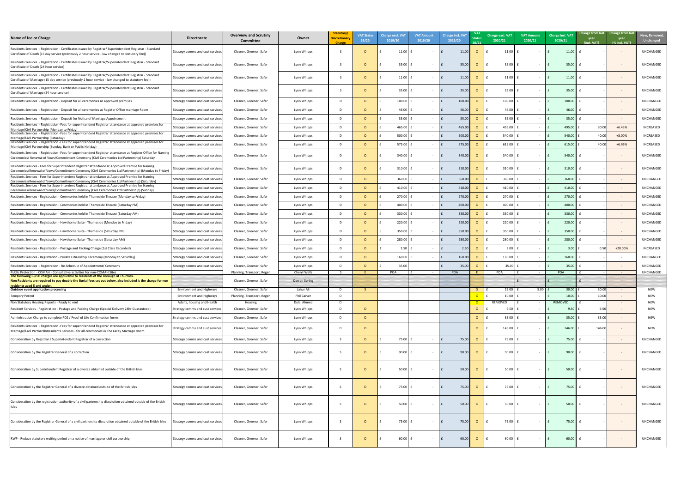| New, Removed,<br><b>Unchanged</b> |
|-----------------------------------|
| UNCHANGED                         |
| UNCHANGED                         |
| UNCHANGED                         |
| UNCHANGED                         |
| UNCHANGED                         |
| UNCHANGED                         |
| UNCHANGED                         |
| INCREASED                         |
| INCREASED                         |
| INCREASED                         |
| UNCHANGED                         |
| UNCHANGED                         |
| UNCHANGED                         |
| UNCHANGED                         |
| UNCHANGED                         |
| UNCHANGED                         |
| UNCHANGED                         |
| UNCHANGED                         |
| UNCHANGED                         |
| UNCHANGED                         |
| INCREASED                         |
| UNCHANGED                         |
| UNCHANGED                         |
| UNCHANGED<br>NEW                  |
| NEW                               |
| NEW<br>NEW                        |
| <b>NEW</b>                        |
| <b>NEW</b>                        |
| UNCHANGED                         |
| UNCHANGED                         |
| UNCHANGED                         |
| UNCHANGED                         |
| UNCHANGED                         |
| UNCHANGED                         |
| UNCHANGED                         |

| Name of fee or Charge                                                                                                                                                                                             | <b>Directorate</b>                                                 | <b>Overview and Scrutiny</b><br><b>Committee</b>      | Owner                       | Statutory/<br><b>Discretionary</b><br>Charge | <b>VAT Status</b><br>19/20 | <b>Charge excl. VAT</b><br>2019/20 | <b>VAT Amount</b><br>2019/20 | <b>Charge incl. VAT</b><br>2019/20 | Status<br>20/21                          | Charge excl. VAT<br>2020/21 | <b>VAT Amount</b><br>2020/21 | <b>Charge incl. VAT</b><br>2020/21 | Change from last Change from last<br>year<br>(incl. VAT) | year<br>(% incl. VAT)             | New, Remove<br><b>Unchanged</b> |
|-------------------------------------------------------------------------------------------------------------------------------------------------------------------------------------------------------------------|--------------------------------------------------------------------|-------------------------------------------------------|-----------------------------|----------------------------------------------|----------------------------|------------------------------------|------------------------------|------------------------------------|------------------------------------------|-----------------------------|------------------------------|------------------------------------|----------------------------------------------------------|-----------------------------------|---------------------------------|
| Residents Services - Registration - Certificates issued by Registrar/ Superintendent Registrar - Standard<br>Certificate of Death (15 day service (previously 2 hour service - law changed to statutory fee))     | Strategy comms and cust services                                   | Cleaner, Greener, Safer                               | Lynn Whipps                 |                                              |                            | 11.00                              |                              | 11.00                              | $\overline{O}$                           | 11.00                       |                              | 11.00                              |                                                          |                                   | UNCHANGED                       |
| Residents Services - Registration - Certificates issued by Registrar/Superintendent Registrar - Standard<br>Certificate of Death (24 hour service)                                                                | Strategy comms and cust services                                   | Cleaner, Greener, Safer                               | Lynn Whipps                 |                                              |                            | 35.00                              |                              | 35.00                              | $\Omega$                                 | 35.00                       |                              | 35.00                              |                                                          |                                   | UNCHANGED                       |
| Residents Services - Registration - Certificates issued by Registrar/Superintendent Registrar - Standard<br>Certificate of Marriage (15 day service (previously 2 hour service - law changed to statutory fee))   | Strategy comms and cust services                                   | Cleaner, Greener, Safer                               | Lynn Whipps                 |                                              |                            | 11.00                              |                              | 11.00                              | $\Omega$                                 | 11.00                       |                              | 11.00                              |                                                          |                                   | UNCHANGED                       |
| Residents Services - Registration - Certificates issued by Registrar/Superintendent Registrar - Standard<br>Certificate of Marriage (24 hour service)                                                             | Strategy comms and cust services                                   | Cleaner, Greener, Safer                               | Lynn Whipps                 |                                              |                            | 35.00                              |                              | 35.00                              | $\circ$                                  | 35.00                       |                              | 35.00                              |                                                          |                                   | UNCHANGED                       |
| Residents Services - Registration - Deposit for all ceremonies at Approved premises                                                                                                                               | Strategy comms and cust services                                   | Cleaner, Greener, Safer                               | Lynn Whipps                 | D.                                           |                            | 100.00                             |                              | 100.00                             | $\Omega$                                 | 100.00                      |                              | 100.00                             |                                                          |                                   | UNCHANGED                       |
| Residents Services - Registration - Deposit for all ceremonies at Register Office marriage Room                                                                                                                   | Strategy comms and cust services                                   | Cleaner, Greener, Safer                               | Lynn Whipps                 | D.                                           |                            | 46.00                              |                              | 46.OC                              | - 0                                      | 46.00                       |                              | 46.00                              |                                                          |                                   | UNCHANGED                       |
| Residents Services - Registration - Deposit for Notice of Marriage Appointment                                                                                                                                    | Strategy comms and cust services                                   | Cleaner, Greener, Safer                               | Lynn Whipps                 | D.                                           |                            | 35.00                              |                              | 35.00                              |                                          | 35.00                       |                              | 35.00                              |                                                          | $\sim$ $ \sim$                    | <b>UNCHANGED</b>                |
| Residents Services - Registration - Fees for superintendent Registrar attendance at approved premises for<br>Marriage/Civil Partnership (Monday to Friday)                                                        | Strategy comms and cust services                                   | Cleaner, Greener, Safer                               | Lynn Whipps                 | D.                                           |                            | 465.00                             |                              | 465.00                             |                                          | 495.00                      |                              | 495.00                             | 30.00                                                    | $+6.45%$                          | INCREASED                       |
| Residents Services - Registration - Fees for superintendent Registrar attendance at approved premises for                                                                                                         | Strategy comms and cust services                                   | Cleaner, Greener, Safer                               | Lynn Whipps                 | D.                                           |                            | 500.00                             |                              | 500.0                              |                                          | 540.00                      |                              | 540.00                             | 40.00                                                    | +8.00%                            | INCREASED                       |
| Marriage/Civil Partnership (Saturday)<br>Residents Services - Registration - Fees for superintendent Registrar attendance at approved premises for<br>Marriage/Civil Partnership (Sunday, Bank or Public Holiday) | Strategy comms and cust services                                   | Cleaner, Greener, Safer                               | Lynn Whipps                 | D.                                           |                            | 575.00                             |                              | 575.00                             | $\circ$                                  | 615.00                      |                              | 615.00                             | 40.00                                                    | +6.96%                            | INCREASED                       |
| Residents Services - Registration - Fees for superintendent Registrar attendance at Register Office for Naming<br>Ceremonies/ Renewal of Vows/Commitment Ceremony (Civil Ceremonies Ltd Partnership) Saturday     | Strategy comms and cust services                                   | Cleaner, Greener, Safer                               | Lynn Whipps                 |                                              |                            | 340.00                             |                              | 340.00                             | $\circ$                                  | 340.00                      |                              | 340.00                             |                                                          |                                   | UNCHANGED                       |
| Residents Services - Fees for Superintendent Registrar attendance at Approved Premise for Naming<br>[Ceremonies/Renewal of Vows/Commitment Ceremony (Civil Ceremonies Ltd Partnership) (Monday to Friday)         | Strategy comms and cust services                                   | Cleaner, Greener, Safer                               | Lynn Whipps                 |                                              |                            | 310.00                             |                              | 310.00                             | $\circ$                                  | 310.00                      |                              | 310.00                             |                                                          |                                   | UNCHANGED                       |
| Residents Services - Fees for Superintendent Registrar attendance at Approved Premise for Naming<br>(Ceremonies/Renewal of Vows/Commitment Ceremony (Civil Ceremonies Ltd Partnership) (Saturday)                 | Strategy comms and cust services                                   | Cleaner, Greener, Safer                               | Lynn Whipps                 | D                                            |                            | 360.00                             |                              | 360.00                             |                                          | 360.00                      |                              | 360.00                             |                                                          | $\sim$ $-$                        | UNCHANGED                       |
| Residents Services - Fees for Superintendent Registrar attendance at Approved Premise for Naming<br>Ceremonies/Renewal of Vows/Commitment Ceremony (Civil Ceremonies Ltd Partnership) (Sunday)                    | Strategy comms and cust services                                   | Cleaner, Greener, Safer                               | Lynn Whipps                 |                                              |                            | 410.00 $E$                         |                              | 410.00<br>Ι£                       | $\circ$                                  | 410.00                      |                              | 410.00                             |                                                          |                                   | UNCHANGED                       |
| Residents Services - Registration - Ceremonies held in Thameside Theatre (Monday to Friday)                                                                                                                       | Strategy comms and cust services                                   | Cleaner, Greener, Safer                               | Lynn Whipps                 |                                              |                            | 270.00                             |                              | 270.00                             | $\circ$                                  | 270.00                      |                              | 270.00                             |                                                          | $\sim$                            | <b>UNCHANGED</b>                |
| [Residents Services - Registration - Ceremonies held in Thameside Theatre (Saturday PM)                                                                                                                           | Strategy comms and cust services                                   | Cleaner, Greener, Safer                               | Lynn Whipps                 | D.                                           |                            | 400.00                             |                              | 400.00                             | $\Omega$                                 | 400.00                      |                              | 400.00                             |                                                          | $\sim$ $ \sim$                    | <b>UNCHANGED</b>                |
| [Residents Services - Registration - Ceremonies held in Thameside Theatre (Saturday AM)                                                                                                                           | Strategy comms and cust services                                   | Cleaner, Greener, Safer                               | Lynn Whipps                 | D.                                           |                            | 330.00                             |                              | 330.00                             | $\Omega$                                 | 330.00                      |                              | 330.00                             |                                                          | $\sim$                            | UNCHANGED                       |
| Residents Services - Registration - Hawthorne Suite - Thameside (Monday to Friday)                                                                                                                                | Strategy comms and cust services                                   | Cleaner, Greener, Safer                               | Lynn Whipps                 | D.                                           |                            | 220.00                             |                              | 220.00                             | $\Omega$                                 | 220.00                      |                              | 220.00                             |                                                          | $\sim$                            | <b>UNCHANGED</b>                |
| Residents Services - Registration - Hawthorne Suite - Thameside (Saturday PM)                                                                                                                                     | Strategy comms and cust services                                   | Cleaner, Greener, Safer                               | Lynn Whipps                 | D.                                           |                            | 350.00                             |                              | 350.00                             | - 0                                      | 350.00                      |                              | 350.00                             |                                                          |                                   | <b>UNCHANGED</b>                |
| Residents Services - Registration - Hawthorne Suite - Thameside (Saturday AM)                                                                                                                                     | Strategy comms and cust services                                   | Cleaner, Greener, Safer                               | Lynn Whipps                 | D.                                           |                            | 280.00                             |                              | 280.00                             |                                          | 280.00                      |                              | 280.00                             |                                                          |                                   | <b>UNCHANGED</b>                |
| Residents Services - Registration - Postage and Packing Charge (1st Class Recorded)                                                                                                                               | Strategy comms and cust services                                   | Cleaner, Greener, Safer                               | Lynn Whipps                 | D.                                           |                            | 2.50                               |                              | 2.5 <sub>0</sub>                   |                                          | 3.00                        |                              | 3.00                               | 0.50                                                     | $+20.00%$                         | <b>INCREASED</b>                |
| Residents Services - Registration - Private Citizenship Ceremony (Monday to Saturday)                                                                                                                             | Strategy comms and cust services                                   | Cleaner, Greener, Safer                               | Lynn Whipps                 |                                              |                            | 160.00                             |                              | 160.00                             |                                          | 160.00                      |                              | 160.00                             |                                                          | $\sim$                            | <b>UNCHANGED</b>                |
|                                                                                                                                                                                                                   |                                                                    |                                                       |                             | D.                                           |                            |                                    |                              |                                    |                                          |                             |                              | 35.00                              |                                                          |                                   | <b>UNCHANGED</b>                |
| Residents Services - Registration - Re-Schedule of Appointment/ Ceremony<br>Public Protection - COMAH - Consultative activities for non-COMAH Sites                                                               | Strategy comms and cust services                                   | Cleaner, Greener, Safer<br>Planning, Transport, Regen | Lynn Whipps<br>Cheryl Wells |                                              |                            | 35.00<br>POA                       |                              | 35.00<br>POA                       | $\Omega$                                 | 35.00<br>POA                |                              | POA                                |                                                          | $\sim$ $ \sim$<br>$\sim 10^{-10}$ | <b>UNCHANGED</b>                |
| The following Burial charges are applicable to residents of the Borough of Thurrock.<br>Non Residents are required to pay double the Burial fees set out below, also included is the charge for non               |                                                                    | Cleaner, Greener, Safer                               | <b>Darren Spring</b>        |                                              |                            |                                    |                              |                                    |                                          |                             |                              |                                    |                                                          |                                   |                                 |
| residents aged 5 and under.                                                                                                                                                                                       |                                                                    |                                                       |                             |                                              |                            |                                    |                              |                                    |                                          |                             |                              |                                    |                                                          |                                   |                                 |
| Outdoor event application processing<br>Tempory Permit                                                                                                                                                            | <b>Environment and Highways</b><br><b>Environment and Highways</b> | Cleaner, Greener, Safer<br>Planning, Transport, Regen | Jahur Ali<br>Phil Carver    | D.<br>D.                                     |                            |                                    |                              |                                    | $\mathcal{S}$<br>$\overline{\mathsf{O}}$ | 25.00<br>10.00              | 5.00                         | 30.00<br>10.00                     | 30.00<br>10.00                                           | $\sim$ $ \sim$                    | <b>NEW</b><br><b>NEW</b>        |
| Non Statutory Housing Reports - Ready to rent                                                                                                                                                                     | Adults, housing and Health                                         | Housing                                               | Dulal Ahmed                 | D.                                           |                            |                                    |                              |                                    | $\overline{O}$                           | REMOVED                     |                              | REMOVED                            |                                                          | $\sim$ $ \sim$                    | <b>NEW</b>                      |
| [Resident Services - Registration - Postage and Packing Charge (Special Delivery 24hr Guaranteed)                                                                                                                 | Strategy comms and cust services                                   | Cleaner, Greener, Safer                               | Lynn Whipps                 | D.                                           |                            |                                    |                              |                                    | $\overline{O}$                           | 9.50                        |                              | 9.50                               | 9.50                                                     |                                   | <b>NEW</b>                      |
| Administration Charge to complete PD2 / Proof of Life Confirmation forms                                                                                                                                          | Strategy comms and cust services                                   | Cleaner, Greener, Safer                               | Lynn Whipps                 | D                                            |                            |                                    |                              |                                    | $\circ$                                  | 35.00                       |                              | 35.00                              | 35.00                                                    |                                   | <b>NEW</b>                      |
| Residents Services - Registration - Fees for superintendent Registrar attendance at approved premises for<br>Marriage/Civil PartnershiResidents Services - for all ceremonies in The Lacey Marriage Room          | Strategy comms and cust services                                   | Cleaner, Greener, Safer                               | Lynn Whipps                 | -D                                           |                            |                                    |                              |                                    | $\Omega$                                 | 146.00                      |                              | 146.00                             | 146.00                                                   |                                   | <b>NEW</b>                      |
| Consideration by Registrar / Superintendent Registrar of a correction                                                                                                                                             | Strategy comms and cust services                                   | Cleaner, Greener, Safer                               | Lynn Whipps                 |                                              |                            | $75.00$ f                          |                              | 75.00<br>Ιf                        | $\overline{O}$                           | 75.00                       |                              | 75.00                              |                                                          |                                   | UNCHANGED                       |
| Consideration by the Registrar General of a correction                                                                                                                                                            | Strategy comms and cust services                                   | Cleaner, Greener, Safer                               | Lynn Whipps                 |                                              |                            | 90.00                              |                              | $\mathsf{E}$<br>90.00              | $\overline{O}$                           | $90.00$ £                   |                              | 90.00                              |                                                          |                                   | <b>UNCHANGED</b>                |
| Consideration by Superintendent Registrar of a divorce obtained outside of the British Isles                                                                                                                      | Strategy comms and cust services                                   | Cleaner, Greener, Safer                               | Lynn Whipps                 |                                              |                            | 50.00                              | $\sim$ $-$                   | 50.00                              | $\overline{O}$                           | 50.00                       |                              | 50.00                              |                                                          | $\sim$ $ \sim$                    | UNCHANGED                       |
| Consideration by the Registrar General of a divorce obtained outside of the British Isles                                                                                                                         | Strategy comms and cust services                                   | Cleaner, Greener, Safer                               | Lynn Whipps                 |                                              |                            | 75.00                              | $\sim$ 100 $\sim$            | 75.00                              | $\circ$                                  | 75.00                       |                              | 75.00                              |                                                          |                                   | <b>UNCHANGED</b>                |
| Consideration by the registration authority of a civil partnership dissolution obtained outside of the British<br>Isles                                                                                           | Strategy comms and cust services                                   | Cleaner, Greener, Safer                               | Lynn Whipps                 |                                              |                            | $50.00$ f                          | $\sim$                       | 50.00<br>l f                       | $\circ$                                  | $50.00$ $E$                 |                              | 50.00                              |                                                          | $\sim$                            | <b>UNCHANGED</b>                |
| Consideration by the Registrar General of a civil partnership dissolution obtained outside of the British Isles                                                                                                   | Strategy comms and cust services                                   | Cleaner, Greener, Safer                               | Lynn Whipps                 |                                              | $\Omega$                   | $75.00$ £                          | $\sim 100$                   | 75.00<br>$\mathsf{E}$              | $\overline{O}$                           | $75.00$ $f$                 |                              | 75.00                              |                                                          |                                   | <b>UNCHANGED</b>                |
| RWP - Reduce statutory waiting period on a notice of marriage or civil partnership                                                                                                                                | Strategy comms and cust services                                   | Cleaner, Greener, Safer                               | Lynn Whipps                 |                                              |                            | 60.00                              | $\sim$                       | 60.00                              | $\overline{O}$                           | $60.00$ £                   |                              | 60.00                              |                                                          |                                   | UNCHANGED                       |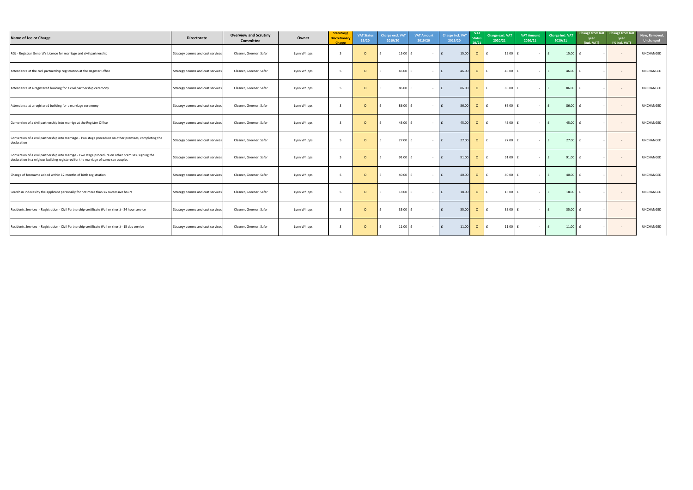| New, Removed,<br><b>Unchanged</b> |
|-----------------------------------|
| UNCHANGED                         |
| UNCHANGED                         |
| UNCHANGED                         |
| UNCHANGED                         |
| UNCHANGED                         |
| UNCHANGED                         |
| UNCHANGED                         |
| UNCHANGED                         |
| UNCHANGED                         |
| UNCHANGED                         |
| UNCHANGED                         |

| Name of fee or Charge                                                                                                                                                                     | <b>Directorate</b>               | <b>Overview and Scrutiny</b><br><b>Committee</b> | Owner       | Statutory/<br><b>Discretionary</b><br><b>Charge</b> | <b>VAT Status</b><br>19/20 | <b>Charge excl. VAT</b><br>2019/20 | <b>VAT Amount</b><br>2019/20 | Charge incl. VAT<br>2019/20 | <b>VAT</b><br><b>Status</b><br>20/21 | <b>Charge excl. VAT</b><br>2020/21 | <b>VAT Amount</b><br>2020/21 | Charge incl. VAT<br>2020/21 | Change from last Change from last<br>year<br>(incl. VAT) | year<br>(% incl. VAT) | New, Remove<br><b>Unchanged</b> |
|-------------------------------------------------------------------------------------------------------------------------------------------------------------------------------------------|----------------------------------|--------------------------------------------------|-------------|-----------------------------------------------------|----------------------------|------------------------------------|------------------------------|-----------------------------|--------------------------------------|------------------------------------|------------------------------|-----------------------------|----------------------------------------------------------|-----------------------|---------------------------------|
| RGL - Registrar General's Licence for marriage and civil partnership                                                                                                                      | Strategy comms and cust services | Cleaner, Greener, Safer                          | Lynn Whipps |                                                     |                            | 15.00                              |                              | 15.00                       | $\circ$                              | 15.00                              |                              | 15.00                       |                                                          | $\sim$ $ \sim$        | UNCHANGED                       |
| Attendance at the civil partnership registration at the Register Office                                                                                                                   | Strategy comms and cust services | Cleaner, Greener, Safer                          | Lynn Whipps |                                                     |                            | 46.00                              | $\sim$ $ \sim$               | 46.00                       | $\circ$                              | 46.00                              |                              | 46.00                       |                                                          | $\sim$ $-$            | <b>UNCHANGED</b>                |
| Attendance at a registered building for a civil partnership ceremony                                                                                                                      | Strategy comms and cust services | Cleaner, Greener, Safer                          | Lynn Whipps |                                                     |                            | 86.00                              | $\sim$ $-$                   | 86.00                       | $\circ$                              | 86.00                              |                              | 86.00                       |                                                          | $\sim$ $-$            | UNCHANGED                       |
| Attendance at a registered building for a marriage ceremony                                                                                                                               | Strategy comms and cust services | Cleaner, Greener, Safer                          | Lynn Whipps |                                                     |                            | 86.00                              | $\sim$                       | 86.00                       | $\circ$                              | 86.00                              |                              | 86.00                       |                                                          | $\sim$ $-$            | <b>UNCHANGED</b>                |
| Conversion of a civil partnership into marrige at the Register Office                                                                                                                     | Strategy comms and cust services | Cleaner, Greener, Safer                          | Lynn Whipps |                                                     |                            | 45.00                              | $\sim$                       | 45.00                       | $\circ$                              | 45.00                              |                              | 45.00                       |                                                          | $\sim$ $-$            | <b>UNCHANGED</b>                |
| Conversion of a civil partnership into marriage - Two stage procedure on other premises, completing the<br>declaration                                                                    | Strategy comms and cust services | Cleaner, Greener, Safer                          | Lynn Whipps | -S                                                  |                            | 27.00 $E$                          | $\sim$ $ \sim$               | 27.00                       | $\overline{O}$                       | $27.00$ £                          |                              | 27.00                       | £                                                        | $\sim$ $-$            | UNCHANGED                       |
| Conversion of a civil partnership into marrige - Two stage procedure on other premises, signing the<br>declaration in a relgious building registered for the marriage of same sex couples | Strategy comms and cust services | Cleaner, Greener, Safer                          | Lynn Whipps | -S                                                  | <u>റ</u>                   | 91.00 $\vert$ £                    | $\sim$ $ \sim$               | 91.00<br>l f                | $\overline{O}$                       | $91.00$ $E$                        |                              | 91.00                       | £                                                        | $\sim$                | <b>UNCHANGED</b>                |
| Change of forename added within 12 months of birth registration                                                                                                                           | Strategy comms and cust services | Cleaner, Greener, Safer                          | Lynn Whipps | -S                                                  | $\Omega$                   | $40.00$ f                          | $\sim$ $ \sim$               | 40.00                       | $\overline{O}$                       | 40.00                              |                              | 40.00                       |                                                          | $\sim$ $-$            | UNCHANGED                       |
| Search in indexes by the applicant personally for not more than six successive hours                                                                                                      | Strategy comms and cust services | Cleaner, Greener, Safer                          | Lynn Whipps |                                                     |                            | 18.00                              |                              | 18.00<br>E                  | $\overline{O}$                       | $18.00 \text{ } \text{ }$ f        |                              | 18.00                       |                                                          |                       | UNCHANGED                       |
| Residents Services - Registration - Civil Partnership certificate (Full or short) - 24 hour service                                                                                       | Strategy comms and cust services | Cleaner, Greener, Safer                          | Lynn Whipps | -S                                                  | . O                        | $35.00$ f                          | $\sim 100$                   | 35.00<br>E                  | $\overline{O}$                       | $35.00$ £                          | <b>Contract Contract</b>     | 35.00                       | £                                                        | $\sim$ $ \sim$        | UNCHANGED                       |
| Residents Services - Registration - Civil Partnership certificate (Full or short) - 15 day service                                                                                        | Strategy comms and cust services | Cleaner, Greener, Safer                          | Lynn Whipps |                                                     | $\circ$                    | $11.00$ $f$                        | $\sim 100$ m $^{-1}$         | 11.00                       | $\overline{O}$                       | $11.00$ $f$                        |                              | 11.00                       | £                                                        | $\sim 100$            | UNCHANGED                       |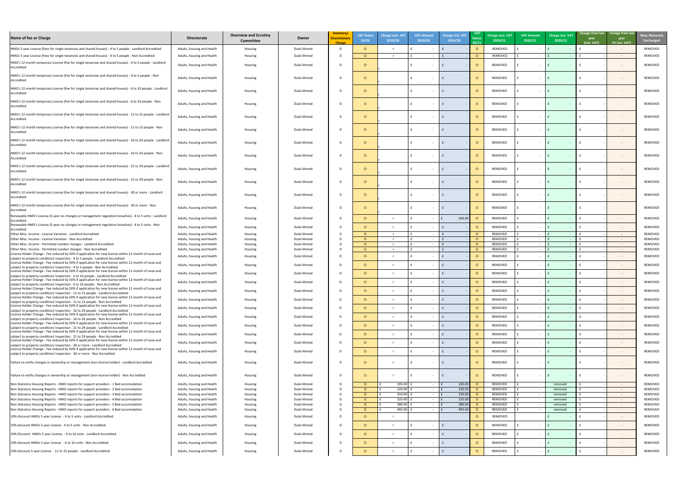| Name of fee or Charge                                                                                                                                                                                                       | <b>Directorate</b>                                       | <b>Overview and Scrutiny</b><br><b>Committee</b> | Owner                      | Statutory/<br><b>Discretionary</b><br><b>Charge</b> | <b>VAT Status</b><br>19/20 | <b>Charge excl. VAT</b><br>2019/20 | <b>VAT Amount</b><br>2019/20 | <b>Charge incl. VAT</b><br>2019/20 | <b>VAT</b><br>20/21 | <b>Charge excl. VAT</b><br>2020/21 | <b>VAT Amount</b><br>2020/21 | Charge incl. VAT<br>2020/21 | Change from last<br>year<br>(incl. VAT) | <b>Change from last</b><br>year<br>(% incl. VAT) | New, Remov<br>Unchange |
|-----------------------------------------------------------------------------------------------------------------------------------------------------------------------------------------------------------------------------|----------------------------------------------------------|--------------------------------------------------|----------------------------|-----------------------------------------------------|----------------------------|------------------------------------|------------------------------|------------------------------------|---------------------|------------------------------------|------------------------------|-----------------------------|-----------------------------------------|--------------------------------------------------|------------------------|
| HMOs 5 year License (Fees for single tenancies and shared houses) - 4 to 5 people - Landlord Accredited                                                                                                                     | Adults, housing and Health                               | Housing                                          | <b>Dulal Ahmed</b>         | D.                                                  | $\Omega$                   |                                    |                              |                                    |                     | REMOVED                            |                              |                             |                                         | $\sim$                                           | REMOVED                |
| HMOs 5 year License (Fees for single tenancies and shared houses) - 4 to 5 people - Non Accredited                                                                                                                          | Adults, housing and Health                               | Housing                                          | Dulal Ahmed                | -D                                                  | $\Omega$                   |                                    |                              |                                    |                     | REMOVED                            | $\sim$                       | $\sim$ $ \sim$              |                                         | $\sim$ $ \sim$                                   | REMOVED                |
| HMO's 12 month temporary License (Fee for single tenancies and shared houses) - 4 to 5 people - Landlord<br>Accredited                                                                                                      | Adults, housing and Health                               | Housing                                          | Dulal Ahmed                | D                                                   |                            |                                    |                              |                                    |                     | REMOVED                            |                              |                             |                                         | $\sim$                                           | REMOVED                |
| HMO's 12 month temporary License (Fee for single tenancies and shared houses) - 4 to 5 people - Non<br>Accredited                                                                                                           | Adults, housing and Health                               | Housing                                          | Dulal Ahmed                | D                                                   |                            |                                    |                              |                                    |                     | REMOVED                            |                              |                             |                                         |                                                  | REMOVED                |
| HMO's 12 month temporary License (Fee for single tenancies and shared houses) - 6 to 10 people - Landlord<br>Accredited                                                                                                     | Adults, housing and Health                               | Housing                                          | Dulal Ahmed                | D                                                   |                            |                                    |                              |                                    |                     | REMOVED                            |                              |                             |                                         | $\sim$                                           | REMOVED                |
| HMO's 12 month temporary License (Fee for single tenancies and shared houses) - 6 to 10 people - Non<br>Accredited                                                                                                          | Adults, housing and Health                               | Housing                                          | Dulal Ahmed                | -D                                                  |                            |                                    |                              |                                    |                     | REMOVED                            | $\sim$                       |                             |                                         | $\sim$                                           | REMOVED                |
| HMO's 12 month temporary License (Fee for single tenancies and shared houses) - 11 to 15 people - Landlord<br>Accredited                                                                                                    | Adults, housing and Health                               | Housing                                          | Dulal Ahmed                | -D                                                  |                            |                                    |                              |                                    |                     | REMOVED                            |                              |                             |                                         | $\sim$                                           | REMOVED                |
| HMO's 12 month temporary License (Fee for single tenancies and shared houses) - 11 to 15 people - Non<br>Accredited                                                                                                         | Adults, housing and Health                               | Housing                                          | Dulal Ahmed                | -D                                                  |                            |                                    |                              |                                    |                     | REMOVED                            |                              |                             |                                         | $\sim$                                           | REMOVED                |
| HMO's 12 month temporary License (Fee for single tenancies and shared houses) - 16 to 20 people - Landlord<br>Accredited                                                                                                    | Adults, housing and Health                               | Housing                                          | Dulal Ahmed                | D                                                   |                            |                                    |                              |                                    |                     | REMOVED                            | $\sim$                       |                             |                                         |                                                  | REMOVED                |
| HMO's 12 month temporary License (Fee for single tenancies and shared houses) - 16 to 20 people - Non<br>Accredited                                                                                                         | Adults, housing and Health                               | Housing                                          | Dulal Ahmed                | D                                                   |                            |                                    |                              |                                    |                     | REMOVED                            | $\sim$                       |                             |                                         | $\sim$                                           | REMOVED                |
| HMO's 12 month temporary License (Fee for single tenancies and shared houses) - 21 to 29 people - Landlord<br>Accredited                                                                                                    | Adults, housing and Health                               | Housing                                          | Dulal Ahmed                | D                                                   |                            |                                    |                              |                                    |                     | REMOVED                            | $\sim$                       |                             |                                         | $\sim$                                           | REMOVED                |
| HMO's 12 month temporary License (Fee for single tenancies and shared houses) - 21 to 29 people - Non<br>Accredited                                                                                                         | Adults, housing and Health                               | Housing                                          | Dulal Ahmed                | D                                                   |                            |                                    |                              |                                    |                     | REMOVED                            | $\sim$                       |                             |                                         | $\sim$                                           | REMOVED                |
| HMO's 12 month temporary License (Fee for single tenancies and shared houses) - 30 or more - Landlord<br>Accredited                                                                                                         | Adults, housing and Health                               | Housing                                          | Dulal Ahmed                | D.                                                  |                            |                                    |                              |                                    |                     | REMOVED                            |                              |                             |                                         |                                                  | REMOVED                |
| HMO's 12 month temporary License (Fee for single tenancies and shared houses) - 30 or more - Non<br>Accredited                                                                                                              | Adults, housing and Health                               | Housing                                          | Dulal Ahmed                | D                                                   |                            |                                    |                              |                                    |                     | REMOVED                            |                              |                             |                                         |                                                  | REMOVED                |
| Renewable HMO's License (5 year-no changes or management regulation breaches) - 4 to 5 units - Landlord<br>Accredited<br>Renewable HMO's License (5 year-no changes or management regulation breaches) - 4 to 5 units - Non | Adults, housing and Health                               | Housing                                          | Dulal Ahmed                | D.                                                  |                            |                                    |                              | 560.00                             |                     | REMOVED                            |                              |                             |                                         |                                                  | REMOVED                |
| Accredited                                                                                                                                                                                                                  | Adults, housing and Health                               | Housing                                          | Dulal Ahmed                | D.                                                  |                            |                                    |                              |                                    |                     | REMOVED                            |                              |                             |                                         | $\sim$                                           | REMOVED                |
| Other Misc. Income - License Variation - Landlord Accredited                                                                                                                                                                | Adults, housing and Health                               | Housing                                          | Dulal Ahmed                | D.                                                  | $\Omega$                   |                                    |                              |                                    |                     | REMOVED                            | $\sim$                       |                             |                                         | $\sim$                                           | REMOVED                |
| Other Misc. Income - License Variation - Non Accredited<br>Other Misc. Income - Permitted number changes - Landlord Accredited                                                                                              | Adults, housing and Health<br>Adults, housing and Health | Housing<br>Housing                               | Dulal Ahmed<br>Dulal Ahmed | D.<br>D.                                            | $\Omega$<br>$\Omega$       |                                    |                              |                                    | - 0                 | REMOVED<br>REMOVED                 |                              |                             |                                         | $\sim$<br>$\sim$                                 | REMOVED<br>REMOVED     |
| Other Misc. Income - Permitted number changes - Non Accredited                                                                                                                                                              | Adults, housing and Health                               | Housing                                          | Dulal Ahmed                | D.                                                  | $\Omega$                   |                                    |                              |                                    |                     | REMOVED                            |                              |                             |                                         | $\sim$                                           | REMOVED                |
| License Holder Change - Fee reduced by 50% if application for new license within 12 month of issue and                                                                                                                      | Adults, housing and Health                               | Housing                                          | Dulal Ahmed                | D.                                                  |                            |                                    |                              |                                    |                     | REMOVED                            |                              |                             |                                         | $\sim$                                           | REMOVED                |
| subject to property condition/inspection - 4 to 5 people - Landlord Accredited<br>License Holder Change - Fee reduced by 50% if application for new license within 12 month of issue and                                    |                                                          | Housing                                          | Dulal Ahmed                | D.                                                  | $\Omega$                   |                                    |                              |                                    |                     | REMOVED                            | $\sim$                       |                             |                                         |                                                  | REMOVED                |
| subject to property condition/inspection - 4 to 5 people - Non Accredited<br>License Holder Change - Fee reduced by 50% if application for new license within 12 month of issue and                                         | Adults, housing and Health                               |                                                  |                            |                                                     |                            |                                    |                              |                                    |                     |                                    |                              |                             |                                         | $\sim$                                           |                        |
| subject to property condition/inspection - 6 to 10 people - Landlord Accredited                                                                                                                                             | Adults, housing and Health                               | Housing                                          | Dulal Ahmed                | D.                                                  | $\Omega$                   |                                    |                              |                                    |                     | REMOVED                            | $\sim$                       |                             |                                         | $\sim$                                           | REMOVED                |
| License Holder Change - Fee reduced by 50% if application for new license within 12 month of issue and                                                                                                                      | Adults, housing and Health                               | Housing                                          | Dulal Ahmed                | D.                                                  | $\Omega$                   |                                    |                              |                                    |                     | REMOVED                            | $\sim$                       |                             |                                         |                                                  | REMOVED                |
| subject to property condition/ inspection - 6 to 10 people - Non Accredited<br>License Holder Change - Fee reduced by 50% if application for new license within 12 month of issue and                                       |                                                          |                                                  | Dulal Ahmed                | D.                                                  | $\Omega$                   |                                    |                              |                                    |                     | REMOVED                            |                              |                             |                                         |                                                  | REMOVED                |
| subject to property condition/inspection - 11 to 15 people - Landlord Accredited<br>License Holder Change - Fee reduced by 50% if application for new license within 12 month of issue and                                  | Adults, housing and Health                               | Housing                                          |                            |                                                     |                            |                                    |                              |                                    |                     |                                    |                              |                             |                                         |                                                  |                        |
| subject to property condition/inspection - 11 to 15 people - Non Accredited                                                                                                                                                 | Adults, housing and Health                               | Housing                                          | Dulal Ahmed                | D.                                                  | $\Omega$                   |                                    |                              |                                    |                     | REMOVED                            |                              |                             |                                         |                                                  | REMOVED                |
| License Holder Change - Fee reduced by 50% if application for new license within 12 month of issue and<br>subject to property condition/inspection - 16 to 20 people - Landlord Accredited                                  | Adults, housing and Health                               | Housing                                          | Dulal Ahmed                | -D                                                  | $\Omega$                   |                                    |                              |                                    |                     | REMOVED                            |                              |                             |                                         |                                                  | REMOVED                |
| License Holder Change - Fee reduced by 50% if application for new license within 12 month of issue and                                                                                                                      | Adults, housing and Health                               | Housing                                          | Dulal Ahmed                | D.                                                  | $\Omega$                   |                                    |                              |                                    |                     | REMOVED                            |                              |                             |                                         | $\sim$                                           | REMOVED                |
| subject to property condition/inspection - 16 to 20 people - Non Accredited<br>License Holder Change - Fee reduced by 50% if application for new license within 12 month of issue and                                       |                                                          |                                                  |                            |                                                     |                            |                                    |                              |                                    |                     |                                    |                              |                             |                                         |                                                  |                        |
| subject to property condition/ inspection - 21 to 29 people - Landlord Accredited                                                                                                                                           | Adults, housing and Health                               | Housing                                          | Dulal Ahmed                | D.                                                  | $\Omega$                   |                                    |                              |                                    |                     | REMOVED                            |                              |                             |                                         |                                                  | REMOVED                |
| License Holder Change - Fee reduced by 50% if application for new license within 12 month of issue and<br>subject to property condition/ inspection - 21 to 29 people - Non Accredited                                      | Adults, housing and Health                               | Housing                                          | Dulal Ahmed                | D.                                                  | $\Omega$                   |                                    |                              |                                    |                     | REMOVED                            |                              |                             |                                         |                                                  | REMOVED                |
| License Holder Change - Fee reduced by 50% if application for new license within 12 month of issue and                                                                                                                      | Adults, housing and Health                               | Housing                                          | Dulal Ahmed                | D.                                                  |                            |                                    |                              |                                    |                     | REMOVED                            |                              |                             |                                         |                                                  | REMOVED                |
| subject to property condition/inspection - 30 or more - Landlord Accredited<br>License Holder Change - Fee reduced by 50% if application for new license within 12 month of issue and                                       |                                                          |                                                  |                            |                                                     |                            |                                    |                              |                                    |                     |                                    |                              |                             |                                         |                                                  |                        |
| subject to property condition/inspection - 30 or more - Non Accredited                                                                                                                                                      | Adults, housing and Health                               | Housing                                          | Dulal Ahmed                |                                                     |                            |                                    |                              |                                    |                     | REMOVED                            |                              |                             |                                         |                                                  | REMOVED                |
| Failure to notify changes in ownership or management (non-license holder) - Landlord Accredited                                                                                                                             | Adults, housing and Health                               | Housing                                          | Dulal Ahmed                | D                                                   |                            |                                    |                              |                                    | $\Omega$            | REMOVED                            | $\sim$ $-$                   |                             |                                         | $\sim$                                           | REMOVED                |
| Failure to notify changes in ownership or management (non-license holder) - Non Accredited                                                                                                                                  | Adults, housing and Health                               | Housing                                          | Dulal Ahmed                | D                                                   | $\Omega$                   |                                    |                              |                                    | $\Omega$            | REMOVED                            | $\sim$                       |                             |                                         | $\sim$                                           | REMOVED                |
| Non Statutory Housing Reports - HMO reports for support providers - 1 Bed accomodation<br>Non Statutory Housing Reports - HMO reports for support providers - 2 Bed accomodation                                            | Adults, housing and Health<br>Adults, housing and Health | Housing<br>Housing                               | Dulal Ahmed<br>Dulal Ahmed | D<br>D                                              | $\Omega$<br>$\Omega$       | 185.00<br>$220.00$ :               |                              | 185.00<br>220.00                   |                     | REMOVED<br>REMOVED                 |                              | removed<br>removed          |                                         | $\sim$<br>$\sim$                                 | REMOVED<br>REMOVED     |
| Non Statutory Housing Reports - HMO reports for support providers - 3 Bed accomodation                                                                                                                                      | Adults, housing and Health                               | Housing                                          | Dulal Ahmed                | -D                                                  | $\Omega$                   | $250.00$ :                         |                              | 250.00                             |                     | REMOVED                            |                              | removed                     |                                         | $\sim$                                           | REMOVED                |
| Non Statutory Housing Reports - HMO reports for support providers - 4 Bed accomodation                                                                                                                                      | Adults, housing and Health                               | Housing                                          | Dulal Ahmed                | -D                                                  | $\Omega$                   | 325.00                             |                              | 325.00                             |                     | REMOVED                            |                              | removed                     |                                         | $\sim$ $ \sim$                                   | REMOVED                |
| Non Statutory Housing Reports - HMO reports for support providers - 5 Bed accomodation                                                                                                                                      | Adults, housing and Health                               | Housing                                          | Dulal Ahmed                | D                                                   | $\Omega$                   | 380.00                             |                              | 380.00                             |                     | REMOVED                            |                              | removed                     |                                         | $\sim$ $ \sim$                                   | REMOVED                |
| Non Statutory Housing Reports - HMO reports for support providers - 6 Bed accomodation                                                                                                                                      | Adults, housing and Health                               | Housing                                          | Dulal Ahmed                | D.                                                  | $\Omega$                   | 495.00                             |                              | 495.00                             |                     | REMOVED                            |                              | removed                     |                                         | $\sim$                                           | REMOVED                |
| 10% discount HMOs 5 year License - 4 to 5 units - Landlord Accredited                                                                                                                                                       | Adults, housing and Health                               | Housing                                          | Dulal Ahmed                | D.                                                  |                            |                                    |                              |                                    |                     | REMOVED                            |                              |                             |                                         | $\sim$                                           | REMOVED                |
| 10% discount HMOs 5 year License - 4 to 5 units - Non Accredited                                                                                                                                                            | Adults, housing and Health                               | Housing                                          | Dulal Ahmed                | D.                                                  | $\Omega$                   |                                    |                              |                                    |                     | REMOVED                            |                              |                             |                                         | $\sim$                                           | REMOVED                |
| 10% Discount HMOs 5 year License - 6 to 10 units - Landlord Accredited                                                                                                                                                      | Adults, housing and Health                               | Housing                                          | Dulal Ahmed                | D                                                   | $\Omega$                   |                                    |                              |                                    |                     | REMOVED                            |                              |                             |                                         | $\sim$                                           | REMOVED                |
| 10% discount HMOs 5 year License - 6 to 10 units - Non Accredited                                                                                                                                                           | Adults, housing and Health                               | Housing                                          | Dulal Ahmed                | D                                                   | $\Omega$                   |                                    |                              |                                    |                     | REMOVED                            |                              |                             |                                         | $\sim$                                           | REMOVED                |
| 10% discount 5 year License - 11 to 15 people - Landlord Accredited                                                                                                                                                         | Adults, housing and Health                               | Housing                                          | Dulal Ahmed                | D                                                   |                            |                                    |                              |                                    |                     | REMOVED                            |                              |                             |                                         |                                                  | REMOVED                |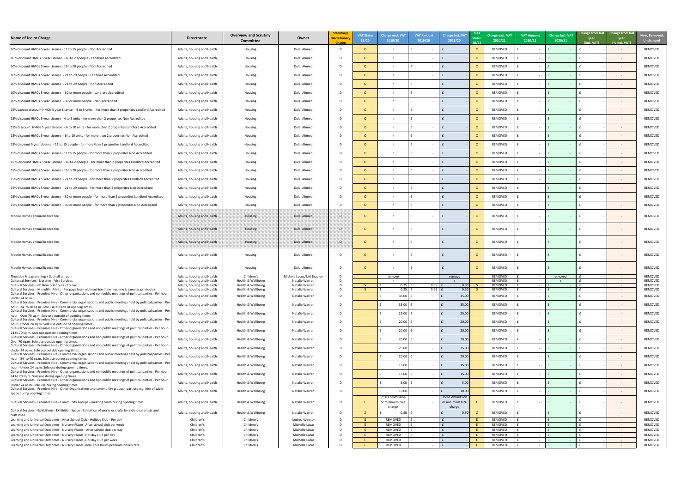

| Name of fee or Charge                                                                                                                                                                                                  | <b>Directorate</b>                                       | <b>Overview and Scrutiny</b><br><b>Committee</b> | Owner                                        | Statutory/<br><b>Discretionary</b><br><b>Charge</b> | <b>VAT Status</b><br>19/20 | <b>Charge excl. VA1</b><br>2019/20 | <b>VAT Amount</b><br>2019/20 | <b>Charge incl. VAT</b><br>2019/20 | <b>Status</b><br>20/21 | Charge excl. VAT<br>2020/21 | <b>VAT Amount</b><br>2020/21 | Charge incl. VAT<br>2020/21 | year<br>(incl. VAT) | Change from last Change from last<br>year<br>(% incl. VAT) | New, Remov<br><b>Unchanged</b> |
|------------------------------------------------------------------------------------------------------------------------------------------------------------------------------------------------------------------------|----------------------------------------------------------|--------------------------------------------------|----------------------------------------------|-----------------------------------------------------|----------------------------|------------------------------------|------------------------------|------------------------------------|------------------------|-----------------------------|------------------------------|-----------------------------|---------------------|------------------------------------------------------------|--------------------------------|
| 10% discount HMOs 5 year License - 11 to 15 people - Non Accredited                                                                                                                                                    | Adults, housing and Health                               | Housing                                          | <b>Dulal Ahmed</b>                           | D.                                                  | $\Omega$                   | r                                  |                              |                                    |                        | REMOVED                     |                              |                             |                     | $\sim$                                                     | REMOVED                        |
| 10 % discount HMOs 5 year License - 16 to 20 people - Landlord Accredited                                                                                                                                              | Adults, housing and Health                               | Housing                                          | Dulal Ahmed                                  |                                                     | $\Omega$                   | $\mathsf{r}$                       |                              |                                    |                        | REMOVED                     |                              |                             |                     | $\sim$                                                     | REMOVED                        |
| 10% discount HMOs 5 year License - 16 to 20 people - Non Accredited                                                                                                                                                    | Adults, housing and Health                               | Housing                                          | Dulal Ahmed                                  |                                                     | $\Omega$                   | $\mathsf{r}$                       |                              |                                    |                        | REMOVED                     |                              |                             |                     | $\sim$ $-$                                                 | REMOVED                        |
| 10% discount HMOs 5 year License - 21 to 29 people - Landlord Accredited                                                                                                                                               | Adults, housing and Health                               | Housing                                          | Dulal Ahmed                                  |                                                     | $\Omega$                   | $\mathsf{r}$                       |                              |                                    |                        | REMOVED                     | $\sim$                       |                             |                     | $\sim$ $-$                                                 | REMOVED                        |
|                                                                                                                                                                                                                        |                                                          |                                                  |                                              |                                                     |                            |                                    |                              |                                    |                        |                             |                              |                             |                     |                                                            |                                |
| 10% discount HMOs 5 year License - 21 to 29 people - Non Accredited                                                                                                                                                    | Adults, housing and Health                               | Housing                                          | Dulal Ahmed                                  |                                                     | $\circ$                    | $\mathsf{r}$                       | $\sim$                       |                                    |                        | REMOVED                     | $\sim$                       |                             |                     | $\sim$ $-$                                                 | REMOVED                        |
| 10% discount HMOs 5 year License - 30 or more people - Landlord Accredited                                                                                                                                             | Adults, housing and Health                               | Housing                                          | Dulal Ahmed                                  |                                                     | $\circ$                    | <b>r</b>                           |                              |                                    |                        | REMOVED                     |                              |                             |                     | $\sim$                                                     | REMOVED                        |
| 10% discount HMOs 5 year License - 30 or more people - Non Accredited                                                                                                                                                  | Adults, housing and Health                               | Housing                                          | Dulal Ahmed                                  |                                                     | $\Omega$                   | $\mathsf{r}$                       |                              |                                    |                        | REMOVED                     |                              |                             |                     | $\sim$                                                     | REMOVED                        |
| 15% capped discount HMOs 5 year License - 4 to 5 units - for more than 2 properites Landlord Accredited                                                                                                                | Adults, housing and Health                               | Housing                                          | Dulal Ahmed                                  |                                                     | $\Omega$                   |                                    |                              |                                    |                        | REMOVED                     |                              |                             |                     | $\sim$                                                     | REMOVED                        |
| 15% discount HMOs 5 year License - 4 to 5 units - for more than 2 properites Non Accredited                                                                                                                            | Adults, housing and Health                               | Housing                                          | Dulal Ahmed                                  |                                                     | $\Omega$                   |                                    |                              |                                    |                        | REMOVED                     |                              |                             |                     | $\sim$                                                     | REMOVED                        |
| 15% Discount HMOs 5 year License - 6 to 10 units - for more than 2 properites Landlord Accredited                                                                                                                      | Adults, housing and Health                               | Housing                                          | Dulal Ahmed                                  |                                                     | $\Omega$                   |                                    |                              |                                    |                        | REMOVED                     |                              |                             |                     | $\sim$                                                     | REMOVED                        |
| 15% discount HMOs 5 year License - 6 to 10 units - for more than 2 properites Non Accredited                                                                                                                           | Adults, housing and Health                               | Housing                                          | Dulal Ahmed                                  |                                                     | $\Omega$                   |                                    |                              |                                    |                        | REMOVED                     |                              |                             |                     | $\sim$                                                     | REMOVED                        |
| 15% discount 5 year License - 11 to 15 people - for more than 2 properites Landlord Accredited                                                                                                                         | Adults, housing and Health                               | Housing                                          | Dulal Ahmed                                  |                                                     | $\Omega$                   |                                    |                              |                                    |                        | REMOVED                     |                              |                             |                     | $\sim$ $ \sim$                                             | REMOVED                        |
| 15% discount HMOs 5 year License - 11 to 15 people - for more than 2 properites Non Accredited                                                                                                                         | Adults, housing and Health                               | Housing                                          | Dulal Ahmed                                  |                                                     | $\circ$                    |                                    |                              |                                    |                        | REMOVED                     |                              |                             |                     | $\sim$                                                     | REMOVED                        |
| 15 % discount HMOs 5 year License - 16 to 20 people - for more than 2 properites Landlord Accredited                                                                                                                   | Adults, housing and Health                               | Housing                                          | Dulal Ahmed                                  |                                                     | $\Omega$                   | <b>r</b>                           |                              |                                    |                        | REMOVED                     | $\sim$                       |                             |                     | $\sim$                                                     | REMOVED                        |
| 15% discount HMOs 5 year License - 16 to 20 people - for more than 2 properites Non Accredited                                                                                                                         | Adults, housing and Health                               | Housing                                          | Dulal Ahmed                                  |                                                     | $\Omega$                   | $\mathsf{r}$                       |                              |                                    |                        | REMOVED                     | $\sim$                       |                             |                     | $\sim$ $-$                                                 | REMOVED                        |
|                                                                                                                                                                                                                        |                                                          |                                                  |                                              |                                                     |                            |                                    |                              |                                    |                        |                             |                              |                             |                     |                                                            |                                |
| 15% discount HMOs 5 year License - 21 to 29 people - for more than 2 properites Landlord Accredited                                                                                                                    | Adults, housing and Health                               | Housing                                          | Dulal Ahmed                                  |                                                     | $\circ$                    | r                                  |                              |                                    |                        | REMOVED                     | $\sim$                       |                             |                     | $\sim$                                                     | REMOVED                        |
| 15% discount HMOs 5 year License - 21 to 29 people - for more than 2 properites Non Accredited                                                                                                                         | Adults, housing and Health                               | Housing                                          | Dulal Ahmed                                  |                                                     |                            |                                    |                              |                                    |                        | REMOVED                     |                              |                             |                     |                                                            | REMOVED                        |
| 15% discount HMOs 5 year License - 30 or more people - for more than 2 properites Landlord Accredited                                                                                                                  | Adults, housing and Health                               | Housing                                          | <b>Dulal Ahmed</b>                           |                                                     | $\Omega$                   | $\mathbf{r}$                       |                              |                                    | $\Omega$               | REMOVED                     |                              |                             |                     | $\sim$ $-$                                                 | REMOVED                        |
| 15% discount HMOs 5 year License - 30 or more people - for more than 2 properites Non Accredited                                                                                                                       | Adults, housing and Health                               | Housing                                          | <b>Dulal Ahmed</b>                           |                                                     | $\Omega$                   |                                    |                              |                                    |                        | REMOVED                     |                              |                             |                     | $\sim$                                                     | REMOVED                        |
| Mobile Homes annual licence fee                                                                                                                                                                                        | Adults, housing and Health                               | Housing                                          | Dulal Ahmed                                  | വ                                                   |                            |                                    |                              |                                    |                        | REMOVED                     |                              |                             |                     | $\sim$                                                     | REMOVED                        |
| Mobile Homes annual licence fee                                                                                                                                                                                        | Adults, housing and Health                               | Housing                                          | <b>Dulal Ahmed</b>                           | - D                                                 |                            |                                    |                              |                                    |                        | REMOVED                     |                              |                             |                     | $\sim$                                                     | REMOVED                        |
| Mobile Homes annual licence fee                                                                                                                                                                                        | Adults, housing and Health                               | Housing                                          | <b>Dulal Ahmed</b>                           | വ                                                   |                            |                                    |                              |                                    |                        | REMOVED                     |                              |                             |                     | $\sim$ $-$                                                 | REMOVED                        |
| Mobile Homes annual licence fee                                                                                                                                                                                        | Adults, housing and Health                               | Housing                                          | <b>Dulal Ahmed</b>                           |                                                     | $\Omega$                   |                                    |                              |                                    |                        | REMOVED                     |                              |                             |                     | $\sim$                                                     | REMOVED                        |
| Mobile Homes annual licence fee                                                                                                                                                                                        | Adults, housing and Health                               | Housing                                          | <b>Dulal Ahmed</b>                           |                                                     |                            |                                    |                              |                                    |                        | REMOVED                     |                              |                             |                     |                                                            | REMOVED                        |
| Thursday Friday evening + Sat hall or room<br>Cultureal Services - Libraries - Visa Services                                                                                                                           | Adults, housing and Health<br>Adults, housing and Health | Children's<br>Health & Wellbeing                 | Michele Lucus/Jaki Bradley<br>Natalie Warren |                                                     |                            | remove                             |                              | remove                             |                        | REMOVED<br>REMOVED          |                              | removed                     |                     | $\sim$<br>$\sim 100$ m $^{-1}$                             | REMOVED<br>REMOVED             |
| Cultural Services - CD Rom print outs - Colour                                                                                                                                                                         | Adults, housing and Health                               | Health & Wellbeing                               | Natalie Warren                               |                                                     |                            | 0.25                               | 0.05                         | 0.30                               |                        | REMOVED                     | $\sim$                       |                             |                     | $\sim 100$ m $^{-1}$                                       | REMOVED                        |
| Cultural Services - Microfilm Prints - Per page from old machine (new machine is same as printouts)<br>Cultural Services - Premises Hire - Other organisations and non public meetings of political parties - Per hour | Adults, housing and Health<br>Adults, housing and Health | Health & Wellbeing<br>Health & Wellbeing         | Natalie Warren<br>Natalie Warren             |                                                     |                            | 0.25<br>35.00                      | $0.05$ $f$                   | 0.30<br>35.00                      |                        | REMOVED<br>REMOVED          | $\sim$<br>$\sim$             |                             |                     | $\sim$ $ \sim$<br>$\sim$ $-$                               | REMOVED<br>REMOVED             |
| Under 24 sq.m<br>Cultural Services - Premises Hire - Commercial organisations and public meetings held by political parties - Pe                                                                                       |                                                          | Health & Wellbeing                               | Natalie Warren                               |                                                     |                            | 35.00                              |                              |                                    |                        | REMOVED                     |                              |                             |                     |                                                            | REMOVED                        |
| hour - 24 to 70 sq.m. Sole use outside of opening times.<br>Cultural Services - Premises Hire - Commercial organisations and public meetings held by political parties - Per                                           | Adults, housing and Health                               |                                                  |                                              |                                                     |                            |                                    |                              | 35.00                              |                        |                             | $\sim$                       |                             |                     | $\sim$                                                     |                                |
| hour - Over 70 sq.m. Sole use outside of opening times.<br>Cultural Services - Premises Hire - Commercial organisations and public meetings held by political parties - Per                                            | Adults, housing and Health                               | Health & Wellbeing                               | Natalie Warren                               |                                                     |                            | 25.00                              |                              | 25.00                              |                        | REMOVED                     |                              |                             |                     | $\sim$ $-$                                                 | REMOVED                        |
| hour - Under 24 sq.m. Sole use outside of opening times.                                                                                                                                                               | Adults, housing and Health                               | Health & Wellbeing                               | Natalie Warren                               |                                                     |                            | 20.00                              |                              | 20.00                              |                        | REMOVED                     |                              |                             |                     | $\sim$ $-$                                                 | REMOVED                        |
| Cultural Services - Premises Hire - Other organisations and non public meetings of political parties - Per hour<br>24 to 70 sq.m. Sole use outside opening times.                                                      | Adults, housing and Health                               | Health & Wellbeing                               | Natalie Warren                               |                                                     |                            | 20.00                              |                              | 20.00                              |                        | REMOVED                     |                              |                             |                     | $\sim$ $-$                                                 | REMOVED                        |
| Cultural Services - Premises Hire - Other organisations and non public meetings of political parties - Per hour<br>Over 70 sq.m. Sole use outside opening times.                                                       | Adults, housing and Health                               | Health & Wellbeing                               | Natalie Warren                               |                                                     |                            | 20.00                              |                              | 20.00                              |                        | REMOVED                     |                              |                             |                     | $\sim$ $-$                                                 | REMOVED                        |
| Cultural Services - Premises Hire - Other organisations and non public meetings of political parties - Per hour<br>Under 24 sq.m. Sole use outside opening times.                                                      | Adults, housing and Health                               | Health & Wellbeing                               | Natalie Warren                               |                                                     |                            | $25.00$ f                          |                              | 25.00                              |                        | REMOVED                     |                              |                             |                     |                                                            | REMOVED                        |
| Cultural Services - Premises Hire - Commercial organisations and public meetings held by political parties - Per<br>hour - 24 to 70 sq.m. Sole use during opening times.                                               | Adults, housing and Health                               | Health & Wellbeing                               | Natalie Warren                               |                                                     |                            | 20.00                              |                              | 20.00                              |                        | REMOVED                     |                              |                             |                     | $\sim$                                                     | REMOVED                        |
| Cultural Services - Premises Hire - Commercial organisations and public meetings held by political parties - Pei<br>hour - Under 24 sq.m. Sole use during opening times.                                               | Adults, housing and Health                               | Health & Wellbeing                               | Natalie Warren                               |                                                     |                            | 15.00                              |                              | 15.00                              |                        | REMOVED                     |                              |                             |                     | $\sim$                                                     | REMOVED                        |
| Cultural Services - Premises Hire - Other organisations and non public meetings of political parties - Per hour<br>24 to 70 sq.m. Sole use during opening times.                                                       | Adults, housing and Health                               | Health & Wellbeing                               | Natalie Warren                               |                                                     |                            | 15.00                              |                              | 15.00                              |                        | REMOVED                     |                              |                             |                     | $\sim$                                                     | REMOVED                        |
| Cultural Services - Premises Hire - Other organisations and non public meetings of political parties - Per hour                                                                                                        | Adults, housing and Health                               | Health & Wellbeing                               | Natalie Warren                               |                                                     |                            | 5.00                               |                              | 5.00                               |                        | REMOVED                     |                              |                             |                     | $\sim$                                                     | REMOVED                        |
| Under 24 sq.m. Sole use during opening times.<br>Cultural Services - Premises Hire - Other Organisations and community groups - part use e.g. hire of table                                                            | Adults, housing and Health                               | Health & Wellbeing                               | Natalie Warren                               |                                                     |                            | $10.00$                            |                              | 10.00                              |                        | REMOVED                     |                              |                             |                     | $\sim$                                                     | REMOVED                        |
| space during opening times<br>Cultural Services - Premises Hire - Community Groups - meeting room during opening times                                                                                                 | Adults, housing and Health                               | Health & Wellbeing                               | Natalie Warren                               |                                                     |                            | 25% Commission<br>or minimum hire  |                              | 25% Commission<br>or minimum hire  |                        | REMOVED                     |                              |                             |                     | $\sim$                                                     | REMOVED                        |
| Cultural Services - Exhibitions - Exhibition Space - Exhibition of works or crafts by individual artists and                                                                                                           | Adults, housing and Health                               | Health & Wellbeing                               | Natalie Warren                               |                                                     |                            | charge<br>0.50 L                   |                              | charge<br>0.50                     |                        | REMOVED                     |                              |                             |                     | $\sim$                                                     | REMOVED                        |
| craftsmen<br>Learning and Universal Outcomes - After School Club - Holiday Club - Per day                                                                                                                              | Children's                                               | Children's                                       | Andrea Winston                               |                                                     |                            | REMOVED                            |                              |                                    |                        | REMOVED                     |                              |                             |                     |                                                            | REMOVED                        |
| Learning and Universal Outcomes - Nursery Places- After school club per week                                                                                                                                           | Children's                                               | Children's                                       | Michelle Lucas                               |                                                     |                            | REMOVED                            |                              |                                    |                        | REMOVED                     |                              |                             |                     | $\sim$                                                     | REMOVED                        |
| Learning and Universal Outcomes - Nursery Places - After school club per day                                                                                                                                           | Children's                                               | Children's                                       | Michelle Lucas                               |                                                     |                            | REMOVED                            |                              |                                    |                        | REMOVED                     |                              |                             |                     | $\sim$                                                     | REMOVED                        |
| Learning and Universal Outcomes - Nursery Places - Holiday club per day<br>Learning and Universal Outcomes - Nursery Places - Holiday club per week                                                                    | Children's<br>Children's                                 | Children's<br>Children's                         | Michelle Lucas<br>Michelle Lucas             |                                                     |                            | REMOVED<br>REMOVED                 |                              |                                    |                        | REMOVED<br>REMOVED          |                              |                             |                     | $\sim$<br>$\sim$ $ \sim$                                   | REMOVED<br>REMOVED             |
| Learning and Universal Outcomes - Nursery Places -non- core hours premium hourly rate                                                                                                                                  | Children's                                               | Children's                                       | Michelle Lucas                               |                                                     |                            | REMOVED                            |                              |                                    |                        | REMOVED                     |                              |                             |                     | $\sim$                                                     | REMOVED                        |
|                                                                                                                                                                                                                        |                                                          |                                                  |                                              |                                                     |                            |                                    |                              |                                    |                        |                             |                              |                             |                     |                                                            |                                |